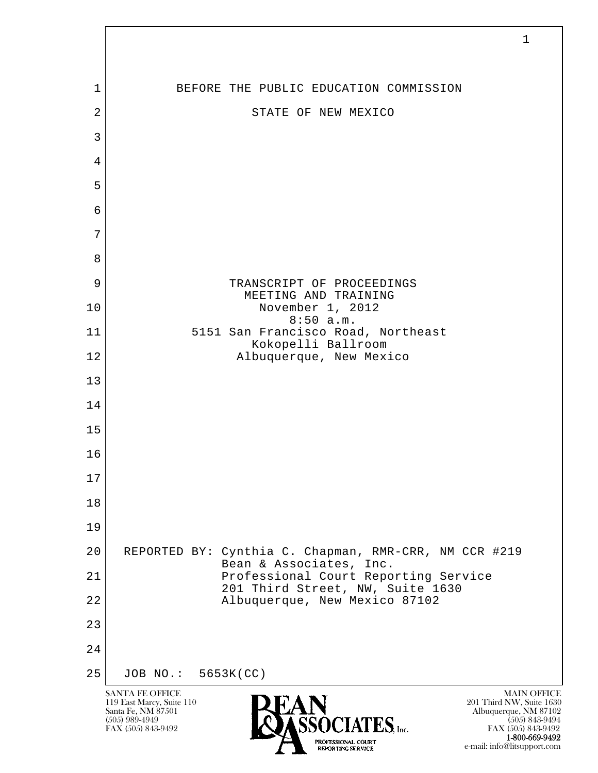| $\mathbf 1$    | BEFORE THE PUBLIC EDUCATION COMMISSION                                           |
|----------------|----------------------------------------------------------------------------------|
| $\overline{2}$ | STATE OF NEW MEXICO                                                              |
| $\mathfrak{Z}$ |                                                                                  |
| 4              |                                                                                  |
| 5              |                                                                                  |
| 6              |                                                                                  |
| 7              |                                                                                  |
| 8              |                                                                                  |
| 9              | TRANSCRIPT OF PROCEEDINGS<br>MEETING AND TRAINING                                |
| 10             | November 1, 2012<br>8:50 a.m.                                                    |
| 11             | 5151 San Francisco Road, Northeast<br>Kokopelli Ballroom                         |
| 12             | Albuquerque, New Mexico                                                          |
| 13             |                                                                                  |
| 14             |                                                                                  |
| 15             |                                                                                  |
| 16             |                                                                                  |
| $17$           |                                                                                  |
| 18             |                                                                                  |
| 19             |                                                                                  |
| 20             | REPORTED BY: Cynthia C. Chapman, RMR-CRR, NM CCR #219<br>Bean & Associates, Inc. |
| 21             | Professional Court Reporting Service<br>201 Third Street, NW, Suite 1630         |
| 22             | Albuquerque, New Mexico 87102                                                    |
| 23             |                                                                                  |
| 24             |                                                                                  |
| 25             | JOB NO.: 5653K (CC)                                                              |

 $\sqrt{ }$ 

**1-800-669-9492**<br> **EXALTERIONAL CN BT** e-mail: info@litsupport.com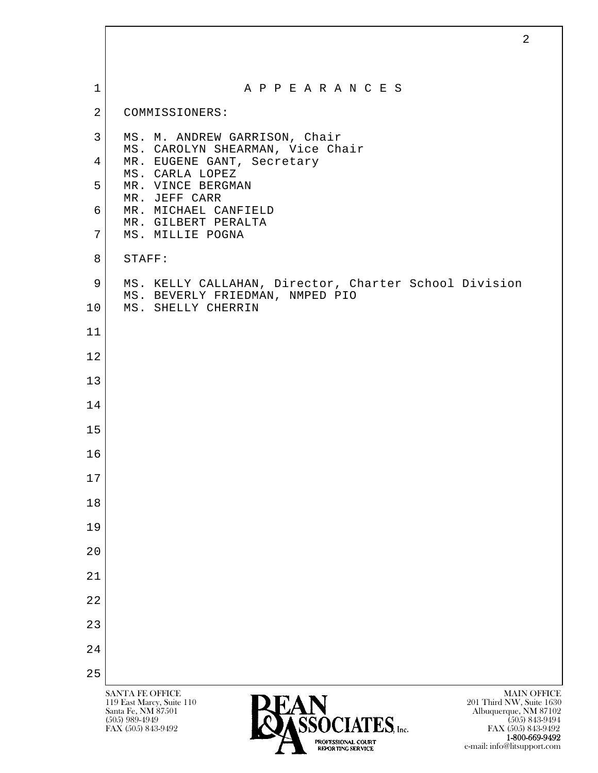| $\mathbf 1$     | A P P E A R A N C E S                                                                    |
|-----------------|------------------------------------------------------------------------------------------|
| $\overline{2}$  | COMMISSIONERS:                                                                           |
| 3               | MS. M. ANDREW GARRISON, Chair<br>MS. CAROLYN SHEARMAN, Vice Chair                        |
| $\overline{4}$  | MR. EUGENE GANT, Secretary<br>MS. CARLA LOPEZ                                            |
| 5               | MR. VINCE BERGMAN<br>MR. JEFF CARR                                                       |
| 6               | MR. MICHAEL CANFIELD<br>MR. GILBERT PERALTA                                              |
| $7\overline{ }$ | MS. MILLIE POGNA                                                                         |
| 8               | STAFF:                                                                                   |
| 9               | MS. KELLY CALLAHAN, Director, Charter School Division<br>MS. BEVERLY FRIEDMAN, NMPED PIO |
| 10 <sub>o</sub> | MS. SHELLY CHERRIN                                                                       |
| 11              |                                                                                          |
| 12              |                                                                                          |
| 13              |                                                                                          |
| 14              |                                                                                          |
| 15              |                                                                                          |
| 16              |                                                                                          |
| 17              |                                                                                          |
| 18              |                                                                                          |
| 19              |                                                                                          |
| 20              |                                                                                          |
| 21              |                                                                                          |
| 22              |                                                                                          |
| 23              |                                                                                          |
| 24              |                                                                                          |
| 25              |                                                                                          |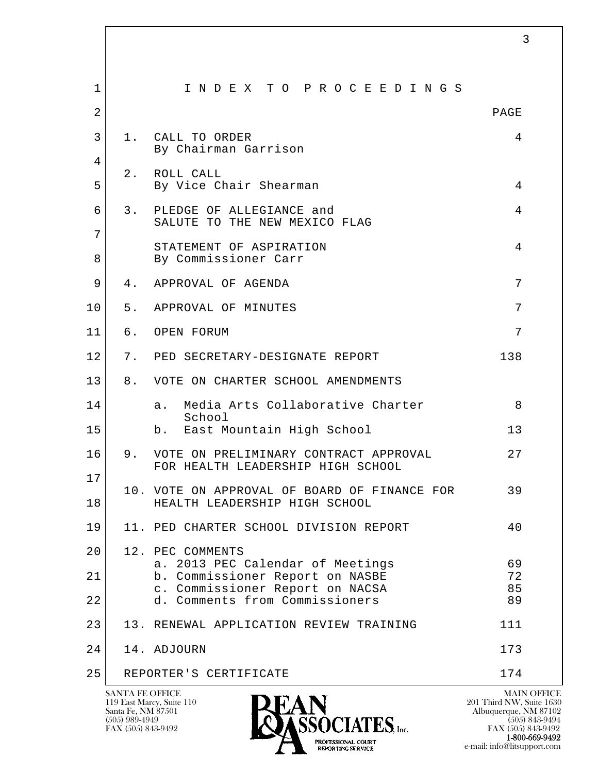| $\mathbf 1$    |       | INDEX TO PROCEEDINGS                                                          |          |
|----------------|-------|-------------------------------------------------------------------------------|----------|
| $\overline{2}$ |       |                                                                               | PAGE     |
| 3              | 1.    | CALL TO ORDER<br>By Chairman Garrison                                         | 4        |
| 4              | $2$ . | ROLL CALL                                                                     |          |
| 5              |       | By Vice Chair Shearman                                                        | 4        |
| 6              | 3.    | PLEDGE OF ALLEGIANCE and<br>SALUTE TO THE NEW MEXICO FLAG                     | 4        |
| 7              |       |                                                                               |          |
| 8              |       | STATEMENT OF ASPIRATION<br>By Commissioner Carr                               | 4        |
| 9              | 4.    | APPROVAL OF AGENDA                                                            | 7        |
| 10             | 5.    | APPROVAL OF MINUTES                                                           | 7        |
| 11             | б.    | OPEN FORUM                                                                    | 7        |
| 12             | 7.    | PED SECRETARY-DESIGNATE REPORT                                                | 138      |
| 13             | 8.    | VOTE ON CHARTER SCHOOL AMENDMENTS                                             |          |
| 14             |       | Media Arts Collaborative Charter<br>а.<br>School                              | 8        |
| 15             |       | East Mountain High School<br>b.                                               | 13       |
| 16             | 9.    | VOTE ON PRELIMINARY CONTRACT APPROVAL<br>FOR HEALTH LEADERSHIP HIGH SCHOOL    | 27       |
| 17             |       |                                                                               |          |
| 18             |       | 10. VOTE ON APPROVAL OF BOARD OF FINANCE FOR<br>HEALTH LEADERSHIP HIGH SCHOOL | 39       |
| 19             |       | 11. PED CHARTER SCHOOL DIVISION REPORT                                        | 40       |
| 20             |       | 12. PEC COMMENTS                                                              |          |
| 21             |       | a. 2013 PEC Calendar of Meetings<br>b. Commissioner Report on NASBE           | 69<br>72 |
|                |       | c. Commissioner Report on NACSA                                               | 85       |
| 22             |       | d. Comments from Commissioners                                                | 89       |
| 23             |       | 13. RENEWAL APPLICATION REVIEW TRAINING                                       | 111      |
| 24             |       | 14. ADJOURN                                                                   | 173      |
| 25             |       | REPORTER'S CERTIFICATE                                                        | 174      |



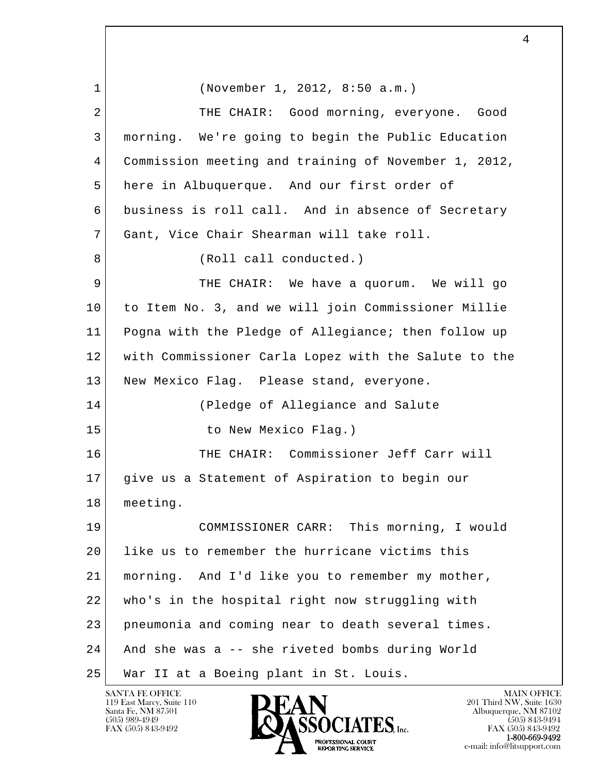l  $\overline{\phantom{a}}$  1 (November 1, 2012, 8:50 a.m.) 2 THE CHAIR: Good morning, everyone. Good 3 morning. We're going to begin the Public Education 4 Commission meeting and training of November 1, 2012, 5 here in Albuquerque. And our first order of 6 business is roll call. And in absence of Secretary 7 Gant, Vice Chair Shearman will take roll. 8 (Roll call conducted.) 9 THE CHAIR: We have a quorum. We will go 10 to Item No. 3, and we will join Commissioner Millie 11 Pogna with the Pledge of Allegiance; then follow up 12 with Commissioner Carla Lopez with the Salute to the 13 | New Mexico Flag. Please stand, everyone. 14 (Pledge of Allegiance and Salute 15 to New Mexico Flag.) 16 THE CHAIR: Commissioner Jeff Carr will 17 give us a Statement of Aspiration to begin our 18 meeting. 19 COMMISSIONER CARR: This morning, I would 20 like us to remember the hurricane victims this 21 morning. And I'd like you to remember my mother, 22 who's in the hospital right now struggling with 23 pneumonia and coming near to death several times. 24 And she was a -- she riveted bombs during World 25 War II at a Boeing plant in St. Louis.

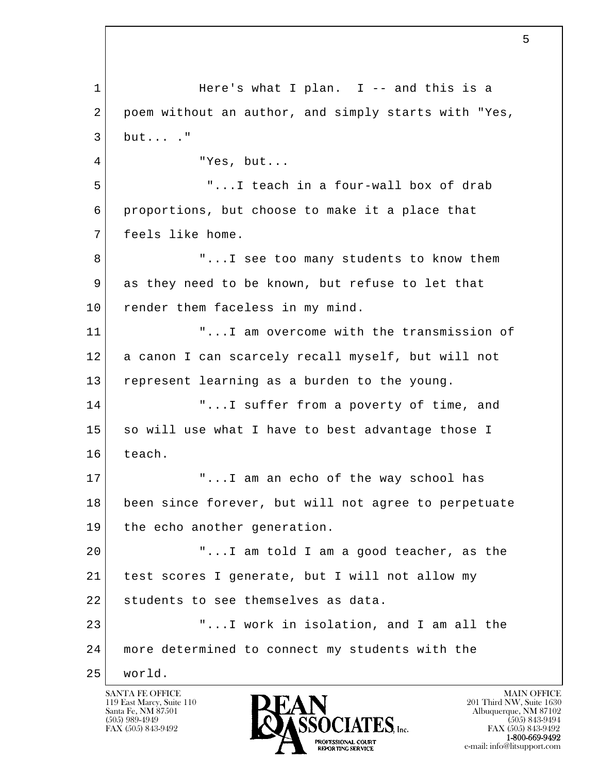l  $\overline{\phantom{a}}$ 1 Here's what I plan. I -- and this is a 2 poem without an author, and simply starts with "Yes,  $3$  but...  $\cdot$  " 4 "Yes, but... 5 "...I teach in a four-wall box of drab 6 proportions, but choose to make it a place that 7 feels like home. 8 | T...I see too many students to know them 9 as they need to be known, but refuse to let that 10 render them faceless in my mind. 11 T...I am overcome with the transmission of 12 a canon I can scarcely recall myself, but will not 13 represent learning as a burden to the young. 14 | T...I suffer from a poverty of time, and 15 so will use what I have to best advantage those I 16 teach. 17 T...I am an echo of the way school has 18 been since forever, but will not agree to perpetuate 19 the echo another generation. 20 "...I am told I am a good teacher, as the 21 test scores I generate, but I will not allow my 22 students to see themselves as data. 23 "...I work in isolation, and I am all the 24 more determined to connect my students with the 25 world.

119 East Marcy, Suite 110<br>Santa Fe, NM 87501

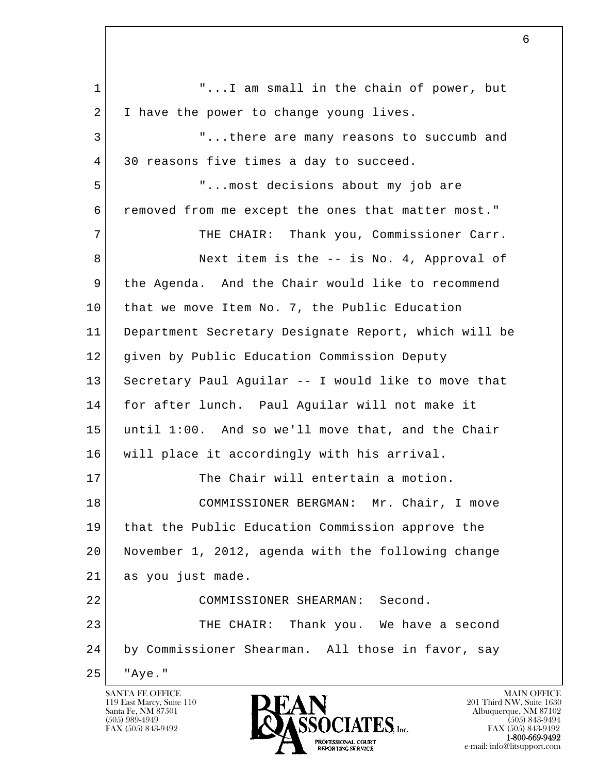l  $\overline{\phantom{a}}$ 1 | T...I am small in the chain of power, but 2 I have the power to change young lives. 3 "...there are many reasons to succumb and 4 30 reasons five times a day to succeed. 5 "...most decisions about my job are 6 removed from me except the ones that matter most." 7 THE CHAIR: Thank you, Commissioner Carr. 8 Next item is the -- is No. 4, Approval of 9 the Agenda. And the Chair would like to recommend 10 that we move Item No. 7, the Public Education 11 Department Secretary Designate Report, which will be 12 given by Public Education Commission Deputy 13 Secretary Paul Aguilar -- I would like to move that 14 for after lunch. Paul Aguilar will not make it 15 until 1:00. And so we'll move that, and the Chair 16 will place it accordingly with his arrival. 17 The Chair will entertain a motion. 18 COMMISSIONER BERGMAN: Mr. Chair, I move 19 that the Public Education Commission approve the 20 November 1, 2012, agenda with the following change 21 as you just made. 22 COMMISSIONER SHEARMAN: Second. 23 THE CHAIR: Thank you. We have a second 24 by Commissioner Shearman. All those in favor, say 25 "Aye."

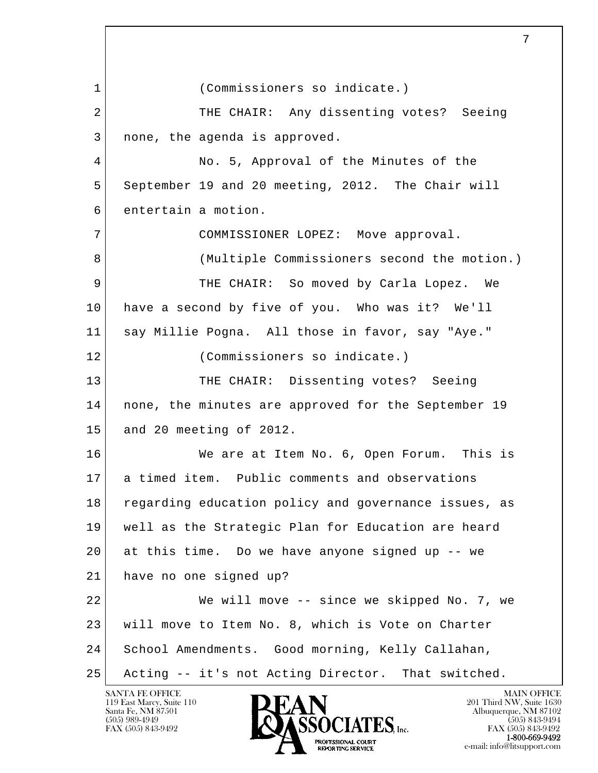l  $\overline{\phantom{a}}$  1 (Commissioners so indicate.) 2 THE CHAIR: Any dissenting votes? Seeing 3 | none, the agenda is approved. 4 No. 5, Approval of the Minutes of the 5 September 19 and 20 meeting, 2012. The Chair will 6 entertain a motion. 7 COMMISSIONER LOPEZ: Move approval. 8 (Multiple Commissioners second the motion.) 9 THE CHAIR: So moved by Carla Lopez. We 10 have a second by five of you. Who was it? We'll 11 say Millie Pogna. All those in favor, say "Aye." 12 (Commissioners so indicate.) 13 THE CHAIR: Dissenting votes? Seeing 14 | none, the minutes are approved for the September 19 15 and 20 meeting of 2012. 16 We are at Item No. 6, Open Forum. This is 17 a timed item. Public comments and observations 18 regarding education policy and governance issues, as 19 well as the Strategic Plan for Education are heard 20 at this time. Do we have anyone signed up -- we 21 have no one signed up? 22 We will move -- since we skipped No. 7, we 23 will move to Item No. 8, which is Vote on Charter 24 School Amendments. Good morning, Kelly Callahan, 25 Acting -- it's not Acting Director. That switched.

119 East Marcy, Suite 110<br>Santa Fe, NM 87501

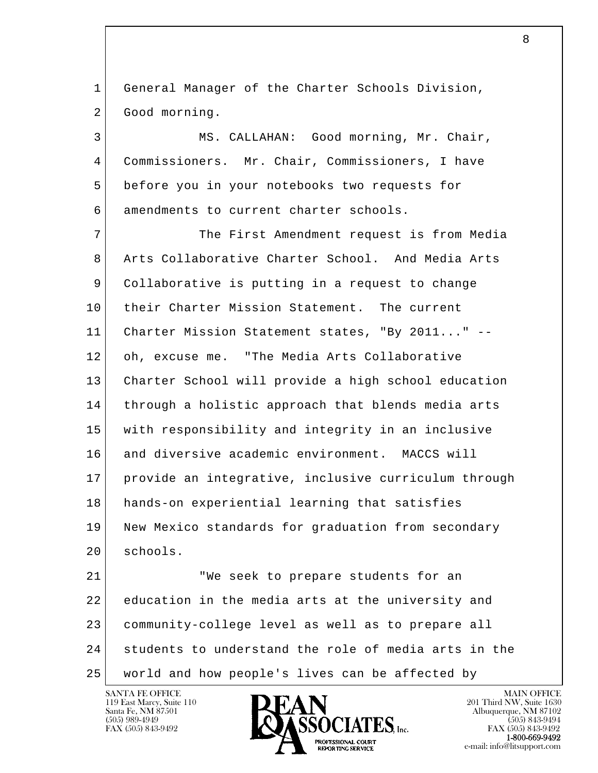1 General Manager of the Charter Schools Division, 2 Good morning.

3 MS. CALLAHAN: Good morning, Mr. Chair, 4 Commissioners. Mr. Chair, Commissioners, I have 5 before you in your notebooks two requests for 6 amendments to current charter schools.

 7 The First Amendment request is from Media 8 Arts Collaborative Charter School. And Media Arts 9 Collaborative is putting in a request to change 10 their Charter Mission Statement. The current 11 Charter Mission Statement states, "By 2011..." -- 12 oh, excuse me. "The Media Arts Collaborative 13 Charter School will provide a high school education 14 through a holistic approach that blends media arts 15 with responsibility and integrity in an inclusive 16 and diversive academic environment. MACCS will 17 provide an integrative, inclusive curriculum through 18 hands-on experiential learning that satisfies 19 New Mexico standards for graduation from secondary 20 schools.

l  $\overline{\phantom{a}}$ 21 We seek to prepare students for an 22 education in the media arts at the university and 23 community-college level as well as to prepare all 24 students to understand the role of media arts in the 25 world and how people's lives can be affected by

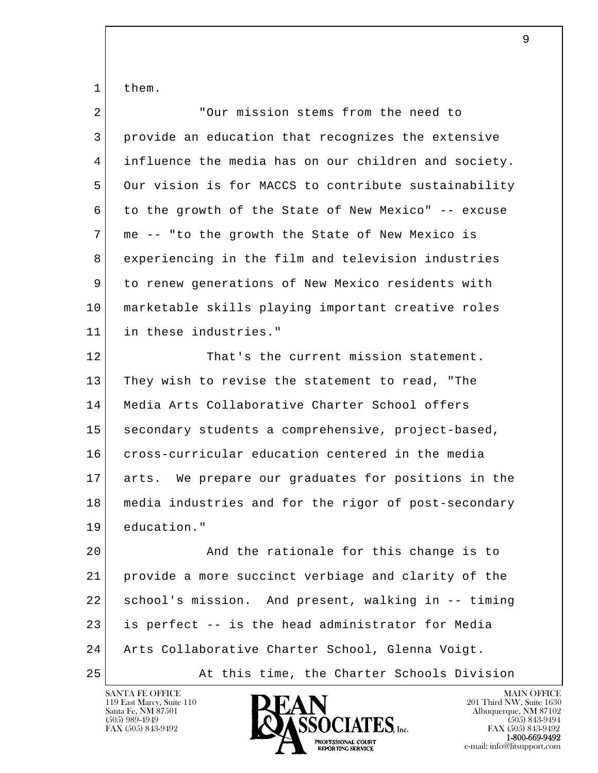1 them.

| 2  | "Our mission stems from the need to                  |
|----|------------------------------------------------------|
| 3  | provide an education that recognizes the extensive   |
| 4  | influence the media has on our children and society. |
| 5  | Our vision is for MACCS to contribute sustainability |
| 6  | to the growth of the State of New Mexico" -- excuse  |
| 7  | me -- "to the growth the State of New Mexico is      |
| 8  | experiencing in the film and television industries   |
| 9  | to renew generations of New Mexico residents with    |
| 10 | marketable skills playing important creative roles   |
| 11 | in these industries."                                |
| 12 | That's the current mission statement.                |
| 13 | They wish to revise the statement to read, "The      |
| 14 | Media Arts Collaborative Charter School offers       |
| 15 | secondary students a comprehensive, project-based,   |
| 16 | cross-curricular education centered in the media     |
| 17 | arts. We prepare our graduates for positions in the  |
| 18 | media industries and for the rigor of post-secondary |
| 19 | education."                                          |
| 20 | And the rationale for this change is to              |
| 21 | provide a more succinct verbiage and clarity of the  |
| 22 | school's mission. And present, walking in -- timing  |
| 23 | is perfect -- is the head administrator for Media    |
| 24 | Arts Collaborative Charter School, Glenna Voigt.     |
| 25 | At this time, the Charter Schools Division           |

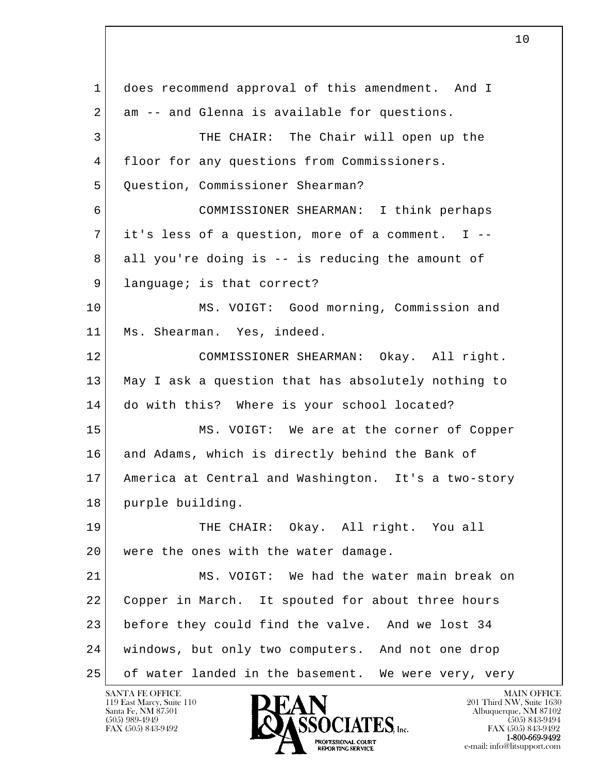l  $\overline{\phantom{a}}$  1 does recommend approval of this amendment. And I 2 am -- and Glenna is available for questions. 3 THE CHAIR: The Chair will open up the 4 floor for any questions from Commissioners. 5 Question, Commissioner Shearman? 6 COMMISSIONER SHEARMAN: I think perhaps 7 | it's less of a question, more of a comment. I -- 8 all you're doing is -- is reducing the amount of 9 language; is that correct? 10 MS. VOIGT: Good morning, Commission and 11 Ms. Shearman. Yes, indeed. 12 COMMISSIONER SHEARMAN: Okay. All right. 13 May I ask a question that has absolutely nothing to 14 do with this? Where is your school located? 15 MS. VOIGT: We are at the corner of Copper 16 and Adams, which is directly behind the Bank of 17 America at Central and Washington. It's a two-story 18 purple building. 19 THE CHAIR: Okay. All right. You all 20 | were the ones with the water damage. 21 MS. VOIGT: We had the water main break on 22 Copper in March. It spouted for about three hours 23 before they could find the valve. And we lost 34 24 windows, but only two computers. And not one drop 25 of water landed in the basement. We were very, very

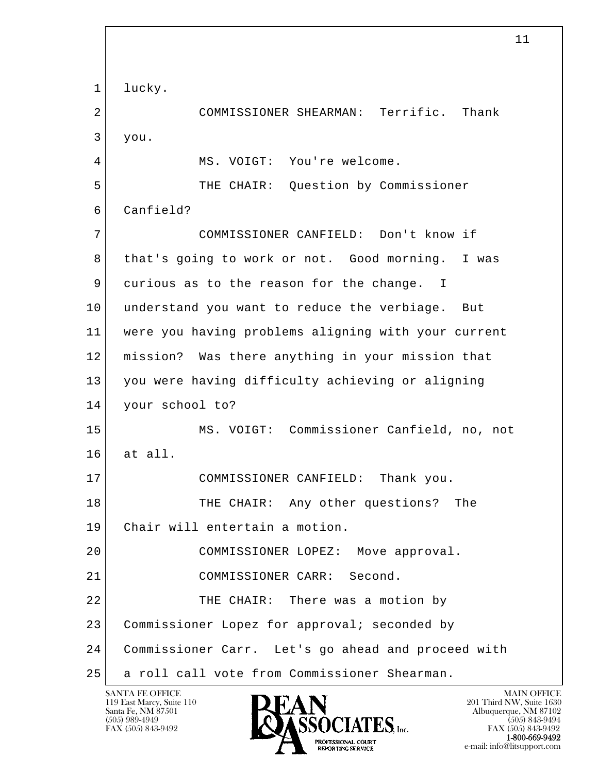l  $\overline{\phantom{a}}$ 1 lucky. 2 COMMISSIONER SHEARMAN: Terrific. Thank 3 you. 4 MS. VOIGT: You're welcome. 5 THE CHAIR: Question by Commissioner 6 Canfield? 7 COMMISSIONER CANFIELD: Don't know if 8 | that's going to work or not. Good morning. I was 9 curious as to the reason for the change. I 10 understand you want to reduce the verbiage. But 11 were you having problems aligning with your current 12 mission? Was there anything in your mission that 13 you were having difficulty achieving or aligning 14 your school to? 15 MS. VOIGT: Commissioner Canfield, no, not  $16$  at all. 17 COMMISSIONER CANFIELD: Thank you. 18 THE CHAIR: Any other questions? The 19 Chair will entertain a motion. 20 COMMISSIONER LOPEZ: Move approval. 21 COMMISSIONER CARR: Second. 22 THE CHAIR: There was a motion by 23 Commissioner Lopez for approval; seconded by 24 Commissioner Carr. Let's go ahead and proceed with 25 a roll call vote from Commissioner Shearman.

119 East Marcy, Suite 110<br>Santa Fe, NM 87501

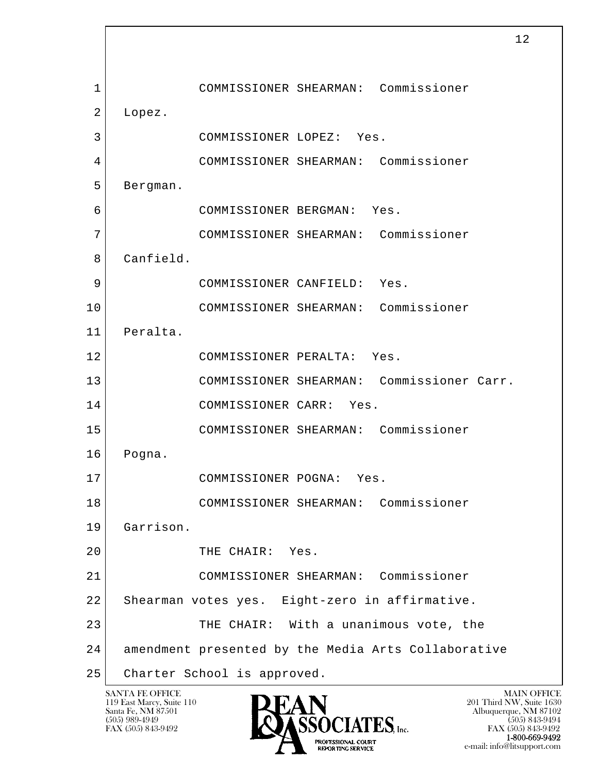l  $\overline{\phantom{a}}$  1 COMMISSIONER SHEARMAN: Commissioner 2 Lopez. 3 COMMISSIONER LOPEZ: Yes. 4 COMMISSIONER SHEARMAN: Commissioner 5 Bergman. 6 COMMISSIONER BERGMAN: Yes. 7 COMMISSIONER SHEARMAN: Commissioner 8 Canfield. 9 COMMISSIONER CANFIELD: Yes. 10 COMMISSIONER SHEARMAN: Commissioner 11 Peralta. 12 COMMISSIONER PERALTA: Yes. 13 COMMISSIONER SHEARMAN: Commissioner Carr. 14 COMMISSIONER CARR: Yes. 15 COMMISSIONER SHEARMAN: Commissioner 16 Pogna. 17 COMMISSIONER POGNA: Yes. 18 COMMISSIONER SHEARMAN: Commissioner 19 Garrison. 20 THE CHAIR: Yes. 21 COMMISSIONER SHEARMAN: Commissioner 22 Shearman votes yes. Eight-zero in affirmative. 23 | THE CHAIR: With a unanimous vote, the 24 amendment presented by the Media Arts Collaborative 25 Charter School is approved.

119 East Marcy, Suite 110<br>Santa Fe, NM 87501



FAX (505) 843-9492<br>**1-800-669-9492** e-mail: info@litsupport.com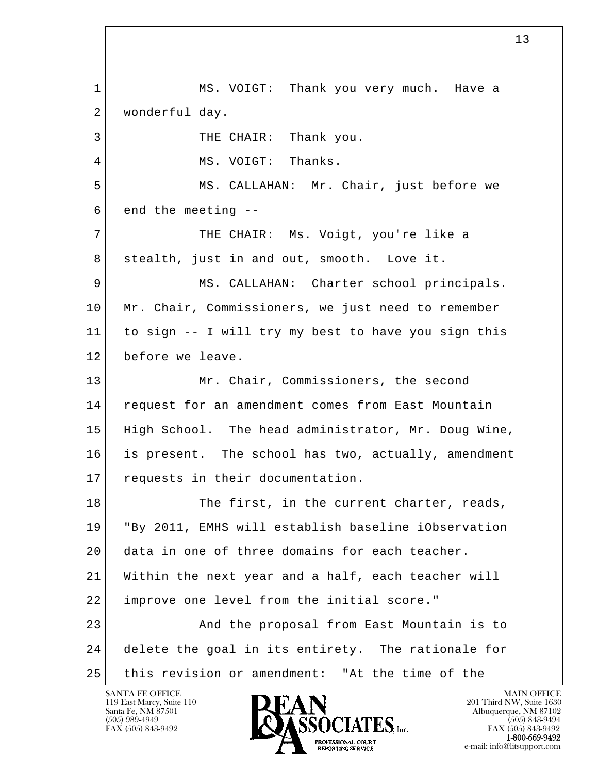l  $\overline{\phantom{a}}$  1 MS. VOIGT: Thank you very much. Have a 2 | wonderful day. 3 THE CHAIR: Thank you. 4 MS. VOIGT: Thanks. 5 MS. CALLAHAN: Mr. Chair, just before we  $6$  end the meeting  $-$  7 THE CHAIR: Ms. Voigt, you're like a 8 | stealth, just in and out, smooth. Love it. 9 MS. CALLAHAN: Charter school principals. 10 Mr. Chair, Commissioners, we just need to remember 11 to sign -- I will try my best to have you sign this 12 before we leave. 13 Mr. Chair, Commissioners, the second 14 request for an amendment comes from East Mountain 15 High School. The head administrator, Mr. Doug Wine, 16 is present. The school has two, actually, amendment 17 requests in their documentation. 18 The first, in the current charter, reads, 19 "By 2011, EMHS will establish baseline iObservation 20 data in one of three domains for each teacher. 21 Within the next year and a half, each teacher will 22 improve one level from the initial score." 23 And the proposal from East Mountain is to 24 delete the goal in its entirety. The rationale for 25 this revision or amendment: "At the time of the

13

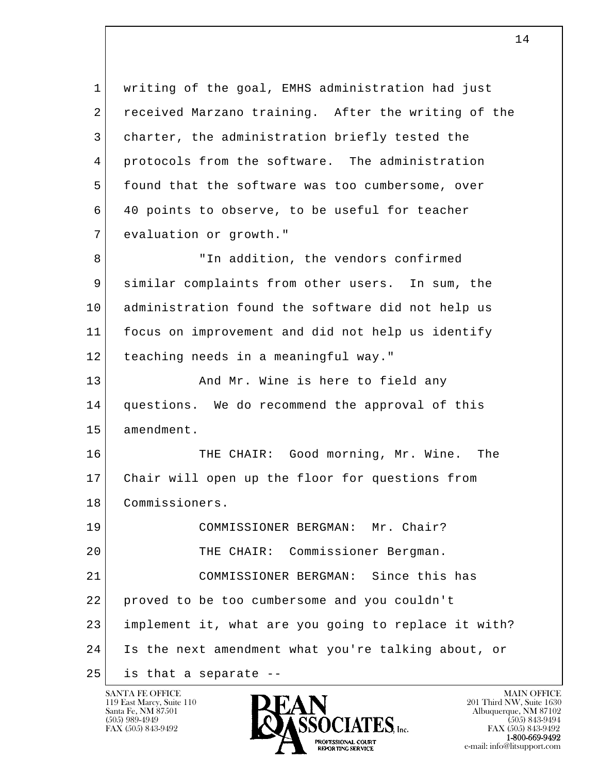l  $\overline{\phantom{a}}$  1 writing of the goal, EMHS administration had just 2 received Marzano training. After the writing of the 3 charter, the administration briefly tested the 4 protocols from the software. The administration 5 found that the software was too cumbersome, over 6 40 points to observe, to be useful for teacher 7 evaluation or growth." 8 TID addition, the vendors confirmed 9 similar complaints from other users. In sum, the 10 administration found the software did not help us 11 focus on improvement and did not help us identify 12 teaching needs in a meaningful way." 13 And Mr. Wine is here to field any 14 | questions. We do recommend the approval of this 15 amendment. 16 THE CHAIR: Good morning, Mr. Wine. The 17 Chair will open up the floor for questions from 18 Commissioners. 19 COMMISSIONER BERGMAN: Mr. Chair? 20 THE CHAIR: Commissioner Bergman. 21 COMMISSIONER BERGMAN: Since this has 22 proved to be too cumbersome and you couldn't 23 implement it, what are you going to replace it with? 24 Is the next amendment what you're talking about, or  $25$  is that a separate  $-$ 

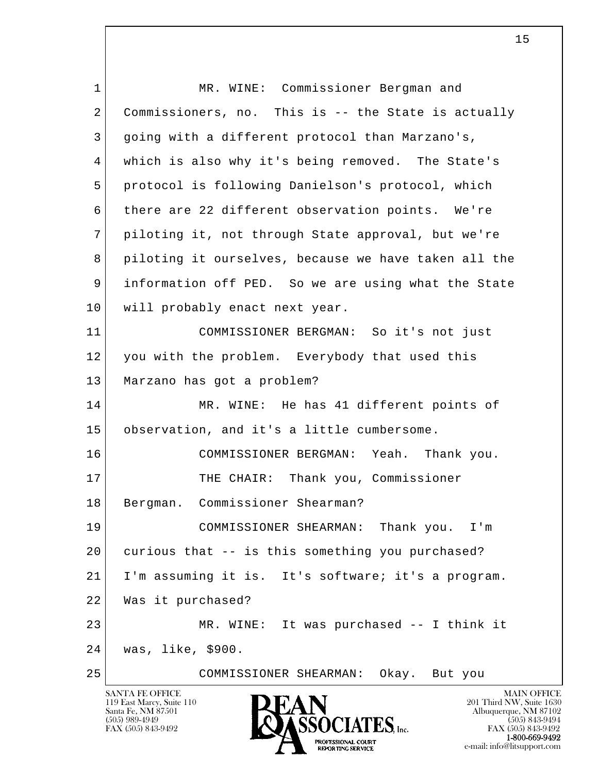| 1              | MR. WINE: Commissioner Bergman and                            |
|----------------|---------------------------------------------------------------|
| $\overline{2}$ | Commissioners, no. This is -- the State is actually           |
| 3              | going with a different protocol than Marzano's,               |
| $\overline{4}$ | which is also why it's being removed. The State's             |
| 5              | protocol is following Danielson's protocol, which             |
| 6              | there are 22 different observation points. We're              |
| 7              | piloting it, not through State approval, but we're            |
| 8              | piloting it ourselves, because we have taken all the          |
| 9              | information off PED. So we are using what the State           |
| 10             | will probably enact next year.                                |
| 11             | COMMISSIONER BERGMAN: So it's not just                        |
| 12             | you with the problem. Everybody that used this                |
| 13             | Marzano has got a problem?                                    |
| 14             | MR. WINE: He has 41 different points of                       |
| 15             | observation, and it's a little cumbersome.                    |
| 16             | COMMISSIONER BERGMAN: Yeah. Thank you.                        |
| 17             | THE CHAIR: Thank you, Commissioner                            |
| 18             | Bergman. Commissioner Shearman?                               |
| 19             | COMMISSIONER SHEARMAN: Thank you.<br>$I'$ m                   |
| 20             | curious that -- is this something you purchased?              |
| 21             | I'm assuming it is. It's software; it's a program.            |
| 22             | Was it purchased?                                             |
| 23             | MR. WINE: It was purchased -- I think it                      |
| 24             | was, like, \$900.                                             |
| 25             | COMMISSIONER SHEARMAN:<br>Okay. But you                       |
|                | <b>SANTA FE OFFICE</b><br><b>MAIN OFFICE</b><br><b>INTERT</b> |

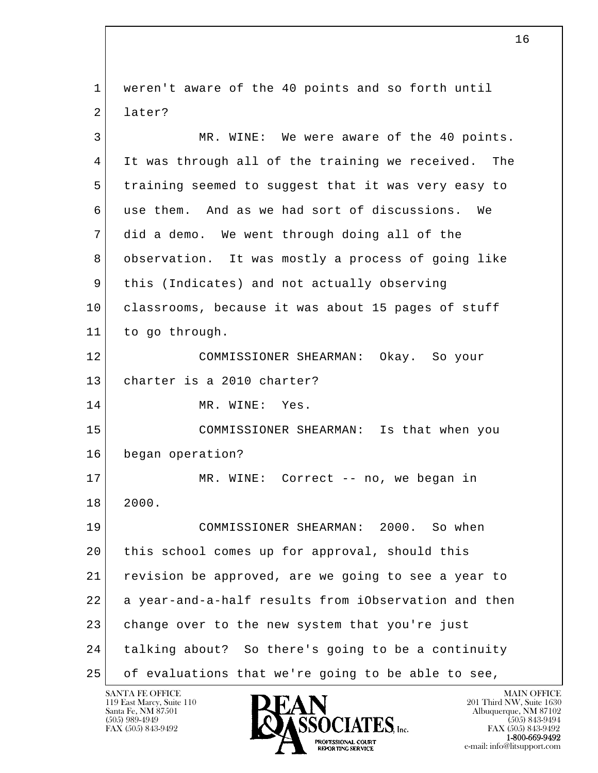l  $\overline{\phantom{a}}$  1 weren't aware of the 40 points and so forth until 2 later? 3 MR. WINE: We were aware of the 40 points. 4 It was through all of the training we received. The 5 training seemed to suggest that it was very easy to 6 use them. And as we had sort of discussions. We 7 did a demo. We went through doing all of the 8 observation. It was mostly a process of going like 9 | this (Indicates) and not actually observing 10 classrooms, because it was about 15 pages of stuff 11 to go through. 12 COMMISSIONER SHEARMAN: Okay. So your 13 charter is a 2010 charter? 14 MR. WINE: Yes. 15 COMMISSIONER SHEARMAN: Is that when you 16 began operation? 17 MR. WINE: Correct -- no, we began in 18 2000. 19 COMMISSIONER SHEARMAN: 2000. So when 20 | this school comes up for approval, should this 21 revision be approved, are we going to see a year to 22 a year-and-a-half results from iObservation and then 23 change over to the new system that you're just 24 talking about? So there's going to be a continuity 25 of evaluations that we're going to be able to see,

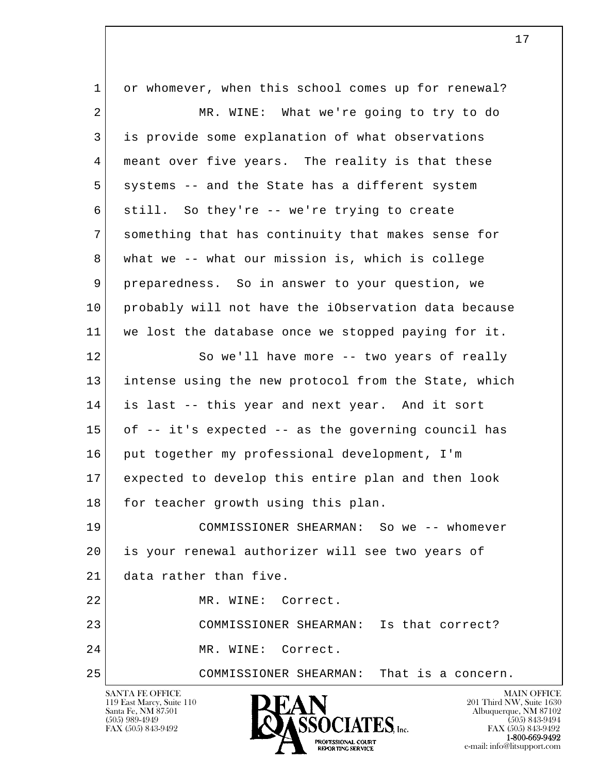l  $\overline{\phantom{a}}$ SANTA FE OFFICE MAIN OFFICE MAIN OFFICE MAIN OFFICE MAIN OFFICE 1 or whomever, when this school comes up for renewal? 2 MR. WINE: What we're going to try to do 3 is provide some explanation of what observations 4 meant over five years. The reality is that these 5 | systems -- and the State has a different system 6 still. So they're -- we're trying to create 7 something that has continuity that makes sense for 8 what we -- what our mission is, which is college 9 preparedness. So in answer to your question, we 10 probably will not have the iObservation data because 11 we lost the database once we stopped paying for it. 12 So we'll have more -- two years of really 13 intense using the new protocol from the State, which 14 is last -- this year and next year. And it sort 15 of -- it's expected -- as the governing council has 16 put together my professional development, I'm 17 expected to develop this entire plan and then look 18 for teacher growth using this plan. 19 COMMISSIONER SHEARMAN: So we -- whomever 20 is your renewal authorizer will see two years of 21 data rather than five. 22 MR. WINE: Correct. 23 COMMISSIONER SHEARMAN: Is that correct? 24 MR. WINE: Correct. 25 COMMISSIONER SHEARMAN: That is a concern.

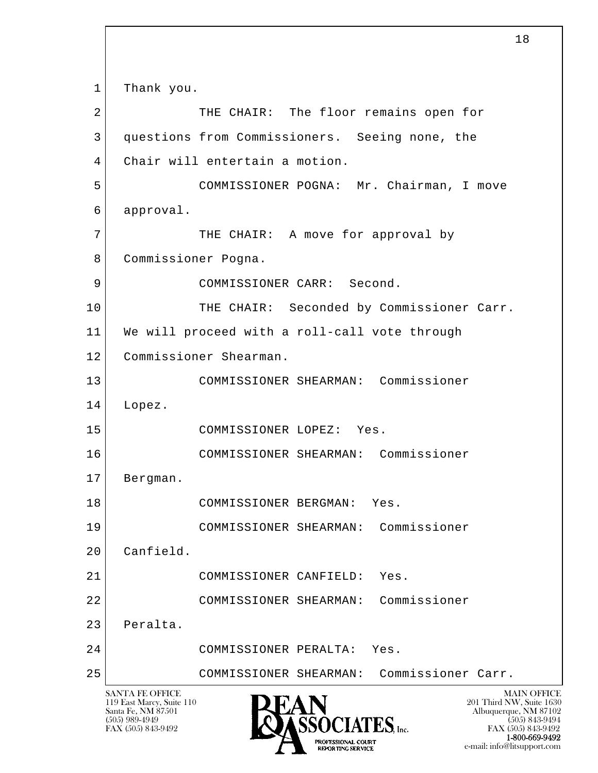l  $\overline{\phantom{a}}$ SANTA FE OFFICE MAIN OFFICE MAIN OFFICE MAIN OFFICE MAIN OFFICE 119 East Marcy, Suite 110<br>Santa Fe, NM 87501 Santa Fe, NM 87501 Albuquerque, NM 87102  $\overline{\text{S5OCIATES}}_{\text{Lnc.}}$  (505) 989-4949 (505) 843-9492 (505) 843-9492 (505) 843-9492 1 Thank you. 2 THE CHAIR: The floor remains open for 3 questions from Commissioners. Seeing none, the 4 Chair will entertain a motion. 5 COMMISSIONER POGNA: Mr. Chairman, I move 6 approval. 7 | THE CHAIR: A move for approval by 8 Commissioner Pogna. 9 COMMISSIONER CARR: Second. 10 | THE CHAIR: Seconded by Commissioner Carr. 11 We will proceed with a roll-call vote through 12 Commissioner Shearman. 13 COMMISSIONER SHEARMAN: Commissioner 14 Lopez. 15 COMMISSIONER LOPEZ: Yes. 16 COMMISSIONER SHEARMAN: Commissioner 17 Bergman. 18 COMMISSIONER BERGMAN: Yes. 19 COMMISSIONER SHEARMAN: Commissioner 20 Canfield. 21 COMMISSIONER CANFIELD: Yes. 22 COMMISSIONER SHEARMAN: Commissioner 23 Peralta. 24 COMMISSIONER PERALTA: Yes. 25 COMMISSIONER SHEARMAN: Commissioner Carr.

18

FAX (505) 843-9492 FAX (505) 843-9492 1-800-669-9492 e-mail: info@litsupport.com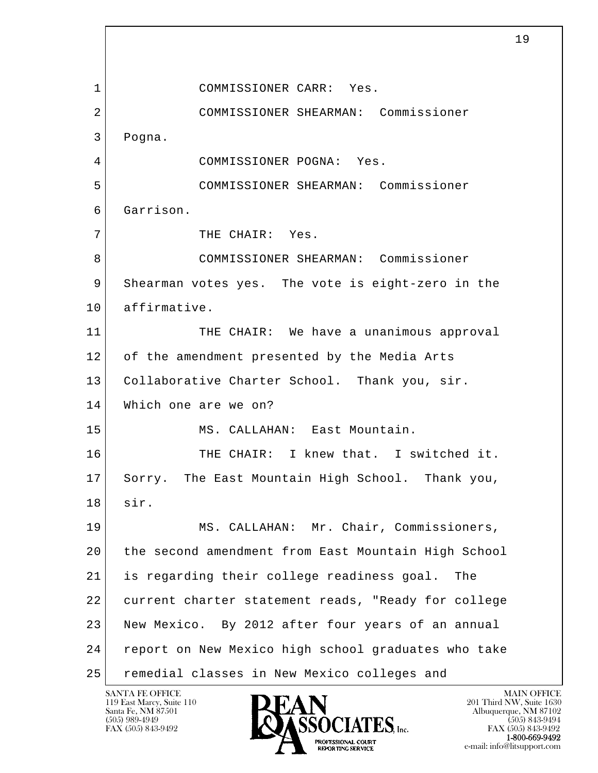l  $\overline{\phantom{a}}$  1 COMMISSIONER CARR: Yes. 2 COMMISSIONER SHEARMAN: Commissioner 3 Pogna. 4 COMMISSIONER POGNA: Yes. 5 COMMISSIONER SHEARMAN: Commissioner 6 Garrison. 7 | THE CHAIR: Yes. 8 COMMISSIONER SHEARMAN: Commissioner 9 Shearman votes yes. The vote is eight-zero in the 10 affirmative. 11 THE CHAIR: We have a unanimous approval 12 of the amendment presented by the Media Arts 13 Collaborative Charter School. Thank you, sir. 14 Which one are we on? 15 MS. CALLAHAN: East Mountain. 16 THE CHAIR: I knew that. I switched it. 17 Sorry. The East Mountain High School. Thank you, 18 sir. 19 MS. CALLAHAN: Mr. Chair, Commissioners, 20 the second amendment from East Mountain High School 21 is regarding their college readiness goal. The 22 current charter statement reads, "Ready for college 23 New Mexico. By 2012 after four years of an annual 24 report on New Mexico high school graduates who take 25 remedial classes in New Mexico colleges and

119 East Marcy, Suite 110<br>Santa Fe, NM 87501

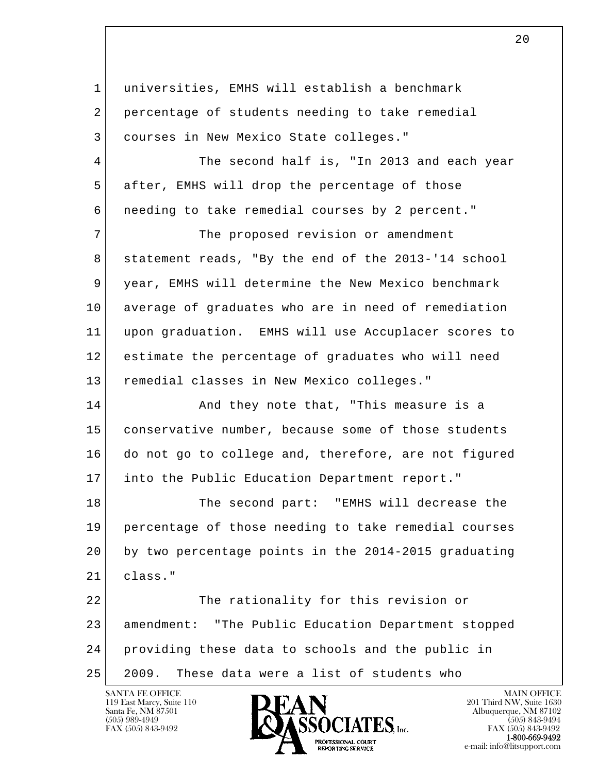| $\mathbf 1$ | universities, EMHS will establish a benchmark        |
|-------------|------------------------------------------------------|
| 2           | percentage of students needing to take remedial      |
| 3           | courses in New Mexico State colleges."               |
| 4           | The second half is, "In 2013 and each year           |
| 5           | after, EMHS will drop the percentage of those        |
| 6           | needing to take remedial courses by 2 percent."      |
| 7           | The proposed revision or amendment                   |
| 8           | statement reads, "By the end of the 2013-'14 school  |
| 9           | year, EMHS will determine the New Mexico benchmark   |
| 10          | average of graduates who are in need of remediation  |
| 11          | upon graduation. EMHS will use Accuplacer scores to  |
| 12          | estimate the percentage of graduates who will need   |
| 13          | remedial classes in New Mexico colleges."            |
| 14          | And they note that, "This measure is a               |
| 15          | conservative number, because some of those students  |
| 16          | do not go to college and, therefore, are not figured |
| 17          | into the Public Education Department report."        |
| 18          | The second part: "EMHS will decrease the             |
| 19          | percentage of those needing to take remedial courses |
| 20          | by two percentage points in the 2014-2015 graduating |
| 21          | class."                                              |
| 22          | The rationality for this revision or                 |
| 23          | amendment: "The Public Education Department stopped  |
| 24          | providing these data to schools and the public in    |
| 25          | 2009.<br>These data were a list of students who      |

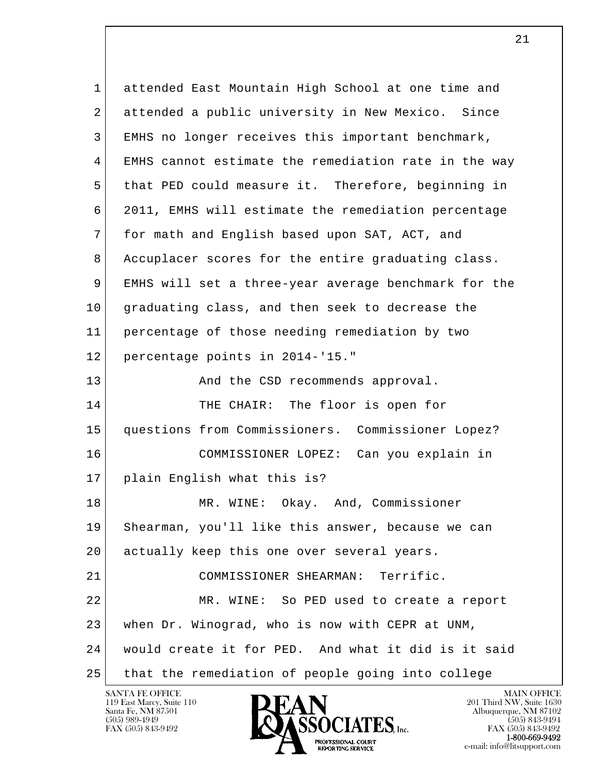l  $\overline{\phantom{a}}$  1 attended East Mountain High School at one time and 2 attended a public university in New Mexico. Since 3 EMHS no longer receives this important benchmark, 4 EMHS cannot estimate the remediation rate in the way 5 that PED could measure it. Therefore, beginning in 6 2011, EMHS will estimate the remediation percentage 7 for math and English based upon SAT, ACT, and 8 Accuplacer scores for the entire graduating class. 9 EMHS will set a three-year average benchmark for the 10 graduating class, and then seek to decrease the 11 percentage of those needing remediation by two 12 percentage points in 2014-'15." 13 And the CSD recommends approval. 14 THE CHAIR: The floor is open for 15 questions from Commissioners. Commissioner Lopez? 16 COMMISSIONER LOPEZ: Can you explain in 17 plain English what this is? 18 MR. WINE: Okay. And, Commissioner 19 Shearman, you'll like this answer, because we can 20 actually keep this one over several years. 21 COMMISSIONER SHEARMAN: Terrific. 22 MR. WINE: So PED used to create a report 23 when Dr. Winograd, who is now with CEPR at UNM, 24 would create it for PED. And what it did is it said 25 that the remediation of people going into college

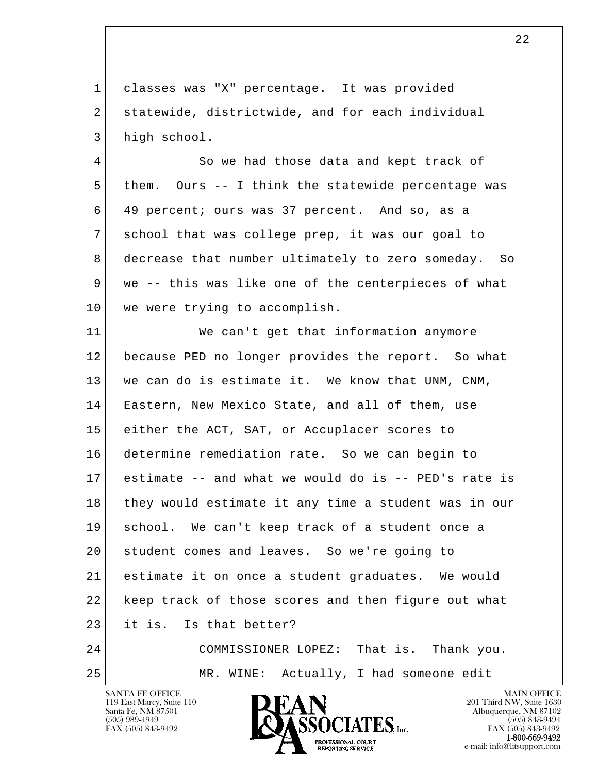1 classes was "X" percentage. It was provided 2 statewide, districtwide, and for each individual 3 high school.

4 So we had those data and kept track of 5 them. Ours -- I think the statewide percentage was 6 49 percent; ours was 37 percent. And so, as a 7 school that was college prep, it was our goal to 8 decrease that number ultimately to zero someday. So 9 | we -- this was like one of the centerpieces of what 10 | we were trying to accomplish.

l  $\overline{\phantom{a}}$  11 We can't get that information anymore 12 because PED no longer provides the report. So what 13 we can do is estimate it. We know that UNM, CNM, 14 Eastern, New Mexico State, and all of them, use 15 either the ACT, SAT, or Accuplacer scores to 16 determine remediation rate. So we can begin to 17 estimate -- and what we would do is -- PED's rate is 18 they would estimate it any time a student was in our 19 school. We can't keep track of a student once a 20 student comes and leaves. So we're going to 21 estimate it on once a student graduates. We would 22 keep track of those scores and then figure out what 23 it is. Is that better? 24 COMMISSIONER LOPEZ: That is. Thank you.

25 MR. WINE: Actually, I had someone edit

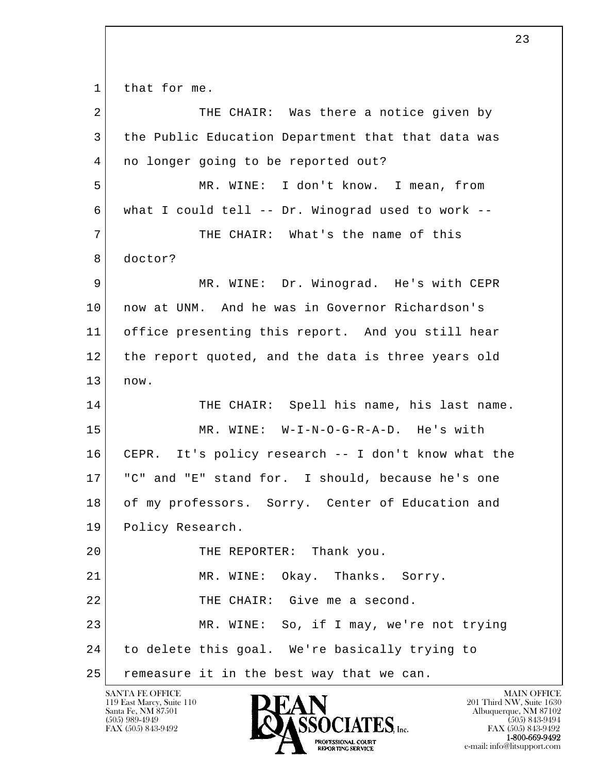1 that for me.

l  $\overline{\phantom{a}}$ 2 THE CHAIR: Was there a notice given by 3 the Public Education Department that that data was 4 | no longer going to be reported out? 5 MR. WINE: I don't know. I mean, from 6 what I could tell -- Dr. Winograd used to work -- 7 THE CHAIR: What's the name of this 8 doctor? 9 MR. WINE: Dr. Winograd. He's with CEPR 10 now at UNM. And he was in Governor Richardson's 11 office presenting this report. And you still hear 12 the report quoted, and the data is three years old  $13$  now. 14 THE CHAIR: Spell his name, his last name. 15 MR. WINE: W-I-N-O-G-R-A-D. He's with 16 CEPR. It's policy research -- I don't know what the 17 "C" and "E" stand for. I should, because he's one 18 of my professors. Sorry. Center of Education and 19 Policy Research. 20 THE REPORTER: Thank you. 21 MR. WINE: Okay. Thanks. Sorry. 22 THE CHAIR: Give me a second. 23 MR. WINE: So, if I may, we're not trying 24 to delete this goal. We're basically trying to 25 | remeasure it in the best way that we can.

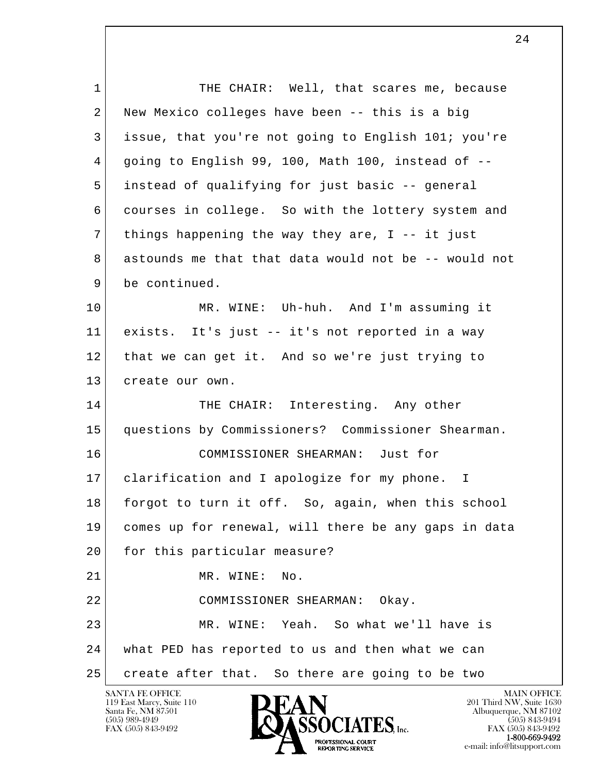l  $\overline{\phantom{a}}$ 1 THE CHAIR: Well, that scares me, because 2 New Mexico colleges have been -- this is a big 3 issue, that you're not going to English 101; you're 4 going to English 99, 100, Math 100, instead of -- 5 instead of qualifying for just basic -- general 6 courses in college. So with the lottery system and 7 things happening the way they are, I -- it just 8 astounds me that that data would not be -- would not 9 be continued. 10 MR. WINE: Uh-huh. And I'm assuming it 11 exists. It's just -- it's not reported in a way 12 that we can get it. And so we're just trying to 13 create our own. 14 THE CHAIR: Interesting. Any other 15 questions by Commissioners? Commissioner Shearman. 16 COMMISSIONER SHEARMAN: Just for 17 clarification and I apologize for my phone. I 18 forgot to turn it off. So, again, when this school 19 comes up for renewal, will there be any gaps in data 20 for this particular measure? 21 MR. WINE: No. 22 COMMISSIONER SHEARMAN: Okay. 23 MR. WINE: Yeah. So what we'll have is 24 what PED has reported to us and then what we can 25 create after that. So there are going to be two

119 East Marcy, Suite 110<br>Santa Fe, NM 87501

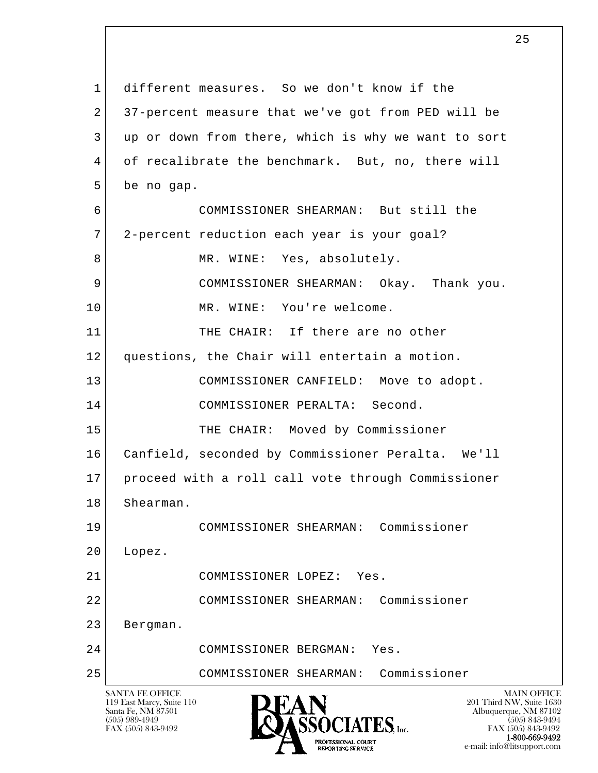l  $\overline{\phantom{a}}$ SANTA FE OFFICE MAIN OFFICE MAIN OFFICE MAIN OFFICE MAIN OFFICE 119 East Marcy, Suite 110<br>Santa Fe, NM 87501 Santa Fe, NM 87501 Albuquerque, NM 87102  $\bullet$  (505) 989-4949 (505) 843-9494 1 different measures. So we don't know if the 2 37-percent measure that we've got from PED will be 3 up or down from there, which is why we want to sort 4 of recalibrate the benchmark. But, no, there will 5 be no gap. 6 COMMISSIONER SHEARMAN: But still the 7 2-percent reduction each year is your goal? 8 MR. WINE: Yes, absolutely. 9 COMMISSIONER SHEARMAN: Okay. Thank you. 10 MR. WINE: You're welcome. 11 THE CHAIR: If there are no other 12 questions, the Chair will entertain a motion. 13 COMMISSIONER CANFIELD: Move to adopt. 14 COMMISSIONER PERALTA: Second. 15 THE CHAIR: Moved by Commissioner 16 Canfield, seconded by Commissioner Peralta. We'll 17 proceed with a roll call vote through Commissioner 18 Shearman. 19 COMMISSIONER SHEARMAN: Commissioner 20 Lopez. 21 COMMISSIONER LOPEZ: Yes. 22 COMMISSIONER SHEARMAN: Commissioner 23 Bergman. 24 COMMISSIONER BERGMAN: Yes. 25 COMMISSIONER SHEARMAN: Commissioner

 $\sim$  25

FAX (505) 843-9492 **FAX** (505) 843-9492 **FAX** (505) 843-9492 **1-800-669-9492**<br> **EXALTERIONAL CN BT** e-mail: info@litsupport.com<br>REPORTING SERVICE REDUCED E-mail: info@litsupport.com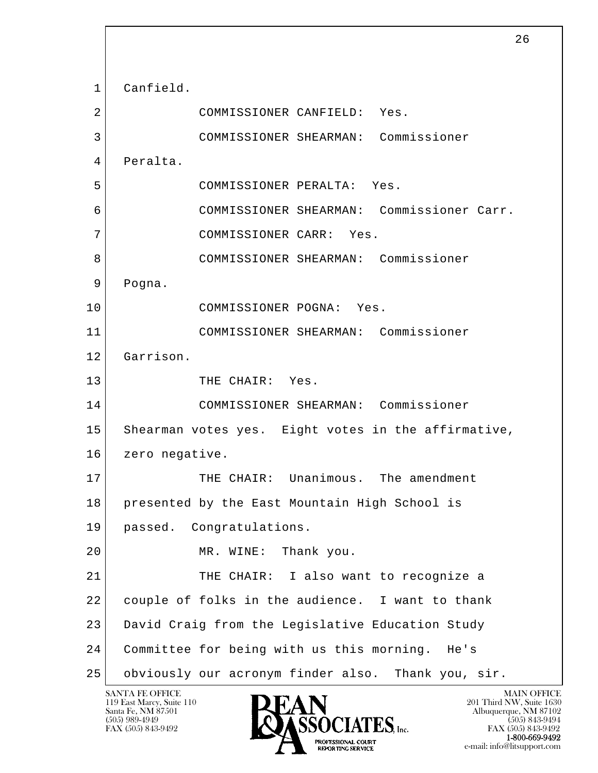l  $\overline{\phantom{a}}$  1 Canfield. 2 COMMISSIONER CANFIELD: Yes. 3 COMMISSIONER SHEARMAN: Commissioner 4 Peralta. 5 COMMISSIONER PERALTA: Yes. 6 COMMISSIONER SHEARMAN: Commissioner Carr. 7 COMMISSIONER CARR: Yes. 8 COMMISSIONER SHEARMAN: Commissioner 9 Pogna. 10 COMMISSIONER POGNA: Yes. 11 COMMISSIONER SHEARMAN: Commissioner 12 Garrison. 13 THE CHAIR: Yes. 14 COMMISSIONER SHEARMAN: Commissioner 15 Shearman votes yes. Eight votes in the affirmative, 16 zero negative. 17 THE CHAIR: Unanimous. The amendment 18 presented by the East Mountain High School is 19 passed. Congratulations. 20 MR. WINE: Thank you. 21 THE CHAIR: I also want to recognize a 22 couple of folks in the audience. I want to thank 23 David Craig from the Legislative Education Study 24 Committee for being with us this morning. He's 25 obviously our acronym finder also. Thank you, sir.

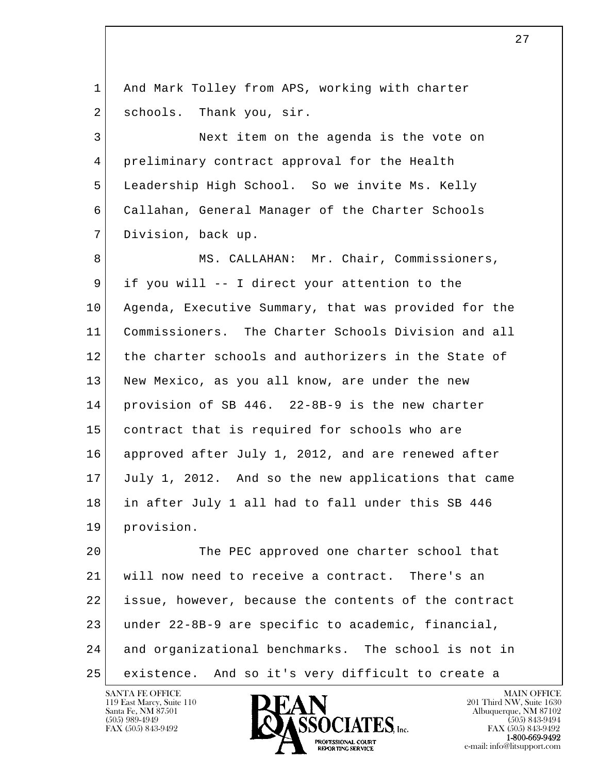l  $\overline{\phantom{a}}$ 1 And Mark Tolley from APS, working with charter 2 schools. Thank you, sir. 3 Next item on the agenda is the vote on 4 preliminary contract approval for the Health 5 Leadership High School. So we invite Ms. Kelly 6 Callahan, General Manager of the Charter Schools 7 Division, back up. 8 MS. CALLAHAN: Mr. Chair, Commissioners, 9 if you will -- I direct your attention to the 10 Agenda, Executive Summary, that was provided for the 11 Commissioners. The Charter Schools Division and all 12 the charter schools and authorizers in the State of 13 New Mexico, as you all know, are under the new 14 provision of SB 446. 22-8B-9 is the new charter 15 contract that is required for schools who are 16 approved after July 1, 2012, and are renewed after 17 July 1, 2012. And so the new applications that came 18 in after July 1 all had to fall under this SB 446 19 provision. 20 The PEC approved one charter school that 21 will now need to receive a contract. There's an 22 issue, however, because the contents of the contract 23 under 22-8B-9 are specific to academic, financial, 24 and organizational benchmarks. The school is not in 25 existence. And so it's very difficult to create a

27

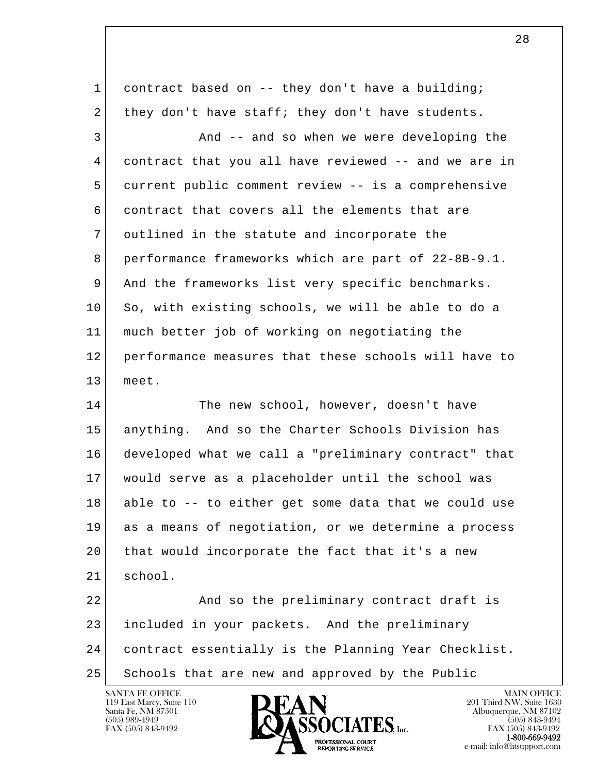1 contract based on -- they don't have a building; 2 they don't have staff; they don't have students.

3 And -- and so when we were developing the 4 contract that you all have reviewed -- and we are in 5 current public comment review -- is a comprehensive 6 contract that covers all the elements that are 7 outlined in the statute and incorporate the 8 performance frameworks which are part of 22-8B-9.1. 9 And the frameworks list very specific benchmarks. 10 So, with existing schools, we will be able to do a 11 much better job of working on negotiating the 12 performance measures that these schools will have to 13 meet.

14 The new school, however, doesn't have 15 anything. And so the Charter Schools Division has 16 developed what we call a "preliminary contract" that 17 would serve as a placeholder until the school was 18 able to -- to either get some data that we could use 19 as a means of negotiation, or we determine a process 20 that would incorporate the fact that it's a new 21 school.

l  $\overline{\phantom{a}}$ 22 And so the preliminary contract draft is 23 included in your packets. And the preliminary 24 contract essentially is the Planning Year Checklist. 25 Schools that are new and approved by the Public

119 East Marcy, Suite 110<br>Santa Fe, NM 87501



FAX (505) 843-9492<br>**1-800-669-9492**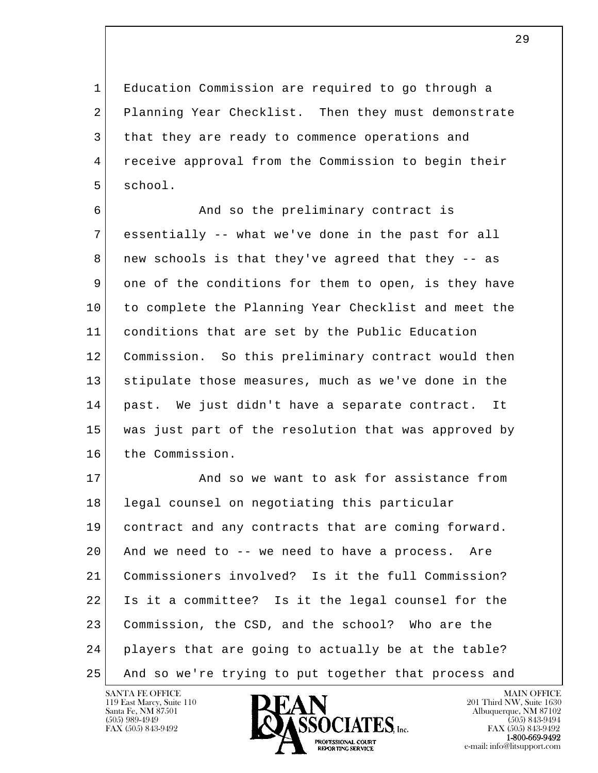1 Education Commission are required to go through a 2 Planning Year Checklist. Then they must demonstrate 3 that they are ready to commence operations and 4 receive approval from the Commission to begin their 5 school.

6 **And so the preliminary contract is**  7 essentially -- what we've done in the past for all 8 | new schools is that they've agreed that they -- as 9 one of the conditions for them to open, is they have 10 to complete the Planning Year Checklist and meet the 11 conditions that are set by the Public Education 12 Commission. So this preliminary contract would then 13 stipulate those measures, much as we've done in the 14 past. We just didn't have a separate contract. It 15 was just part of the resolution that was approved by 16 the Commission.

l  $\overline{\phantom{a}}$ 17 And so we want to ask for assistance from 18 legal counsel on negotiating this particular 19 contract and any contracts that are coming forward. 20 And we need to -- we need to have a process. Are 21 Commissioners involved? Is it the full Commission? 22 Is it a committee? Is it the legal counsel for the 23 Commission, the CSD, and the school? Who are the 24 players that are going to actually be at the table? 25 And so we're trying to put together that process and

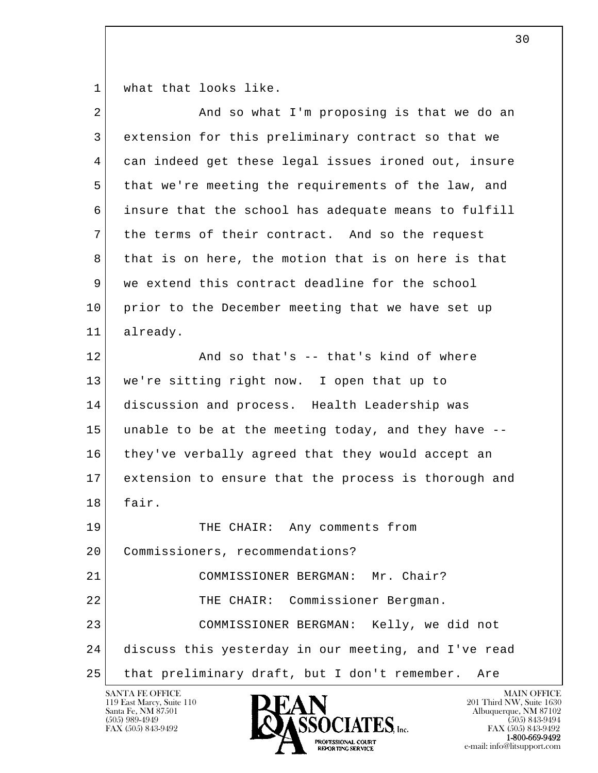1 what that looks like.

| $\overline{a}$ | And so what I'm proposing is that we do an           |
|----------------|------------------------------------------------------|
| 3              | extension for this preliminary contract so that we   |
| 4              | can indeed get these legal issues ironed out, insure |
| 5              | that we're meeting the requirements of the law, and  |
| 6              | insure that the school has adequate means to fulfill |
| 7              | the terms of their contract. And so the request      |
| 8              | that is on here, the motion that is on here is that  |
| 9              | we extend this contract deadline for the school      |
| 10             | prior to the December meeting that we have set up    |
| 11             | already.                                             |
| 12             | And so that's -- that's kind of where                |
| 13             | we're sitting right now. I open that up to           |
| 14             | discussion and process. Health Leadership was        |
| 15             | unable to be at the meeting today, and they have --  |
| 16             | they've verbally agreed that they would accept an    |
| 17             | extension to ensure that the process is thorough and |
| 18             | fair.                                                |
| 19             | Any comments from<br>THE CHAIR:                      |
| 20             | Commissioners, recommendations?                      |
| 21             | COMMISSIONER BERGMAN: Mr. Chair?                     |
| 22             | THE CHAIR: Commissioner Bergman.                     |
| 23             | COMMISSIONER BERGMAN: Kelly, we did not              |
| 24             | discuss this yesterday in our meeting, and I've read |
| 25             | that preliminary draft, but I don't remember.<br>Are |
|                |                                                      |

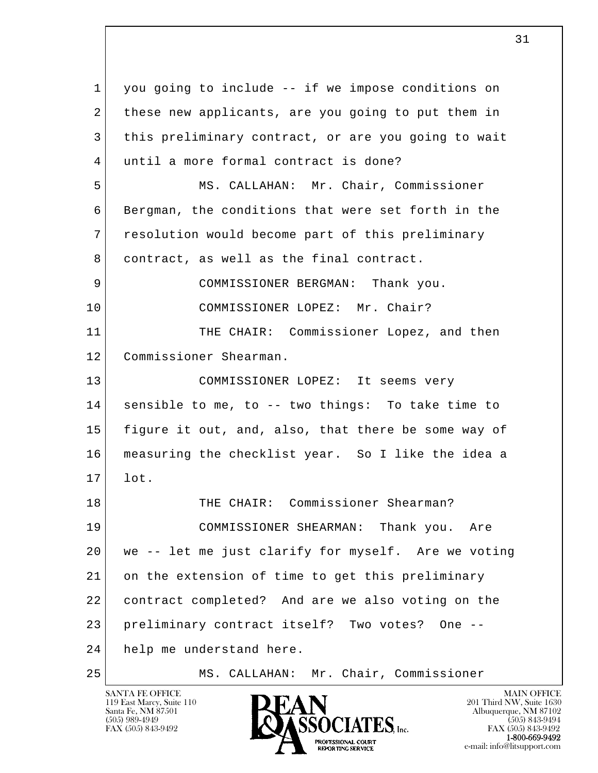l  $\overline{\phantom{a}}$  1 you going to include -- if we impose conditions on 2 these new applicants, are you going to put them in 3 this preliminary contract, or are you going to wait 4 until a more formal contract is done? 5 MS. CALLAHAN: Mr. Chair, Commissioner 6 Bergman, the conditions that were set forth in the 7 resolution would become part of this preliminary 8 contract, as well as the final contract. 9 COMMISSIONER BERGMAN: Thank you. 10 COMMISSIONER LOPEZ: Mr. Chair? 11 THE CHAIR: Commissioner Lopez, and then 12 Commissioner Shearman. 13 COMMISSIONER LOPEZ: It seems very 14 sensible to me, to -- two things: To take time to 15 figure it out, and, also, that there be some way of 16 measuring the checklist year. So I like the idea a  $17$  lot. 18 THE CHAIR: Commissioner Shearman? 19 COMMISSIONER SHEARMAN: Thank you. Are 20 we -- let me just clarify for myself. Are we voting 21 on the extension of time to get this preliminary 22 contract completed? And are we also voting on the 23 preliminary contract itself? Two votes? One -- 24 help me understand here. 25 MS. CALLAHAN: Mr. Chair, Commissioner

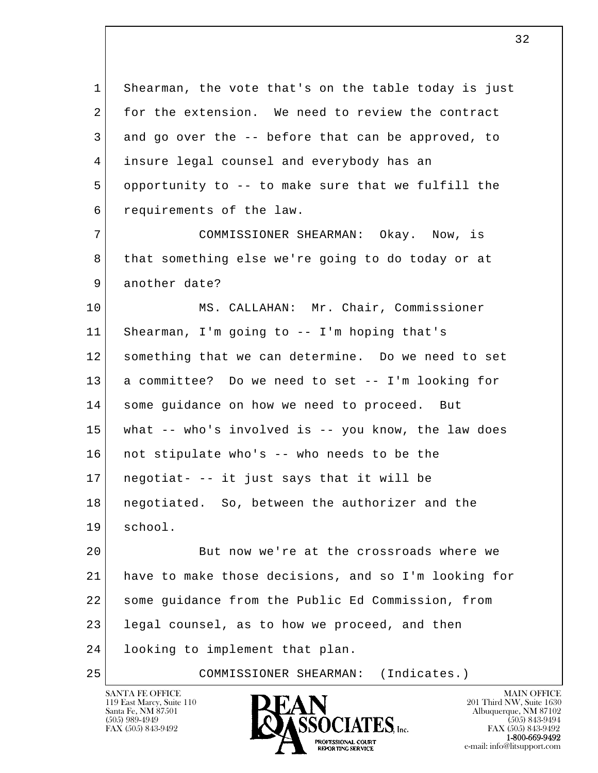1 Shearman, the vote that's on the table today is just 2 for the extension. We need to review the contract 3 and go over the -- before that can be approved, to 4 insure legal counsel and everybody has an 5 opportunity to -- to make sure that we fulfill the 6 requirements of the law. 7 COMMISSIONER SHEARMAN: Okay. Now, is

 8 that something else we're going to do today or at 9 another date?

 10 MS. CALLAHAN: Mr. Chair, Commissioner 11 Shearman, I'm going to -- I'm hoping that's 12 something that we can determine. Do we need to set 13 a committee? Do we need to set -- I'm looking for 14 some guidance on how we need to proceed. But 15 what -- who's involved is -- you know, the law does 16 not stipulate who's -- who needs to be the  $17$  negotiat- -- it just says that it will be 18 negotiated. So, between the authorizer and the 19 school.

l  $\overline{\phantom{a}}$ 20 But now we're at the crossroads where we 21 have to make those decisions, and so I'm looking for 22 some guidance from the Public Ed Commission, from 23 legal counsel, as to how we proceed, and then 24 looking to implement that plan.

25 COMMISSIONER SHEARMAN: (Indicates.)

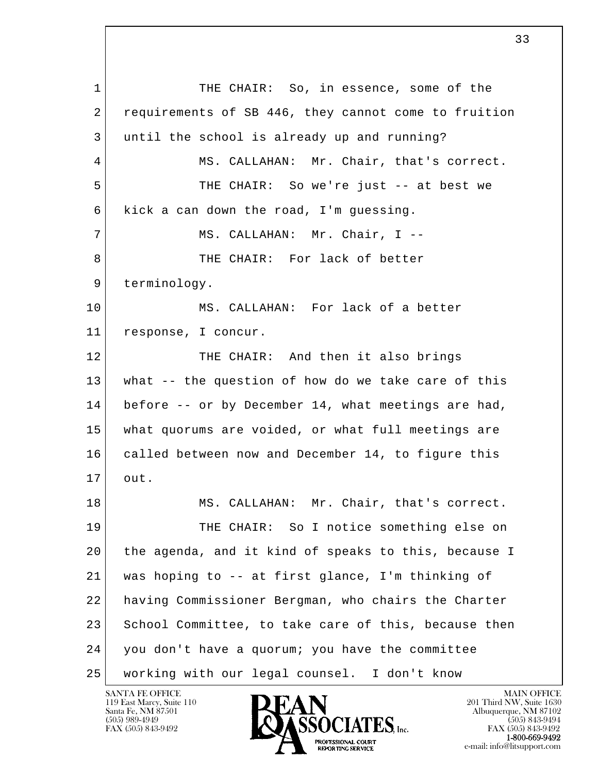l  $\overline{\phantom{a}}$ 1 THE CHAIR: So, in essence, some of the 2 requirements of SB 446, they cannot come to fruition 3 until the school is already up and running? 4 MS. CALLAHAN: Mr. Chair, that's correct. 5 THE CHAIR: So we're just -- at best we  $6$  kick a can down the road, I'm quessing. 7 | MS. CALLAHAN: Mr. Chair, I --8 THE CHAIR: For lack of better 9 terminology. 10 MS. CALLAHAN: For lack of a better 11 response, I concur. 12 THE CHAIR: And then it also brings 13 what -- the question of how do we take care of this 14 before -- or by December 14, what meetings are had, 15 what quorums are voided, or what full meetings are 16 called between now and December 14, to figure this 17 out. 18 MS. CALLAHAN: Mr. Chair, that's correct. 19 THE CHAIR: So I notice something else on 20 the agenda, and it kind of speaks to this, because I 21 was hoping to -- at first glance, I'm thinking of 22 having Commissioner Bergman, who chairs the Charter 23 School Committee, to take care of this, because then 24 you don't have a quorum; you have the committee 25 working with our legal counsel. I don't know

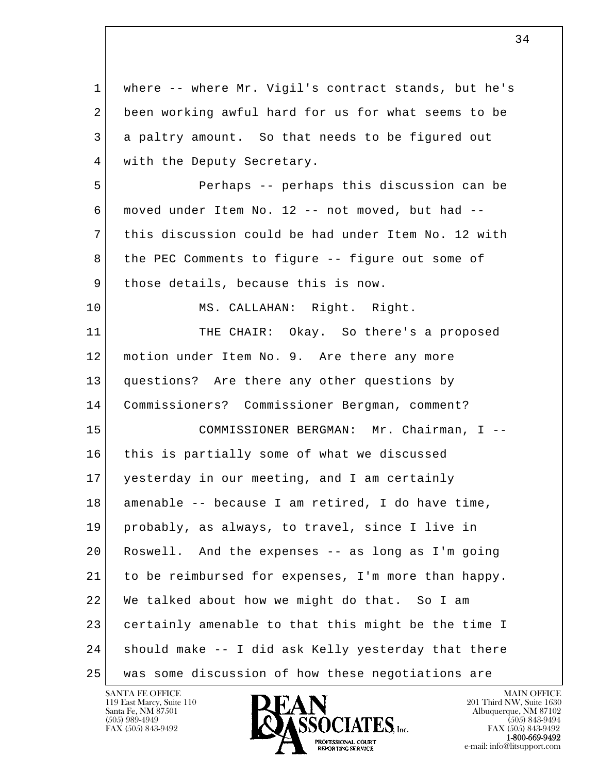| $\mathbf{1}$ | where -- where Mr. Vigil's contract stands, but he's |
|--------------|------------------------------------------------------|
| 2            | been working awful hard for us for what seems to be  |
| 3            | a paltry amount. So that needs to be figured out     |
| 4            | with the Deputy Secretary.                           |
| 5            | Perhaps -- perhaps this discussion can be            |
| 6            | moved under Item No. 12 -- not moved, but had --     |
| 7            | this discussion could be had under Item No. 12 with  |
| 8            | the PEC Comments to figure -- figure out some of     |
| 9            | those details, because this is now.                  |
| 10           | MS. CALLAHAN: Right. Right.                          |
| 11           | THE CHAIR: Okay. So there's a proposed               |
| 12           | motion under Item No. 9. Are there any more          |
| 13           | questions? Are there any other questions by          |
| 14           | Commissioners? Commissioner Bergman, comment?        |
| 15           | COMMISSIONER BERGMAN: Mr. Chairman, I --             |
| 16           | this is partially some of what we discussed          |
| 17           | yesterday in our meeting, and I am certainly         |
| 18           | amenable -- because I am retired, I do have time,    |
| 19           | probably, as always, to travel, since I live in      |
| 20           | Roswell. And the expenses -- as long as I'm going    |
| 21           | to be reimbursed for expenses, I'm more than happy.  |
| 22           | We talked about how we might do that. So I am        |
| 23           | certainly amenable to that this might be the time I  |
| 24           | should make -- I did ask Kelly yesterday that there  |
| 25           | was some discussion of how these negotiations are    |

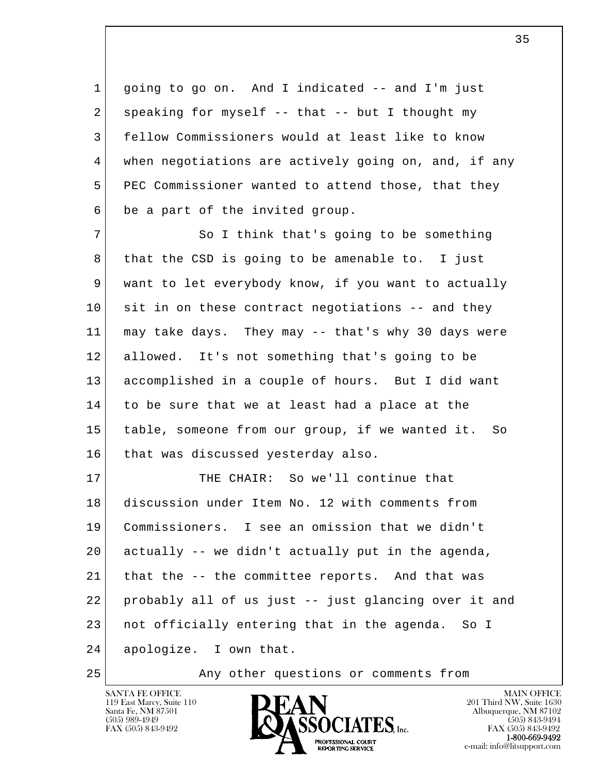1 going to go on. And I indicated -- and I'm just 2 speaking for myself  $--$  that  $--$  but I thought my 3 fellow Commissioners would at least like to know 4 when negotiations are actively going on, and, if any 5 PEC Commissioner wanted to attend those, that they 6 be a part of the invited group.

7 So I think that's going to be something 8 that the CSD is going to be amenable to. I just 9 want to let everybody know, if you want to actually 10 sit in on these contract negotiations -- and they 11 may take days. They may -- that's why 30 days were 12 allowed. It's not something that's going to be 13 accomplished in a couple of hours. But I did want 14 to be sure that we at least had a place at the 15 table, someone from our group, if we wanted it. So 16 that was discussed yesterday also.

l  $\overline{\phantom{a}}$  17 THE CHAIR: So we'll continue that 18 discussion under Item No. 12 with comments from 19 Commissioners. I see an omission that we didn't 20 actually -- we didn't actually put in the agenda, 21 that the -- the committee reports. And that was 22 probably all of us just -- just glancing over it and 23 not officially entering that in the agenda. So I 24 apologize. I own that.

25 Any other questions or comments from

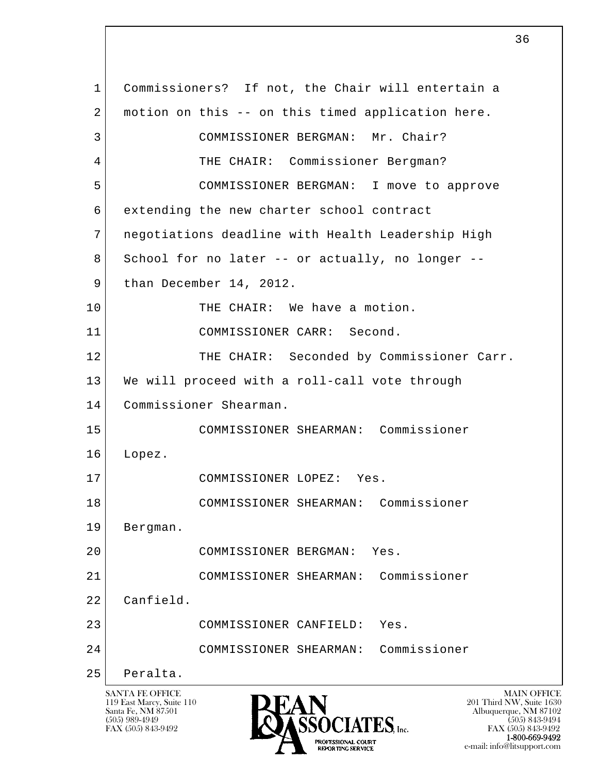l  $\overline{\phantom{a}}$  1 Commissioners? If not, the Chair will entertain a 2 | motion on this -- on this timed application here. 3 COMMISSIONER BERGMAN: Mr. Chair? 4 THE CHAIR: Commissioner Bergman? 5 COMMISSIONER BERGMAN: I move to approve 6 extending the new charter school contract 7 negotiations deadline with Health Leadership High 8 School for no later -- or actually, no longer --9 than December 14, 2012. 10 THE CHAIR: We have a motion. 11 COMMISSIONER CARR: Second. 12 THE CHAIR: Seconded by Commissioner Carr. 13 We will proceed with a roll-call vote through 14 Commissioner Shearman. 15 COMMISSIONER SHEARMAN: Commissioner 16 Lopez. 17 COMMISSIONER LOPEZ: Yes. 18 COMMISSIONER SHEARMAN: Commissioner 19 Bergman. 20 COMMISSIONER BERGMAN: Yes. 21 COMMISSIONER SHEARMAN: Commissioner 22 Canfield. 23 COMMISSIONER CANFIELD: Yes. 24 COMMISSIONER SHEARMAN: Commissioner 25 Peralta.

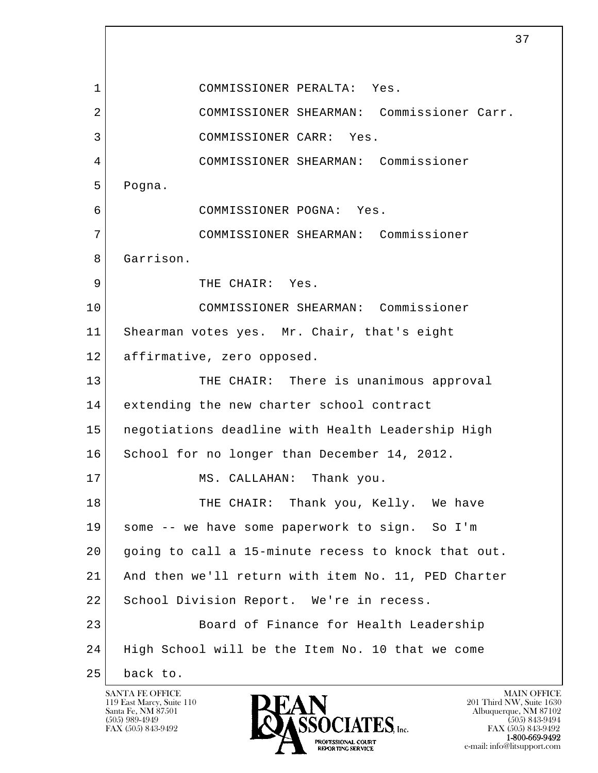l  $\overline{\phantom{a}}$  1 COMMISSIONER PERALTA: Yes. 2 COMMISSIONER SHEARMAN: Commissioner Carr. 3 COMMISSIONER CARR: Yes. 4 COMMISSIONER SHEARMAN: Commissioner 5 Pogna. 6 COMMISSIONER POGNA: Yes. 7 COMMISSIONER SHEARMAN: Commissioner 8 Garrison. 9 THE CHAIR: Yes. 10 COMMISSIONER SHEARMAN: Commissioner 11 Shearman votes yes. Mr. Chair, that's eight 12 affirmative, zero opposed. 13 THE CHAIR: There is unanimous approval 14 extending the new charter school contract 15 negotiations deadline with Health Leadership High 16 School for no longer than December 14, 2012. 17 MS. CALLAHAN: Thank you. 18 THE CHAIR: Thank you, Kelly. We have 19 some -- we have some paperwork to sign. So I'm 20 going to call a 15-minute recess to knock that out. 21 And then we'll return with item No. 11, PED Charter 22 School Division Report. We're in recess. 23 Board of Finance for Health Leadership 24 High School will be the Item No. 10 that we come 25 back to.

119 East Marcy, Suite 110<br>Santa Fe, NM 87501

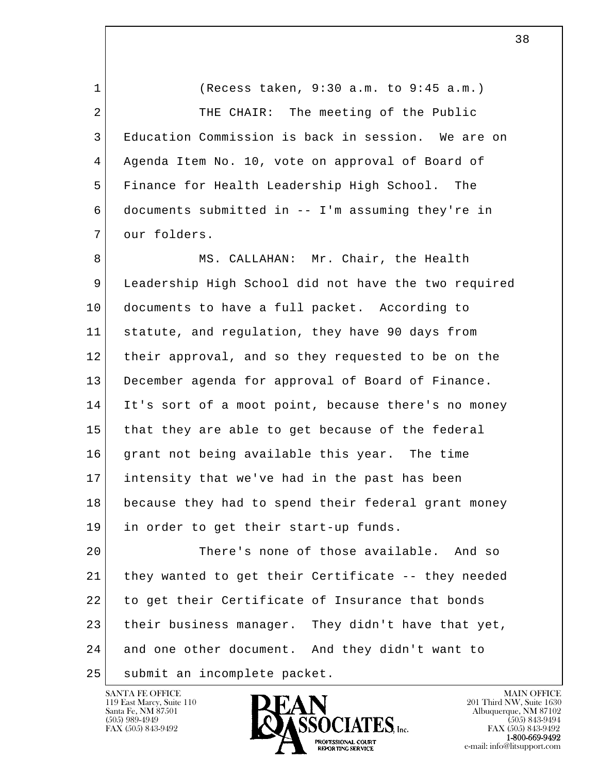1 (Recess taken, 9:30 a.m. to 9:45 a.m.) 2 THE CHAIR: The meeting of the Public 3 Education Commission is back in session. We are on 4 Agenda Item No. 10, vote on approval of Board of 5 Finance for Health Leadership High School. The 6 documents submitted in -- I'm assuming they're in 7 our folders.

8 MS. CALLAHAN: Mr. Chair, the Health 9 Leadership High School did not have the two required 10 documents to have a full packet. According to 11 statute, and regulation, they have 90 days from 12 their approval, and so they requested to be on the 13 December agenda for approval of Board of Finance. 14 It's sort of a moot point, because there's no money 15 that they are able to get because of the federal 16 grant not being available this year. The time 17 intensity that we've had in the past has been 18 because they had to spend their federal grant money 19 in order to get their start-up funds.

l  $\overline{\phantom{a}}$ 20 There's none of those available. And so 21 they wanted to get their Certificate -- they needed 22 to get their Certificate of Insurance that bonds 23 their business manager. They didn't have that yet, 24 and one other document. And they didn't want to 25 submit an incomplete packet.

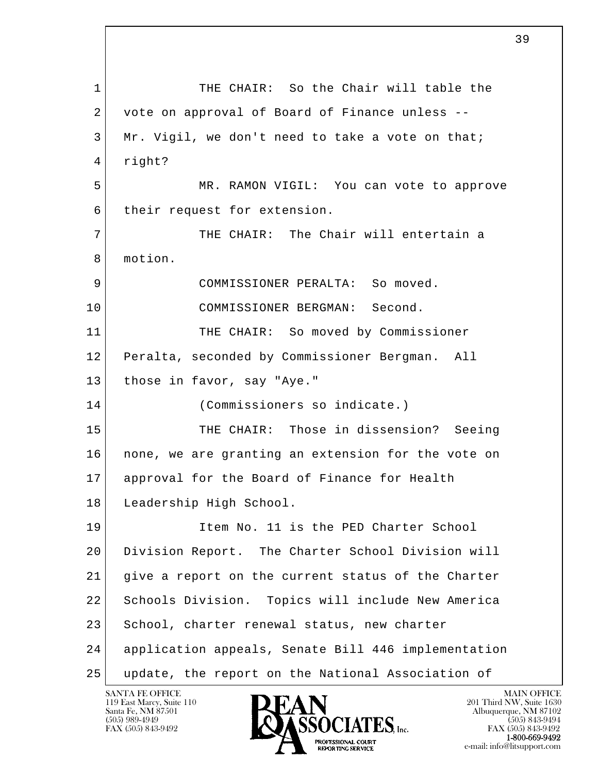l  $\overline{\phantom{a}}$ 1 THE CHAIR: So the Chair will table the 2 vote on approval of Board of Finance unless -- $3$  Mr. Vigil, we don't need to take a vote on that; 4 right? 5 MR. RAMON VIGIL: You can vote to approve 6 their request for extension. 7 THE CHAIR: The Chair will entertain a 8 motion. 9 COMMISSIONER PERALTA: So moved. 10 COMMISSIONER BERGMAN: Second. 11 THE CHAIR: So moved by Commissioner 12 Peralta, seconded by Commissioner Bergman. All 13 those in favor, say "Aye." 14 (Commissioners so indicate.) 15 THE CHAIR: Those in dissension? Seeing 16 none, we are granting an extension for the vote on 17 approval for the Board of Finance for Health 18 Leadership High School. 19 Item No. 11 is the PED Charter School 20 Division Report. The Charter School Division will 21 give a report on the current status of the Charter 22 Schools Division. Topics will include New America 23 | School, charter renewal status, new charter 24 application appeals, Senate Bill 446 implementation 25 update, the report on the National Association of

119 East Marcy, Suite 110<br>Santa Fe, NM 87501

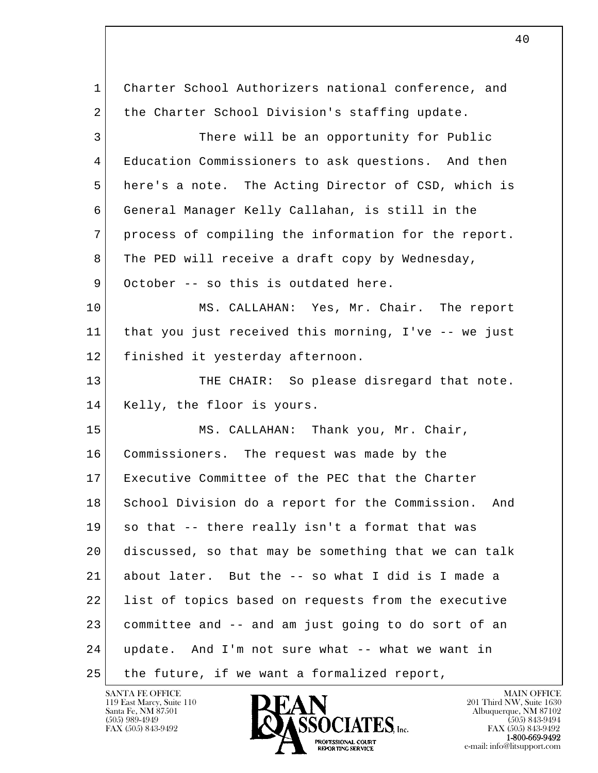l  $\overline{\phantom{a}}$  1 Charter School Authorizers national conference, and 2 the Charter School Division's staffing update. 3 There will be an opportunity for Public 4 Education Commissioners to ask questions. And then 5 here's a note. The Acting Director of CSD, which is 6 General Manager Kelly Callahan, is still in the 7 process of compiling the information for the report. 8 The PED will receive a draft copy by Wednesday, 9 October -- so this is outdated here. 10 MS. CALLAHAN: Yes, Mr. Chair. The report 11 that you just received this morning, I've -- we just 12 finished it yesterday afternoon. 13 THE CHAIR: So please disregard that note. 14 Kelly, the floor is yours. 15 MS. CALLAHAN: Thank you, Mr. Chair, 16 Commissioners. The request was made by the 17 Executive Committee of the PEC that the Charter 18 School Division do a report for the Commission. And 19 so that -- there really isn't a format that was 20 discussed, so that may be something that we can talk 21 about later. But the -- so what I did is I made a 22 list of topics based on requests from the executive 23 committee and -- and am just going to do sort of an 24 update. And I'm not sure what -- what we want in 25 | the future, if we want a formalized report,

119 East Marcy, Suite 110<br>Santa Fe, NM 87501

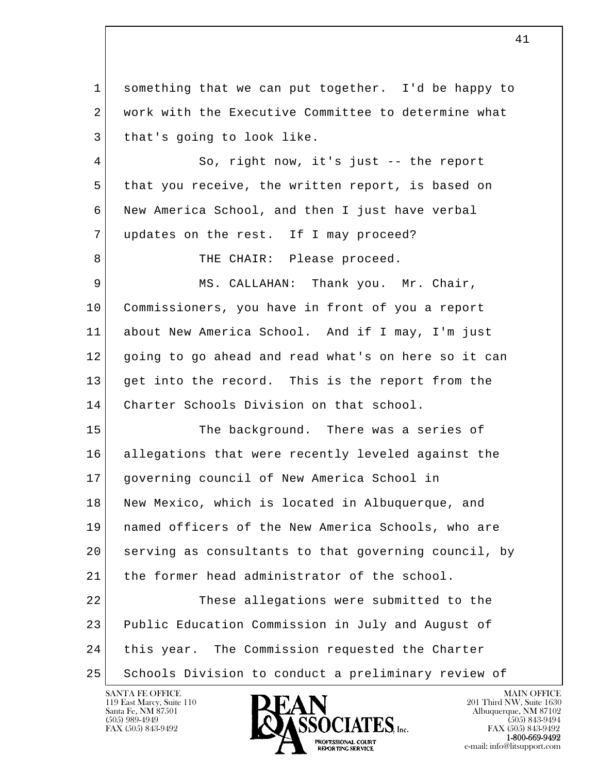l  $\overline{\phantom{a}}$  1 something that we can put together. I'd be happy to 2 | work with the Executive Committee to determine what 3 that's going to look like. 4 So, right now, it's just -- the report 5 that you receive, the written report, is based on 6 New America School, and then I just have verbal 7 | updates on the rest. If I may proceed? 8 THE CHAIR: Please proceed. 9 MS. CALLAHAN: Thank you. Mr. Chair, 10 Commissioners, you have in front of you a report 11 about New America School. And if I may, I'm just 12 going to go ahead and read what's on here so it can 13 get into the record. This is the report from the 14 Charter Schools Division on that school. 15 The background. There was a series of 16 allegations that were recently leveled against the 17 governing council of New America School in 18 New Mexico, which is located in Albuquerque, and 19 named officers of the New America Schools, who are 20 serving as consultants to that governing council, by 21 the former head administrator of the school. 22 These allegations were submitted to the 23 Public Education Commission in July and August of 24 this year. The Commission requested the Charter 25 Schools Division to conduct a preliminary review of

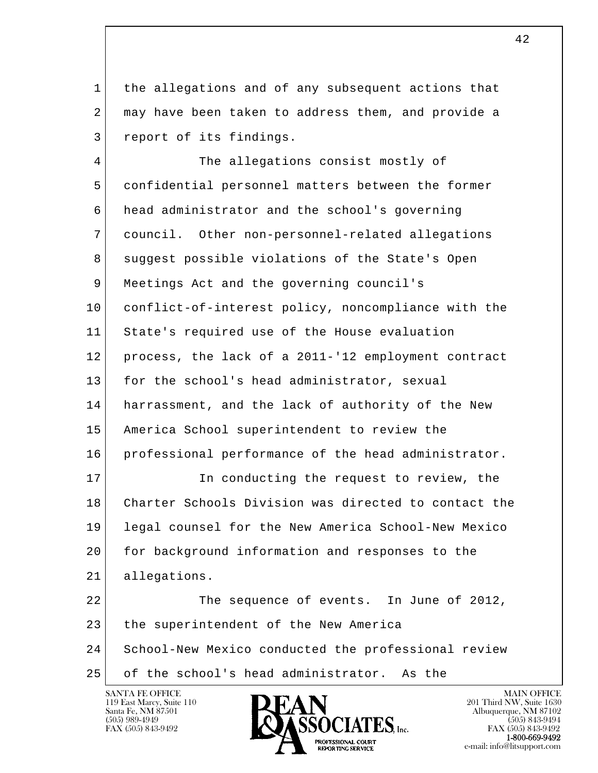1 the allegations and of any subsequent actions that 2 may have been taken to address them, and provide a 3 report of its findings.

l  $\overline{\phantom{a}}$  4 The allegations consist mostly of 5 confidential personnel matters between the former 6 head administrator and the school's governing 7 council. Other non-personnel-related allegations 8 suggest possible violations of the State's Open 9 Meetings Act and the governing council's 10 conflict-of-interest policy, noncompliance with the 11 State's required use of the House evaluation 12 process, the lack of a 2011-'12 employment contract 13 for the school's head administrator, sexual 14 harrassment, and the lack of authority of the New 15 America School superintendent to review the 16 professional performance of the head administrator. 17 In conducting the request to review, the 18 Charter Schools Division was directed to contact the 19 legal counsel for the New America School-New Mexico 20 for background information and responses to the 21 allegations. 22 The sequence of events. In June of 2012, 23 the superintendent of the New America 24 School-New Mexico conducted the professional review 25 of the school's head administrator. As the

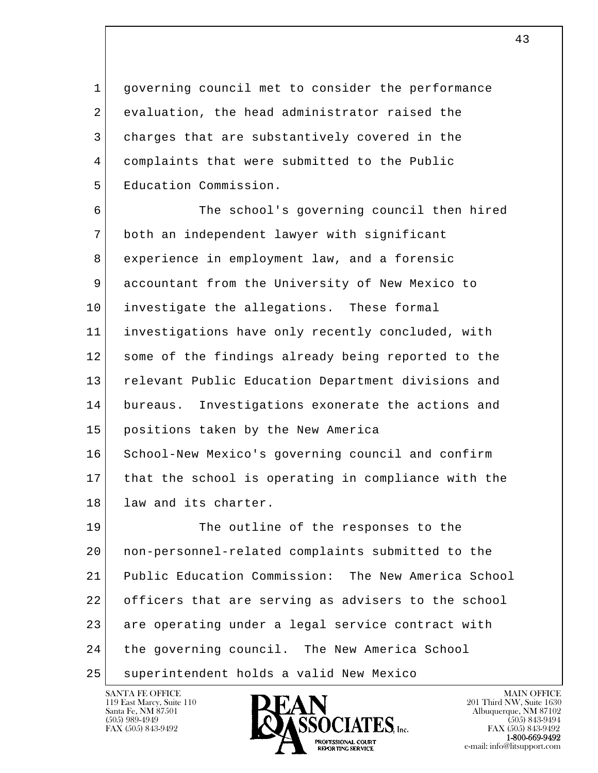1 governing council met to consider the performance 2 evaluation, the head administrator raised the 3 charges that are substantively covered in the 4 complaints that were submitted to the Public 5 Education Commission.

 6 The school's governing council then hired 7 both an independent lawyer with significant 8 experience in employment law, and a forensic 9 accountant from the University of New Mexico to 10 investigate the allegations. These formal 11 investigations have only recently concluded, with 12 some of the findings already being reported to the 13 relevant Public Education Department divisions and 14 bureaus. Investigations exonerate the actions and 15 positions taken by the New America 16 School-New Mexico's governing council and confirm 17 that the school is operating in compliance with the 18 law and its charter.

l  $\overline{\phantom{a}}$ 19 The outline of the responses to the 20 non-personnel-related complaints submitted to the 21 Public Education Commission: The New America School 22 officers that are serving as advisers to the school 23 are operating under a legal service contract with 24 the governing council. The New America School 25 superintendent holds a valid New Mexico

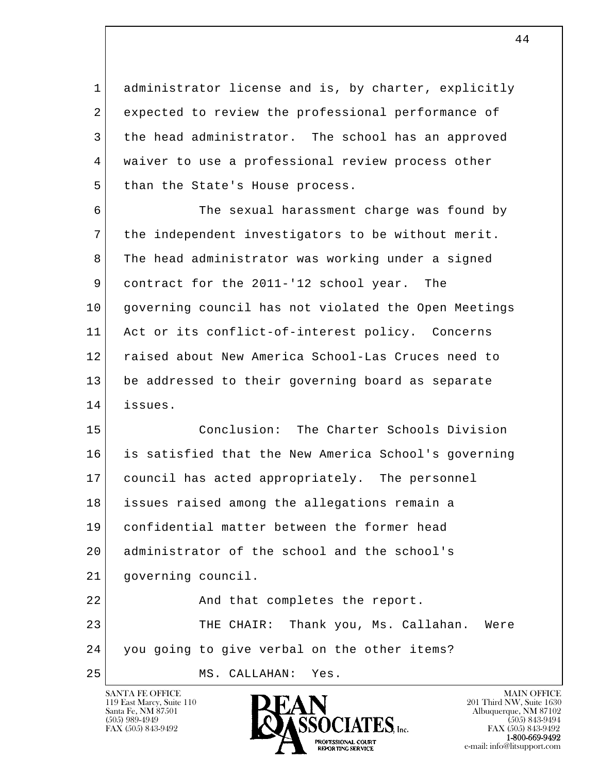1 administrator license and is, by charter, explicitly 2 expected to review the professional performance of 3 the head administrator. The school has an approved 4 waiver to use a professional review process other 5 than the State's House process.

 6 The sexual harassment charge was found by 7 the independent investigators to be without merit. 8 The head administrator was working under a signed 9 contract for the 2011-'12 school year. The 10 governing council has not violated the Open Meetings 11 Act or its conflict-of-interest policy. Concerns 12 raised about New America School-Las Cruces need to 13 be addressed to their governing board as separate 14 issues.

l  $\overline{\phantom{a}}$  15 Conclusion: The Charter Schools Division 16 is satisfied that the New America School's governing 17 council has acted appropriately. The personnel 18 issues raised among the allegations remain a 19 confidential matter between the former head 20 administrator of the school and the school's 21 governing council. 22 | Rnd that completes the report. 23 THE CHAIR: Thank you, Ms. Callahan. Were 24 you going to give verbal on the other items? 25 MS. CALLAHAN: Yes.

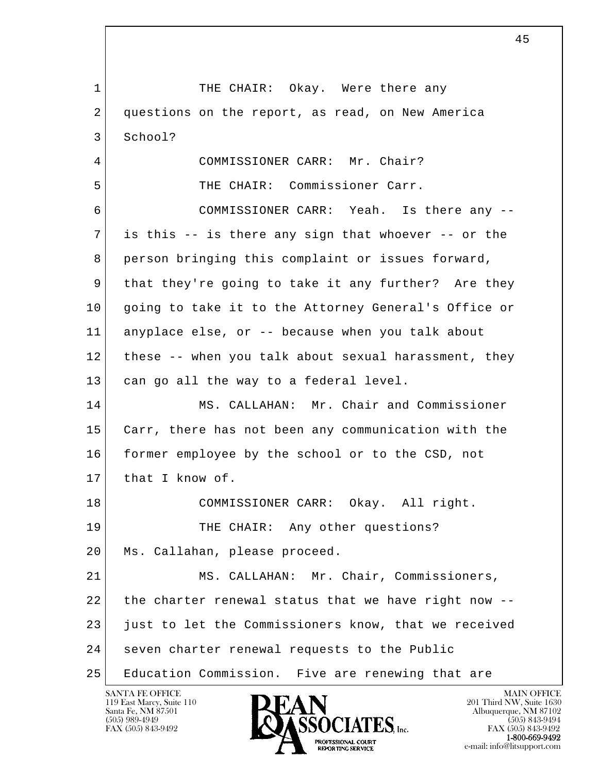l  $\overline{\phantom{a}}$ 1 THE CHAIR: Okay. Were there any 2 questions on the report, as read, on New America 3 School? 4 COMMISSIONER CARR: Mr. Chair? 5 THE CHAIR: Commissioner Carr. 6 COMMISSIONER CARR: Yeah. Is there any -- 7 is this -- is there any sign that whoever -- or the 8 person bringing this complaint or issues forward, 9 that they're going to take it any further? Are they 10 | going to take it to the Attorney General's Office or 11 anyplace else, or -- because when you talk about 12 these -- when you talk about sexual harassment, they 13 can go all the way to a federal level. 14 MS. CALLAHAN: Mr. Chair and Commissioner 15 Carr, there has not been any communication with the 16 former employee by the school or to the CSD, not 17 that I know of. 18 COMMISSIONER CARR: Okay. All right. 19 THE CHAIR: Any other questions? 20 | Ms. Callahan, please proceed. 21 MS. CALLAHAN: Mr. Chair, Commissioners,  $22$  the charter renewal status that we have right now  $-$ -23 just to let the Commissioners know, that we received 24 seven charter renewal requests to the Public 25 Education Commission. Five are renewing that are

119 East Marcy, Suite 110<br>Santa Fe, NM 87501

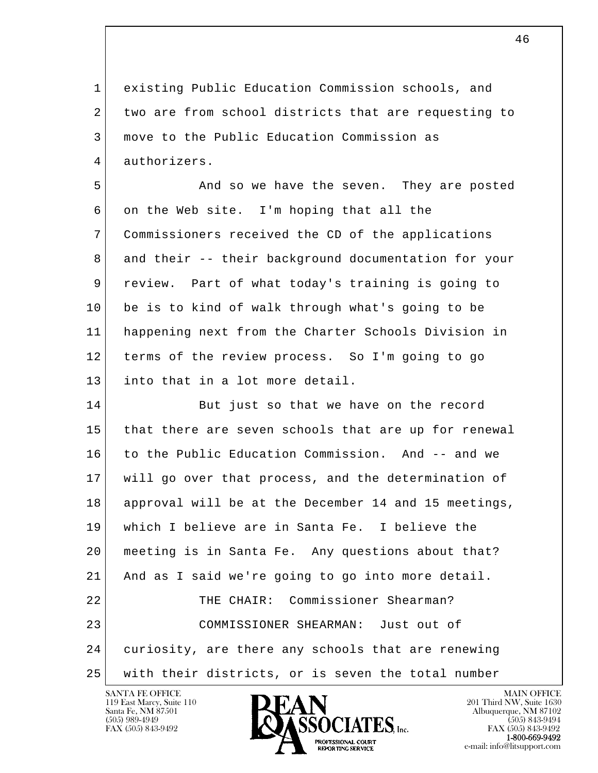1 existing Public Education Commission schools, and 2 two are from school districts that are requesting to 3 move to the Public Education Commission as 4 authorizers.

5 And so we have the seven. They are posted 6 on the Web site. I'm hoping that all the 7 Commissioners received the CD of the applications 8 and their -- their background documentation for your 9 review. Part of what today's training is going to 10 be is to kind of walk through what's going to be 11 happening next from the Charter Schools Division in 12 terms of the review process. So I'm going to go 13 into that in a lot more detail.

l  $\overline{\phantom{a}}$ 14 But just so that we have on the record 15 that there are seven schools that are up for renewal 16 to the Public Education Commission. And -- and we 17 will go over that process, and the determination of 18 approval will be at the December 14 and 15 meetings, 19 which I believe are in Santa Fe. I believe the 20 meeting is in Santa Fe. Any questions about that? 21 And as I said we're going to go into more detail. 22 THE CHAIR: Commissioner Shearman? 23 COMMISSIONER SHEARMAN: Just out of 24 curiosity, are there any schools that are renewing 25 with their districts, or is seven the total number

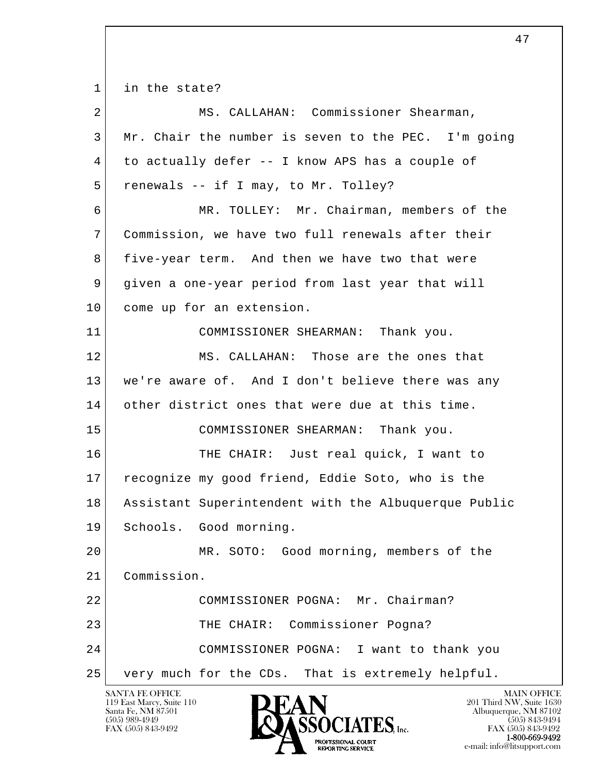l  $\overline{\phantom{a}}$  1 in the state? 2 MS. CALLAHAN: Commissioner Shearman, 3 Mr. Chair the number is seven to the PEC. I'm going 4 to actually defer -- I know APS has a couple of 5 renewals -- if I may, to Mr. Tolley? 6 MR. TOLLEY: Mr. Chairman, members of the 7 Commission, we have two full renewals after their 8 five-year term. And then we have two that were 9 given a one-year period from last year that will 10 come up for an extension. 11 COMMISSIONER SHEARMAN: Thank you. 12 MS. CALLAHAN: Those are the ones that 13 | we're aware of. And I don't believe there was any 14 other district ones that were due at this time. 15 COMMISSIONER SHEARMAN: Thank you. 16 | THE CHAIR: Just real quick, I want to 17 recognize my good friend, Eddie Soto, who is the 18 Assistant Superintendent with the Albuquerque Public 19 Schools. Good morning. 20 MR. SOTO: Good morning, members of the 21 Commission. 22 COMMISSIONER POGNA: Mr. Chairman? 23 THE CHAIR: Commissioner Pogna? 24 COMMISSIONER POGNA: I want to thank you 25 very much for the CDs. That is extremely helpful.

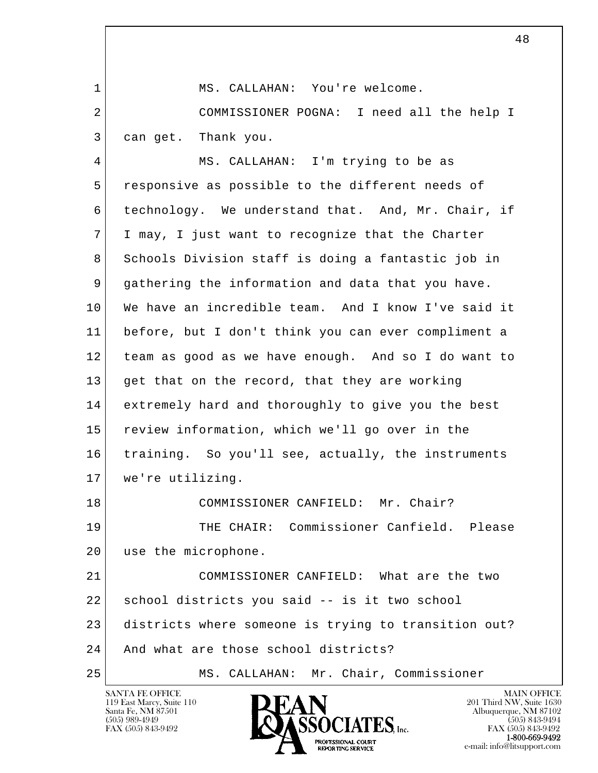1 MS. CALLAHAN: You're welcome.

2 COMMISSIONER POGNA: I need all the help I 3 can get. Thank you.

 4 MS. CALLAHAN: I'm trying to be as 5 responsive as possible to the different needs of 6 technology. We understand that. And, Mr. Chair, if 7 I may, I just want to recognize that the Charter 8 Schools Division staff is doing a fantastic job in 9 gathering the information and data that you have. 10 We have an incredible team. And I know I've said it 11 before, but I don't think you can ever compliment a 12 team as good as we have enough. And so I do want to 13 get that on the record, that they are working 14 extremely hard and thoroughly to give you the best 15 review information, which we'll go over in the 16 training. So you'll see, actually, the instruments 17 we're utilizing. 18 COMMISSIONER CANFIELD: Mr. Chair? 19 THE CHAIR: Commissioner Canfield. Please 20 use the microphone. 21 COMMISSIONER CANFIELD: What are the two 22 school districts you said -- is it two school 23 districts where someone is trying to transition out?

l  $\overline{\phantom{a}}$ 

25 MS. CALLAHAN: Mr. Chair, Commissioner



24 And what are those school districts?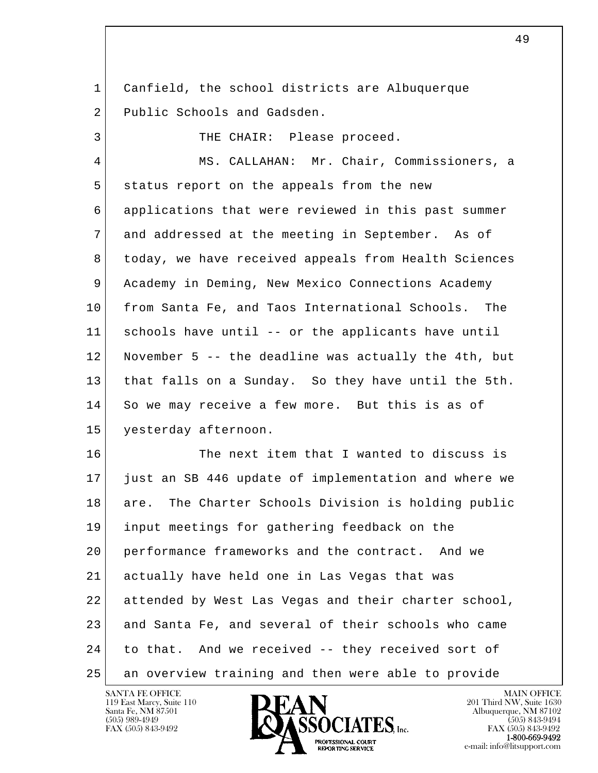1 Canfield, the school districts are Albuquerque 2 Public Schools and Gadsden.

3 THE CHAIR: Please proceed.

4 MS. CALLAHAN: Mr. Chair, Commissioners, a 5 status report on the appeals from the new 6 applications that were reviewed in this past summer 7 and addressed at the meeting in September. As of 8 today, we have received appeals from Health Sciences 9 Academy in Deming, New Mexico Connections Academy 10 from Santa Fe, and Taos International Schools. The 11 schools have until -- or the applicants have until 12 November 5 -- the deadline was actually the 4th, but 13 that falls on a Sunday. So they have until the 5th. 14 So we may receive a few more. But this is as of 15 yesterday afternoon.

l  $\overline{\phantom{a}}$ 16 The next item that I wanted to discuss is 17 just an SB 446 update of implementation and where we 18 are. The Charter Schools Division is holding public 19 input meetings for gathering feedback on the 20 performance frameworks and the contract. And we 21 actually have held one in Las Vegas that was 22 attended by West Las Vegas and their charter school, 23 and Santa Fe, and several of their schools who came 24 to that. And we received -- they received sort of 25 an overview training and then were able to provide

119 East Marcy, Suite 110<br>Santa Fe, NM 87501



FAX (505) 843-9492<br>**1-800-669-9492**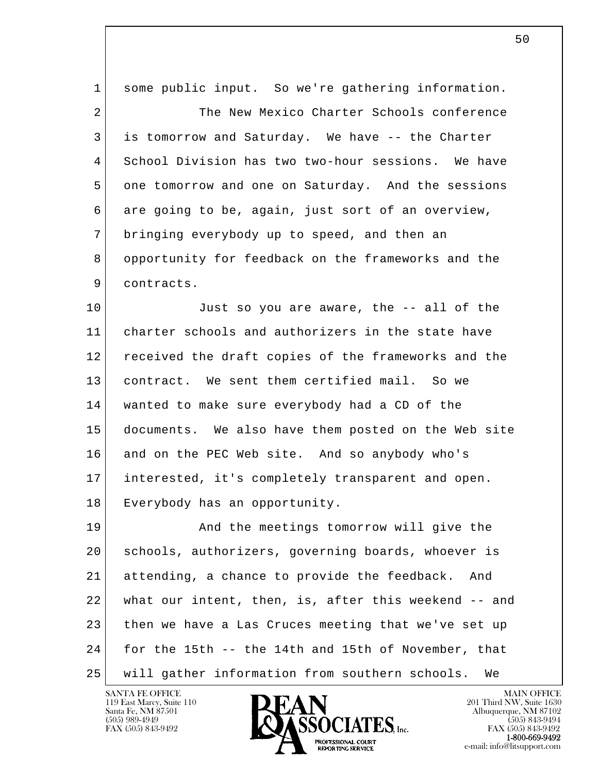l  $\overline{\phantom{a}}$  1 some public input. So we're gathering information. 2 The New Mexico Charter Schools conference 3 is tomorrow and Saturday. We have -- the Charter 4 School Division has two two-hour sessions. We have 5 one tomorrow and one on Saturday. And the sessions 6 are going to be, again, just sort of an overview, 7 bringing everybody up to speed, and then an 8 opportunity for feedback on the frameworks and the 9 contracts. 10 Just so you are aware, the -- all of the 11 charter schools and authorizers in the state have 12 received the draft copies of the frameworks and the 13 contract. We sent them certified mail. So we 14 wanted to make sure everybody had a CD of the 15 documents. We also have them posted on the Web site 16 and on the PEC Web site. And so anybody who's 17 interested, it's completely transparent and open. 18 Everybody has an opportunity. 19 And the meetings tomorrow will give the 20 schools, authorizers, governing boards, whoever is 21 attending, a chance to provide the feedback. And 22 what our intent, then, is, after this weekend -- and 23 then we have a Las Cruces meeting that we've set up 24 for the 15th -- the 14th and 15th of November, that 25 will gather information from southern schools. We



 $\sim$  50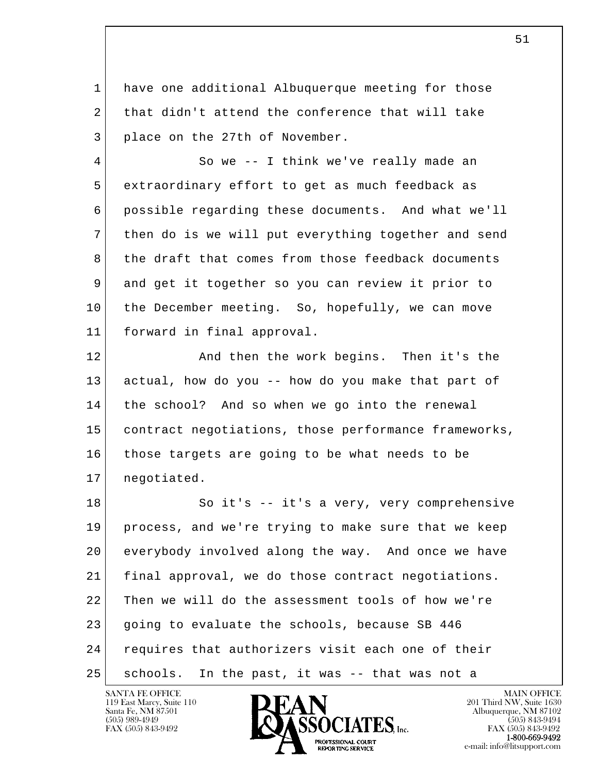1 have one additional Albuquerque meeting for those 2 that didn't attend the conference that will take 3 place on the 27th of November.

4 So we -- I think we've really made an 5 extraordinary effort to get as much feedback as 6 possible regarding these documents. And what we'll 7 then do is we will put everything together and send 8 the draft that comes from those feedback documents 9 and get it together so you can review it prior to 10 the December meeting. So, hopefully, we can move 11 forward in final approval.

12 **And then the work begins.** Then it's the 13 actual, how do you -- how do you make that part of 14 the school? And so when we go into the renewal 15 contract negotiations, those performance frameworks, 16 those targets are going to be what needs to be 17 negotiated.

l  $\overline{\phantom{a}}$ 18 So it's -- it's a very, very comprehensive 19 process, and we're trying to make sure that we keep 20 everybody involved along the way. And once we have 21 final approval, we do those contract negotiations. 22 Then we will do the assessment tools of how we're 23 going to evaluate the schools, because SB 446 24 requires that authorizers visit each one of their 25 schools. In the past, it was -- that was not a

119 East Marcy, Suite 110<br>Santa Fe, NM 87501



FAX (505) 843-9492<br>**1-800-669-9492**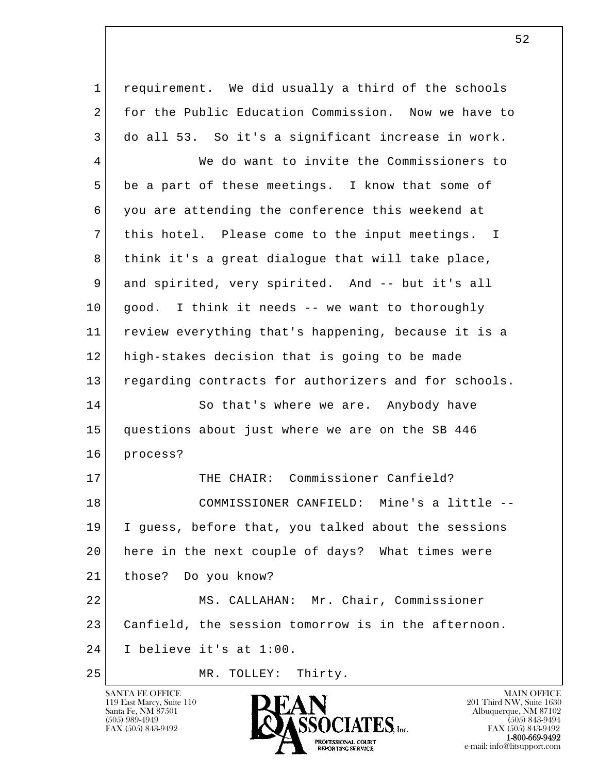l  $\overline{\phantom{a}}$  1 requirement. We did usually a third of the schools 2 for the Public Education Commission. Now we have to 3 do all 53. So it's a significant increase in work. 4 We do want to invite the Commissioners to 5 be a part of these meetings. I know that some of 6 you are attending the conference this weekend at 7 this hotel. Please come to the input meetings. I 8 | think it's a great dialoque that will take place, 9 and spirited, very spirited. And -- but it's all 10 good. I think it needs -- we want to thoroughly 11 review everything that's happening, because it is a 12 high-stakes decision that is going to be made 13 regarding contracts for authorizers and for schools. 14 So that's where we are. Anybody have 15 questions about just where we are on the SB 446 16 process? 17 THE CHAIR: Commissioner Canfield? 18 COMMISSIONER CANFIELD: Mine's a little -- 19 I guess, before that, you talked about the sessions 20 here in the next couple of days? What times were 21 those? Do you know? 22 MS. CALLAHAN: Mr. Chair, Commissioner 23 Canfield, the session tomorrow is in the afternoon. 24 I believe it's at 1:00.

25 MR. TOLLEY: Thirty.

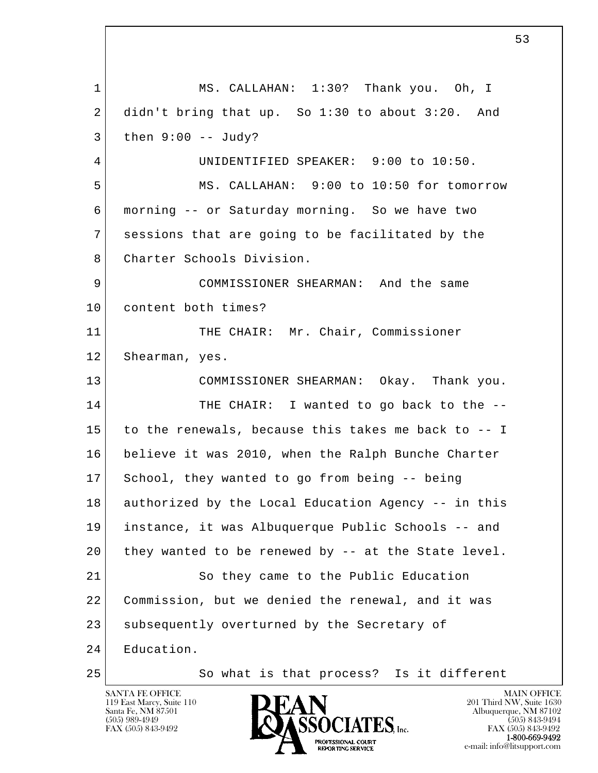l  $\overline{\phantom{a}}$  1 MS. CALLAHAN: 1:30? Thank you. Oh, I  $2$  didn't bring that up. So 1:30 to about 3:20. And  $3$  then  $9:00$  -- Judy? 4 UNIDENTIFIED SPEAKER: 9:00 to 10:50. 5 MS. CALLAHAN: 9:00 to 10:50 for tomorrow 6 morning -- or Saturday morning. So we have two 7 sessions that are going to be facilitated by the 8 Charter Schools Division. 9 COMMISSIONER SHEARMAN: And the same 10 content both times? 11 THE CHAIR: Mr. Chair, Commissioner 12 Shearman, yes. 13 COMMISSIONER SHEARMAN: Okay. Thank you. 14 THE CHAIR: I wanted to go back to the -- 15 to the renewals, because this takes me back to -- I 16 believe it was 2010, when the Ralph Bunche Charter 17 School, they wanted to go from being -- being 18 authorized by the Local Education Agency -- in this 19 instance, it was Albuquerque Public Schools -- and 20 they wanted to be renewed by -- at the State level. 21 So they came to the Public Education 22 Commission, but we denied the renewal, and it was 23 | subsequently overturned by the Secretary of 24 Education. 25 So what is that process? Is it different

 $\sim$  53

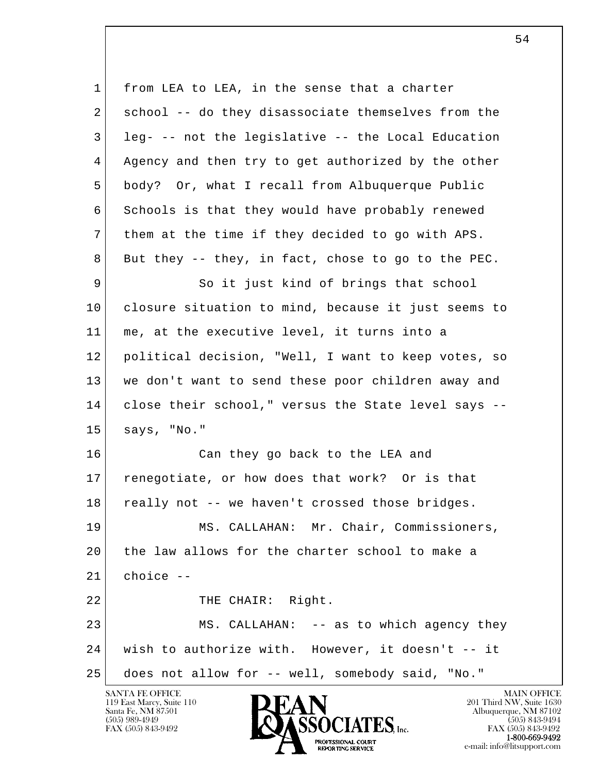l  $\overline{\phantom{a}}$ 1 from LEA to LEA, in the sense that a charter 2 school -- do they disassociate themselves from the 3 leg- -- not the legislative -- the Local Education 4 Agency and then try to get authorized by the other 5 body? Or, what I recall from Albuquerque Public 6 Schools is that they would have probably renewed 7 them at the time if they decided to go with APS.  $8$  But they -- they, in fact, chose to go to the PEC. 9 So it just kind of brings that school 10 closure situation to mind, because it just seems to 11 me, at the executive level, it turns into a 12 political decision, "Well, I want to keep votes, so 13 we don't want to send these poor children away and 14 close their school," versus the State level says -- 15 says, "No." 16 Can they go back to the LEA and 17 renegotiate, or how does that work? Or is that 18 really not -- we haven't crossed those bridges. 19 MS. CALLAHAN: Mr. Chair, Commissioners, 20 the law allows for the charter school to make a 21 choice -- 22 THE CHAIR: Right. 23 MS. CALLAHAN: -- as to which agency they 24 | wish to authorize with. However, it doesn't -- it 25 does not allow for -- well, somebody said, "No."

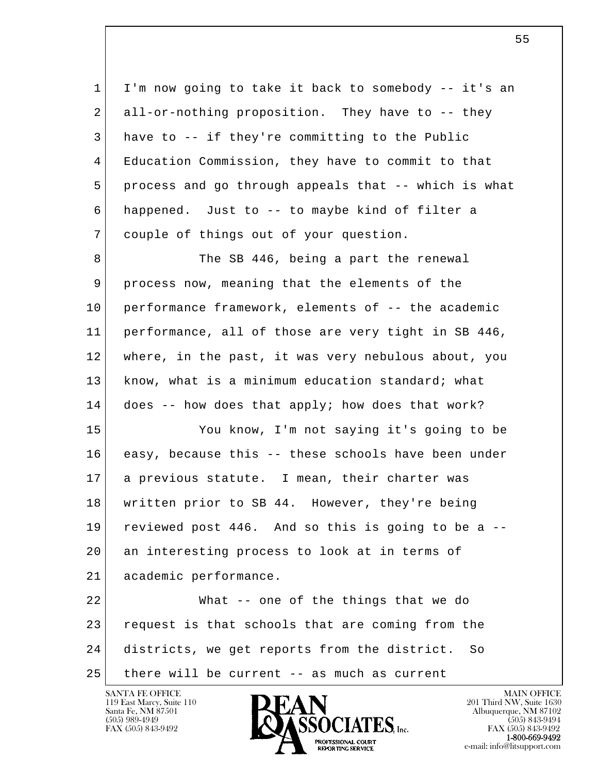| $\mathbf 1$ | I'm now going to take it back to somebody -- it's an |
|-------------|------------------------------------------------------|
| 2           | all-or-nothing proposition. They have to -- they     |
| 3           | have to -- if they're committing to the Public       |
| 4           | Education Commission, they have to commit to that    |
| 5           | process and go through appeals that -- which is what |
| 6           | happened. Just to -- to maybe kind of filter a       |
| 7           | couple of things out of your question.               |
| 8           | The SB 446, being a part the renewal                 |
| 9           | process now, meaning that the elements of the        |
| 10          | performance framework, elements of -- the academic   |
| 11          | performance, all of those are very tight in SB 446,  |
| 12          | where, in the past, it was very nebulous about, you  |
| 13          | know, what is a minimum education standard; what     |
| 14          | does -- how does that apply; how does that work?     |
| 15          | You know, I'm not saying it's going to be            |
| 16          | easy, because this -- these schools have been under  |
| 17          | a previous statute. I mean, their charter was        |
| 18          | written prior to SB 44. However, they're being       |
| 19          | reviewed post 446. And so this is going to be a --   |
| 20          | an interesting process to look at in terms of        |
| 21          | academic performance.                                |
| 22          | What -- one of the things that we do                 |
| 23          | request is that schools that are coming from the     |
| 24          | districts, we get reports from the district.<br>So   |
| 25          | there will be current -- as much as current          |

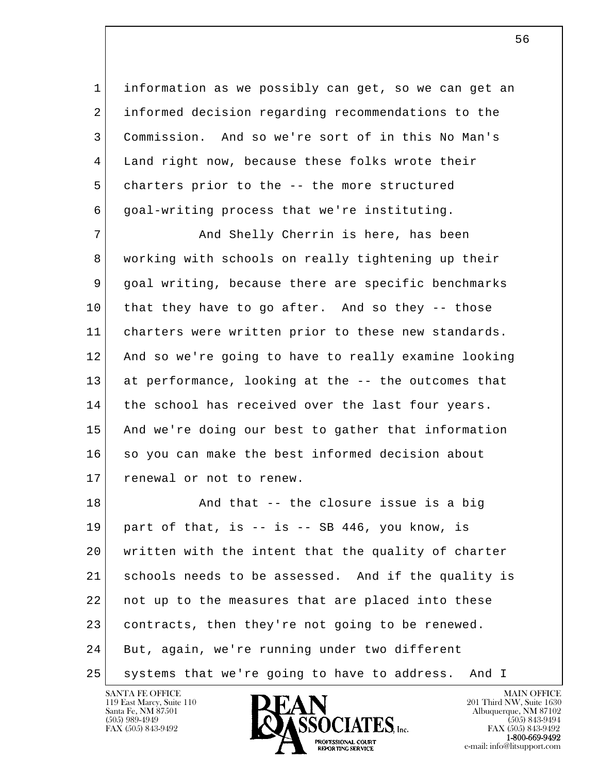1 information as we possibly can get, so we can get an 2 informed decision regarding recommendations to the 3 Commission. And so we're sort of in this No Man's 4 Land right now, because these folks wrote their 5 charters prior to the -- the more structured 6 goal-writing process that we're instituting.

7 | And Shelly Cherrin is here, has been 8 working with schools on really tightening up their 9 goal writing, because there are specific benchmarks 10 that they have to go after. And so they -- those 11 charters were written prior to these new standards. 12 And so we're going to have to really examine looking 13 at performance, looking at the -- the outcomes that 14 the school has received over the last four years. 15 And we're doing our best to gather that information 16 so you can make the best informed decision about 17 renewal or not to renew.

l  $\overline{\phantom{a}}$ 18 And that -- the closure issue is a big  $19$  part of that, is  $-$  is  $-$  SB 446, you know, is 20 written with the intent that the quality of charter 21 schools needs to be assessed. And if the quality is 22 not up to the measures that are placed into these 23 contracts, then they're not going to be renewed. 24 But, again, we're running under two different 25 systems that we're going to have to address. And I

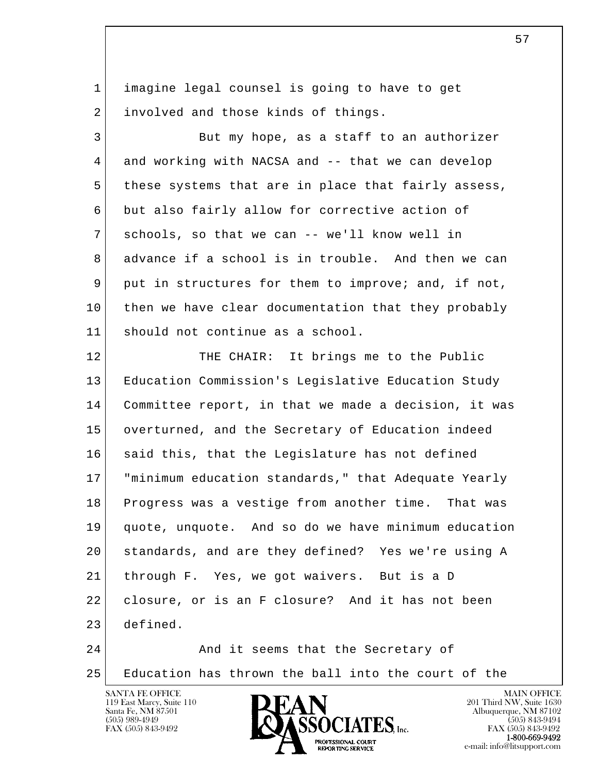1 imagine legal counsel is going to have to get 2 involved and those kinds of things.

3 But my hope, as a staff to an authorizer 4 and working with NACSA and -- that we can develop 5 these systems that are in place that fairly assess, 6 but also fairly allow for corrective action of 7 schools, so that we can -- we'll know well in 8 advance if a school is in trouble. And then we can 9 put in structures for them to improve; and, if not, 10 then we have clear documentation that they probably 11 should not continue as a school.

l  $\overline{\phantom{a}}$ 12 THE CHAIR: It brings me to the Public 13 Education Commission's Legislative Education Study 14 Committee report, in that we made a decision, it was 15 overturned, and the Secretary of Education indeed 16 said this, that the Legislature has not defined 17 | "minimum education standards," that Adequate Yearly 18 Progress was a vestige from another time. That was 19 quote, unquote. And so do we have minimum education 20 standards, and are they defined? Yes we're using A 21 through F. Yes, we got waivers. But is a D 22 closure, or is an F closure? And it has not been 23 defined. 24 And it seems that the Secretary of

25 Education has thrown the ball into the court of the



FAX (505) 843-9492<br>**1-800-669-9492** e-mail: info@litsupport.com<br>REPORTING SERVICE e-mail: info@litsupport.com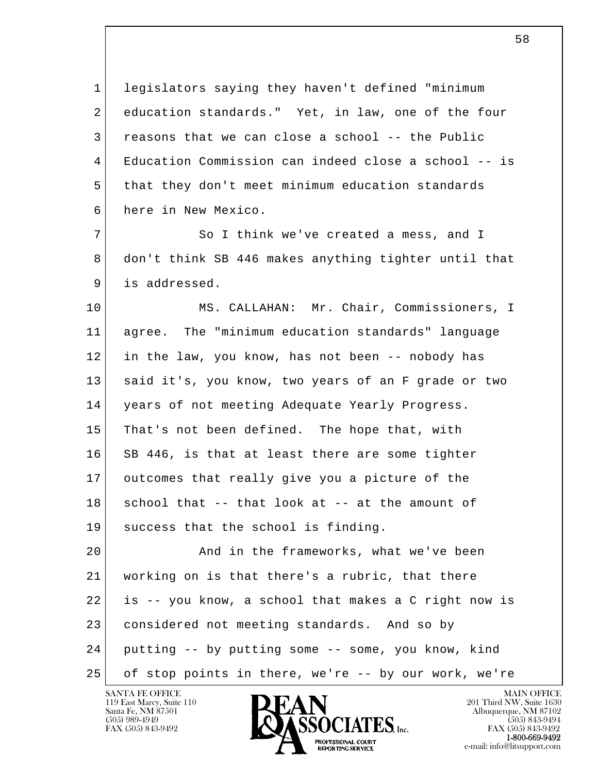1 legislators saying they haven't defined "minimum 2 education standards." Yet, in law, one of the four  $3$  reasons that we can close a school -- the Public 4 Education Commission can indeed close a school -- is 5 that they don't meet minimum education standards 6 here in New Mexico.

7 So I think we've created a mess, and I 8 don't think SB 446 makes anything tighter until that 9 is addressed.

 10 MS. CALLAHAN: Mr. Chair, Commissioners, I 11 agree. The "minimum education standards" language 12 in the law, you know, has not been -- nobody has 13 said it's, you know, two years of an F grade or two 14 years of not meeting Adequate Yearly Progress. 15 That's not been defined. The hope that, with 16 SB 446, is that at least there are some tighter 17 outcomes that really give you a picture of the 18 school that -- that look at -- at the amount of 19 success that the school is finding.

l  $\overline{\phantom{a}}$  20 And in the frameworks, what we've been 21 | working on is that there's a rubric, that there 22 is -- you know, a school that makes a C right now is 23 considered not meeting standards. And so by 24 putting -- by putting some -- some, you know, kind 25 of stop points in there, we're -- by our work, we're

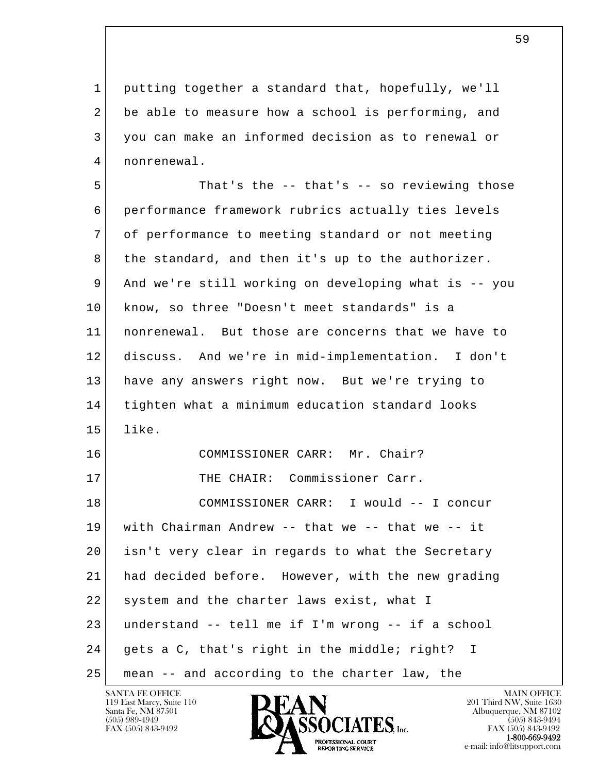1 putting together a standard that, hopefully, we'll 2 be able to measure how a school is performing, and 3 you can make an informed decision as to renewal or 4 nonrenewal.

l  $\overline{\phantom{a}}$  5 That's the -- that's -- so reviewing those 6 performance framework rubrics actually ties levels 7 of performance to meeting standard or not meeting 8 the standard, and then it's up to the authorizer. 9 And we're still working on developing what is -- you 10 know, so three "Doesn't meet standards" is a 11 nonrenewal. But those are concerns that we have to 12 discuss. And we're in mid-implementation. I don't 13 have any answers right now. But we're trying to 14 tighten what a minimum education standard looks 15 like. 16 COMMISSIONER CARR: Mr. Chair? 17 THE CHAIR: Commissioner Carr. 18 COMMISSIONER CARR: I would -- I concur 19 with Chairman Andrew -- that we -- that we -- it 20 isn't very clear in regards to what the Secretary 21 had decided before. However, with the new grading 22 system and the charter laws exist, what I 23 understand -- tell me if I'm wrong -- if a school 24 gets a C, that's right in the middle; right? I 25 mean -- and according to the charter law, the

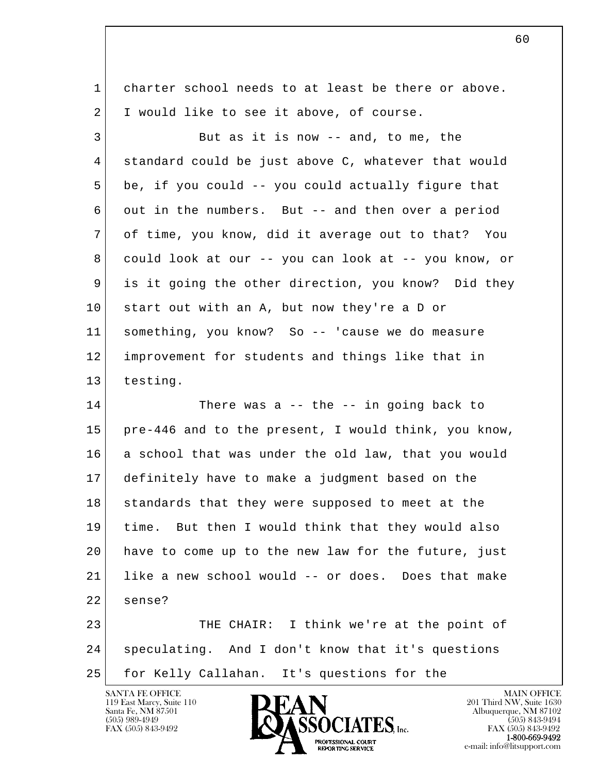1 charter school needs to at least be there or above. 2 I would like to see it above, of course.

3 But as it is now -- and, to me, the 4 standard could be just above C, whatever that would 5 be, if you could -- you could actually figure that 6 out in the numbers. But -- and then over a period 7 of time, you know, did it average out to that? You 8 could look at our -- you can look at -- you know, or 9 is it going the other direction, you know? Did they 10 start out with an A, but now they're a D or 11 something, you know? So -- 'cause we do measure 12 improvement for students and things like that in 13 testing.

14 There was a -- the -- in going back to 15 pre-446 and to the present, I would think, you know, 16 a school that was under the old law, that you would 17 definitely have to make a judgment based on the 18 standards that they were supposed to meet at the 19 time. But then I would think that they would also 20 have to come up to the new law for the future, just 21 | like a new school would -- or does. Does that make 22 sense?

l  $\overline{\phantom{a}}$ 23 THE CHAIR: I think we're at the point of 24 speculating. And I don't know that it's questions 25 for Kelly Callahan. It's questions for the



FAX (505) 843-9492<br>**1-800-669-9492**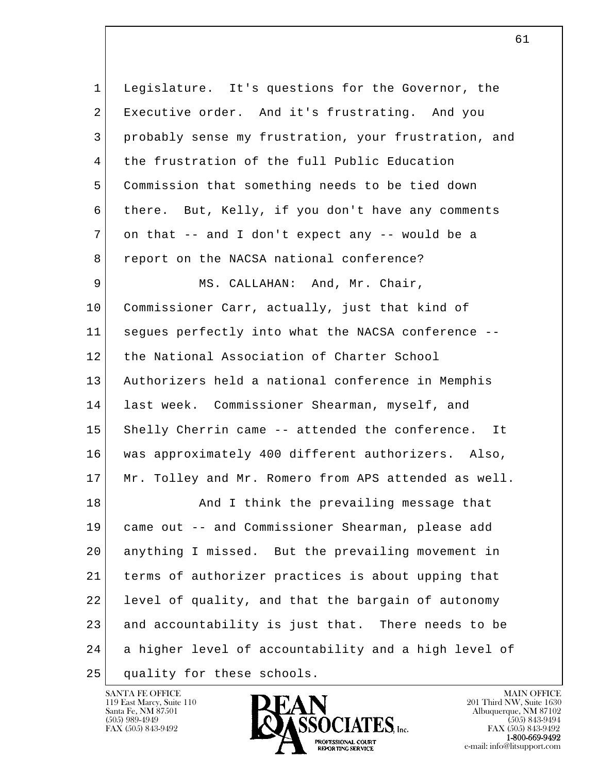l  $\overline{\phantom{a}}$  1 Legislature. It's questions for the Governor, the 2 Executive order. And it's frustrating. And you 3 probably sense my frustration, your frustration, and 4 the frustration of the full Public Education 5 Commission that something needs to be tied down 6 there. But, Kelly, if you don't have any comments 7 on that -- and I don't expect any -- would be a 8 report on the NACSA national conference? 9 MS. CALLAHAN: And, Mr. Chair, 10 Commissioner Carr, actually, just that kind of 11 segues perfectly into what the NACSA conference -- 12 the National Association of Charter School 13 Authorizers held a national conference in Memphis 14 last week. Commissioner Shearman, myself, and 15 Shelly Cherrin came -- attended the conference. It 16 was approximately 400 different authorizers. Also, 17 Mr. Tolley and Mr. Romero from APS attended as well. 18 And I think the prevailing message that 19 came out -- and Commissioner Shearman, please add 20 anything I missed. But the prevailing movement in 21 terms of authorizer practices is about upping that 22 level of quality, and that the bargain of autonomy 23 and accountability is just that. There needs to be 24 a higher level of accountability and a high level of 25 quality for these schools.

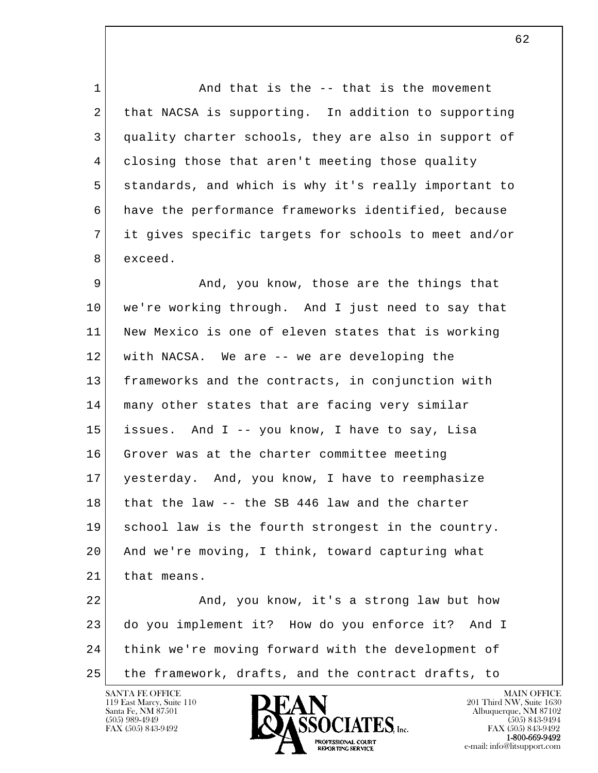1 and that is the -- that is the movement 2 that NACSA is supporting. In addition to supporting 3 quality charter schools, they are also in support of 4 closing those that aren't meeting those quality 5 standards, and which is why it's really important to 6 have the performance frameworks identified, because 7 it gives specific targets for schools to meet and/or 8 exceed.

9 And, you know, those are the things that 10 we're working through. And I just need to say that 11 New Mexico is one of eleven states that is working 12 with NACSA. We are -- we are developing the 13 frameworks and the contracts, in conjunction with 14 many other states that are facing very similar 15 issues. And I -- you know, I have to say, Lisa 16 Grover was at the charter committee meeting 17 yesterday. And, you know, I have to reemphasize 18 that the law -- the SB 446 law and the charter 19 school law is the fourth strongest in the country. 20 And we're moving, I think, toward capturing what 21 that means.

l  $\overline{\phantom{a}}$  22 And, you know, it's a strong law but how 23 do you implement it? How do you enforce it? And I 24 think we're moving forward with the development of 25 the framework, drafts, and the contract drafts, to

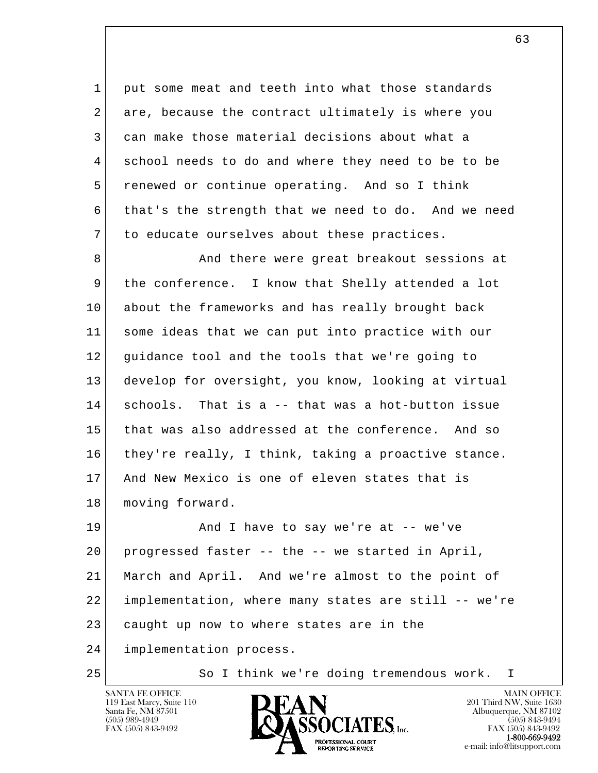1 put some meat and teeth into what those standards 2 are, because the contract ultimately is where you 3 can make those material decisions about what a 4 school needs to do and where they need to be to be 5 renewed or continue operating. And so I think 6 that's the strength that we need to do. And we need 7 to educate ourselves about these practices.

8 And there were great breakout sessions at 9 the conference. I know that Shelly attended a lot 10 about the frameworks and has really brought back 11 some ideas that we can put into practice with our 12 guidance tool and the tools that we're going to 13 develop for oversight, you know, looking at virtual 14 schools. That is a -- that was a hot-button issue 15 that was also addressed at the conference. And so 16 they're really, I think, taking a proactive stance. 17 And New Mexico is one of eleven states that is 18 | moving forward.

l  $\overline{\phantom{a}}$ 19 And I have to say we're at -- we've 20 progressed faster -- the -- we started in April, 21 March and April. And we're almost to the point of 22 implementation, where many states are still -- we're 23 caught up now to where states are in the 24 implementation process.

25 So I think we're doing tremendous work. I

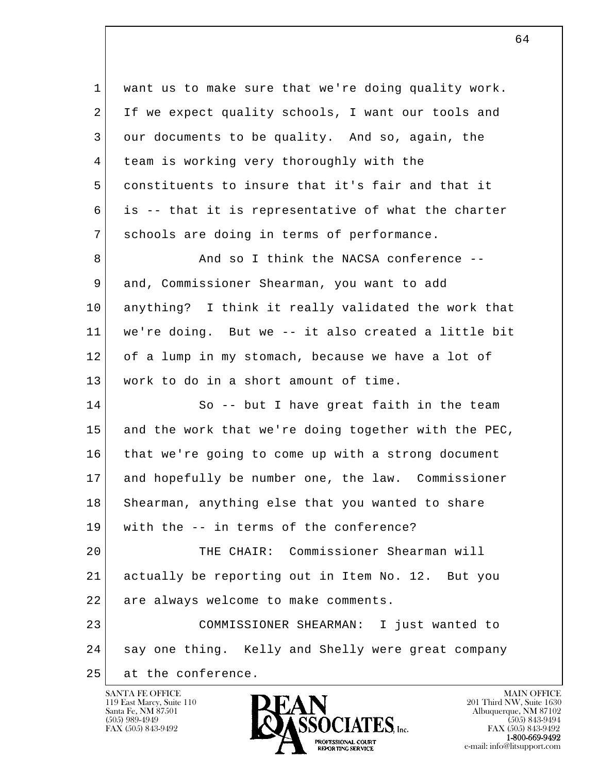| $\mathbf 1$ | want us to make sure that we're doing quality work.  |
|-------------|------------------------------------------------------|
| 2           | If we expect quality schools, I want our tools and   |
| 3           | our documents to be quality. And so, again, the      |
| 4           | team is working very thoroughly with the             |
| 5           | constituents to insure that it's fair and that it    |
| 6           | is -- that it is representative of what the charter  |
| 7           | schools are doing in terms of performance.           |
| 8           | And so I think the NACSA conference --               |
| 9           | and, Commissioner Shearman, you want to add          |
| 10          | anything? I think it really validated the work that  |
| 11          | we're doing. But we -- it also created a little bit  |
| 12          | of a lump in my stomach, because we have a lot of    |
| 13          | work to do in a short amount of time.                |
| 14          | So -- but I have great faith in the team             |
| 15          | and the work that we're doing together with the PEC, |
| 16          | that we're going to come up with a strong document   |
| 17          | and hopefully be number one, the law. Commissioner   |
| 18          | Shearman, anything else that you wanted to share     |
| 19          | with the -- in terms of the conference?              |
| 20          | THE CHAIR: Commissioner Shearman will                |
| 21          | actually be reporting out in Item No. 12. But you    |
| 22          | are always welcome to make comments.                 |
| 23          | COMMISSIONER SHEARMAN: I just wanted to              |
| 24          | say one thing. Kelly and Shelly were great company   |
| 25          | at the conference.                                   |
|             |                                                      |

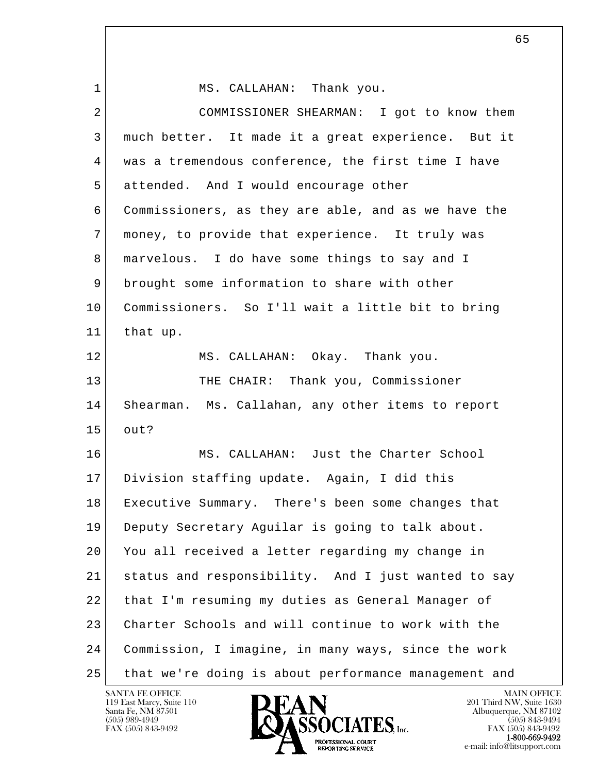l  $\overline{\phantom{a}}$ 1 MS. CALLAHAN: Thank you. 2 COMMISSIONER SHEARMAN: I got to know them 3 much better. It made it a great experience. But it 4 was a tremendous conference, the first time I have 5 attended. And I would encourage other 6 Commissioners, as they are able, and as we have the 7 money, to provide that experience. It truly was 8 marvelous. I do have some things to say and I 9 brought some information to share with other 10 Commissioners. So I'll wait a little bit to bring 11 that up. 12 MS. CALLAHAN: Okay. Thank you. 13 THE CHAIR: Thank you, Commissioner 14 Shearman. Ms. Callahan, any other items to report  $15$  out? 16 MS. CALLAHAN: Just the Charter School 17 Division staffing update. Again, I did this 18 Executive Summary. There's been some changes that 19 Deputy Secretary Aguilar is going to talk about. 20 You all received a letter regarding my change in 21 status and responsibility. And I just wanted to say 22 that I'm resuming my duties as General Manager of 23 Charter Schools and will continue to work with the 24 Commission, I imagine, in many ways, since the work 25 that we're doing is about performance management and

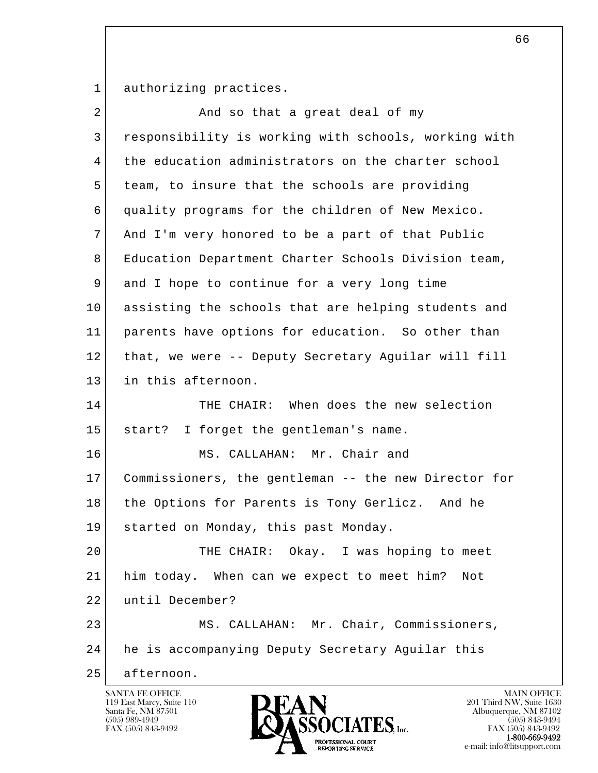1 authorizing practices.

| $\overline{2}$ | And so that a great deal of my                       |
|----------------|------------------------------------------------------|
| 3              | responsibility is working with schools, working with |
| 4              | the education administrators on the charter school   |
| 5              | team, to insure that the schools are providing       |
| 6              | quality programs for the children of New Mexico.     |
| 7              | And I'm very honored to be a part of that Public     |
| 8              | Education Department Charter Schools Division team,  |
| 9              | and I hope to continue for a very long time          |
| 10             | assisting the schools that are helping students and  |
| 11             | parents have options for education. So other than    |
| 12             | that, we were -- Deputy Secretary Aguilar will fill  |
| 13             | in this afternoon.                                   |
| 14             | THE CHAIR: When does the new selection               |
| 15             | start? I forget the gentleman's name.                |
| 16             | MS. CALLAHAN: Mr. Chair and                          |
| 17             | Commissioners, the gentleman -- the new Director for |
| 18             | the Options for Parents is Tony Gerlicz. And he      |
| 19             | started on Monday, this past Monday.                 |
| 20             | THE CHAIR: Okay. I was hoping to meet                |
| 21             | him today. When can we expect to meet him? Not       |
| 22             | until December?                                      |
| 23             | MS. CALLAHAN: Mr. Chair, Commissioners,              |
| 24             | he is accompanying Deputy Secretary Aguilar this     |
| 25             | afternoon.                                           |
|                | SANTA FE OFFICE<br><b>MAIN OFFICE</b>                |

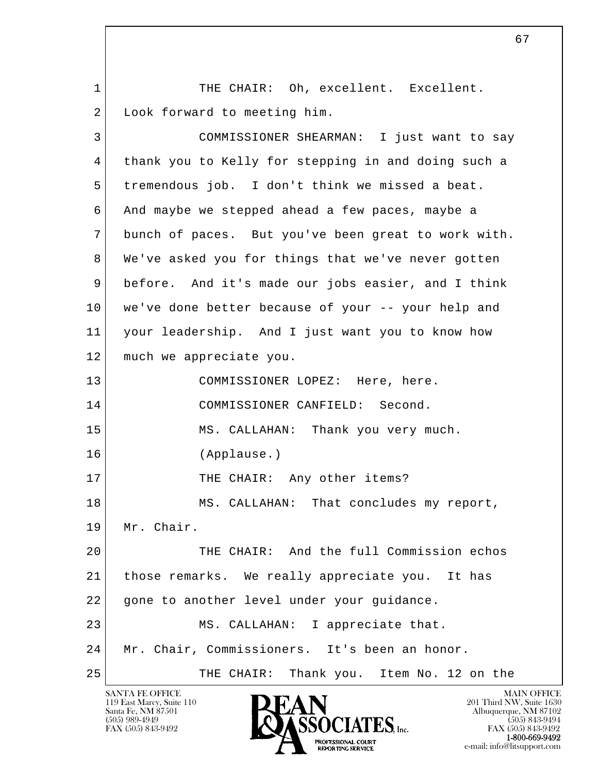1 THE CHAIR: Oh, excellent. Excellent. 2 Look forward to meeting him.

l  $\overline{\phantom{a}}$  3 COMMISSIONER SHEARMAN: I just want to say 4 thank you to Kelly for stepping in and doing such a 5 tremendous job. I don't think we missed a beat. 6 And maybe we stepped ahead a few paces, maybe a 7 bunch of paces. But you've been great to work with. 8 | We've asked you for things that we've never gotten 9 before. And it's made our jobs easier, and I think 10 we've done better because of your -- your help and 11 your leadership. And I just want you to know how 12 much we appreciate you. 13 COMMISSIONER LOPEZ: Here, here. 14 COMMISSIONER CANFIELD: Second. 15 MS. CALLAHAN: Thank you very much. 16 (Applause.) 17 THE CHAIR: Any other items? 18 MS. CALLAHAN: That concludes my report, 19 Mr. Chair. 20 THE CHAIR: And the full Commission echos 21 those remarks. We really appreciate you. It has 22 | gone to another level under your guidance. 23 MS. CALLAHAN: I appreciate that. 24 Mr. Chair, Commissioners. It's been an honor. 25 THE CHAIR: Thank you. Item No. 12 on the



FAX (505) 843-9492<br>1-800-669-9492 e-mail: info@litsupport.com<br>REPORTING SERVICE REDUCED E-mail: info@litsupport.com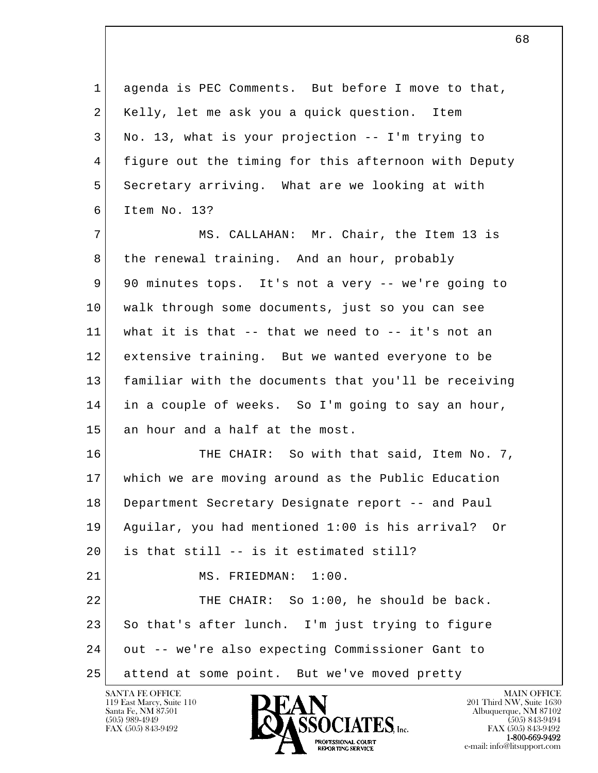l  $\overline{\phantom{a}}$  1 agenda is PEC Comments. But before I move to that, 2 Kelly, let me ask you a quick question. Item 3 No. 13, what is your projection -- I'm trying to 4 figure out the timing for this afternoon with Deputy 5 Secretary arriving. What are we looking at with 6 Item No. 13? 7 MS. CALLAHAN: Mr. Chair, the Item 13 is 8 the renewal training. And an hour, probably 9 90 minutes tops. It's not a very -- we're going to 10 walk through some documents, just so you can see 11 what it is that -- that we need to -- it's not an 12 extensive training. But we wanted everyone to be 13 familiar with the documents that you'll be receiving 14 in a couple of weeks. So I'm going to say an hour, 15 an hour and a half at the most. 16 THE CHAIR: So with that said, Item No. 7, 17 which we are moving around as the Public Education 18 Department Secretary Designate report -- and Paul 19 Aguilar, you had mentioned 1:00 is his arrival? Or 20 is that still -- is it estimated still? 21 MS. FRIEDMAN: 1:00. 22 THE CHAIR: So 1:00, he should be back. 23 So that's after lunch. I'm just trying to figure 24 out -- we're also expecting Commissioner Gant to 25 attend at some point. But we've moved pretty

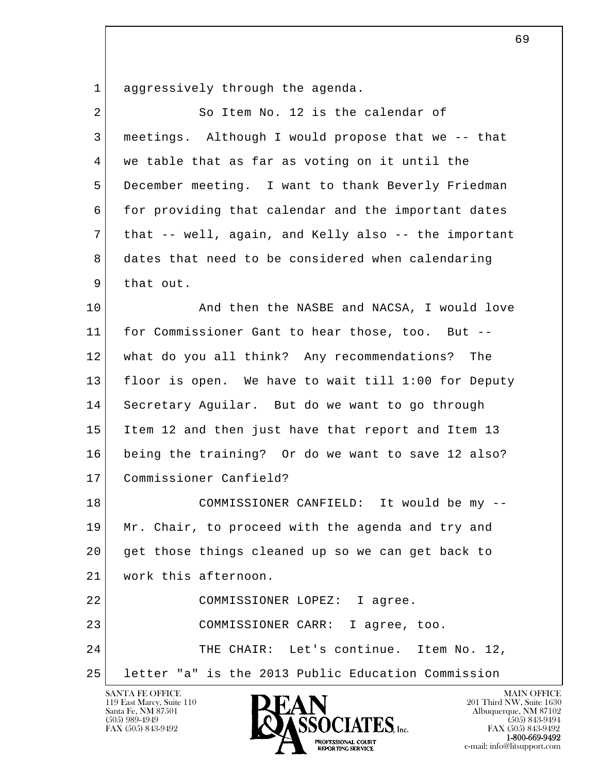1 aggressively through the agenda.

| 2  | So Item No. 12 is the calendar of                    |
|----|------------------------------------------------------|
| 3  | meetings. Although I would propose that we -- that   |
| 4  | we table that as far as voting on it until the       |
| 5  | December meeting. I want to thank Beverly Friedman   |
| 6  | for providing that calendar and the important dates  |
| 7  | that -- well, again, and Kelly also -- the important |
| 8  | dates that need to be considered when calendaring    |
| 9  | that out.                                            |
| 10 | And then the NASBE and NACSA, I would love           |
| 11 | for Commissioner Gant to hear those, too. But --     |
| 12 | what do you all think? Any recommendations? The      |
| 13 | floor is open. We have to wait till 1:00 for Deputy  |
| 14 | Secretary Aguilar. But do we want to go through      |
| 15 | Item 12 and then just have that report and Item 13   |
| 16 | being the training? Or do we want to save 12 also?   |
| 17 | Commissioner Canfield?                               |
| 18 | COMMISSIONER CANFIELD: It would be my --             |
| 19 | Mr. Chair, to proceed with the agenda and try and    |
| 20 | get those things cleaned up so we can get back to    |
| 21 | work this afternoon.                                 |
| 22 | COMMISSIONER LOPEZ: I agree.                         |
| 23 | COMMISSIONER CARR: I agree, too.                     |
| 24 | THE CHAIR: Let's continue. Item No. 12,              |
| 25 | letter "a" is the 2013 Public Education Commission   |
|    | <b>SANTA FE OFFICE</b><br><b>MAIN OFFICE</b>         |

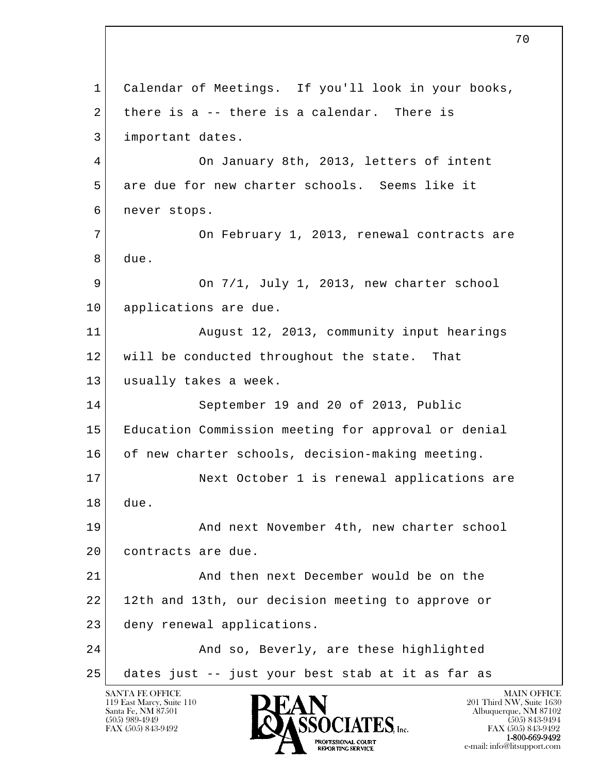l  $\overline{\phantom{a}}$ SANTA FE OFFICE MAIN OFFICE MAIN OFFICE MAIN OFFICE 1 Calendar of Meetings. If you'll look in your books, 2 there is a  $-$  there is a calendar. There is 3 important dates. 4 On January 8th, 2013, letters of intent 5 are due for new charter schools. Seems like it 6 never stops. 7 On February 1, 2013, renewal contracts are 8 due. 9 On 7/1, July 1, 2013, new charter school 10 applications are due. 11 August 12, 2013, community input hearings 12 will be conducted throughout the state. That 13 | usually takes a week. 14 September 19 and 20 of 2013, Public 15 Education Commission meeting for approval or denial 16 of new charter schools, decision-making meeting. 17 Next October 1 is renewal applications are 18 due. 19 And next November 4th, new charter school 20 contracts are due. 21 And then next December would be on the 22 12th and 13th, our decision meeting to approve or 23 deny renewal applications. 24 And so, Beverly, are these highlighted 25 dates just -- just your best stab at it as far as

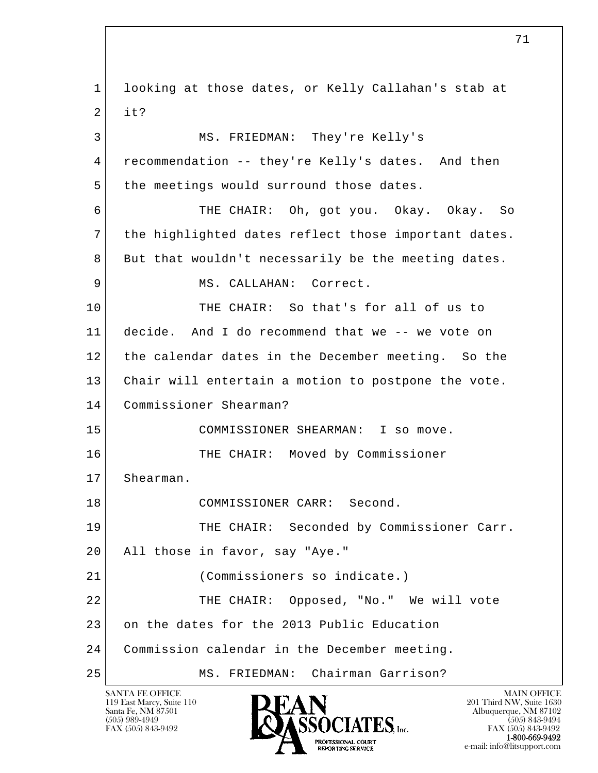l  $\overline{\phantom{a}}$  1 looking at those dates, or Kelly Callahan's stab at  $2$  it? 3 MS. FRIEDMAN: They're Kelly's 4 recommendation -- they're Kelly's dates. And then 5 the meetings would surround those dates. 6 THE CHAIR: Oh, got you. Okay. Okay. So 7 the highlighted dates reflect those important dates. 8 But that wouldn't necessarily be the meeting dates. 9 MS. CALLAHAN: Correct. 10 THE CHAIR: So that's for all of us to 11 decide. And I do recommend that we -- we vote on 12 the calendar dates in the December meeting. So the 13 Chair will entertain a motion to postpone the vote. 14 Commissioner Shearman? 15 COMMISSIONER SHEARMAN: I so move. 16 THE CHAIR: Moved by Commissioner 17 Shearman. 18 COMMISSIONER CARR: Second. 19 THE CHAIR: Seconded by Commissioner Carr. 20 All those in favor, say "Aye." 21 (Commissioners so indicate.) 22 THE CHAIR: Opposed, "No." We will vote 23 on the dates for the 2013 Public Education 24 Commission calendar in the December meeting. 25 MS. FRIEDMAN: Chairman Garrison?

119 East Marcy, Suite 110<br>Santa Fe, NM 87501

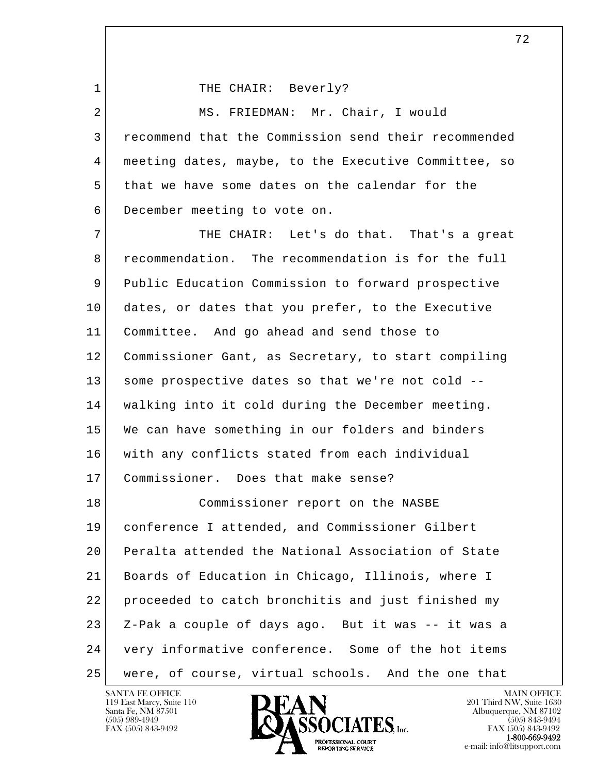1 THE CHAIR: Beverly?

|   | MS. FRIEDMAN: Mr. Chair, I would                     |
|---|------------------------------------------------------|
|   | recommend that the Commission send their recommended |
| 4 | meeting dates, maybe, to the Executive Committee, so |
| 5 | that we have some dates on the calendar for the      |
| 6 | December meeting to vote on.                         |

l  $\overline{\phantom{a}}$ 7 THE CHAIR: Let's do that. That's a great 8 recommendation. The recommendation is for the full 9 Public Education Commission to forward prospective 10 dates, or dates that you prefer, to the Executive 11 Committee. And go ahead and send those to 12 Commissioner Gant, as Secretary, to start compiling 13 some prospective dates so that we're not cold -- 14 walking into it cold during the December meeting. 15 We can have something in our folders and binders 16 with any conflicts stated from each individual 17 Commissioner. Does that make sense? 18 Commissioner report on the NASBE 19 conference I attended, and Commissioner Gilbert 20 Peralta attended the National Association of State 21 Boards of Education in Chicago, Illinois, where I 22 proceeded to catch bronchitis and just finished my 23 Z-Pak a couple of days ago. But it was -- it was a 24 very informative conference. Some of the hot items 25 were, of course, virtual schools. And the one that

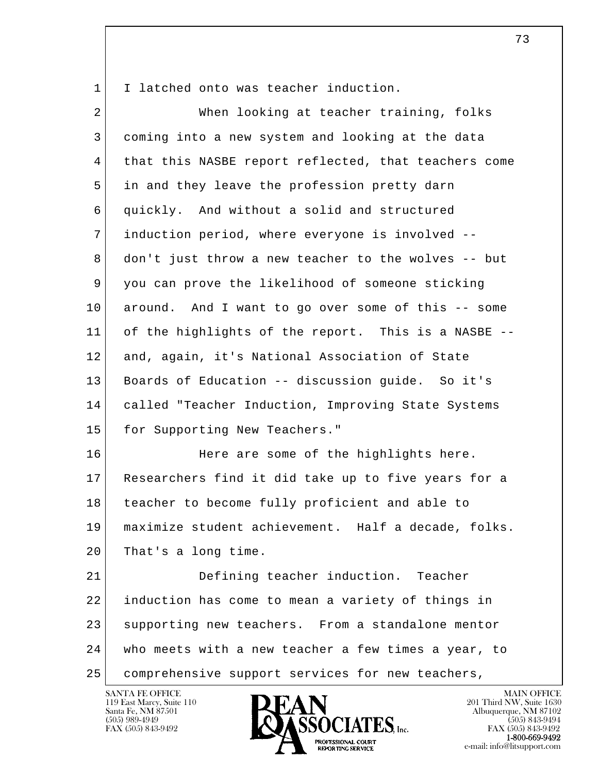1 I latched onto was teacher induction.

| $\overline{a}$ | When looking at teacher training, folks              |
|----------------|------------------------------------------------------|
| 3              | coming into a new system and looking at the data     |
| $\overline{4}$ | that this NASBE report reflected, that teachers come |
| 5              | in and they leave the profession pretty darn         |
| 6              | quickly. And without a solid and structured          |
| 7              | induction period, where everyone is involved --      |
| 8              | don't just throw a new teacher to the wolves -- but  |
| 9              | you can prove the likelihood of someone sticking     |
| 10             | around. And I want to go over some of this -- some   |
| 11             | of the highlights of the report. This is a NASBE --  |
| 12             | and, again, it's National Association of State       |
| 13             | Boards of Education -- discussion guide. So it's     |
| 14             | called "Teacher Induction, Improving State Systems   |
| 15             | for Supporting New Teachers."                        |
| 16             | Here are some of the highlights here.                |
| 17             | Researchers find it did take up to five years for a  |
| 18             | teacher to become fully proficient and able to       |
| 19             | maximize student achievement. Half a decade, folks.  |
| 20             | That's a long time.                                  |
| 21             | Defining teacher induction. Teacher                  |
| 22             | induction has come to mean a variety of things in    |
| 23             | supporting new teachers. From a standalone mentor    |
| 24             | who meets with a new teacher a few times a year, to  |
| 25             | comprehensive support services for new teachers,     |

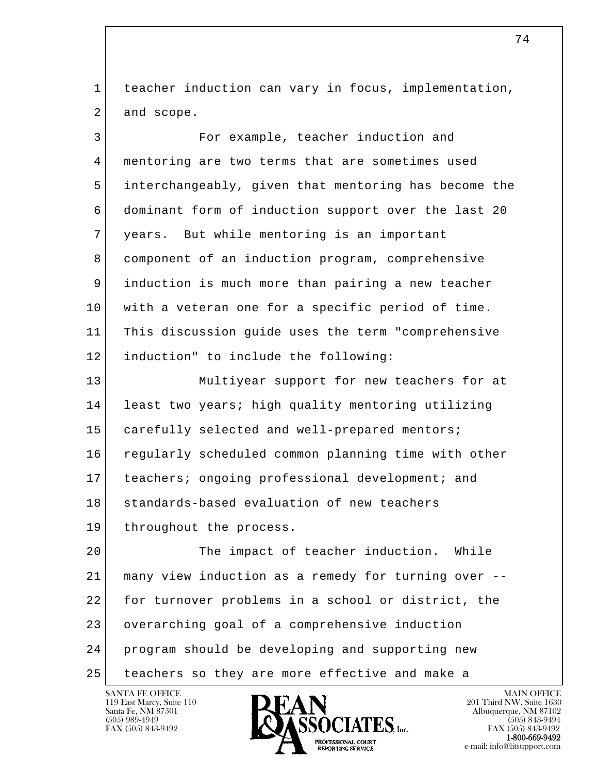1 teacher induction can vary in focus, implementation, 2 and scope.

| 3  | For example, teacher induction and                   |
|----|------------------------------------------------------|
| 4  | mentoring are two terms that are sometimes used      |
| 5  | interchangeably, given that mentoring has become the |
| 6  | dominant form of induction support over the last 20  |
| 7  | years. But while mentoring is an important           |
| 8  | component of an induction program, comprehensive     |
| 9  | induction is much more than pairing a new teacher    |
| 10 | with a veteran one for a specific period of time.    |
| 11 | This discussion guide uses the term "comprehensive   |
| 12 | induction" to include the following:                 |
| 13 | Multiyear support for new teachers for at            |
| 14 | least two years; high quality mentoring utilizing    |
| 15 | carefully selected and well-prepared mentors;        |
| 16 | regularly scheduled common planning time with other  |
| 17 | teachers; ongoing professional development; and      |
| 18 | standards-based evaluation of new teachers           |
| 19 | throughout the process.                              |
| 20 | The impact of teacher induction.<br>While            |
| 21 | many view induction as a remedy for turning over --  |
| 22 | for turnover problems in a school or district, the   |
| 23 | overarching goal of a comprehensive induction        |
| 24 | program should be developing and supporting new      |
| 25 | teachers so they are more effective and make a       |

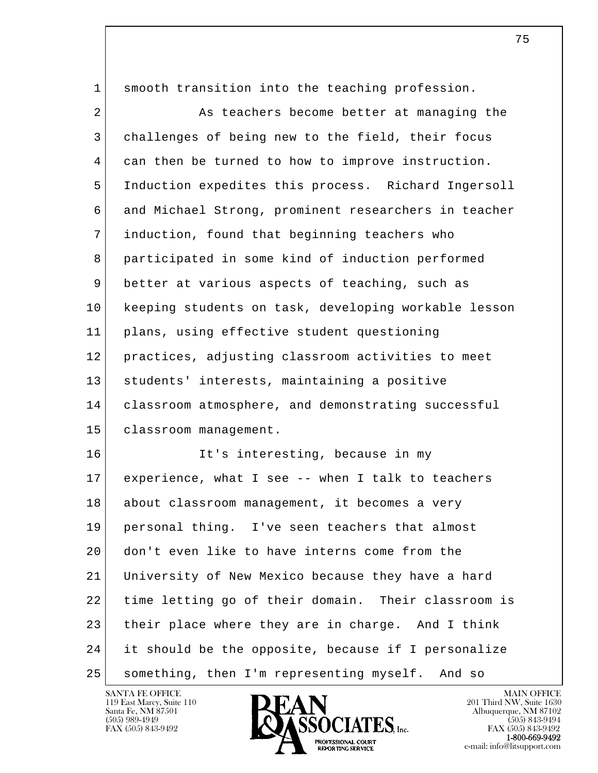| 1  | smooth transition into the teaching profession.      |
|----|------------------------------------------------------|
| 2  | As teachers become better at managing the            |
| 3  | challenges of being new to the field, their focus    |
| 4  | can then be turned to how to improve instruction.    |
| 5  | Induction expedites this process. Richard Ingersoll  |
| 6  | and Michael Strong, prominent researchers in teacher |
| 7  | induction, found that beginning teachers who         |
| 8  | participated in some kind of induction performed     |
| 9  | better at various aspects of teaching, such as       |
| 10 | keeping students on task, developing workable lesson |
| 11 | plans, using effective student questioning           |
| 12 | practices, adjusting classroom activities to meet    |
| 13 | students' interests, maintaining a positive          |
| 14 | classroom atmosphere, and demonstrating successful   |
| 15 | classroom management.                                |
| 16 | It's interesting, because in my                      |
| 17 | experience, what I see -- when I talk to teachers    |
| 18 | about classroom management, it becomes a very        |
| 19 | personal thing. I've seen teachers that almost       |
| 20 | don't even like to have interns come from the        |
| 21 | University of New Mexico because they have a hard    |
| 22 | time letting go of their domain. Their classroom is  |
| 23 | their place where they are in charge. And I think    |
| 24 | it should be the opposite, because if I personalize  |
| 25 | something, then I'm representing myself. And so      |

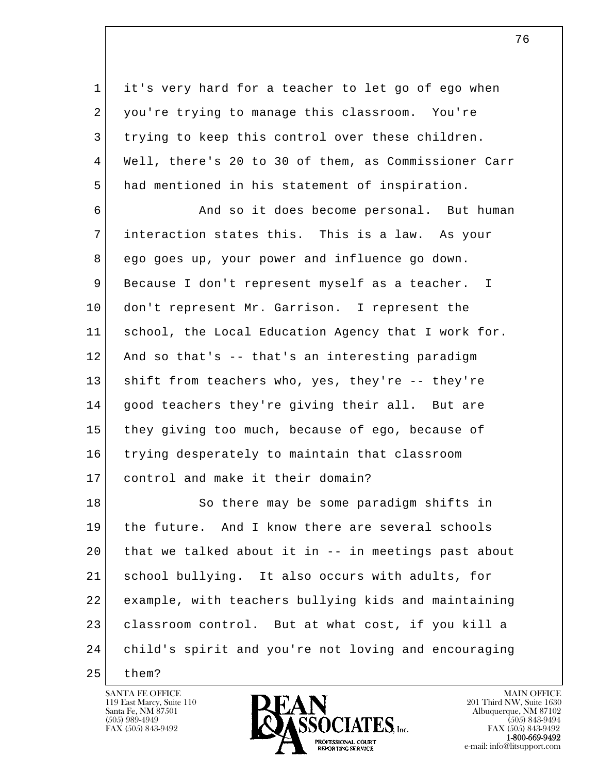1 it's very hard for a teacher to let go of ego when 2 you're trying to manage this classroom. You're 3 trying to keep this control over these children. 4 Well, there's 20 to 30 of them, as Commissioner Carr 5 had mentioned in his statement of inspiration.

6 And so it does become personal. But human 7 interaction states this. This is a law. As your 8 ego goes up, your power and influence go down. 9 Because I don't represent myself as a teacher. I 10 don't represent Mr. Garrison. I represent the 11 school, the Local Education Agency that I work for. 12 And so that's -- that's an interesting paradigm 13 shift from teachers who, yes, they're -- they're 14 good teachers they're giving their all. But are 15 they giving too much, because of ego, because of 16 trying desperately to maintain that classroom 17 control and make it their domain?

l  $\overline{\phantom{a}}$ 18 So there may be some paradigm shifts in 19 the future. And I know there are several schools 20 that we talked about it in -- in meetings past about 21 school bullying. It also occurs with adults, for 22 example, with teachers bullying kids and maintaining 23 classroom control. But at what cost, if you kill a 24 child's spirit and you're not loving and encouraging

25 them?

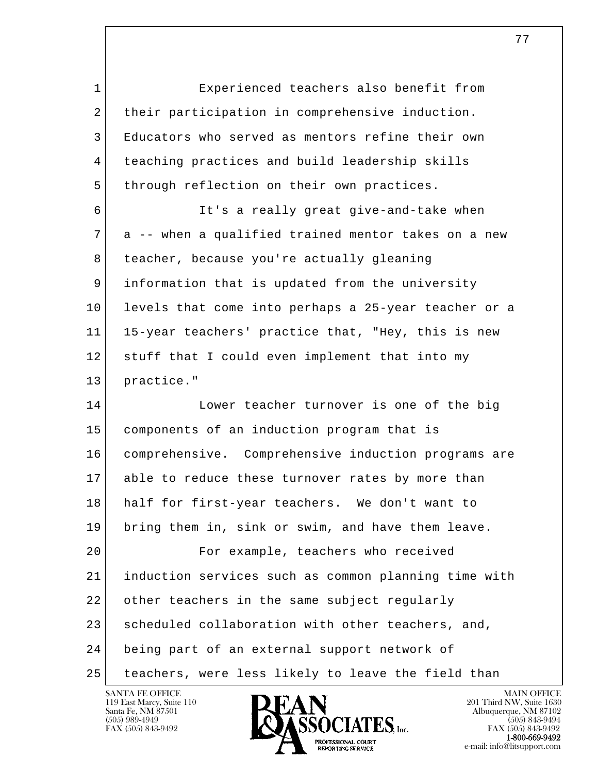l  $\overline{\phantom{a}}$  1 Experienced teachers also benefit from 2 their participation in comprehensive induction. 3 Educators who served as mentors refine their own 4 teaching practices and build leadership skills 5 | through reflection on their own practices. 6 It's a really great give-and-take when 7 a -- when a qualified trained mentor takes on a new 8 teacher, because you're actually gleaning 9 information that is updated from the university 10 levels that come into perhaps a 25-year teacher or a 11 15-year teachers' practice that, "Hey, this is new 12 stuff that I could even implement that into my 13 practice." 14 Lower teacher turnover is one of the big 15 components of an induction program that is 16 comprehensive. Comprehensive induction programs are 17 able to reduce these turnover rates by more than 18 half for first-year teachers. We don't want to 19 bring them in, sink or swim, and have them leave. 20 For example, teachers who received 21 induction services such as common planning time with 22 other teachers in the same subject regularly 23 scheduled collaboration with other teachers, and, 24 being part of an external support network of 25 teachers, were less likely to leave the field than



FAX (505) 843-9492<br>**1-800-669-9492**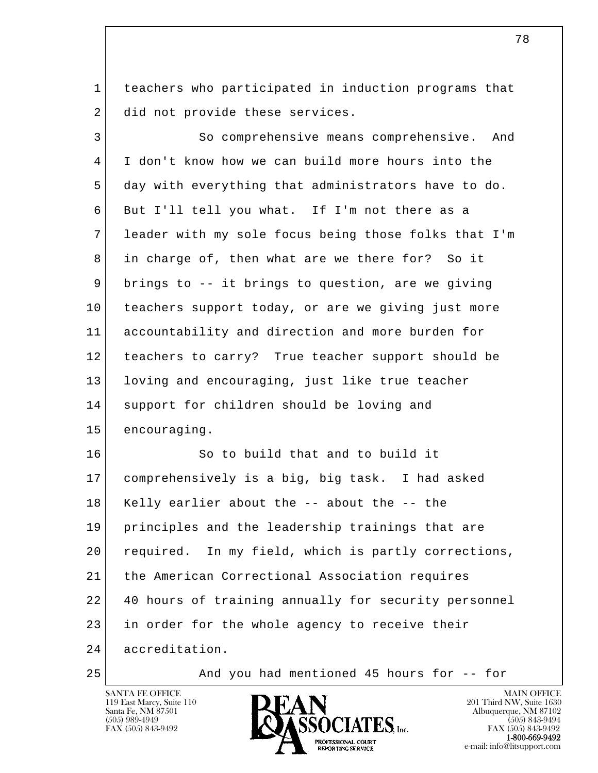1 teachers who participated in induction programs that 2 did not provide these services.

| 3  | So comprehensive means comprehensive. And            |
|----|------------------------------------------------------|
| 4  | I don't know how we can build more hours into the    |
| 5  | day with everything that administrators have to do.  |
| 6  | But I'll tell you what. If I'm not there as a        |
| 7  | leader with my sole focus being those folks that I'm |
| 8  | in charge of, then what are we there for? So it      |
| 9  | brings to -- it brings to question, are we giving    |
| 10 | teachers support today, or are we giving just more   |
| 11 | accountability and direction and more burden for     |
| 12 | teachers to carry? True teacher support should be    |
| 13 | loving and encouraging, just like true teacher       |
| 14 | support for children should be loving and            |
| 15 | encouraging.                                         |
| 16 | So to build that and to build it                     |
| 17 | comprehensively is a big, big task. I had asked      |
| 18 | Kelly earlier about the -- about the -- the          |
| 19 | principles and the leadership trainings that are     |
| 20 | required. In my field, which is partly corrections,  |
| 21 | the American Correctional Association requires       |
| 22 | 40 hours of training annually for security personnel |
| 23 | in order for the whole agency to receive their       |
| 24 | accreditation.                                       |

25 | And you had mentioned 45 hours for -- for



e-mail: info@litsupport.com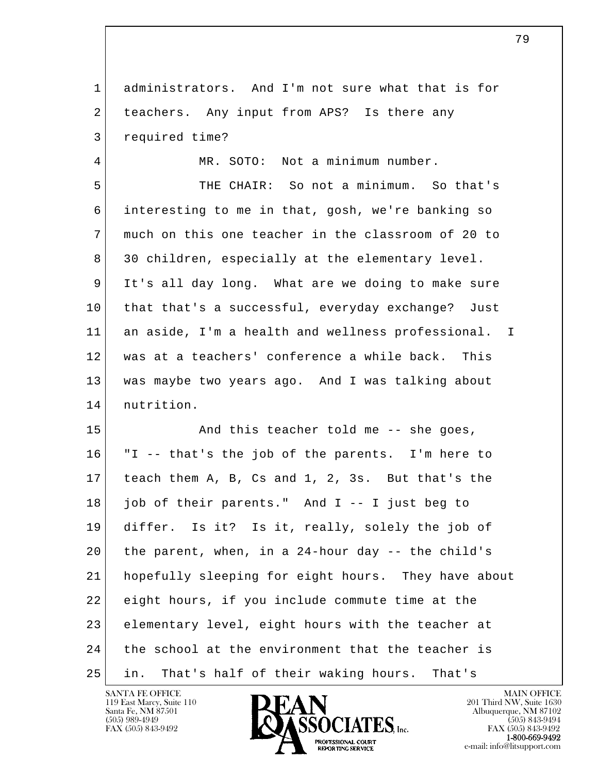1 administrators. And I'm not sure what that is for 2 teachers. Any input from APS? Is there any 3 required time?

4 MR. SOTO: Not a minimum number.

 5 THE CHAIR: So not a minimum. So that's 6 interesting to me in that, gosh, we're banking so 7 much on this one teacher in the classroom of 20 to 8 30 children, especially at the elementary level. 9 It's all day long. What are we doing to make sure 10 that that's a successful, everyday exchange? Just 11 an aside, I'm a health and wellness professional. I 12 was at a teachers' conference a while back. This 13 was maybe two years ago. And I was talking about 14 nutrition.

l  $\overline{\phantom{a}}$ 15 And this teacher told me -- she goes, 16 "I -- that's the job of the parents. I'm here to 17 teach them A, B, Cs and 1, 2, 3s. But that's the 18 job of their parents." And I -- I just beg to 19 differ. Is it? Is it, really, solely the job of 20 the parent, when, in a 24-hour day -- the child's 21 hopefully sleeping for eight hours. They have about 22 eight hours, if you include commute time at the 23 elementary level, eight hours with the teacher at 24 the school at the environment that the teacher is 25 in. That's half of their waking hours. That's

119 East Marcy, Suite 110<br>Santa Fe, NM 87501



FAX (505) 843-9492<br>**1-800-669-9492**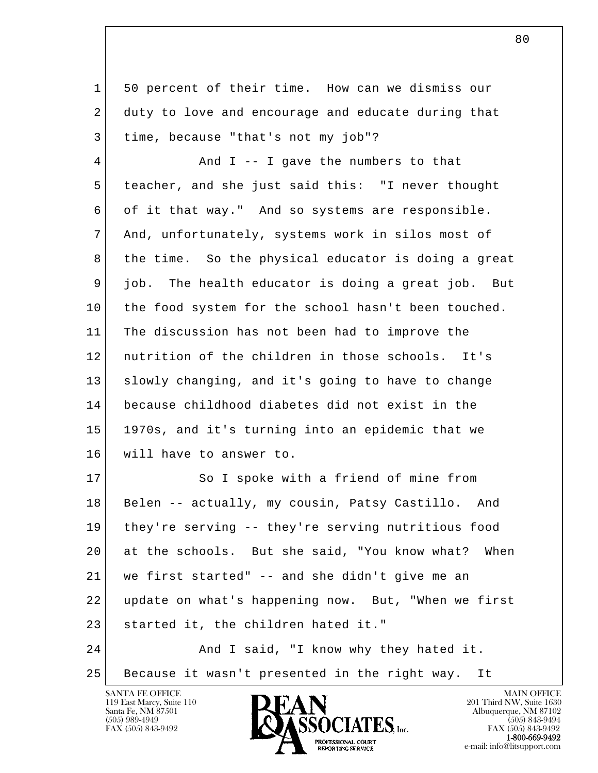1 50 percent of their time. How can we dismiss our 2 duty to love and encourage and educate during that 3 time, because "that's not my job"?

4 And I -- I gave the numbers to that 5 teacher, and she just said this: "I never thought 6 of it that way." And so systems are responsible. 7 And, unfortunately, systems work in silos most of 8 | the time. So the physical educator is doing a great 9 job. The health educator is doing a great job. But 10 the food system for the school hasn't been touched. 11 The discussion has not been had to improve the 12 nutrition of the children in those schools. It's 13 | slowly changing, and it's going to have to change 14 because childhood diabetes did not exist in the 15 1970s, and it's turning into an epidemic that we 16 will have to answer to.

l  $\overline{\phantom{a}}$ 17 So I spoke with a friend of mine from 18 Belen -- actually, my cousin, Patsy Castillo. And 19 they're serving -- they're serving nutritious food 20 at the schools. But she said, "You know what? When 21 we first started" -- and she didn't give me an 22 update on what's happening now. But, "When we first 23 started it, the children hated it." 24 And I said, "I know why they hated it.

25 Because it wasn't presented in the right way. It

119 East Marcy, Suite 110<br>Santa Fe, NM 87501

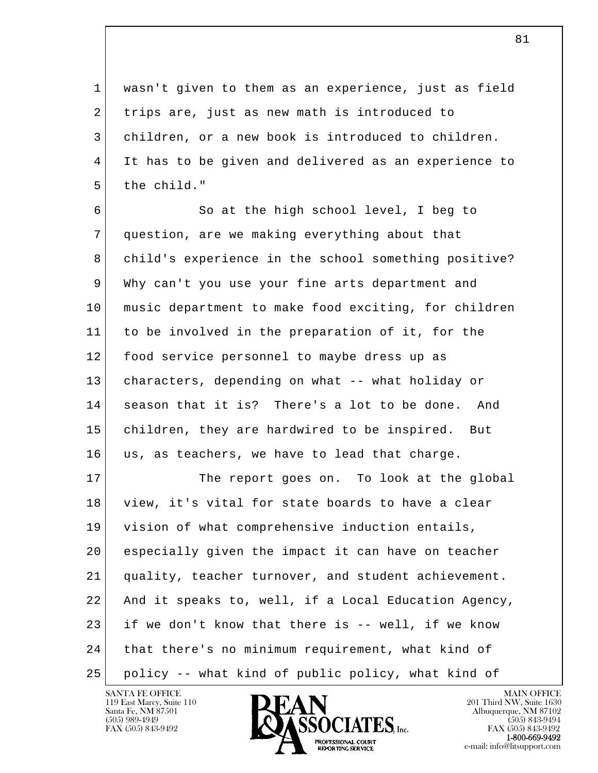1 wasn't given to them as an experience, just as field 2 trips are, just as new math is introduced to 3 children, or a new book is introduced to children. 4 It has to be given and delivered as an experience to 5 the child."

6 So at the high school level, I beg to 7 question, are we making everything about that 8 child's experience in the school something positive? 9 Why can't you use your fine arts department and 10 music department to make food exciting, for children 11 to be involved in the preparation of it, for the 12 food service personnel to maybe dress up as 13 characters, depending on what -- what holiday or 14 season that it is? There's a lot to be done. And 15 children, they are hardwired to be inspired. But 16 us, as teachers, we have to lead that charge.

l  $\overline{\phantom{a}}$ 17 The report goes on. To look at the global 18 view, it's vital for state boards to have a clear 19 vision of what comprehensive induction entails, 20 especially given the impact it can have on teacher 21 quality, teacher turnover, and student achievement. 22 And it speaks to, well, if a Local Education Agency, 23 if we don't know that there is -- well, if we know 24 that there's no minimum requirement, what kind of 25 policy -- what kind of public policy, what kind of



FAX (505) 843-9492<br>**1-800-669-9492**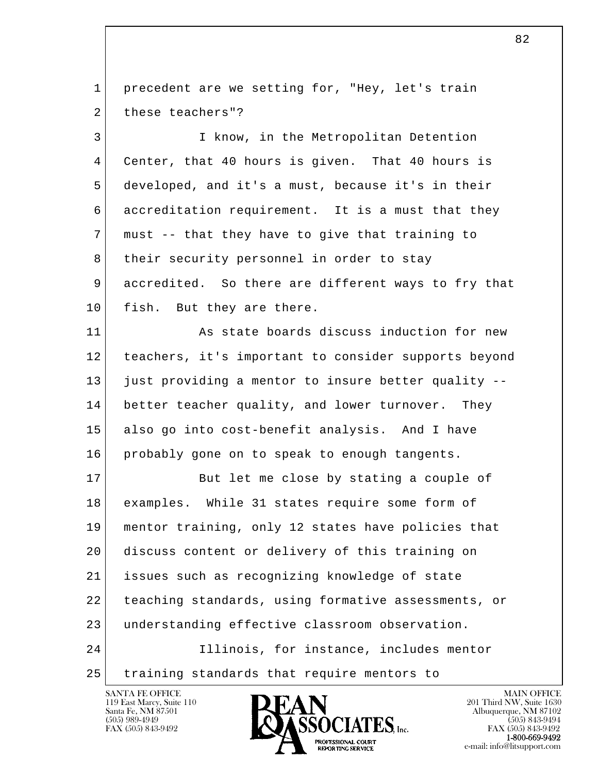1 | precedent are we setting for, "Hey, let's train 2 these teachers"?

 3 I know, in the Metropolitan Detention 4 Center, that 40 hours is given. That 40 hours is 5 developed, and it's a must, because it's in their 6 accreditation requirement. It is a must that they 7 must -- that they have to give that training to 8 | their security personnel in order to stay 9 accredited. So there are different ways to fry that 10 fish. But they are there.

 11 As state boards discuss induction for new 12 teachers, it's important to consider supports beyond 13 just providing a mentor to insure better quality -- 14 better teacher quality, and lower turnover. They 15 also go into cost-benefit analysis. And I have 16 probably gone on to speak to enough tangents.

l  $\overline{\phantom{a}}$ 17 But let me close by stating a couple of 18 examples. While 31 states require some form of 19 mentor training, only 12 states have policies that 20 discuss content or delivery of this training on 21 issues such as recognizing knowledge of state 22 teaching standards, using formative assessments, or 23 understanding effective classroom observation. 24 Illinois, for instance, includes mentor 25 training standards that require mentors to

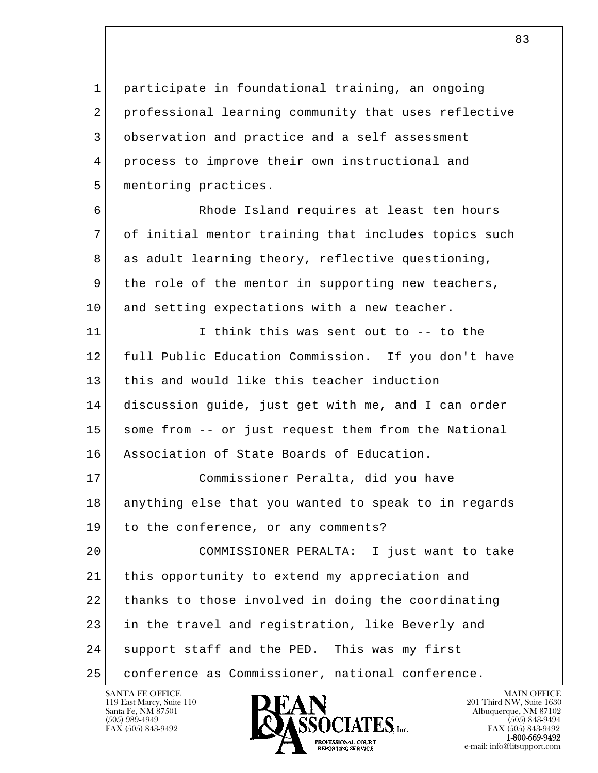1 participate in foundational training, an ongoing 2 professional learning community that uses reflective 3 observation and practice and a self assessment 4 process to improve their own instructional and 5 mentoring practices.

 6 Rhode Island requires at least ten hours 7 of initial mentor training that includes topics such 8 as adult learning theory, reflective questioning, 9 the role of the mentor in supporting new teachers, 10 and setting expectations with a new teacher.

11 I think this was sent out to -- to the 12 full Public Education Commission. If you don't have 13 this and would like this teacher induction 14 discussion guide, just get with me, and I can order 15 some from -- or just request them from the National 16 Association of State Boards of Education.

 17 Commissioner Peralta, did you have 18 anything else that you wanted to speak to in regards 19 to the conference, or any comments?

l  $\overline{\phantom{a}}$  20 COMMISSIONER PERALTA: I just want to take 21 this opportunity to extend my appreciation and 22 thanks to those involved in doing the coordinating 23 in the travel and registration, like Beverly and 24 support staff and the PED. This was my first 25 conference as Commissioner, national conference.

119 East Marcy, Suite 110<br>Santa Fe, NM 87501

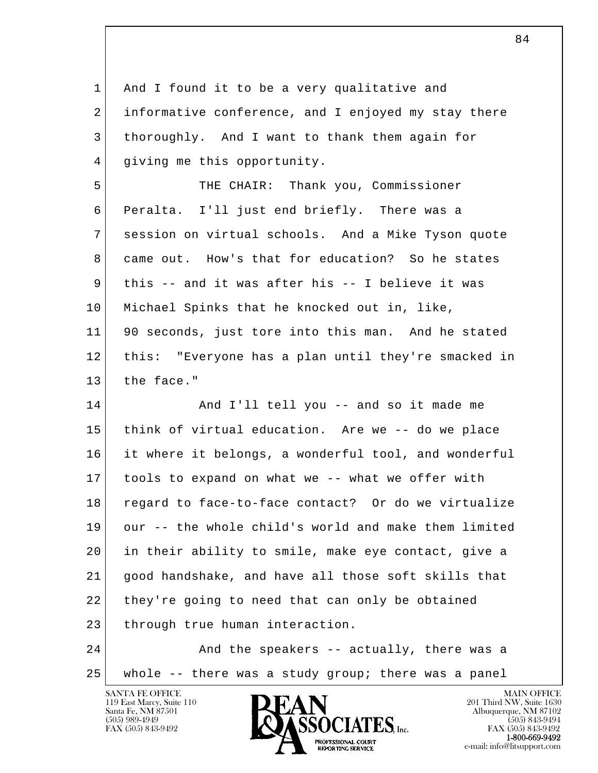l  $\overline{\phantom{a}}$  1 And I found it to be a very qualitative and 2 informative conference, and I enjoyed my stay there 3 thoroughly. And I want to thank them again for 4 giving me this opportunity. 5 THE CHAIR: Thank you, Commissioner 6 Peralta. I'll just end briefly. There was a 7 session on virtual schools. And a Mike Tyson quote 8 came out. How's that for education? So he states 9 this -- and it was after his -- I believe it was 10 Michael Spinks that he knocked out in, like, 11 90 seconds, just tore into this man. And he stated 12 this: "Everyone has a plan until they're smacked in 13 the face." 14 And I'll tell you -- and so it made me 15 think of virtual education. Are we -- do we place 16 it where it belongs, a wonderful tool, and wonderful 17 tools to expand on what we -- what we offer with 18 regard to face-to-face contact? Or do we virtualize 19 our -- the whole child's world and make them limited 20 in their ability to smile, make eye contact, give a 21 good handshake, and have all those soft skills that 22 they're going to need that can only be obtained 23 through true human interaction. 24 And the speakers -- actually, there was a 25 whole -- there was a study group; there was a panel

119 East Marcy, Suite 110<br>Santa Fe, NM 87501

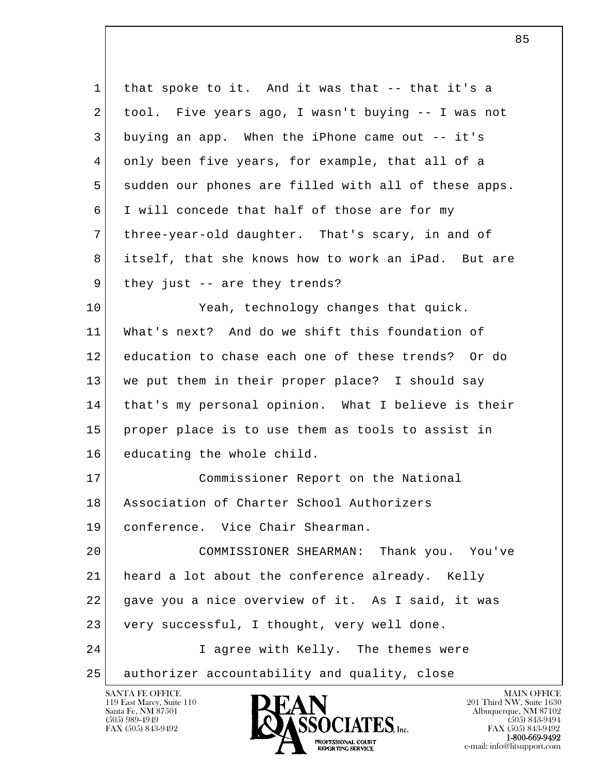| 1  | that spoke to it. And it was that -- that it's a     |
|----|------------------------------------------------------|
| 2  | tool. Five years ago, I wasn't buying -- I was not   |
| 3  | buying an app. When the iPhone came out -- it's      |
| 4  | only been five years, for example, that all of a     |
| 5  | sudden our phones are filled with all of these apps. |
| 6  | I will concede that half of those are for my         |
| 7  | three-year-old daughter. That's scary, in and of     |
| 8  | itself, that she knows how to work an iPad. But are  |
| 9  | they just -- are they trends?                        |
| 10 | Yeah, technology changes that quick.                 |
| 11 | What's next? And do we shift this foundation of      |
| 12 | education to chase each one of these trends? Or do   |
| 13 | we put them in their proper place? I should say      |
| 14 | that's my personal opinion. What I believe is their  |
| 15 | proper place is to use them as tools to assist in    |
| 16 | educating the whole child.                           |
| 17 | Commissioner Report on the National                  |
| 18 | Association of Charter School Authorizers            |
| 19 | conference. Vice Chair Shearman.                     |
| 20 | COMMISSIONER SHEARMAN:<br>Thank you. You've          |
| 21 | heard a lot about the conference already. Kelly      |
| 22 | gave you a nice overview of it. As I said, it was    |
| 23 | very successful, I thought, very well done.          |
| 24 | I agree with Kelly. The themes were                  |
| 25 | authorizer accountability and quality, close         |
|    | SANTA FE OFFICE<br><b>MAIN OFFICE</b>                |

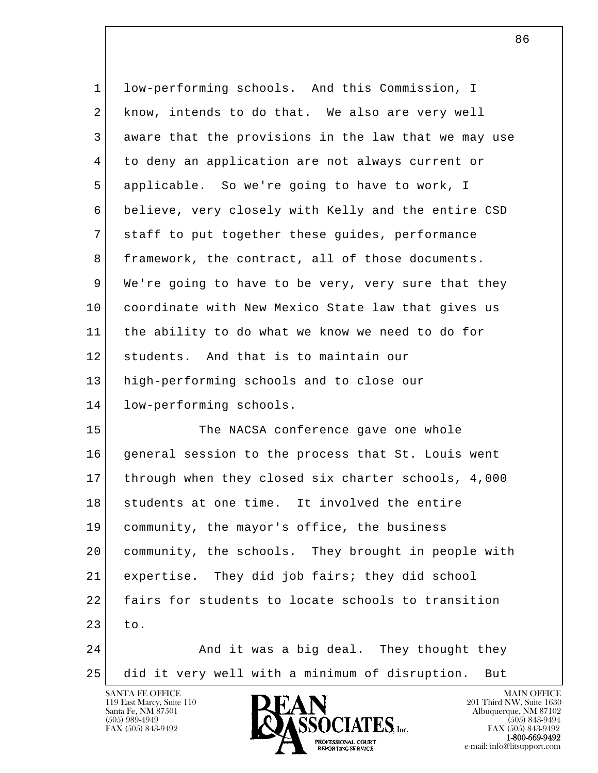| $\mathbf{1}$   | low-performing schools. And this Commission, I        |
|----------------|-------------------------------------------------------|
| 2              | know, intends to do that. We also are very well       |
| 3              | aware that the provisions in the law that we may use  |
| $\overline{4}$ | to deny an application are not always current or      |
| 5              | applicable. So we're going to have to work, I         |
| 6              | believe, very closely with Kelly and the entire CSD   |
| 7              | staff to put together these guides, performance       |
| 8              | framework, the contract, all of those documents.      |
| 9              | We're going to have to be very, very sure that they   |
| 10             | coordinate with New Mexico State law that gives us    |
| 11             | the ability to do what we know we need to do for      |
| 12             | students. And that is to maintain our                 |
| 13             | high-performing schools and to close our              |
| 14             | low-performing schools.                               |
| 15             | The NACSA conference gave one whole                   |
| 16             | general session to the process that St. Louis went    |
| 17             | through when they closed six charter schools, 4,000   |
| 18             | students at one time. It involved the entire          |
| 19             | community, the mayor's office, the business           |
| 20             | community, the schools. They brought in people with   |
| 21             | expertise. They did job fairs; they did school        |
| 22             | fairs for students to locate schools to transition    |
| 23             | to.                                                   |
| 24             | And it was a big deal. They thought they              |
| 25             | did it very well with a minimum of disruption.<br>But |
|                |                                                       |

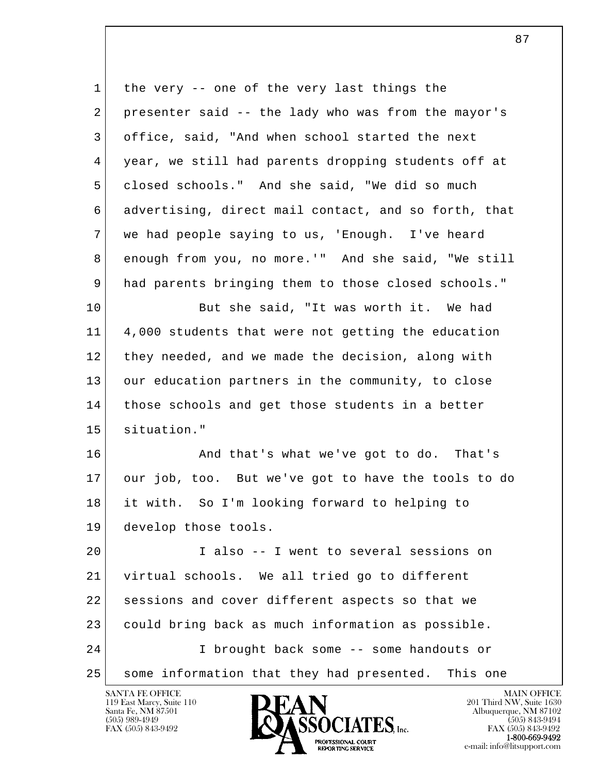l  $\overline{\phantom{a}}$ 1 the very -- one of the very last things the 2 presenter said -- the lady who was from the mayor's 3 office, said, "And when school started the next 4 year, we still had parents dropping students off at 5 closed schools." And she said, "We did so much 6 advertising, direct mail contact, and so forth, that 7 we had people saying to us, 'Enough. I've heard 8 enough from you, no more.'" And she said, "We still 9 had parents bringing them to those closed schools." 10 But she said, "It was worth it. We had 11 4,000 students that were not getting the education 12 they needed, and we made the decision, along with 13 our education partners in the community, to close 14 those schools and get those students in a better 15 situation." 16 | And that's what we've got to do. That's 17 our job, too. But we've got to have the tools to do 18 it with. So I'm looking forward to helping to 19 develop those tools. 20 I also -- I went to several sessions on 21 virtual schools. We all tried go to different 22 sessions and cover different aspects so that we 23 could bring back as much information as possible. 24 I brought back some -- some handouts or 25 some information that they had presented. This one

119 East Marcy, Suite 110<br>Santa Fe, NM 87501

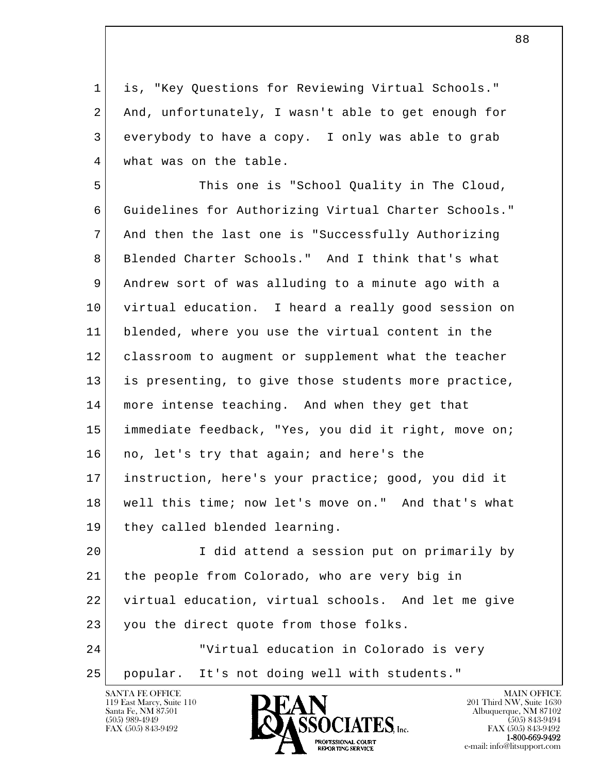1 is, "Key Questions for Reviewing Virtual Schools." 2 And, unfortunately, I wasn't able to get enough for 3 everybody to have a copy. I only was able to grab 4 what was on the table.

5 This one is "School Quality in The Cloud, 6 Guidelines for Authorizing Virtual Charter Schools." 7 And then the last one is "Successfully Authorizing 8 Blended Charter Schools." And I think that's what 9 Andrew sort of was alluding to a minute ago with a 10 virtual education. I heard a really good session on 11 blended, where you use the virtual content in the 12 classroom to augment or supplement what the teacher 13 is presenting, to give those students more practice, 14 more intense teaching. And when they get that 15 immediate feedback, "Yes, you did it right, move on; 16 no, let's try that again; and here's the 17 instruction, here's your practice; good, you did it 18 well this time; now let's move on." And that's what 19 they called blended learning.

l  $\overline{\phantom{a}}$  20 I did attend a session put on primarily by 21 the people from Colorado, who are very big in 22 virtual education, virtual schools. And let me give 23 you the direct quote from those folks. 24 "Virtual education in Colorado is very 25 popular. It's not doing well with students."

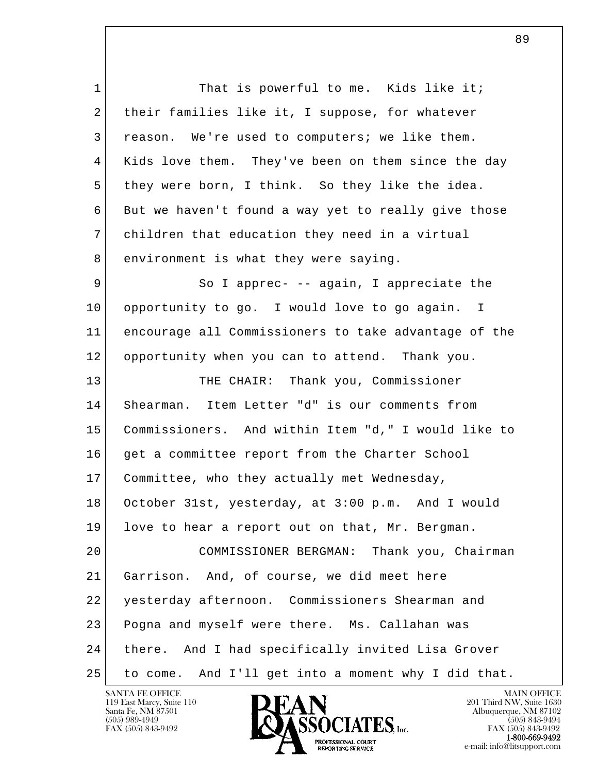l  $\overline{\phantom{a}}$ 1 That is powerful to me. Kids like it; 2 their families like it, I suppose, for whatever 3 reason. We're used to computers; we like them. 4 Kids love them. They've been on them since the day 5 they were born, I think. So they like the idea. 6 But we haven't found a way yet to really give those 7 children that education they need in a virtual 8 environment is what they were saying. 9 So I apprec- -- again, I appreciate the 10 | opportunity to go. I would love to go again. I 11 encourage all Commissioners to take advantage of the 12 opportunity when you can to attend. Thank you. 13 THE CHAIR: Thank you, Commissioner 14 Shearman. Item Letter "d" is our comments from 15 Commissioners. And within Item "d," I would like to 16 get a committee report from the Charter School 17 Committee, who they actually met Wednesday, 18 October 31st, yesterday, at 3:00 p.m. And I would 19 love to hear a report out on that, Mr. Bergman. 20 COMMISSIONER BERGMAN: Thank you, Chairman 21 Garrison. And, of course, we did meet here 22 yesterday afternoon. Commissioners Shearman and 23 Pogna and myself were there. Ms. Callahan was 24 there. And I had specifically invited Lisa Grover 25 to come. And I'll get into a moment why I did that.

119 East Marcy, Suite 110<br>Santa Fe, NM 87501

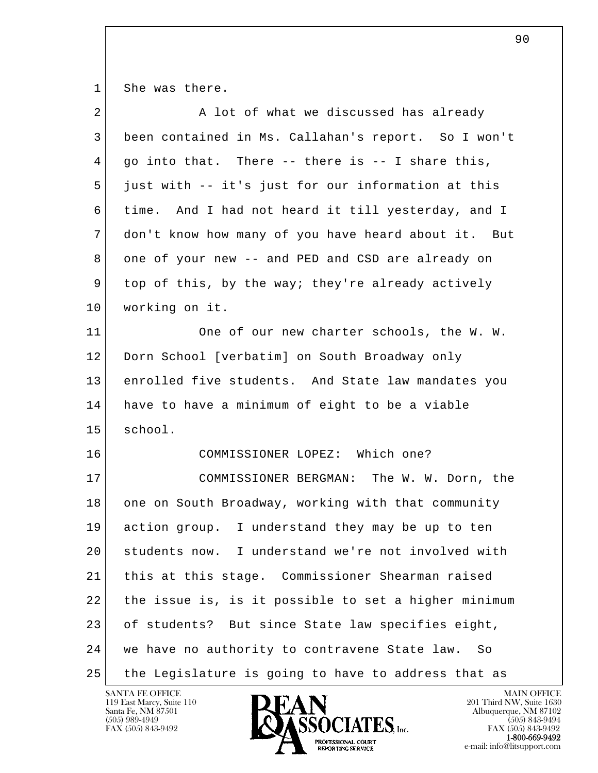1 She was there.

| $\overline{2}$ | A lot of what we discussed has already               |
|----------------|------------------------------------------------------|
| 3              | been contained in Ms. Callahan's report. So I won't  |
| 4              | go into that. There -- there is -- I share this,     |
| 5              | just with -- it's just for our information at this   |
| 6              | time. And I had not heard it till yesterday, and I   |
| 7              | don't know how many of you have heard about it. But  |
| 8              | one of your new -- and PED and CSD are already on    |
| 9              | top of this, by the way; they're already actively    |
| 10             | working on it.                                       |
| 11             | One of our new charter schools, the W. W.            |
| 12             | Dorn School [verbatim] on South Broadway only        |
| 13             | enrolled five students. And State law mandates you   |
| 14             | have to have a minimum of eight to be a viable       |
| 15             | school.                                              |
| 16             | COMMISSIONER LOPEZ: Which one?                       |
| 17             | COMMISSIONER BERGMAN: The W. W. Dorn, the            |
| 18             | one on South Broadway, working with that community   |
| 19             | action group. I understand they may be up to ten     |
| 20             | students now. I understand we're not involved with   |
| 21             | this at this stage. Commissioner Shearman raised     |
| 22             | the issue is, is it possible to set a higher minimum |
| 23             | of students? But since State law specifies eight,    |
| 24             | we have no authority to contravene State law.<br>So  |
| 25             | the Legislature is going to have to address that as  |

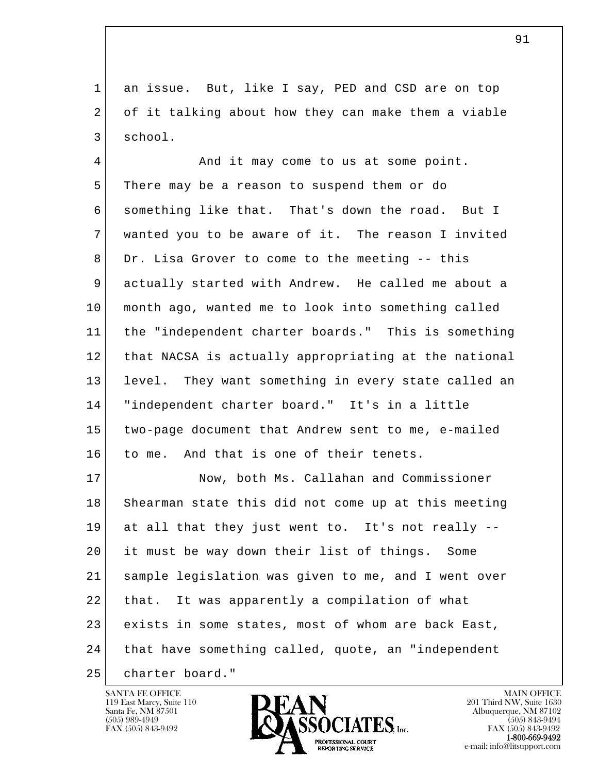1 an issue. But, like I say, PED and CSD are on top 2 of it talking about how they can make them a viable 3 school.

4 And it may come to us at some point. 5 | There may be a reason to suspend them or do 6 something like that. That's down the road. But I 7 wanted you to be aware of it. The reason I invited 8 Dr. Lisa Grover to come to the meeting -- this 9 actually started with Andrew. He called me about a 10 month ago, wanted me to look into something called 11 the "independent charter boards." This is something 12 that NACSA is actually appropriating at the national 13 level. They want something in every state called an 14 "independent charter board." It's in a little 15 two-page document that Andrew sent to me, e-mailed 16 to me. And that is one of their tenets.

l  $\overline{\phantom{a}}$ 17 Now, both Ms. Callahan and Commissioner 18 Shearman state this did not come up at this meeting 19 at all that they just went to. It's not really -- 20 it must be way down their list of things. Some 21 sample legislation was given to me, and I went over 22 that. It was apparently a compilation of what 23 exists in some states, most of whom are back East, 24 that have something called, quote, an "independent 25 charter board."

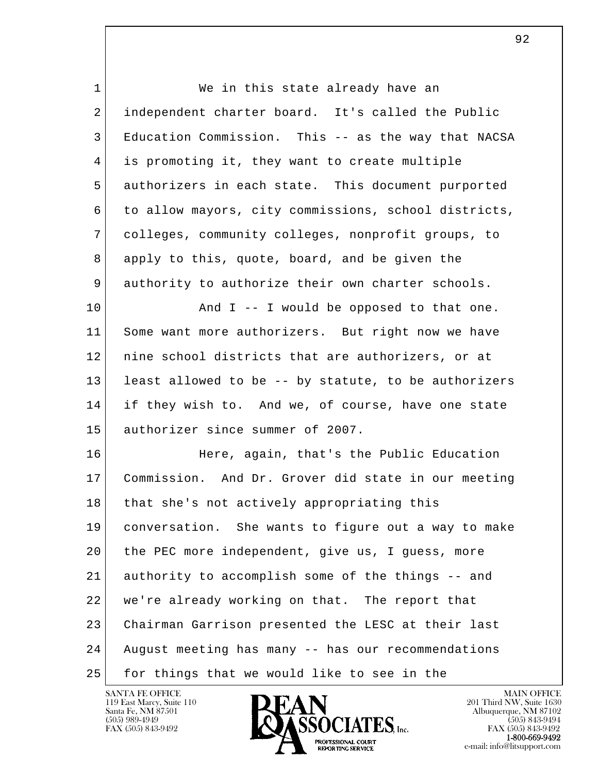| $\mathbf 1$ | We in this state already have an                     |
|-------------|------------------------------------------------------|
| 2           | independent charter board. It's called the Public    |
| 3           | Education Commission. This -- as the way that NACSA  |
| 4           | is promoting it, they want to create multiple        |
| 5           | authorizers in each state. This document purported   |
| 6           | to allow mayors, city commissions, school districts, |
| 7           | colleges, community colleges, nonprofit groups, to   |
| 8           | apply to this, quote, board, and be given the        |
| 9           | authority to authorize their own charter schools.    |
| 10          | And $I$ -- I would be opposed to that one.           |
| 11          | Some want more authorizers. But right now we have    |
| 12          | nine school districts that are authorizers, or at    |
| 13          | least allowed to be -- by statute, to be authorizers |
| 14          | if they wish to. And we, of course, have one state   |
| 15          | authorizer since summer of 2007.                     |
| 16          | Here, again, that's the Public Education             |
| 17          | Commission. And Dr. Grover did state in our meeting  |
| 18          | that she's not actively appropriating this           |
| 19          | conversation. She wants to figure out a way to make  |
| 20          | the PEC more independent, give us, I guess, more     |
| 21          | authority to accomplish some of the things -- and    |
| 22          | we're already working on that. The report that       |
| 23          | Chairman Garrison presented the LESC at their last   |
| 24          | August meeting has many -- has our recommendations   |
| 25          | for things that we would like to see in the          |

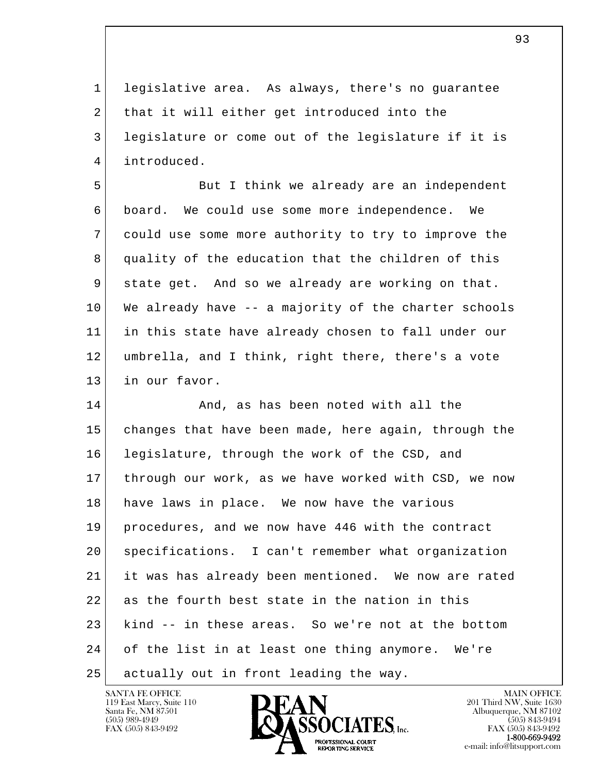1 legislative area. As always, there's no guarantee 2 that it will either get introduced into the 3 legislature or come out of the legislature if it is 4 introduced.

5 But I think we already are an independent 6 board. We could use some more independence. We 7 could use some more authority to try to improve the 8 quality of the education that the children of this 9 state get. And so we already are working on that. 10 We already have -- a majority of the charter schools 11 in this state have already chosen to fall under our 12 umbrella, and I think, right there, there's a vote 13 in our favor.

l  $\overline{\phantom{a}}$ 14 and, as has been noted with all the 15 changes that have been made, here again, through the 16 legislature, through the work of the CSD, and 17 through our work, as we have worked with CSD, we now 18 have laws in place. We now have the various 19 procedures, and we now have 446 with the contract 20 specifications. I can't remember what organization 21 it was has already been mentioned. We now are rated 22 as the fourth best state in the nation in this 23 kind -- in these areas. So we're not at the bottom 24 of the list in at least one thing anymore. We're 25 | actually out in front leading the way.

119 East Marcy, Suite 110<br>Santa Fe, NM 87501

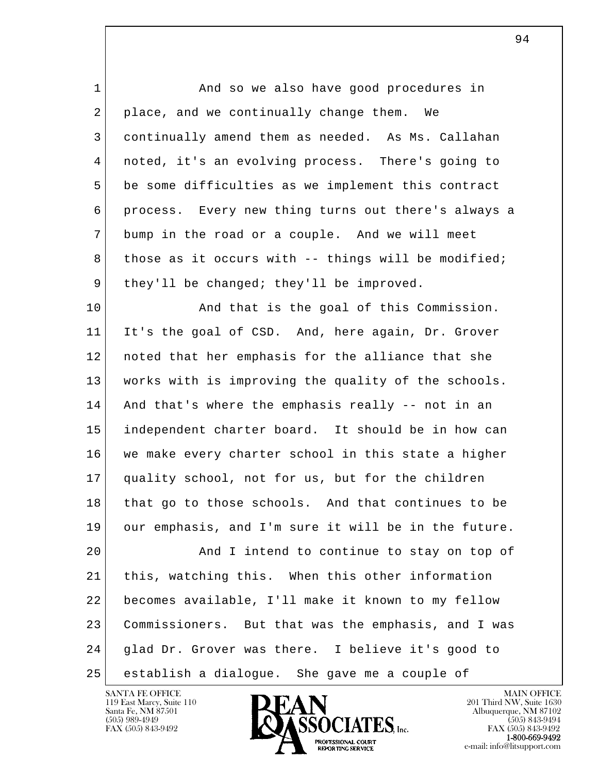l  $\overline{\phantom{a}}$ 1 and so we also have good procedures in 2 place, and we continually change them. We 3 continually amend them as needed. As Ms. Callahan 4 noted, it's an evolving process. There's going to 5 be some difficulties as we implement this contract 6 process. Every new thing turns out there's always a 7 bump in the road or a couple. And we will meet 8 those as it occurs with -- things will be modified; 9 they'll be changed; they'll be improved. 10 And that is the goal of this Commission. 11 It's the goal of CSD. And, here again, Dr. Grover 12 noted that her emphasis for the alliance that she 13 works with is improving the quality of the schools. 14 And that's where the emphasis really -- not in an 15 independent charter board. It should be in how can 16 we make every charter school in this state a higher 17 quality school, not for us, but for the children 18 that go to those schools. And that continues to be 19 our emphasis, and I'm sure it will be in the future. 20 And I intend to continue to stay on top of 21 this, watching this. When this other information 22 becomes available, I'll make it known to my fellow 23 Commissioners. But that was the emphasis, and I was 24 glad Dr. Grover was there. I believe it's good to 25 establish a dialogue. She gave me a couple of

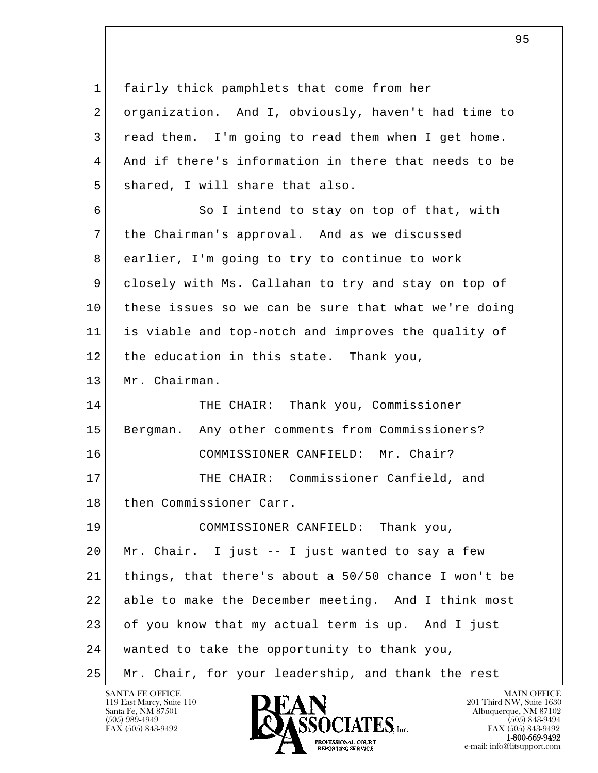l  $\overline{\phantom{a}}$  1 fairly thick pamphlets that come from her 2 organization. And I, obviously, haven't had time to 3 read them. I'm going to read them when I get home. 4 And if there's information in there that needs to be 5 shared, I will share that also. 6 So I intend to stay on top of that, with 7 the Chairman's approval. And as we discussed 8 earlier, I'm going to try to continue to work 9 closely with Ms. Callahan to try and stay on top of 10 these issues so we can be sure that what we're doing 11 is viable and top-notch and improves the quality of 12 the education in this state. Thank you, 13 Mr. Chairman. 14 THE CHAIR: Thank you, Commissioner 15 Bergman. Any other comments from Commissioners? 16 COMMISSIONER CANFIELD: Mr. Chair? 17 THE CHAIR: Commissioner Canfield, and 18 then Commissioner Carr. 19 COMMISSIONER CANFIELD: Thank you, 20 Mr. Chair. I just -- I just wanted to say a few 21 things, that there's about a 50/50 chance I won't be 22 able to make the December meeting. And I think most 23 of you know that my actual term is up. And I just 24 wanted to take the opportunity to thank you, 25 Mr. Chair, for your leadership, and thank the rest

119 East Marcy, Suite 110<br>Santa Fe, NM 87501

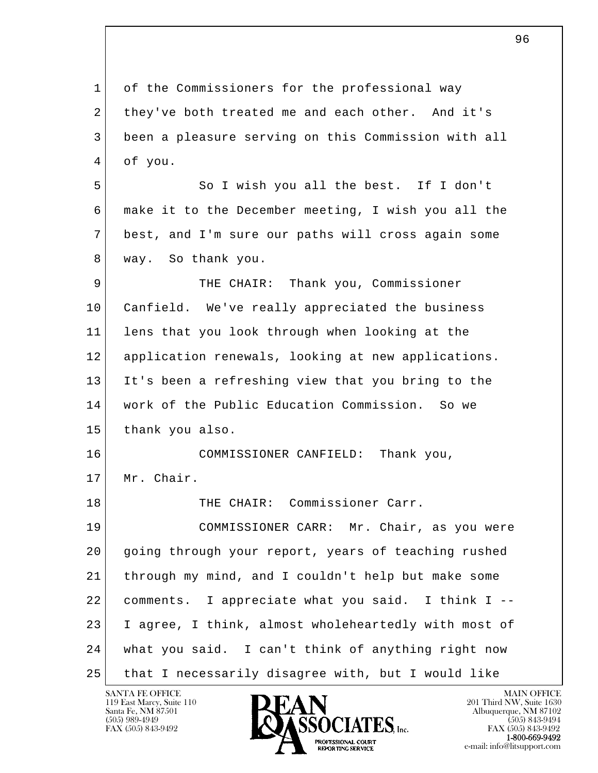l  $\overline{\phantom{a}}$  1 of the Commissioners for the professional way 2 they've both treated me and each other. And it's 3 been a pleasure serving on this Commission with all 4 of you. 5 So I wish you all the best. If I don't 6 make it to the December meeting, I wish you all the 7 best, and I'm sure our paths will cross again some 8 | way. So thank you. 9 THE CHAIR: Thank you, Commissioner 10 Canfield. We've really appreciated the business 11 lens that you look through when looking at the 12 application renewals, looking at new applications. 13 It's been a refreshing view that you bring to the 14 work of the Public Education Commission. So we 15 thank you also. 16 COMMISSIONER CANFIELD: Thank you, 17 Mr. Chair. 18 THE CHAIR: Commissioner Carr. 19 COMMISSIONER CARR: Mr. Chair, as you were 20 going through your report, years of teaching rushed 21 through my mind, and I couldn't help but make some 22 comments. I appreciate what you said. I think I -- 23 I agree, I think, almost wholeheartedly with most of 24 what you said. I can't think of anything right now 25 that I necessarily disagree with, but I would like

 $\sim$  96

119 East Marcy, Suite 110<br>Santa Fe, NM 87501

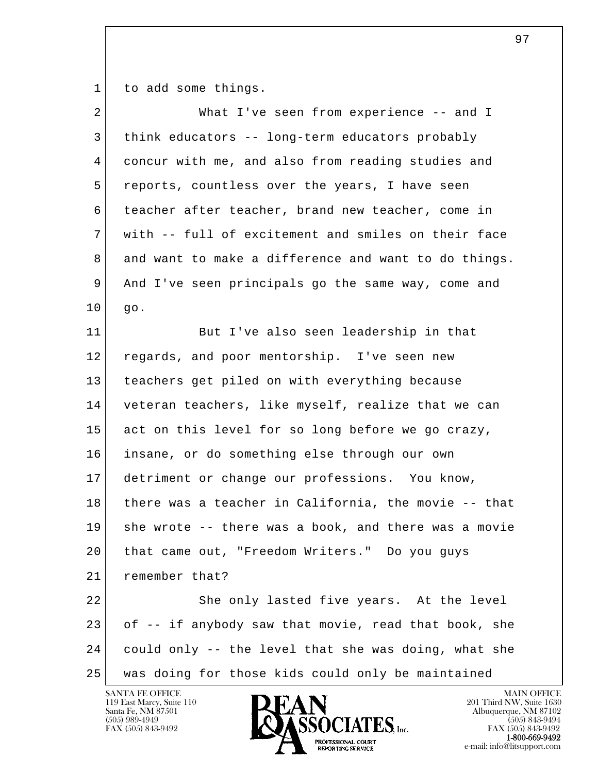1 to add some things.

| $\overline{a}$ | What I've seen from experience -- and I              |
|----------------|------------------------------------------------------|
| 3              | think educators -- long-term educators probably      |
| 4              | concur with me, and also from reading studies and    |
| 5              | reports, countless over the years, I have seen       |
| 6              | teacher after teacher, brand new teacher, come in    |
| 7              | with -- full of excitement and smiles on their face  |
| 8              | and want to make a difference and want to do things. |
| 9              | And I've seen principals go the same way, come and   |
| 10             | go.                                                  |
| 11             | But I've also seen leadership in that                |
| 12             | regards, and poor mentorship. I've seen new          |
| 13             | teachers get piled on with everything because        |
| 14             | veteran teachers, like myself, realize that we can   |
| 15             | act on this level for so long before we go crazy,    |
| 16             | insane, or do something else through our own         |
| 17             | detriment or change our professions. You know,       |
| 18             | there was a teacher in California, the movie -- that |
| 19             | she wrote -- there was a book, and there was a movie |
| 20             | that came out, "Freedom Writers." Do you guys        |
| 21             | remember that?                                       |
| 22             | She only lasted five years. At the level             |
| 23             | of -- if anybody saw that movie, read that book, she |
| 24             | could only -- the level that she was doing, what she |
| 25             | was doing for those kids could only be maintained    |

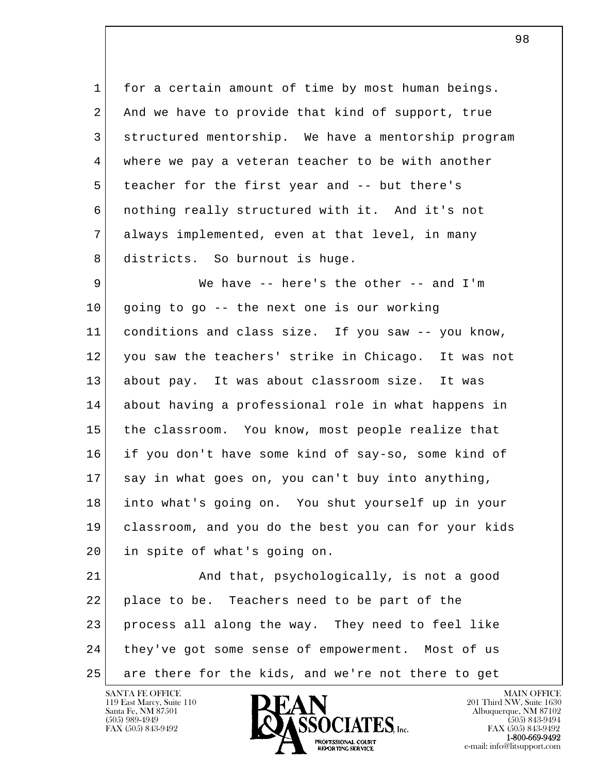1 for a certain amount of time by most human beings. 2 And we have to provide that kind of support, true 3 structured mentorship. We have a mentorship program 4 where we pay a veteran teacher to be with another 5 teacher for the first year and -- but there's 6 nothing really structured with it. And it's not 7 always implemented, even at that level, in many 8 districts. So burnout is huge.

9 | We have -- here's the other -- and I'm 10 going to go -- the next one is our working 11 conditions and class size. If you saw -- you know, 12 you saw the teachers' strike in Chicago. It was not 13 about pay. It was about classroom size. It was 14 about having a professional role in what happens in 15 the classroom. You know, most people realize that 16 if you don't have some kind of say-so, some kind of 17 say in what goes on, you can't buy into anything, 18 into what's going on. You shut yourself up in your 19 classroom, and you do the best you can for your kids 20 in spite of what's going on.

l  $\overline{\phantom{a}}$ 21 And that, psychologically, is not a good 22 place to be. Teachers need to be part of the 23 process all along the way. They need to feel like 24 they've got some sense of empowerment. Most of us 25 are there for the kids, and we're not there to get

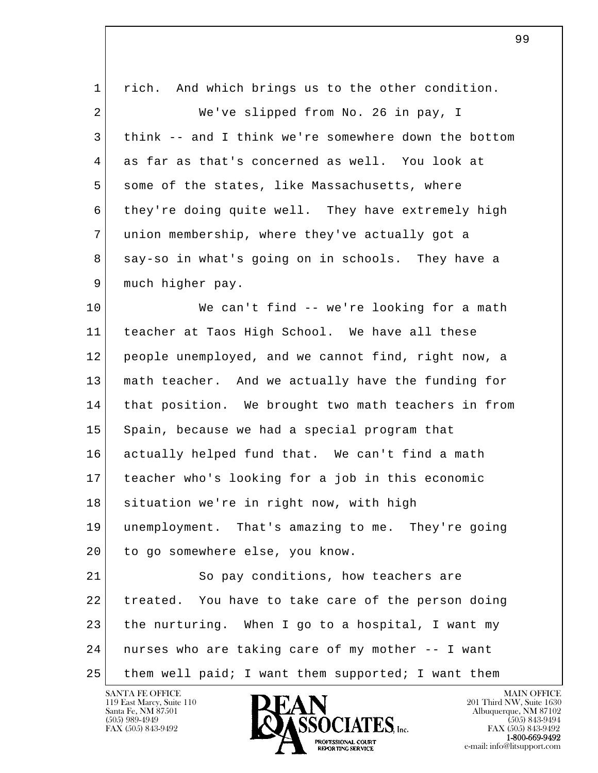| $\mathbf 1$ | rich. And which brings us to the other condition.    |
|-------------|------------------------------------------------------|
| 2           | We've slipped from No. 26 in pay, I                  |
| 3           | think -- and I think we're somewhere down the bottom |
| 4           | as far as that's concerned as well. You look at      |
| 5           | some of the states, like Massachusetts, where        |
| 6           | they're doing quite well. They have extremely high   |
| 7           | union membership, where they've actually got a       |
| 8           | say-so in what's going on in schools. They have a    |
| 9           | much higher pay.                                     |
| 10          | We can't find -- we're looking for a math            |
| 11          | teacher at Taos High School. We have all these       |
| 12          | people unemployed, and we cannot find, right now, a  |
| 13          | math teacher. And we actually have the funding for   |
| 14          | that position. We brought two math teachers in from  |
| 15          | Spain, because we had a special program that         |
| 16          | actually helped fund that. We can't find a math      |
| 17          | teacher who's looking for a job in this economic     |
| 18          | situation we're in right now, with high              |
| 19          | unemployment. That's amazing to me. They're going    |
| 20          | to go somewhere else, you know.                      |
| 21          | So pay conditions, how teachers are                  |
| 22          | treated. You have to take care of the person doing   |
| 23          | the nurturing. When I go to a hospital, I want my    |
| 24          | nurses who are taking care of my mother -- I want    |
| 25          | them well paid; I want them supported; I want them   |

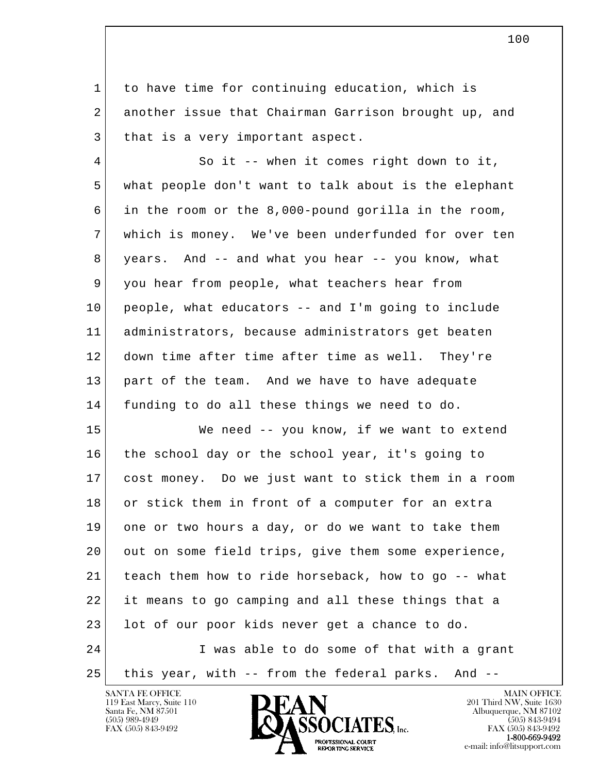1 to have time for continuing education, which is 2 another issue that Chairman Garrison brought up, and 3 | that is a very important aspect.

 4 So it -- when it comes right down to it, 5 what people don't want to talk about is the elephant 6 in the room or the 8,000-pound gorilla in the room, 7 which is money. We've been underfunded for over ten 8 years. And -- and what you hear -- you know, what 9 you hear from people, what teachers hear from 10 people, what educators -- and I'm going to include 11 administrators, because administrators get beaten 12 down time after time after time as well. They're 13 part of the team. And we have to have adequate 14 funding to do all these things we need to do.

l  $\overline{\phantom{a}}$  15 We need -- you know, if we want to extend 16 the school day or the school year, it's going to 17 cost money. Do we just want to stick them in a room 18 or stick them in front of a computer for an extra 19 one or two hours a day, or do we want to take them 20 out on some field trips, give them some experience, 21 teach them how to ride horseback, how to go -- what 22 it means to go camping and all these things that a 23 lot of our poor kids never get a chance to do. 24 I was able to do some of that with a grant 25 this year, with -- from the federal parks. And --

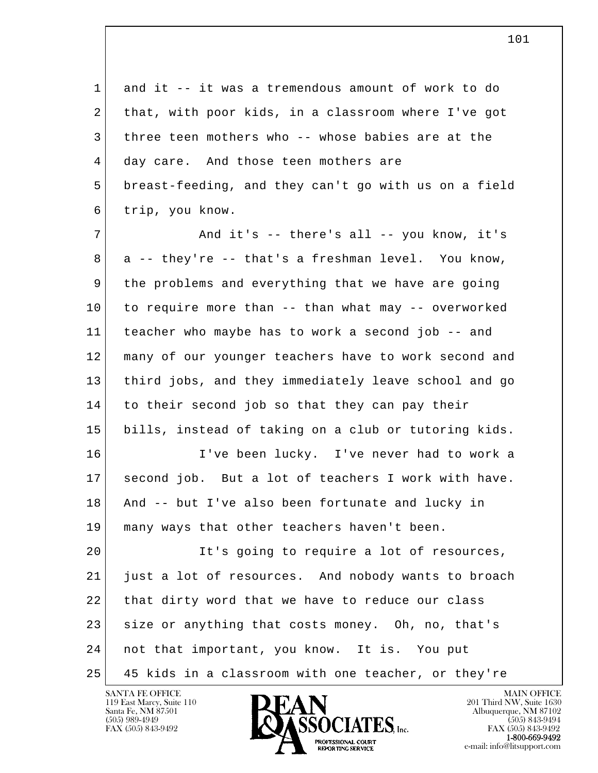l  $\overline{\phantom{a}}$  1 and it -- it was a tremendous amount of work to do 2 that, with poor kids, in a classroom where I've got 3 three teen mothers who -- whose babies are at the 4 day care. And those teen mothers are 5 breast-feeding, and they can't go with us on a field 6 trip, you know. 7 | The and it's -- there's all -- you know, it's  $8$  a -- they're -- that's a freshman level. You know, 9 the problems and everything that we have are going 10 to require more than -- than what may -- overworked 11 teacher who maybe has to work a second job -- and 12 many of our younger teachers have to work second and 13 third jobs, and they immediately leave school and go 14 to their second job so that they can pay their 15 bills, instead of taking on a club or tutoring kids. 16 I've been lucky. I've never had to work a 17 second job. But a lot of teachers I work with have. 18 And -- but I've also been fortunate and lucky in 19 many ways that other teachers haven't been. 20 It's going to require a lot of resources, 21 just a lot of resources. And nobody wants to broach 22 that dirty word that we have to reduce our class 23 size or anything that costs money. Oh, no, that's 24 not that important, you know. It is. You put 25 45 kids in a classroom with one teacher, or they're

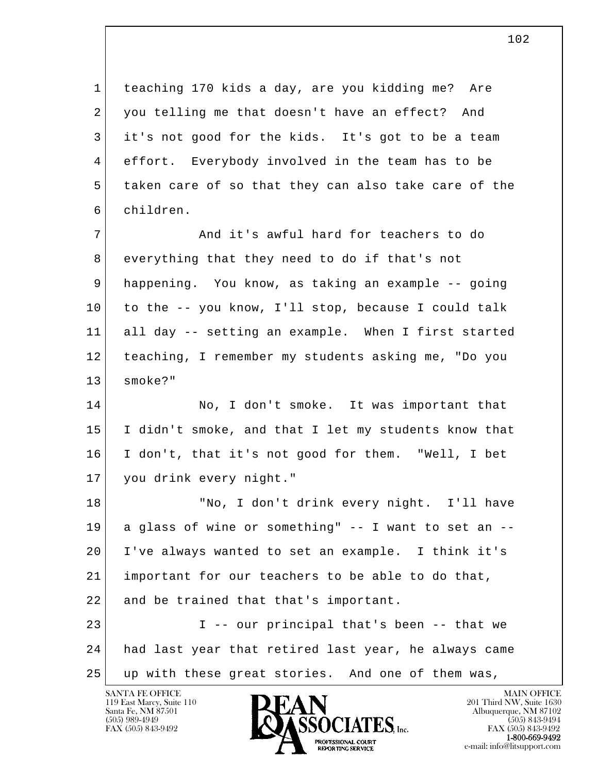1 teaching 170 kids a day, are you kidding me? Are 2 you telling me that doesn't have an effect? And 3 it's not good for the kids. It's got to be a team 4 effort. Everybody involved in the team has to be 5 taken care of so that they can also take care of the 6 children.

7 and it's awful hard for teachers to do 8 everything that they need to do if that's not 9 happening. You know, as taking an example -- going 10 to the -- you know, I'll stop, because I could talk 11 all day -- setting an example. When I first started 12 teaching, I remember my students asking me, "Do you 13 smoke?"

14 No, I don't smoke. It was important that 15 I didn't smoke, and that I let my students know that 16 I don't, that it's not good for them. "Well, I bet 17 you drink every night."

l  $\overline{\phantom{a}}$ 18 | No, I don't drink every night. I'll have 19 a glass of wine or something" -- I want to set an -- 20 I've always wanted to set an example. I think it's 21 important for our teachers to be able to do that, 22 and be trained that that's important. 23 I -- our principal that's been -- that we 24 had last year that retired last year, he always came

25 up with these great stories. And one of them was,

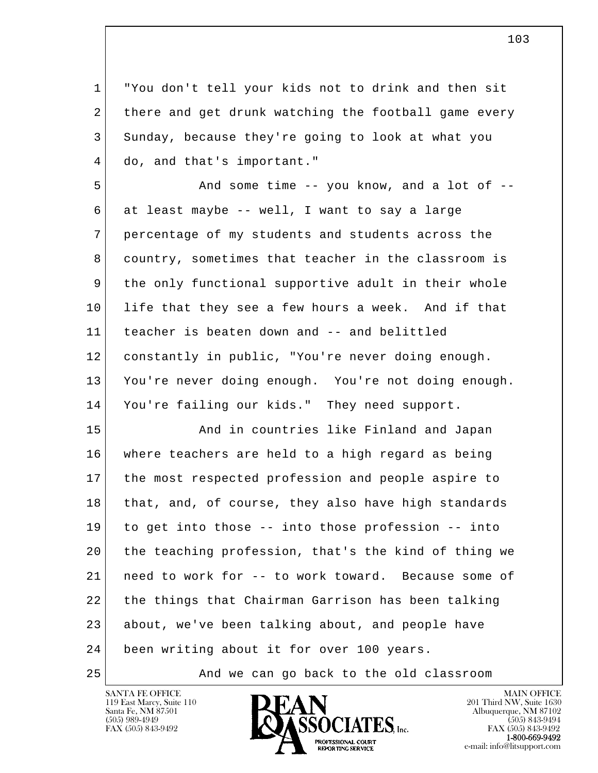1 "You don't tell your kids not to drink and then sit 2 there and get drunk watching the football game every 3 Sunday, because they're going to look at what you 4 do, and that's important."

5 And some time -- you know, and a lot of --6 at least maybe -- well, I want to say a large 7 percentage of my students and students across the 8 country, sometimes that teacher in the classroom is 9 the only functional supportive adult in their whole 10 life that they see a few hours a week. And if that 11 teacher is beaten down and -- and belittled 12 constantly in public, "You're never doing enough. 13 You're never doing enough. You're not doing enough. 14 You're failing our kids." They need support.

l  $\overline{\phantom{a}}$ 15 **And in countries like Finland and Japan**  16 where teachers are held to a high regard as being 17 the most respected profession and people aspire to 18 that, and, of course, they also have high standards 19 to get into those -- into those profession -- into 20 the teaching profession, that's the kind of thing we 21 need to work for -- to work toward. Because some of 22 the things that Chairman Garrison has been talking 23 about, we've been talking about, and people have 24 been writing about it for over 100 years.

25 And we can go back to the old classroom



FAX (505) 843-9492<br>**1-800-669-9492** e-mail: info@litsupport.com<br>REPORTING SERVICE REDUCED E-mail: info@litsupport.com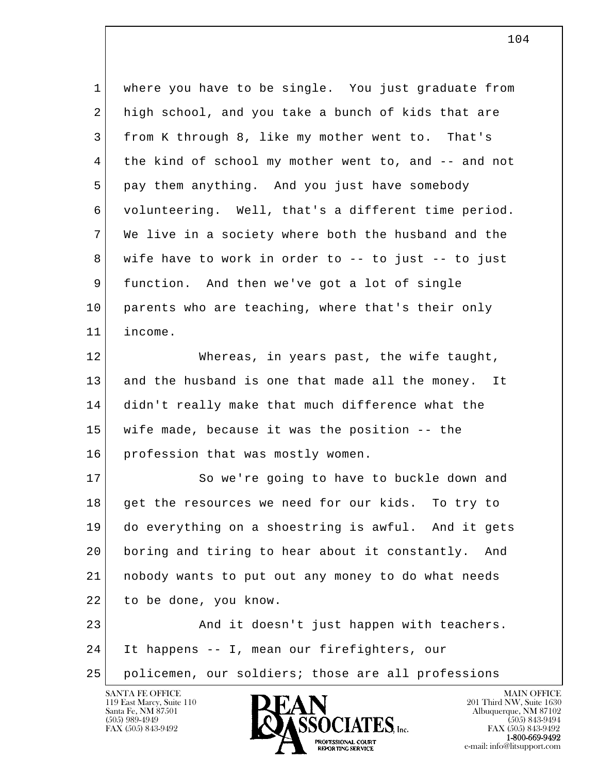1 where you have to be single. You just graduate from 2 high school, and you take a bunch of kids that are 3 from K through 8, like my mother went to. That's 4 | the kind of school my mother went to, and -- and not 5 pay them anything. And you just have somebody 6 volunteering. Well, that's a different time period. 7 We live in a society where both the husband and the 8 wife have to work in order to -- to just -- to just 9 function. And then we've got a lot of single 10 parents who are teaching, where that's their only 11 income. 12 Whereas, in years past, the wife taught,

 13 and the husband is one that made all the money. It 14 didn't really make that much difference what the 15 wife made, because it was the position -- the 16 profession that was mostly women.

17 So we're going to have to buckle down and 18 get the resources we need for our kids. To try to 19 do everything on a shoestring is awful. And it gets 20 boring and tiring to hear about it constantly. And 21 | nobody wants to put out any money to do what needs 22 to be done, you know.

l  $\overline{\phantom{a}}$  23 And it doesn't just happen with teachers. 24 It happens -- I, mean our firefighters, our 25 policemen, our soldiers; those are all professions

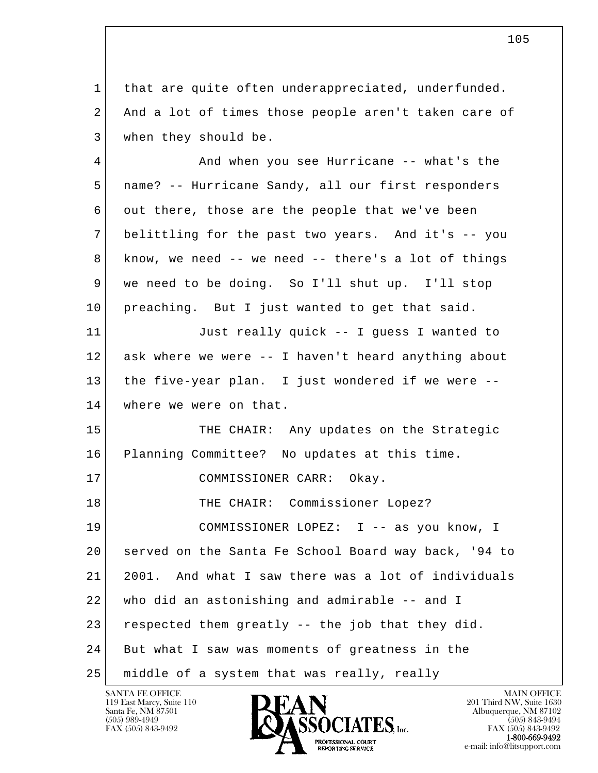1 that are quite often underappreciated, underfunded. 2 And a lot of times those people aren't taken care of 3 when they should be.

l  $\overline{\phantom{a}}$ 4 And when you see Hurricane -- what's the 5 name? -- Hurricane Sandy, all our first responders 6 | out there, those are the people that we've been 7 belittling for the past two years. And it's -- you 8 know, we need -- we need -- there's a lot of things 9 we need to be doing. So I'll shut up. I'll stop 10 | preaching. But I just wanted to get that said. 11 Just really quick -- I guess I wanted to 12 ask where we were -- I haven't heard anything about 13 the five-year plan. I just wondered if we were -- 14 where we were on that. 15 THE CHAIR: Any updates on the Strategic 16 Planning Committee? No updates at this time. 17 COMMISSIONER CARR: Okay. 18 | THE CHAIR: Commissioner Lopez? 19 | COMMISSIONER LOPEZ: I -- as you know, I 20 served on the Santa Fe School Board way back, '94 to 21 2001. And what I saw there was a lot of individuals 22 who did an astonishing and admirable -- and I 23 respected them greatly  $--$  the job that they did. 24 But what I saw was moments of greatness in the 25 middle of a system that was really, really

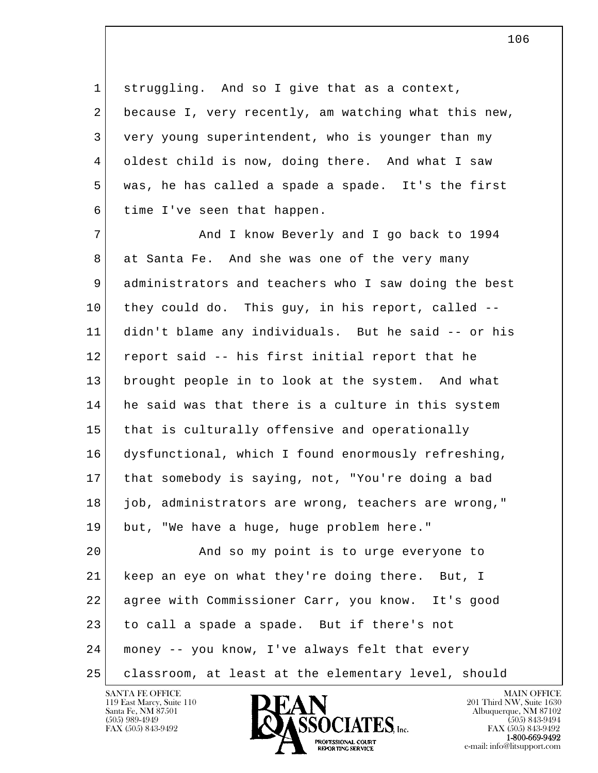1 struggling. And so I give that as a context, 2 because I, very recently, am watching what this new, 3 very young superintendent, who is younger than my 4 oldest child is now, doing there. And what I saw 5 was, he has called a spade a spade. It's the first 6 time I've seen that happen.

 7 And I know Beverly and I go back to 1994 8 at Santa Fe. And she was one of the very many 9 administrators and teachers who I saw doing the best 10 they could do. This guy, in his report, called -- 11 didn't blame any individuals. But he said -- or his 12 report said -- his first initial report that he 13 brought people in to look at the system. And what 14 he said was that there is a culture in this system 15 that is culturally offensive and operationally 16 dysfunctional, which I found enormously refreshing, 17 that somebody is saying, not, "You're doing a bad 18 job, administrators are wrong, teachers are wrong," 19 but, "We have a huge, huge problem here."

l  $\overline{\phantom{a}}$  20 And so my point is to urge everyone to 21 keep an eye on what they're doing there. But, I 22 agree with Commissioner Carr, you know. It's good 23 to call a spade a spade. But if there's not 24 money -- you know, I've always felt that every 25 classroom, at least at the elementary level, should

119 East Marcy, Suite 110<br>Santa Fe, NM 87501

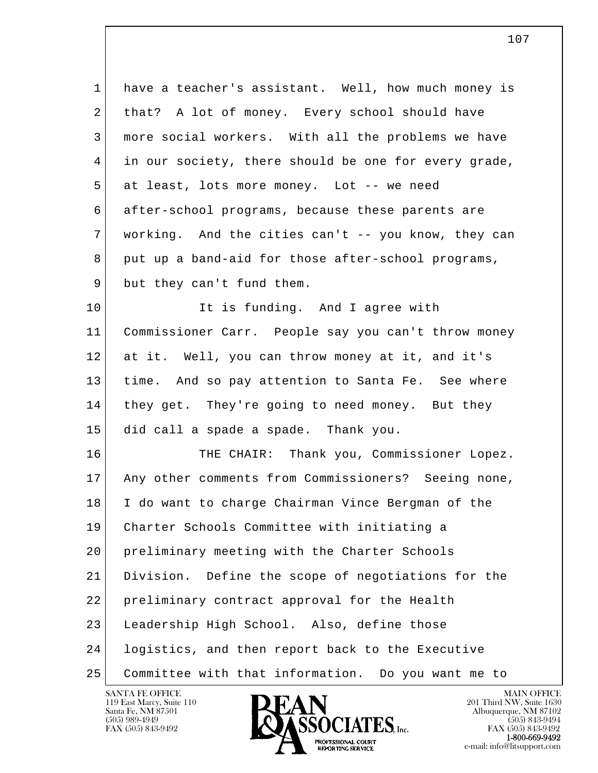| $\mathbf{1}$ | have a teacher's assistant. Well, how much money is   |
|--------------|-------------------------------------------------------|
| 2            | that? A lot of money. Every school should have        |
| 3            | more social workers. With all the problems we have    |
| 4            | in our society, there should be one for every grade,  |
| 5            | at least, lots more money. Lot -- we need             |
| 6            | after-school programs, because these parents are      |
| 7            | working. And the cities can't -- you know, they can   |
| 8            | put up a band-aid for those after-school programs,    |
| 9            | but they can't fund them.                             |
| 10           | It is funding. And I agree with                       |
| 11           | Commissioner Carr. People say you can't throw money   |
| 12           | at it. Well, you can throw money at it, and it's      |
| 13           | time. And so pay attention to Santa Fe. See where     |
| 14           | they get. They're going to need money. But they       |
| 15           | did call a spade a spade. Thank you.                  |
| 16           | THE CHAIR: Thank you, Commissioner Lopez.             |
| 17           | Any other comments from Commissioners? Seeing none,   |
| 18           | I do want to charge Chairman Vince Bergman of the     |
| 19           | Charter Schools Committee with initiating a           |
| 20           | preliminary meeting with the Charter Schools          |
| 21           | Define the scope of negotiations for the<br>Division. |
| 22           | preliminary contract approval for the Health          |
| 23           | Leadership High School. Also, define those            |
| 24           | logistics, and then report back to the Executive      |
| 25           | Committee with that information. Do you want me to    |

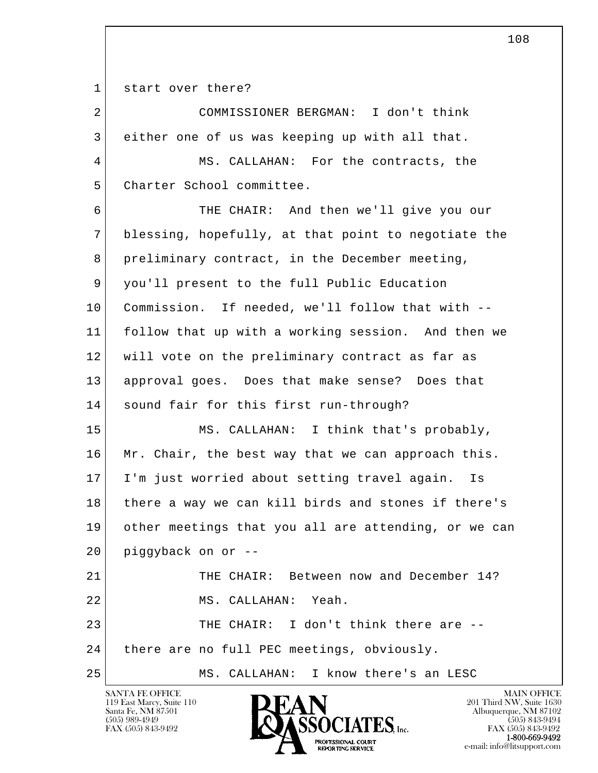1 start over there?

| $\overline{2}$ | COMMISSIONER BERGMAN: I don't think                  |
|----------------|------------------------------------------------------|
| 3              | either one of us was keeping up with all that.       |
| 4              | MS. CALLAHAN: For the contracts, the                 |
| 5              | Charter School committee.                            |
| 6              | THE CHAIR: And then we'll give you our               |
| 7              | blessing, hopefully, at that point to negotiate the  |
| 8              | preliminary contract, in the December meeting,       |
| 9              | you'll present to the full Public Education          |
| 10             | Commission. If needed, we'll follow that with --     |
| 11             | follow that up with a working session. And then we   |
| 12             | will vote on the preliminary contract as far as      |
| 13             | approval goes. Does that make sense? Does that       |
| 14             | sound fair for this first run-through?               |
| 15             | MS. CALLAHAN: I think that's probably,               |
| 16             | Mr. Chair, the best way that we can approach this.   |
| 17             | I'm just worried about setting travel again.<br>Is   |
| 18             | there a way we can kill birds and stones if there's  |
| 19             | other meetings that you all are attending, or we can |
| 20             | piggyback on or --                                   |
| 21             | THE CHAIR: Between now and December 14?              |
| 22             | MS. CALLAHAN: Yeah.                                  |
| 23             | THE CHAIR: I don't think there are --                |
| 24             | there are no full PEC meetings, obviously.           |
| 25             | MS. CALLAHAN: I know there's an LESC                 |

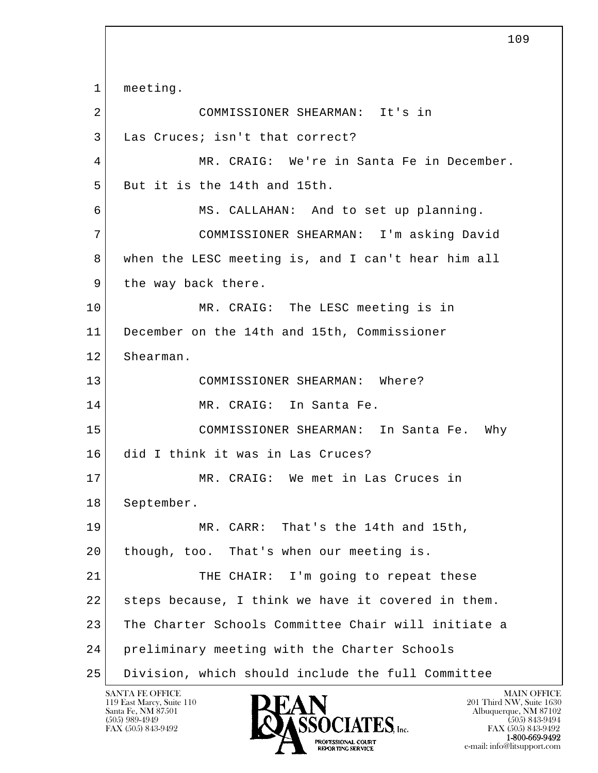l  $\overline{\phantom{a}}$  1 meeting. 2 COMMISSIONER SHEARMAN: It's in 3 Las Cruces; isn't that correct? 4 MR. CRAIG: We're in Santa Fe in December. 5 But it is the 14th and 15th. 6 MS. CALLAHAN: And to set up planning. 7 COMMISSIONER SHEARMAN: I'm asking David 8 when the LESC meeting is, and I can't hear him all 9 the way back there. 10 MR. CRAIG: The LESC meeting is in 11 December on the 14th and 15th, Commissioner 12 Shearman. 13 COMMISSIONER SHEARMAN: Where? 14 MR. CRAIG: In Santa Fe. 15 COMMISSIONER SHEARMAN: In Santa Fe. Why 16 did I think it was in Las Cruces? 17 MR. CRAIG: We met in Las Cruces in 18 September. 19 MR. CARR: That's the 14th and 15th, 20 | though, too. That's when our meeting is. 21 THE CHAIR: I'm going to repeat these 22 steps because, I think we have it covered in them. 23 | The Charter Schools Committee Chair will initiate a 24 preliminary meeting with the Charter Schools 25 Division, which should include the full Committee

 $\overline{109}$ 

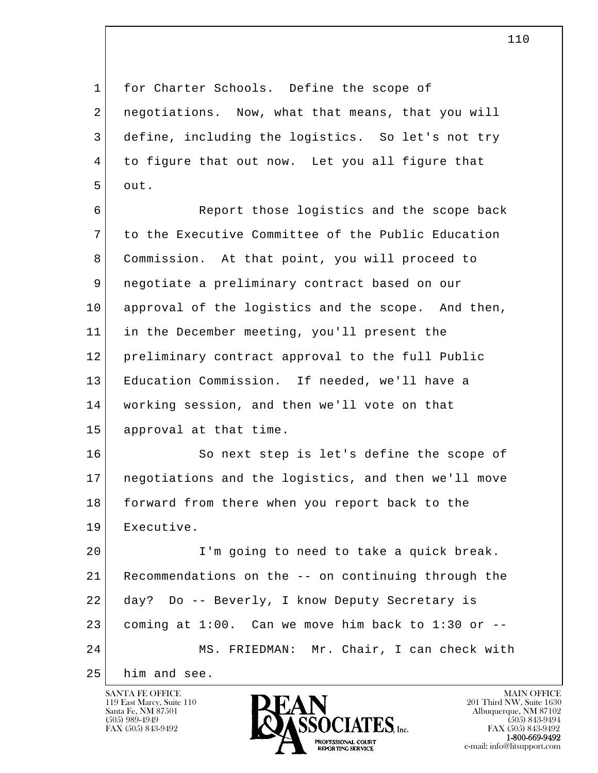1 for Charter Schools. Define the scope of 2 | negotiations. Now, what that means, that you will 3 define, including the logistics. So let's not try 4 to figure that out now. Let you all figure that 5 out.

 6 Report those logistics and the scope back 7 to the Executive Committee of the Public Education 8 Commission. At that point, you will proceed to 9 negotiate a preliminary contract based on our 10 approval of the logistics and the scope. And then, 11 in the December meeting, you'll present the 12 preliminary contract approval to the full Public 13 Education Commission. If needed, we'll have a 14 working session, and then we'll vote on that 15 approval at that time.

16 So next step is let's define the scope of 17 negotiations and the logistics, and then we'll move 18 forward from there when you report back to the 19 Executive.

l  $\overline{\phantom{a}}$  20 I'm going to need to take a quick break. 21 Recommendations on the -- on continuing through the 22 day? Do -- Beverly, I know Deputy Secretary is  $23$  coming at  $1:00$ . Can we move him back to  $1:30$  or  $-$ 24 MS. FRIEDMAN: Mr. Chair, I can check with

25 him and see.

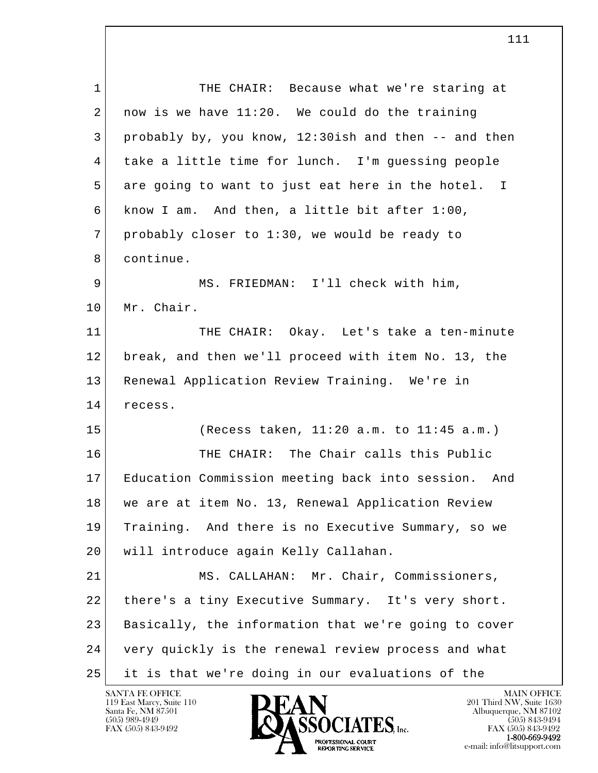l  $\overline{\phantom{a}}$ 1 THE CHAIR: Because what we're staring at  $2 \mid$  now is we have 11:20. We could do the training 3 probably by, you know, 12:30ish and then -- and then 4 take a little time for lunch. I'm guessing people 5 are going to want to just eat here in the hotel. I 6 know I am. And then, a little bit after 1:00, 7 probably closer to 1:30, we would be ready to 8 continue. 9 | MS. FRIEDMAN: I'll check with him, 10 Mr. Chair. 11 THE CHAIR: Okay. Let's take a ten-minute 12 break, and then we'll proceed with item No. 13, the 13 Renewal Application Review Training. We're in 14 recess. 15 (Recess taken, 11:20 a.m. to 11:45 a.m.) 16 THE CHAIR: The Chair calls this Public 17 Education Commission meeting back into session. And 18 we are at item No. 13, Renewal Application Review 19 Training. And there is no Executive Summary, so we 20 | will introduce again Kelly Callahan. 21 MS. CALLAHAN: Mr. Chair, Commissioners, 22 there's a tiny Executive Summary. It's very short. 23 Basically, the information that we're going to cover 24 very quickly is the renewal review process and what 25 it is that we're doing in our evaluations of the

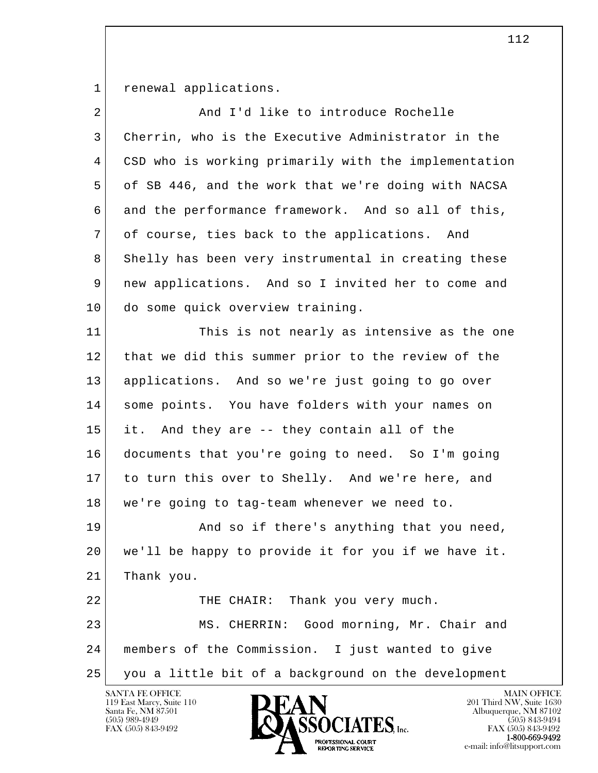1 renewal applications.

| $\overline{2}$ | And I'd like to introduce Rochelle                   |
|----------------|------------------------------------------------------|
| 3              | Cherrin, who is the Executive Administrator in the   |
| 4              | CSD who is working primarily with the implementation |
| 5              | of SB 446, and the work that we're doing with NACSA  |
| 6              | and the performance framework. And so all of this,   |
| 7              | of course, ties back to the applications. And        |
| 8              | Shelly has been very instrumental in creating these  |
| 9              | new applications. And so I invited her to come and   |
| 10             | do some quick overview training.                     |
| 11             | This is not nearly as intensive as the one           |
| 12             | that we did this summer prior to the review of the   |
| 13             | applications. And so we're just going to go over     |
| 14             | some points. You have folders with your names on     |
| 15             | And they are -- they contain all of the<br>it.       |
| 16             | documents that you're going to need. So I'm going    |
| 17             | to turn this over to Shelly. And we're here, and     |
| 18             | we're going to tag-team whenever we need to.         |
| 19             | And so if there's anything that you need,            |
| 20             | we'll be happy to provide it for you if we have it.  |
| 21             | Thank you.                                           |
| 22             | Thank you very much.<br>THE CHAIR:                   |
| 23             | MS. CHERRIN: Good morning, Mr. Chair and             |
| 24             | members of the Commission. I just wanted to give     |
| 25             | you a little bit of a background on the development  |
|                | SANTA FE OFFICE<br><b>MAIN OFFICE</b>                |

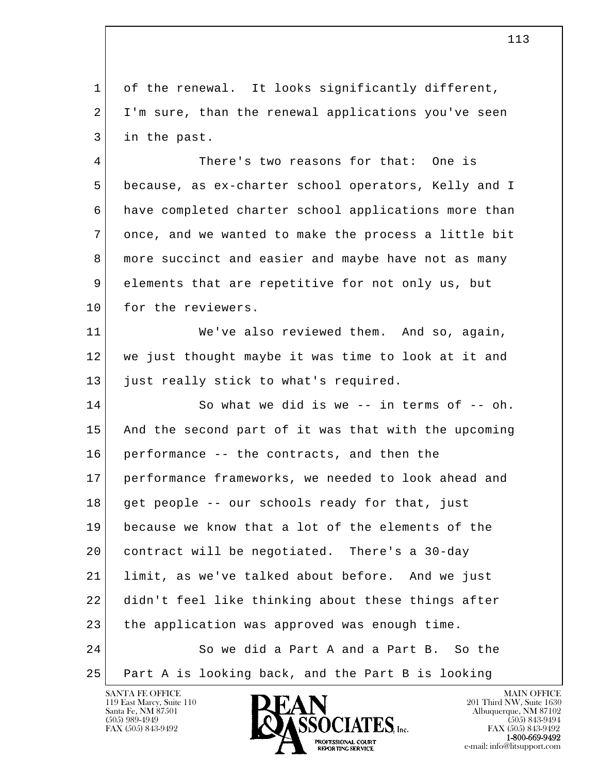1 of the renewal. It looks significantly different, 2 I'm sure, than the renewal applications you've seen 3 in the past.

 4 There's two reasons for that: One is 5 because, as ex-charter school operators, Kelly and I 6 have completed charter school applications more than 7 once, and we wanted to make the process a little bit 8 more succinct and easier and maybe have not as many 9 elements that are repetitive for not only us, but 10 for the reviewers.

 11 We've also reviewed them. And so, again, 12 we just thought maybe it was time to look at it and 13 | just really stick to what's required.

l  $\overline{\phantom{a}}$ 14 So what we did is we -- in terms of -- oh. 15 And the second part of it was that with the upcoming 16 performance -- the contracts, and then the 17 performance frameworks, we needed to look ahead and 18 get people -- our schools ready for that, just 19 because we know that a lot of the elements of the 20 contract will be negotiated. There's a 30-day 21 limit, as we've talked about before. And we just 22 didn't feel like thinking about these things after 23 the application was approved was enough time. 24 So we did a Part A and a Part B. So the 25 Part A is looking back, and the Part B is looking

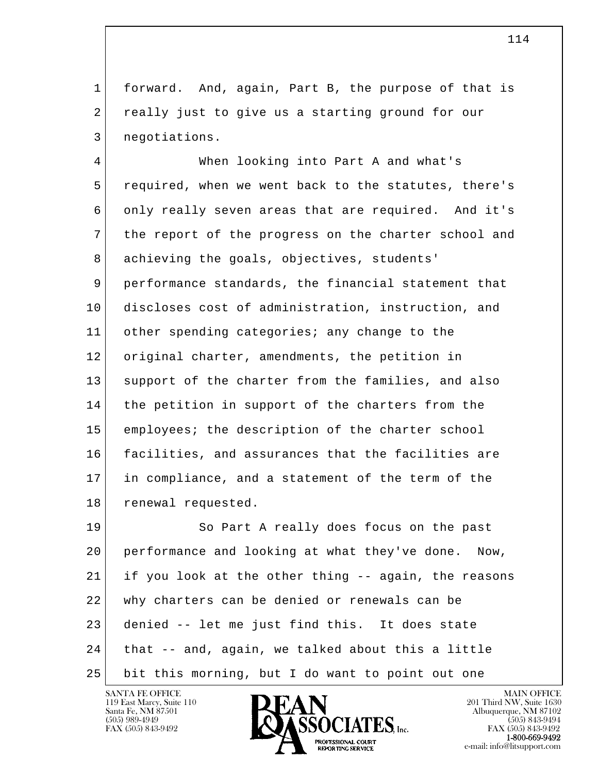1 forward. And, again, Part B, the purpose of that is 2 really just to give us a starting ground for our 3 negotiations.

 4 When looking into Part A and what's 5 required, when we went back to the statutes, there's 6 only really seven areas that are required. And it's 7 the report of the progress on the charter school and 8 achieving the goals, objectives, students' 9 performance standards, the financial statement that 10 discloses cost of administration, instruction, and 11 other spending categories; any change to the 12 original charter, amendments, the petition in 13 support of the charter from the families, and also 14 the petition in support of the charters from the 15 employees; the description of the charter school 16 facilities, and assurances that the facilities are 17 in compliance, and a statement of the term of the 18 renewal requested.

l  $\overline{\phantom{a}}$  19 So Part A really does focus on the past 20 performance and looking at what they've done. Now, 21 if you look at the other thing -- again, the reasons 22 | why charters can be denied or renewals can be 23 denied -- let me just find this. It does state 24 that -- and, again, we talked about this a little 25 bit this morning, but I do want to point out one

119 East Marcy, Suite 110<br>Santa Fe, NM 87501



FAX (505) 843-9492<br>**1-800-669-9492**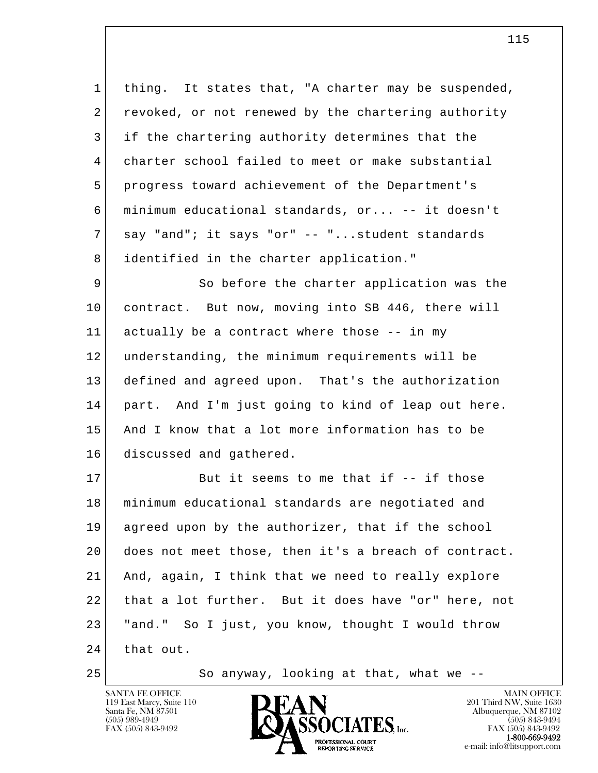1 thing. It states that, "A charter may be suspended, 2 revoked, or not renewed by the chartering authority 3 if the chartering authority determines that the 4 charter school failed to meet or make substantial 5 progress toward achievement of the Department's 6 minimum educational standards, or... -- it doesn't 7 say "and"; it says "or" -- "...student standards 8 identified in the charter application."

9 So before the charter application was the 10 contract. But now, moving into SB 446, there will 11 actually be a contract where those -- in my 12 understanding, the minimum requirements will be 13 defined and agreed upon. That's the authorization 14 part. And I'm just going to kind of leap out here. 15 And I know that a lot more information has to be 16 discussed and gathered.

l  $\overline{\phantom{a}}$ 17 But it seems to me that if -- if those 18 minimum educational standards are negotiated and 19 agreed upon by the authorizer, that if the school 20 does not meet those, then it's a breach of contract. 21 And, again, I think that we need to really explore 22 | that a lot further. But it does have "or" here, not 23 "and." So I just, you know, thought I would throw 24 that out.

25 So anyway, looking at that, what we --

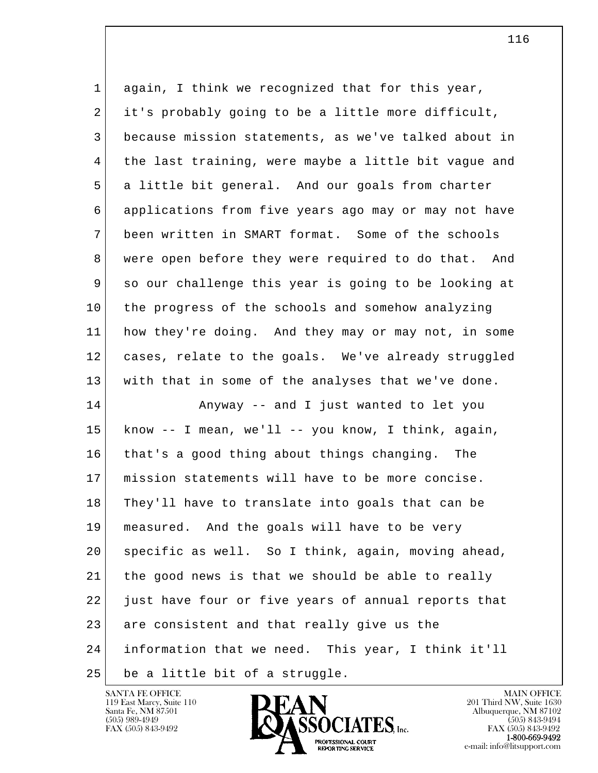| $\mathbf 1$ | again, I think we recognized that for this year,         |
|-------------|----------------------------------------------------------|
| 2           | it's probably going to be a little more difficult,       |
| 3           | because mission statements, as we've talked about in     |
| 4           | the last training, were maybe a little bit vague and     |
| 5           | a little bit general. And our goals from charter         |
| 6           | applications from five years ago may or may not have     |
| 7           | been written in SMART format. Some of the schools        |
| 8           | were open before they were required to do that. And      |
| 9           | so our challenge this year is going to be looking at     |
| 10          | the progress of the schools and somehow analyzing        |
| 11          | how they're doing. And they may or may not, in some      |
| 12          | cases, relate to the goals. We've already struggled      |
| 13          | with that in some of the analyses that we've done.       |
| 14          | Anyway -- and I just wanted to let you                   |
| 15          | know $-$ - I mean, we'll $-$ - you know, I think, again, |
| 16          | that's a good thing about things changing. The           |
| 17          | mission statements will have to be more concise.         |
| 18          | They'll have to translate into goals that can be         |
| 19          | measured. And the goals will have to be very             |
| 20          | specific as well. So I think, again, moving ahead,       |
| 21          | the good news is that we should be able to really        |
| 22          | just have four or five years of annual reports that      |
| 23          | are consistent and that really give us the               |
| 24          | information that we need. This year, I think it'll       |
| 25          | be a little bit of a struggle.                           |

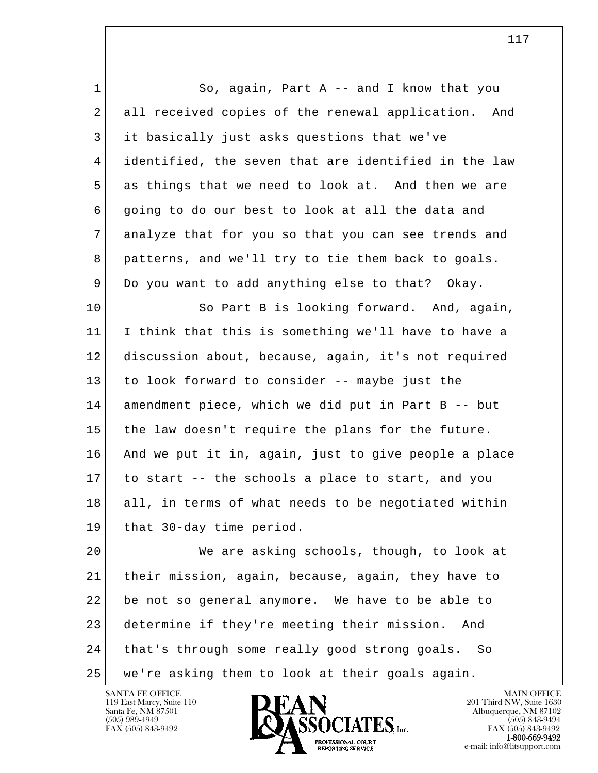1 So, again, Part A -- and I know that you 2 all received copies of the renewal application. And 3 it basically just asks questions that we've 4 identified, the seven that are identified in the law 5 as things that we need to look at. And then we are 6 going to do our best to look at all the data and 7 analyze that for you so that you can see trends and 8 patterns, and we'll try to tie them back to goals. 9 Do you want to add anything else to that? Okay. 10 So Part B is looking forward. And, again, 11 I think that this is something we'll have to have a 12 discussion about, because, again, it's not required 13 to look forward to consider -- maybe just the 14 amendment piece, which we did put in Part B -- but 15 the law doesn't require the plans for the future. 16 And we put it in, again, just to give people a place

18 all, in terms of what needs to be negotiated within 19 that 30-day time period.

17 to start -- the schools a place to start, and you

l  $\overline{\phantom{a}}$  20 We are asking schools, though, to look at 21 their mission, again, because, again, they have to 22 be not so general anymore. We have to be able to 23 determine if they're meeting their mission. And 24 that's through some really good strong goals. So 25 we're asking them to look at their goals again.

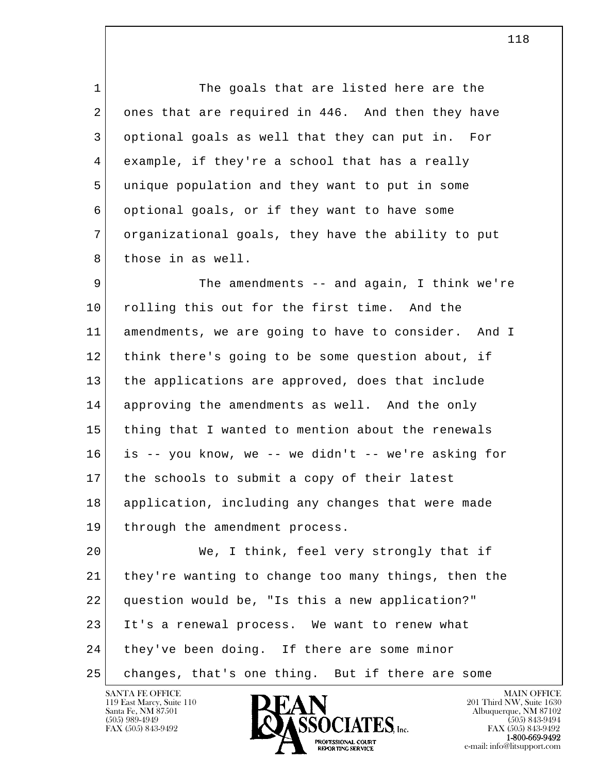1 The goals that are listed here are the 2 ones that are required in 446. And then they have 3 optional goals as well that they can put in. For 4 example, if they're a school that has a really 5 unique population and they want to put in some 6 optional goals, or if they want to have some 7 organizational goals, they have the ability to put 8 those in as well.

9 The amendments -- and again, I think we're 10 rolling this out for the first time. And the 11 amendments, we are going to have to consider. And I 12 think there's going to be some question about, if 13 the applications are approved, does that include 14 approving the amendments as well. And the only 15 thing that I wanted to mention about the renewals 16 is -- you know, we -- we didn't -- we're asking for 17 the schools to submit a copy of their latest 18 application, including any changes that were made 19 through the amendment process.

l  $\overline{\phantom{a}}$  20 We, I think, feel very strongly that if 21 they're wanting to change too many things, then the 22 question would be, "Is this a new application?" 23 It's a renewal process. We want to renew what 24 they've been doing. If there are some minor 25 changes, that's one thing. But if there are some

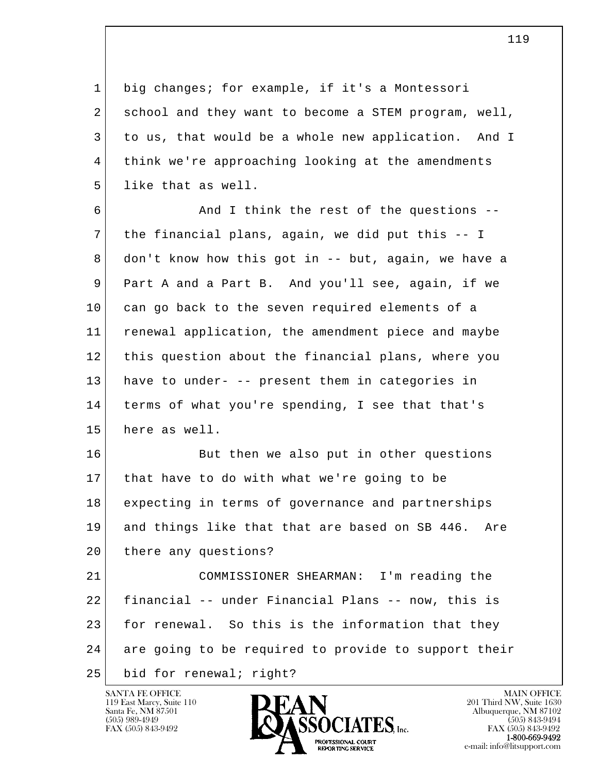1 big changes; for example, if it's a Montessori 2 school and they want to become a STEM program, well, 3 to us, that would be a whole new application. And I 4 think we're approaching looking at the amendments 5 llike that as well.

 6 And I think the rest of the questions -- 7 the financial plans, again, we did put this -- I 8 don't know how this got in -- but, again, we have a 9 Part A and a Part B. And you'll see, again, if we 10 can go back to the seven required elements of a 11 renewal application, the amendment piece and maybe 12 this question about the financial plans, where you 13 have to under- -- present them in categories in 14 terms of what you're spending, I see that that's 15 here as well.

16 But then we also put in other questions 17 that have to do with what we're going to be 18 expecting in terms of governance and partnerships 19 and things like that that are based on SB 446. Are 20 there any questions?

l  $\overline{\phantom{a}}$  21 COMMISSIONER SHEARMAN: I'm reading the 22 financial -- under Financial Plans -- now, this is 23 for renewal. So this is the information that they 24 are going to be required to provide to support their 25 bid for renewal; right?

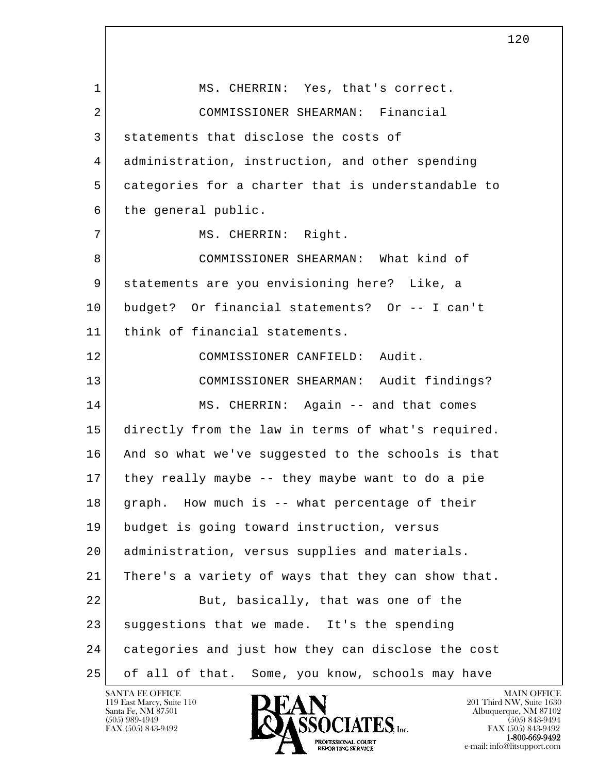l  $\overline{\phantom{a}}$ 1 MS. CHERRIN: Yes, that's correct. 2 COMMISSIONER SHEARMAN: Financial 3 statements that disclose the costs of 4 administration, instruction, and other spending 5 categories for a charter that is understandable to 6 the general public. 7 | MS. CHERRIN: Right. 8 COMMISSIONER SHEARMAN: What kind of 9 statements are you envisioning here? Like, a 10 budget? Or financial statements? Or -- I can't 11 think of financial statements. 12 COMMISSIONER CANFIELD: Audit. 13 COMMISSIONER SHEARMAN: Audit findings? 14 MS. CHERRIN: Again -- and that comes 15 directly from the law in terms of what's required. 16 And so what we've suggested to the schools is that 17 they really maybe -- they maybe want to do a pie 18 graph. How much is -- what percentage of their 19 budget is going toward instruction, versus 20 administration, versus supplies and materials. 21 There's a variety of ways that they can show that. 22 But, basically, that was one of the 23 suggestions that we made. It's the spending 24 categories and just how they can disclose the cost 25 of all of that. Some, you know, schools may have

119 East Marcy, Suite 110<br>Santa Fe, NM 87501



120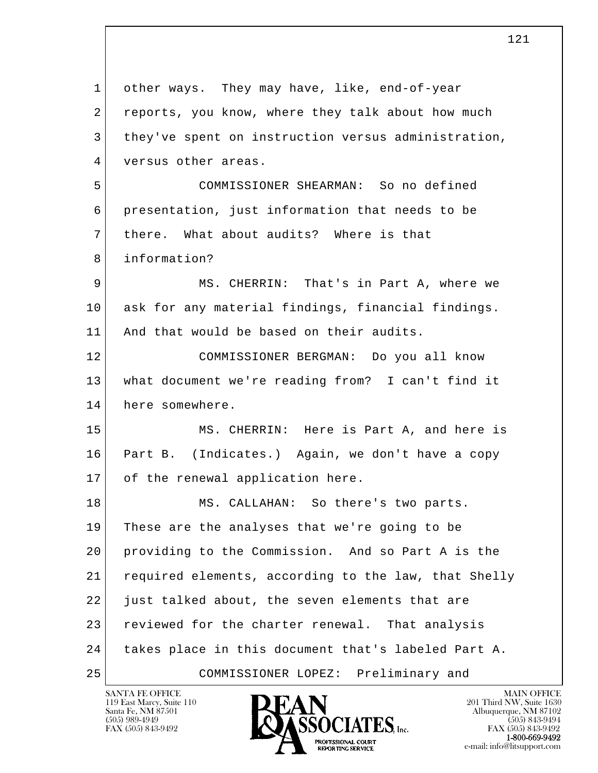l  $\overline{\phantom{a}}$  1 other ways. They may have, like, end-of-year 2 reports, you know, where they talk about how much 3 | they've spent on instruction versus administration, 4 versus other areas. 5 COMMISSIONER SHEARMAN: So no defined 6 presentation, just information that needs to be 7 | there. What about audits? Where is that 8 information? 9 MS. CHERRIN: That's in Part A, where we 10 ask for any material findings, financial findings. 11 And that would be based on their audits. 12 COMMISSIONER BERGMAN: Do you all know 13 what document we're reading from? I can't find it 14 here somewhere. 15 MS. CHERRIN: Here is Part A, and here is 16 Part B. (Indicates.) Again, we don't have a copy 17 of the renewal application here. 18 MS. CALLAHAN: So there's two parts. 19 These are the analyses that we're going to be 20 providing to the Commission. And so Part A is the 21 required elements, according to the law, that Shelly 22 just talked about, the seven elements that are 23 reviewed for the charter renewal. That analysis 24 takes place in this document that's labeled Part A. 25 COMMISSIONER LOPEZ: Preliminary and

121

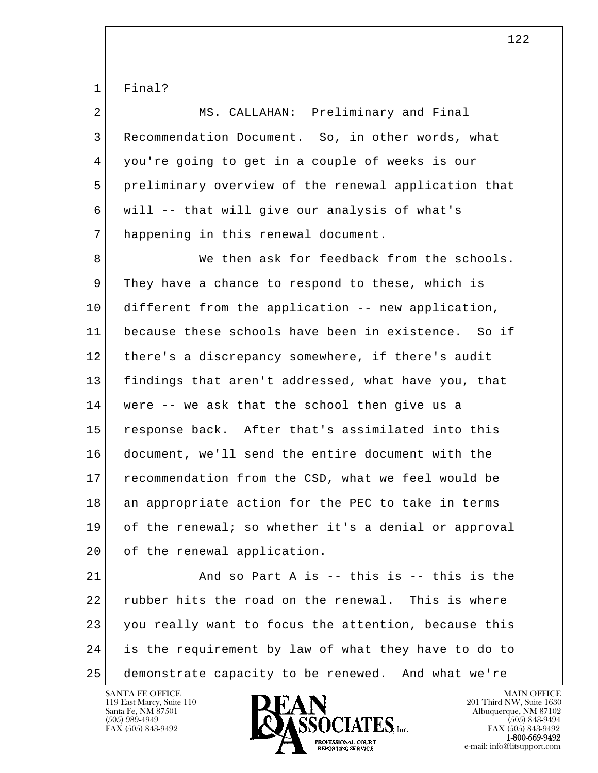1 Final?

| $\overline{2}$ | MS. CALLAHAN: Preliminary and Final                  |
|----------------|------------------------------------------------------|
| 3              | Recommendation Document. So, in other words, what    |
| 4              | you're going to get in a couple of weeks is our      |
| 5              | preliminary overview of the renewal application that |
| 6              | will -- that will give our analysis of what's        |
| 7              | happening in this renewal document.                  |
| 8              | We then ask for feedback from the schools.           |
| 9              | They have a chance to respond to these, which is     |
| 10             | different from the application -- new application,   |
| 11             | because these schools have been in existence. So if  |
| 12             | there's a discrepancy somewhere, if there's audit    |
| 13             | findings that aren't addressed, what have you, that  |
| 14             | were -- we ask that the school then give us a        |
| 15             | response back. After that's assimilated into this    |
| 16             | document, we'll send the entire document with the    |
| 17             | recommendation from the CSD, what we feel would be   |
| 18             | an appropriate action for the PEC to take in terms   |
| 19             | of the renewal; so whether it's a denial or approval |
| 20             | of the renewal application.                          |
|                |                                                      |

l  $\overline{\phantom{a}}$ 21 And so Part A is -- this is -- this is the 22 rubber hits the road on the renewal. This is where 23 you really want to focus the attention, because this 24 is the requirement by law of what they have to do to 25 demonstrate capacity to be renewed. And what we're

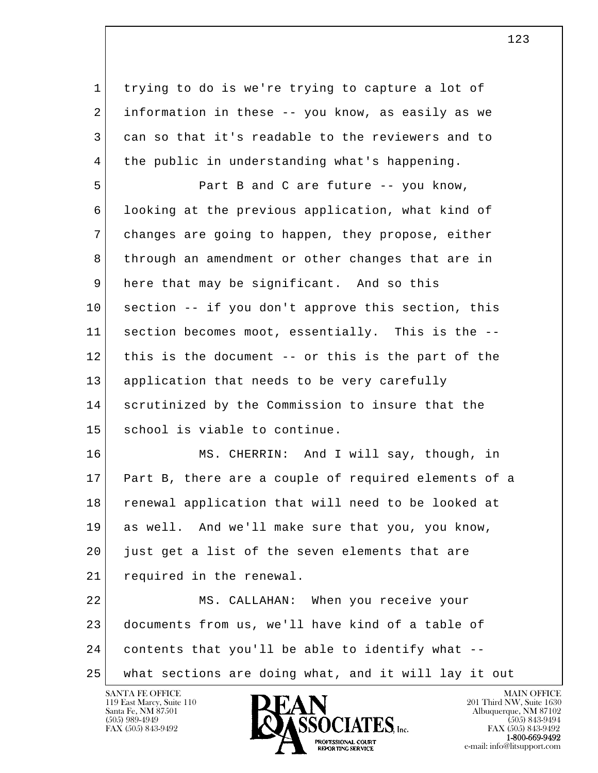1 trying to do is we're trying to capture a lot of 2 information in these -- you know, as easily as we 3 can so that it's readable to the reviewers and to 4 the public in understanding what's happening.

5 Part B and C are future -- you know, 6 looking at the previous application, what kind of 7 changes are going to happen, they propose, either 8 through an amendment or other changes that are in 9 here that may be significant. And so this 10 section -- if you don't approve this section, this 11 section becomes moot, essentially. This is the -- 12 this is the document -- or this is the part of the 13 application that needs to be very carefully 14 scrutinized by the Commission to insure that the 15 | school is viable to continue.

 16 MS. CHERRIN: And I will say, though, in 17 Part B, there are a couple of required elements of a 18 renewal application that will need to be looked at 19 as well. And we'll make sure that you, you know, 20 just get a list of the seven elements that are 21 required in the renewal.

l  $\overline{\phantom{a}}$  22 MS. CALLAHAN: When you receive your 23 documents from us, we'll have kind of a table of 24 contents that you'll be able to identify what -- 25 what sections are doing what, and it will lay it out

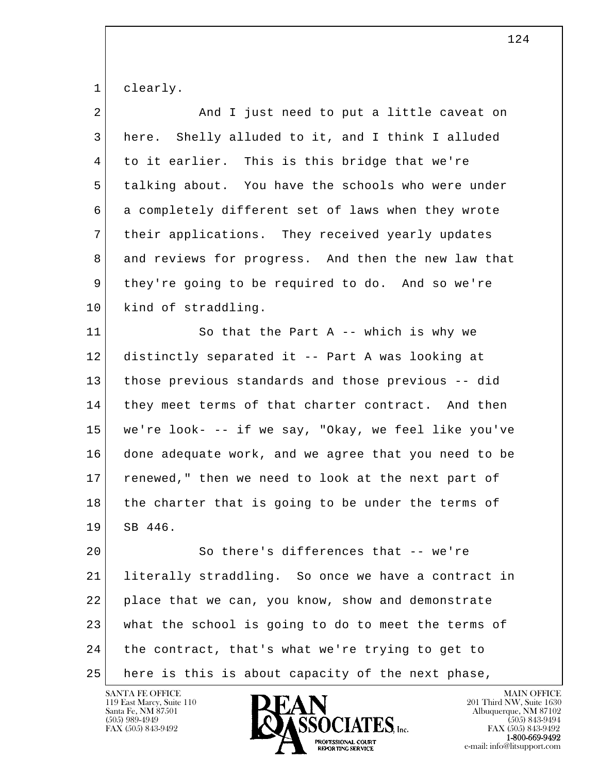1 clearly.

| 2  | And I just need to put a little caveat on            |
|----|------------------------------------------------------|
| 3  | Shelly alluded to it, and I think I alluded<br>here. |
| 4  | to it earlier. This is this bridge that we're        |
| 5  | talking about. You have the schools who were under   |
| 6  | a completely different set of laws when they wrote   |
| 7  | their applications. They received yearly updates     |
| 8  | and reviews for progress. And then the new law that  |
| 9  | they're going to be required to do. And so we're     |
| 10 | kind of straddling.                                  |
| 11 | So that the Part A $-$ - which is why we             |
| 12 | distinctly separated it -- Part A was looking at     |
| 13 | those previous standards and those previous -- did   |
| 14 | they meet terms of that charter contract. And then   |
| 15 | we're look- -- if we say, "Okay, we feel like you've |
| 16 | done adequate work, and we agree that you need to be |
| 17 | renewed," then we need to look at the next part of   |
| 18 | the charter that is going to be under the terms of   |
| 19 | SB 446.                                              |
| 20 | So there's differences that -- we're                 |
| 21 | literally straddling. So once we have a contract in  |
| 22 | place that we can, you know, show and demonstrate    |
| 23 | what the school is going to do to meet the terms of  |
| 24 | the contract, that's what we're trying to get to     |
| 25 | here is this is about capacity of the next phase,    |

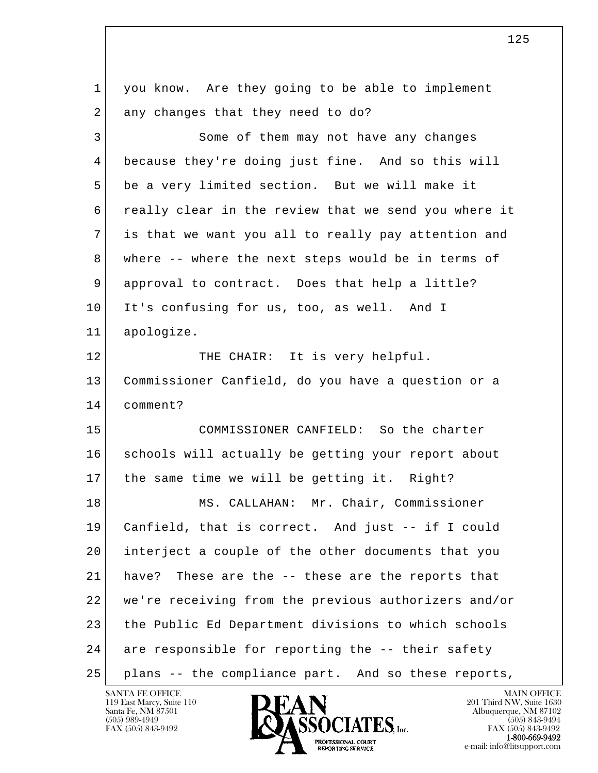l  $\overline{\phantom{a}}$  1 you know. Are they going to be able to implement 2 any changes that they need to do? 3 Some of them may not have any changes 4 because they're doing just fine. And so this will 5 be a very limited section. But we will make it 6 really clear in the review that we send you where it 7 is that we want you all to really pay attention and 8 where -- where the next steps would be in terms of 9 approval to contract. Does that help a little? 10 It's confusing for us, too, as well. And I 11 apologize. 12 THE CHAIR: It is very helpful. 13 Commissioner Canfield, do you have a question or a 14 comment? 15 COMMISSIONER CANFIELD: So the charter 16 schools will actually be getting your report about 17 the same time we will be getting it. Right? 18 MS. CALLAHAN: Mr. Chair, Commissioner 19 Canfield, that is correct. And just -- if I could 20 interject a couple of the other documents that you 21 have? These are the -- these are the reports that 22 we're receiving from the previous authorizers and/or 23 the Public Ed Department divisions to which schools 24 are responsible for reporting the -- their safety 25 plans -- the compliance part. And so these reports,

119 East Marcy, Suite 110<br>Santa Fe, NM 87501



FAX (505) 843-9492<br>**1-800-669-9492** e-mail: info@litsupport.com<br>REPORTING SERVICE e-mail: info@litsupport.com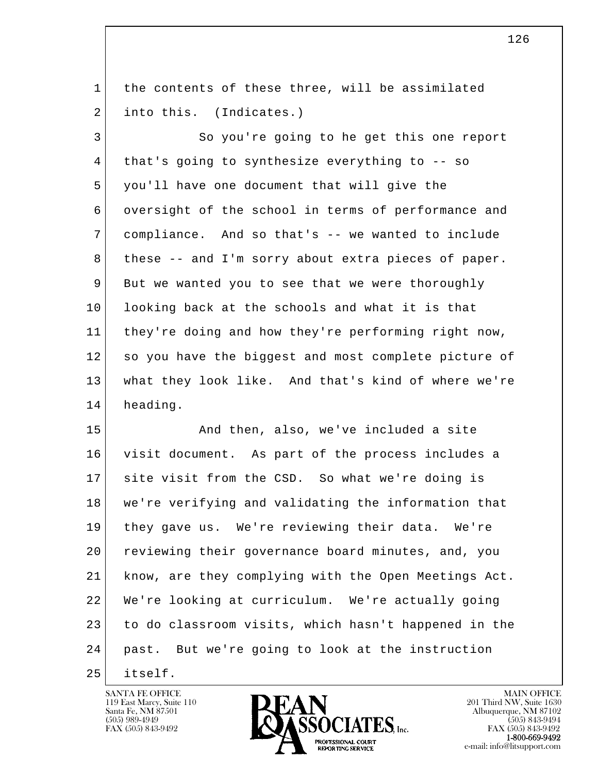1 the contents of these three, will be assimilated 2 into this. (Indicates.)

3 So you're going to he get this one report 4 that's going to synthesize everything to -- so 5 you'll have one document that will give the 6 oversight of the school in terms of performance and 7 compliance. And so that's -- we wanted to include 8 | these -- and I'm sorry about extra pieces of paper. 9 But we wanted you to see that we were thoroughly 10 looking back at the schools and what it is that 11 they're doing and how they're performing right now, 12 so you have the biggest and most complete picture of 13 what they look like. And that's kind of where we're 14 heading.

l  $\overline{\phantom{a}}$ 15 And then, also, we've included a site 16 visit document. As part of the process includes a 17 site visit from the CSD. So what we're doing is 18 we're verifying and validating the information that 19 they gave us. We're reviewing their data. We're 20 reviewing their governance board minutes, and, you 21 know, are they complying with the Open Meetings Act. 22 We're looking at curriculum. We're actually going 23 to do classroom visits, which hasn't happened in the 24 past. But we're going to look at the instruction

25 itself.

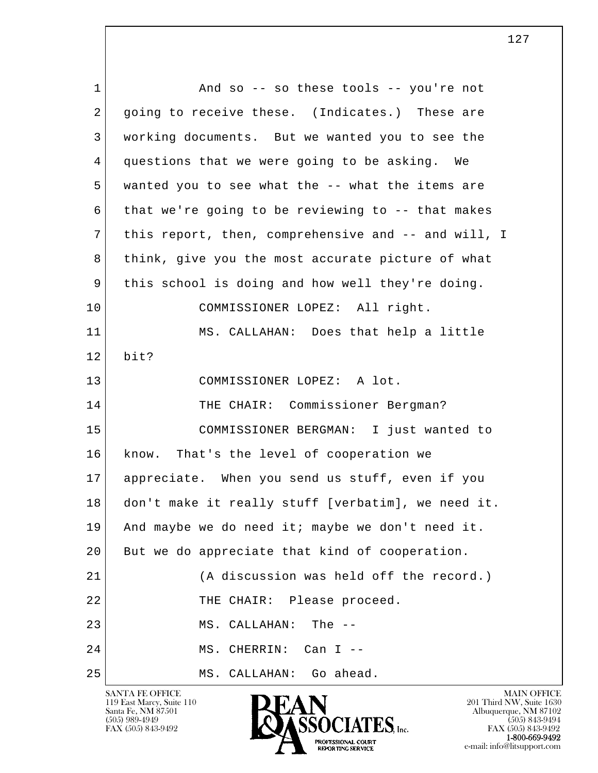l  $\overline{\phantom{a}}$ 1 and so -- so these tools -- you're not 2 going to receive these. (Indicates.) These are 3 working documents. But we wanted you to see the 4 questions that we were going to be asking. We 5 wanted you to see what the -- what the items are  $6$  that we're going to be reviewing to -- that makes 7 this report, then, comprehensive and -- and will, I 8 | think, give you the most accurate picture of what 9 this school is doing and how well they're doing. 10 COMMISSIONER LOPEZ: All right. 11 MS. CALLAHAN: Does that help a little  $12$  bit? 13 COMMISSIONER LOPEZ: A lot. 14 THE CHAIR: Commissioner Bergman? 15 COMMISSIONER BERGMAN: I just wanted to 16 know. That's the level of cooperation we 17 appreciate. When you send us stuff, even if you 18 don't make it really stuff [verbatim], we need it. 19 And maybe we do need it; maybe we don't need it. 20 But we do appreciate that kind of cooperation. 21 (A discussion was held off the record.) 22 THE CHAIR: Please proceed. 23 MS. CALLAHAN: The --24 MS. CHERRIN: Can I --25 MS. CALLAHAN: Go ahead.

119 East Marcy, Suite 110<br>Santa Fe, NM 87501



FAX (505) 843-9492<br>**1-800-669-9492**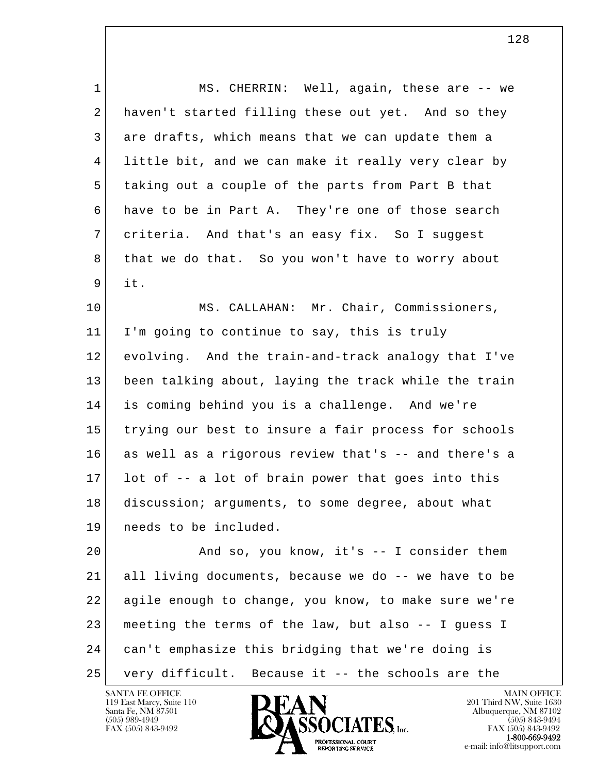1 MS. CHERRIN: Well, again, these are -- we 2 haven't started filling these out yet. And so they 3 are drafts, which means that we can update them a 4 little bit, and we can make it really very clear by 5 taking out a couple of the parts from Part B that 6 have to be in Part A. They're one of those search 7 criteria. And that's an easy fix. So I suggest 8 that we do that. So you won't have to worry about 9 it. 10 MS. CALLAHAN: Mr. Chair, Commissioners, 11 I'm going to continue to say, this is truly 12 evolving. And the train-and-track analogy that I've 13 been talking about, laying the track while the train 14 is coming behind you is a challenge. And we're

 16 as well as a rigorous review that's -- and there's a 17 lot of -- a lot of brain power that goes into this 18 discussion; arguments, to some degree, about what 19 needs to be included.

15 trying our best to insure a fair process for schools

l  $\overline{\phantom{a}}$  20 And so, you know, it's -- I consider them 21 all living documents, because we do -- we have to be 22 agile enough to change, you know, to make sure we're 23 meeting the terms of the law, but also -- I guess I 24 can't emphasize this bridging that we're doing is 25 very difficult. Because it -- the schools are the

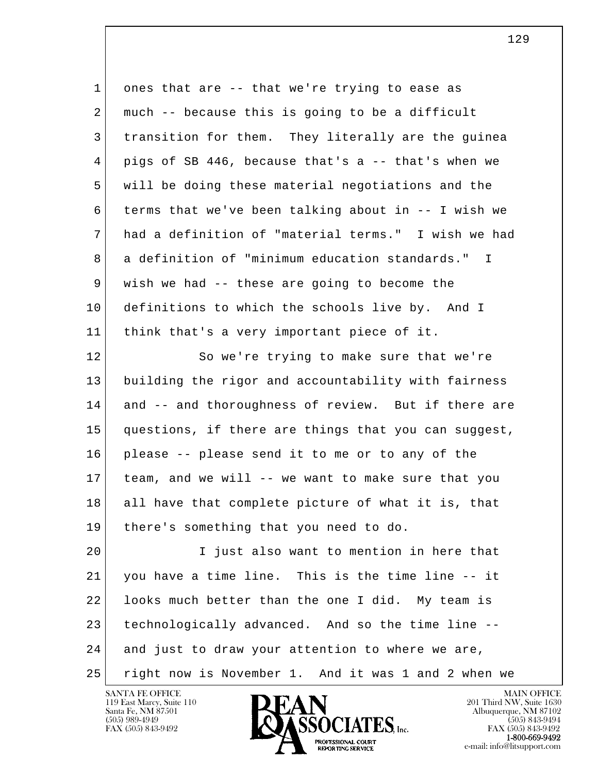| $\mathbf{1}$ | ones that are -- that we're trying to ease as        |
|--------------|------------------------------------------------------|
| 2            | much -- because this is going to be a difficult      |
| 3            | transition for them. They literally are the guinea   |
| 4            | pigs of SB 446, because that's a -- that's when we   |
| 5            | will be doing these material negotiations and the    |
| 6            | terms that we've been talking about in -- I wish we  |
| 7            | had a definition of "material terms." I wish we had  |
| 8            | a definition of "minimum education standards." I     |
| 9            | wish we had -- these are going to become the         |
| 10           | definitions to which the schools live by. And I      |
| 11           | think that's a very important piece of it.           |
| 12           | So we're trying to make sure that we're              |
| 13           | building the rigor and accountability with fairness  |
| 14           | and -- and thoroughness of review. But if there are  |
| 15           | questions, if there are things that you can suggest, |
| 16           | please -- please send it to me or to any of the      |
| 17           | team, and we will -- we want to make sure that you   |
| 18           | all have that complete picture of what it is, that   |
| 19           | there's something that you need to do.               |
| 20           | I just also want to mention in here that             |
| 21           | you have a time line. This is the time line -- it    |
| 22           | looks much better than the one I did. My team is     |
| 23           | technologically advanced. And so the time line --    |
| 24           | and just to draw your attention to where we are,     |
| 25           | right now is November 1. And it was 1 and 2 when we  |

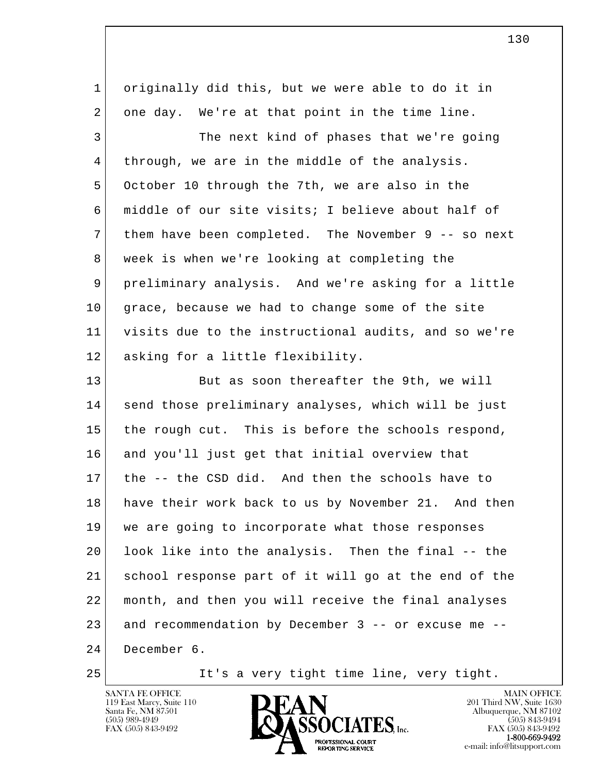| 1  | originally did this, but we were able to do it in    |
|----|------------------------------------------------------|
| 2  | one day. We're at that point in the time line.       |
| 3  | The next kind of phases that we're going             |
| 4  | through, we are in the middle of the analysis.       |
| 5  | October 10 through the 7th, we are also in the       |
| 6  | middle of our site visits; I believe about half of   |
| 7  | them have been completed. The November 9 -- so next  |
| 8  | week is when we're looking at completing the         |
| 9  | preliminary analysis. And we're asking for a little  |
| 10 | grace, because we had to change some of the site     |
| 11 | visits due to the instructional audits, and so we're |
| 12 | asking for a little flexibility.                     |
| 13 | But as soon thereafter the 9th, we will              |
| 14 | send those preliminary analyses, which will be just  |
| 15 | the rough cut. This is before the schools respond,   |
| 16 | and you'll just get that initial overview that       |
| 17 | the -- the CSD did. And then the schools have to     |
| 18 | have their work back to us by November 21. And then  |
| 19 | we are going to incorporate what those responses     |
| 20 | look like into the analysis. Then the final -- the   |
| 21 | school response part of it will go at the end of the |
| 22 | month, and then you will receive the final analyses  |
| 23 | and recommendation by December 3 -- or excuse me --  |
| 24 |                                                      |
|    | December 6.                                          |

25 It's a very tight time line, very tight.

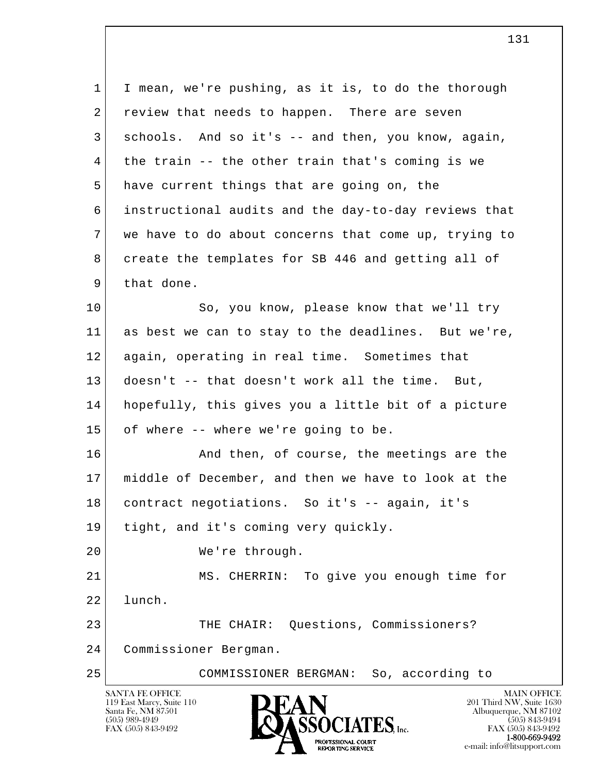l  $\overline{\phantom{a}}$ SANTA FE OFFICE MAIN OFFICE MAIN OFFICE MAIN OFFICE 119 East Marcy, Suite 110 **201 Third NW**, Suite 1630<br>
Santa Fe, NM 87501 **201 Abuquerque, NM 87102**  1 I mean, we're pushing, as it is, to do the thorough 2 review that needs to happen. There are seven 3 schools. And so it's -- and then, you know, again, 4 the train -- the other train that's coming is we 5 have current things that are going on, the 6 instructional audits and the day-to-day reviews that 7 we have to do about concerns that come up, trying to 8 create the templates for SB 446 and getting all of 9 that done. 10 So, you know, please know that we'll try 11 as best we can to stay to the deadlines. But we're, 12 again, operating in real time. Sometimes that 13 doesn't -- that doesn't work all the time. But, 14 hopefully, this gives you a little bit of a picture 15 of where -- where we're going to be. 16 And then, of course, the meetings are the 17 middle of December, and then we have to look at the 18 contract negotiations. So it's -- again, it's 19 tight, and it's coming very quickly. 20 We're through. 21 MS. CHERRIN: To give you enough time for 22 lunch. 23 THE CHAIR: Questions, Commissioners? 24 Commissioner Bergman. 25 COMMISSIONER BERGMAN: So, according to

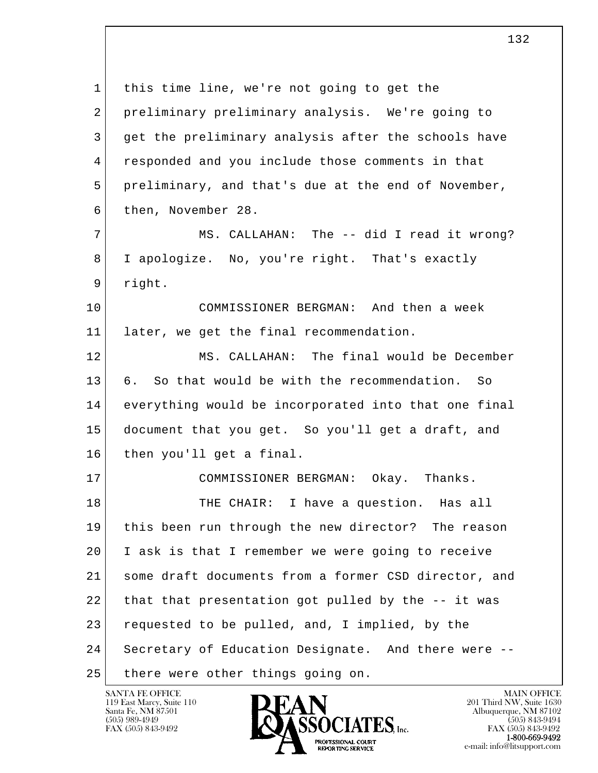l  $\overline{\phantom{a}}$  1 this time line, we're not going to get the 2 preliminary preliminary analysis. We're going to 3 get the preliminary analysis after the schools have 4 responded and you include those comments in that 5 preliminary, and that's due at the end of November, 6 then, November 28. 7 MS. CALLAHAN: The -- did I read it wrong? 8 I apologize. No, you're right. That's exactly 9 right. 10 COMMISSIONER BERGMAN: And then a week 11 later, we get the final recommendation. 12 MS. CALLAHAN: The final would be December 13 6. So that would be with the recommendation. So 14 everything would be incorporated into that one final 15 document that you get. So you'll get a draft, and 16 then you'll get a final. 17 COMMISSIONER BERGMAN: Okay. Thanks. 18 THE CHAIR: I have a question. Has all 19 this been run through the new director? The reason 20 I ask is that I remember we were going to receive 21 some draft documents from a former CSD director, and 22 that that presentation got pulled by the -- it was 23 requested to be pulled, and, I implied, by the 24 Secretary of Education Designate. And there were -- 25 | there were other things going on.

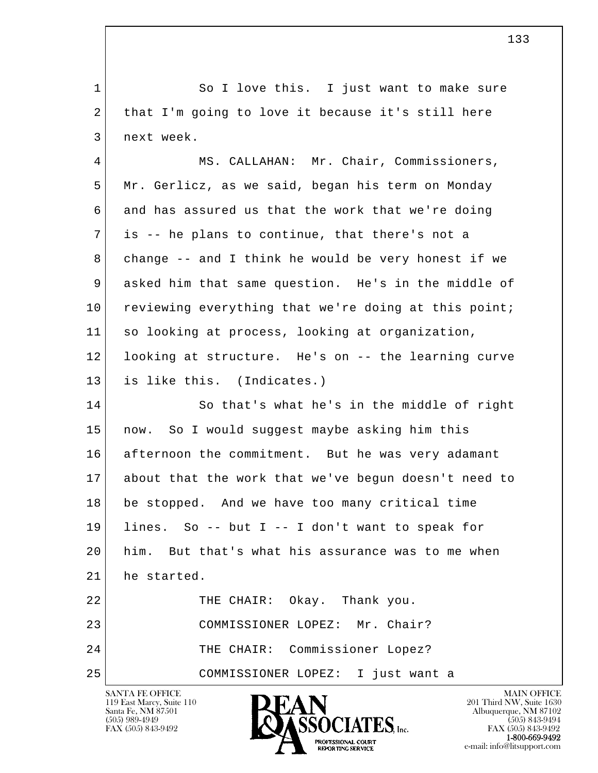l  $\overline{\phantom{a}}$ 1 So I love this. I just want to make sure 2 that I'm going to love it because it's still here 3 next week. 4 MS. CALLAHAN: Mr. Chair, Commissioners, 5 Mr. Gerlicz, as we said, began his term on Monday 6 and has assured us that the work that we're doing 7 is -- he plans to continue, that there's not a 8 change -- and I think he would be very honest if we 9 asked him that same question. He's in the middle of 10 reviewing everything that we're doing at this point; 11 so looking at process, looking at organization, 12 looking at structure. He's on -- the learning curve 13 is like this. (Indicates.) 14 So that's what he's in the middle of right 15 now. So I would suggest maybe asking him this 16 afternoon the commitment. But he was very adamant 17 about that the work that we've begun doesn't need to 18 be stopped. And we have too many critical time 19 lines. So -- but I -- I don't want to speak for 20 him. But that's what his assurance was to me when 21 he started. 22 THE CHAIR: Okay. Thank you. 23 COMMISSIONER LOPEZ: Mr. Chair? 24 THE CHAIR: Commissioner Lopez? 25 COMMISSIONER LOPEZ: I just want a

119 East Marcy, Suite 110<br>Santa Fe, NM 87501



FAX (505) 843-9492<br>**1-800-669-9492** e-mail: info@litsupport.com<br>REPORTING SERVICE REDUCED E-mail: info@litsupport.com

133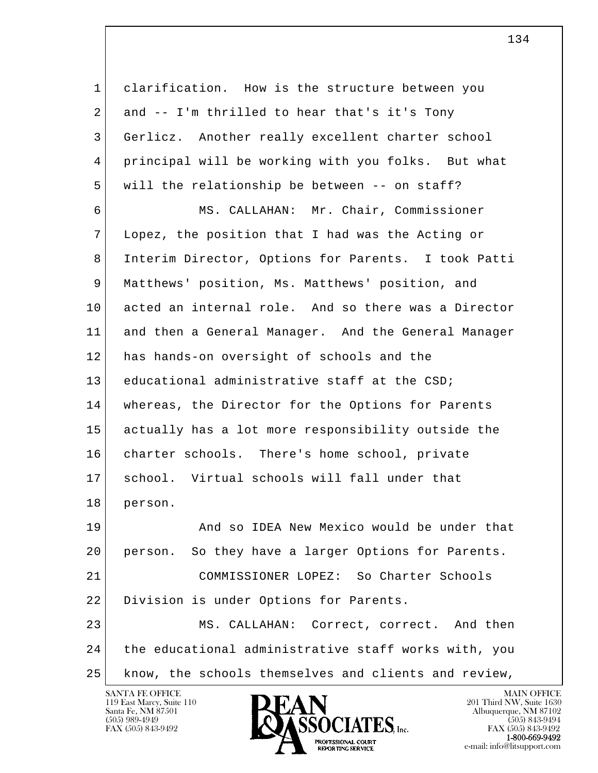| $\mathbf 1$ | clarification. How is the structure between you       |
|-------------|-------------------------------------------------------|
| 2           | and -- I'm thrilled to hear that's it's Tony          |
| 3           | Gerlicz. Another really excellent charter school      |
| 4           | principal will be working with you folks. But what    |
| 5           | will the relationship be between -- on staff?         |
| 6           | MS. CALLAHAN: Mr. Chair, Commissioner                 |
| 7           | Lopez, the position that I had was the Acting or      |
| 8           | Interim Director, Options for Parents. I took Patti   |
| 9           | Matthews' position, Ms. Matthews' position, and       |
| 10          | acted an internal role. And so there was a Director   |
| 11          | and then a General Manager. And the General Manager   |
| 12          | has hands-on oversight of schools and the             |
| 13          | educational administrative staff at the CSD;          |
| 14          | whereas, the Director for the Options for Parents     |
| 15          | actually has a lot more responsibility outside the    |
| 16          | charter schools. There's home school, private         |
| 17          | school. Virtual schools will fall under that          |
| 18          | person.                                               |
| 19          | And so IDEA New Mexico would be under that            |
| 20          | So they have a larger Options for Parents.<br>person. |
| 21          | COMMISSIONER LOPEZ: So Charter Schools                |
| 22          | Division is under Options for Parents.                |
| 23          | MS. CALLAHAN: Correct, correct. And then              |
| 24          | the educational administrative staff works with, you  |
| 25          | know, the schools themselves and clients and review,  |

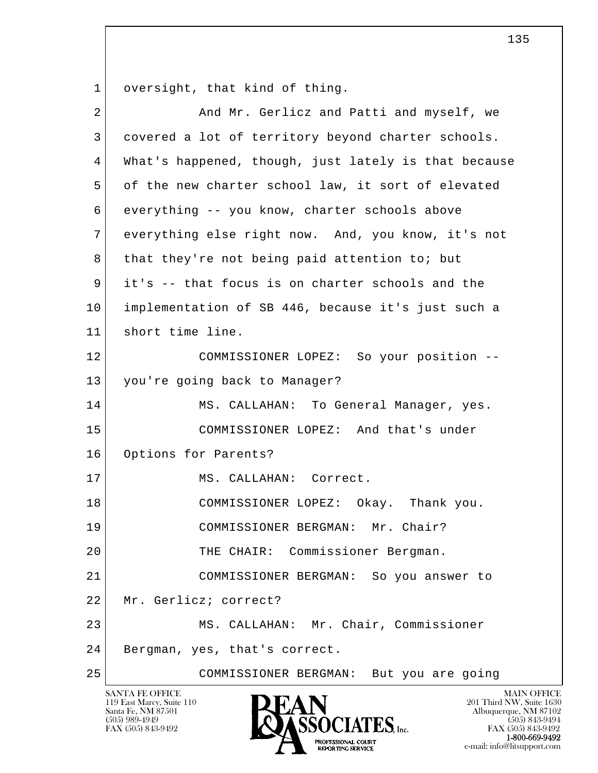1 oversight, that kind of thing.

| $\overline{2}$ | And Mr. Gerlicz and Patti and myself, we             |
|----------------|------------------------------------------------------|
| 3              | covered a lot of territory beyond charter schools.   |
| 4              | What's happened, though, just lately is that because |
| 5              | of the new charter school law, it sort of elevated   |
| 6              | everything -- you know, charter schools above        |
| 7              | everything else right now. And, you know, it's not   |
| 8              | that they're not being paid attention to; but        |
| 9              | it's -- that focus is on charter schools and the     |
| 10             | implementation of SB 446, because it's just such a   |
| 11             | short time line.                                     |
| 12             | COMMISSIONER LOPEZ: So your position --              |
| 13             | you're going back to Manager?                        |
| 14             | MS. CALLAHAN: To General Manager, yes.               |
| 15             | COMMISSIONER LOPEZ: And that's under                 |
| 16             | Options for Parents?                                 |
| 17             | MS. CALLAHAN: Correct.                               |
| 18             | COMMISSIONER LOPEZ: Okay. Thank you.                 |
| 19             | COMMISSIONER BERGMAN: Mr. Chair?                     |
| 20             | THE CHAIR: Commissioner Bergman.                     |
| 21             | COMMISSIONER BERGMAN: So you answer to               |
| 22             | Mr. Gerlicz; correct?                                |
| 23             | MS. CALLAHAN: Mr. Chair, Commissioner                |
| 24             | Bergman, yes, that's correct.                        |
| 25             | COMMISSIONER BERGMAN: But you are going              |

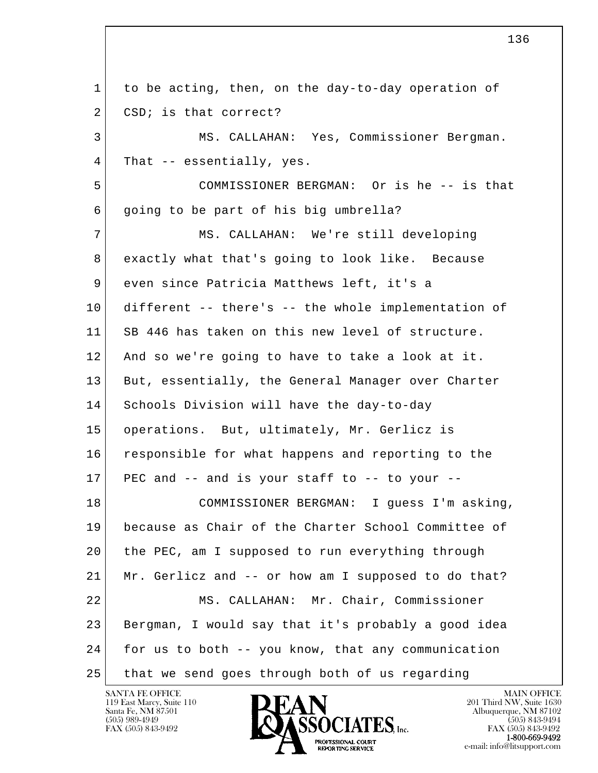l  $\overline{\phantom{a}}$  1 to be acting, then, on the day-to-day operation of 2 CSD; is that correct? 3 MS. CALLAHAN: Yes, Commissioner Bergman. 4 That -- essentially, yes. 5 COMMISSIONER BERGMAN: Or is he -- is that  $6$  going to be part of his big umbrella? 7 MS. CALLAHAN: We're still developing 8 exactly what that's going to look like. Because 9 even since Patricia Matthews left, it's a 10 different -- there's -- the whole implementation of 11 SB 446 has taken on this new level of structure. 12 And so we're going to have to take a look at it. 13 But, essentially, the General Manager over Charter 14 Schools Division will have the day-to-day 15 operations. But, ultimately, Mr. Gerlicz is 16 responsible for what happens and reporting to the  $17$  PEC and  $-$  and is your staff to  $-$  to your  $-$  18 COMMISSIONER BERGMAN: I guess I'm asking, 19 because as Chair of the Charter School Committee of 20 the PEC, am I supposed to run everything through 21 Mr. Gerlicz and -- or how am I supposed to do that? 22 MS. CALLAHAN: Mr. Chair, Commissioner 23 Bergman, I would say that it's probably a good idea 24 for us to both -- you know, that any communication 25 that we send goes through both of us regarding

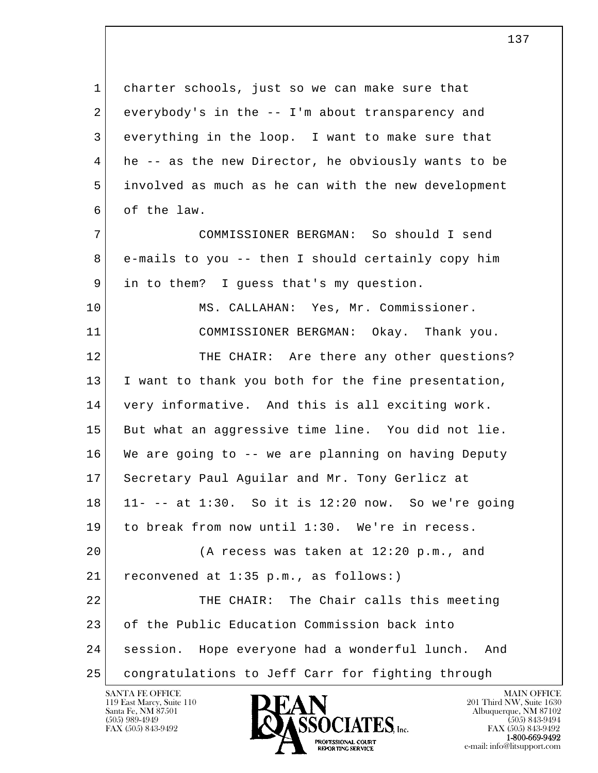l  $\overline{\phantom{a}}$ 1 charter schools, just so we can make sure that  $2$  everybody's in the  $-$ - I'm about transparency and 3 everything in the loop. I want to make sure that 4 he -- as the new Director, he obviously wants to be 5 involved as much as he can with the new development 6 of the law. 7 COMMISSIONER BERGMAN: So should I send 8 e-mails to you -- then I should certainly copy him 9 in to them? I guess that's my question. 10 MS. CALLAHAN: Yes, Mr. Commissioner. 11 COMMISSIONER BERGMAN: Okay. Thank you. 12 THE CHAIR: Are there any other questions? 13 I want to thank you both for the fine presentation, 14 very informative. And this is all exciting work. 15 But what an aggressive time line. You did not lie. 16 We are going to -- we are planning on having Deputy 17 Secretary Paul Aguilar and Mr. Tony Gerlicz at 18 11- -- at 1:30. So it is 12:20 now. So we're going 19 to break from now until 1:30. We're in recess. 20 (A recess was taken at 12:20 p.m., and 21 | reconvened at 1:35 p.m., as follows:) 22 THE CHAIR: The Chair calls this meeting 23 of the Public Education Commission back into 24 session. Hope everyone had a wonderful lunch. And 25 congratulations to Jeff Carr for fighting through

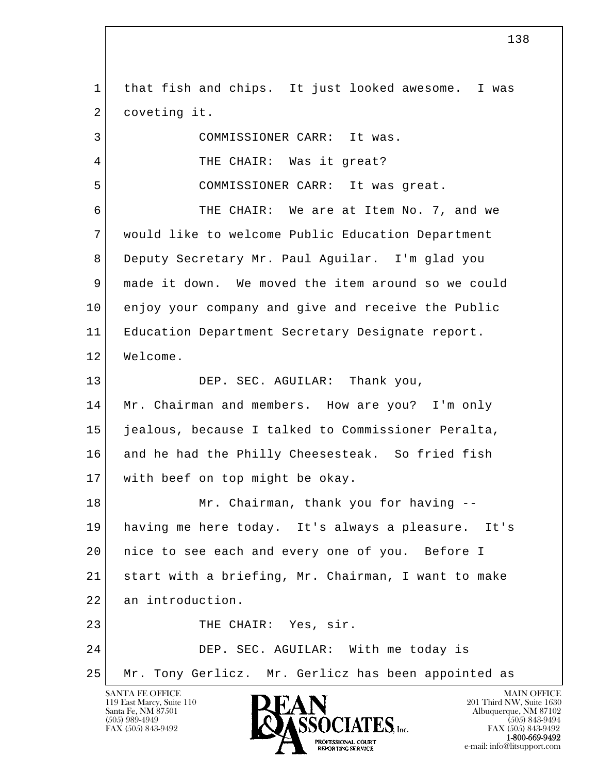l  $\overline{\phantom{a}}$ SANTA FE OFFICE MAIN OFFICE MAIN OFFICE MAIN OFFICE MAIN OFFICE 1 that fish and chips. It just looked awesome. I was 2 coveting it. 3 COMMISSIONER CARR: It was. 4 THE CHAIR: Was it great? 5 COMMISSIONER CARR: It was great. 6 THE CHAIR: We are at Item No. 7, and we 7 would like to welcome Public Education Department 8 Deputy Secretary Mr. Paul Aguilar. I'm glad you 9 made it down. We moved the item around so we could 10 enjoy your company and give and receive the Public 11 Education Department Secretary Designate report. 12 Welcome. 13 DEP. SEC. AGUILAR: Thank you, 14 | Mr. Chairman and members. How are you? I'm only 15 jealous, because I talked to Commissioner Peralta, 16 and he had the Philly Cheesesteak. So fried fish 17 with beef on top might be okay. 18 Mr. Chairman, thank you for having -- 19 having me here today. It's always a pleasure. It's 20 nice to see each and every one of you. Before I 21 start with a briefing, Mr. Chairman, I want to make 22 an introduction. 23 THE CHAIR: Yes, sir. 24 DEP. SEC. AGUILAR: With me today is 25 Mr. Tony Gerlicz. Mr. Gerlicz has been appointed as

119 East Marcy, Suite 110<br>Santa Fe, NM 87501



FAX (505) 843-9492<br>**1-800-669-9492** e-mail: info@litsupport.com<br>REPORTING SERVICE e-mail: info@litsupport.com

138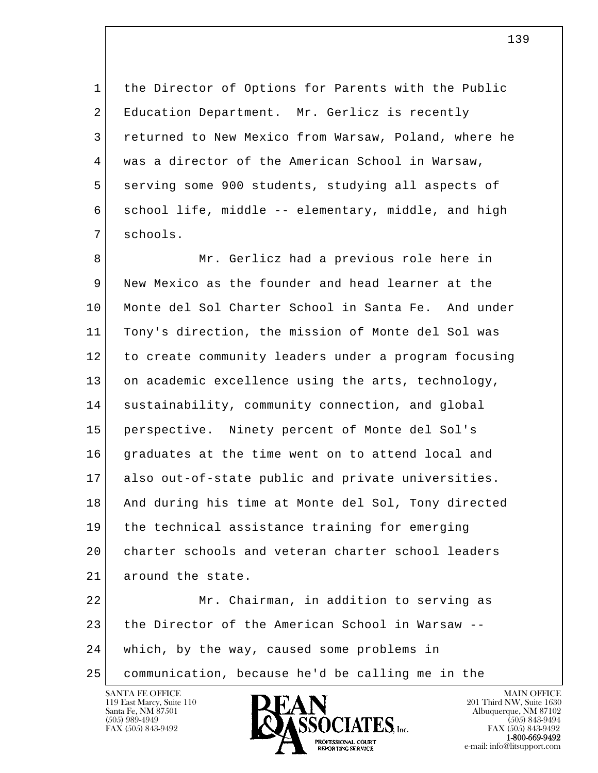1 the Director of Options for Parents with the Public 2 Education Department. Mr. Gerlicz is recently 3 returned to New Mexico from Warsaw, Poland, where he 4 was a director of the American School in Warsaw, 5 serving some 900 students, studying all aspects of 6 school life, middle -- elementary, middle, and high 7 schools.

8 Mr. Gerlicz had a previous role here in 9 New Mexico as the founder and head learner at the 10 Monte del Sol Charter School in Santa Fe. And under 11 Tony's direction, the mission of Monte del Sol was 12 to create community leaders under a program focusing 13 on academic excellence using the arts, technology, 14 sustainability, community connection, and global 15 perspective. Ninety percent of Monte del Sol's 16 graduates at the time went on to attend local and 17 also out-of-state public and private universities. 18 And during his time at Monte del Sol, Tony directed 19 the technical assistance training for emerging 20 charter schools and veteran charter school leaders 21 around the state.

l  $\overline{\phantom{a}}$  22 Mr. Chairman, in addition to serving as 23 the Director of the American School in Warsaw -- 24 which, by the way, caused some problems in 25 communication, because he'd be calling me in the



FAX (505) 843-9492<br>1-800-669-9492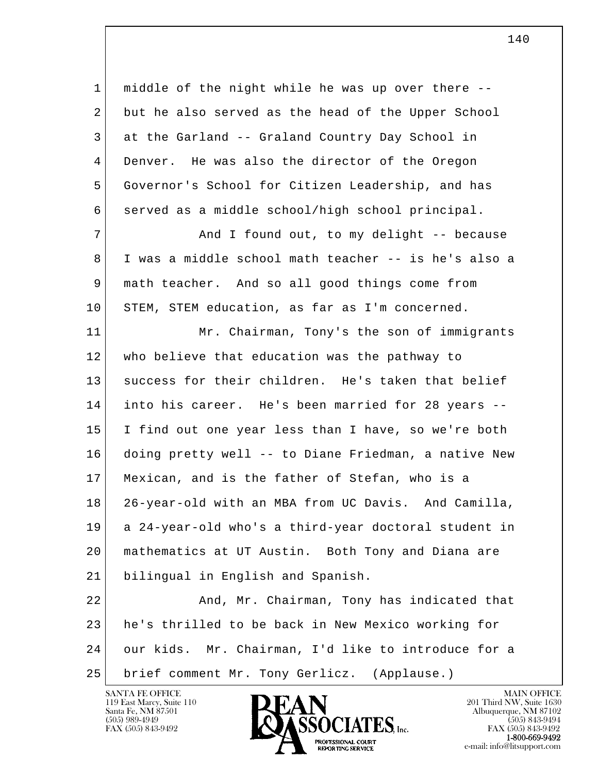1 middle of the night while he was up over there -- 2 but he also served as the head of the Upper School 3 at the Garland -- Graland Country Day School in 4 Denver. He was also the director of the Oregon 5 Governor's School for Citizen Leadership, and has 6 served as a middle school/high school principal. 7 | And I found out, to my delight -- because 8 I was a middle school math teacher -- is he's also a 9 math teacher. And so all good things come from 10 STEM, STEM education, as far as I'm concerned. 11 Mr. Chairman, Tony's the son of immigrants 12 who believe that education was the pathway to 13 success for their children. He's taken that belief 14 into his career. He's been married for 28 years -- 15 I find out one year less than I have, so we're both 16 doing pretty well -- to Diane Friedman, a native New 17 Mexican, and is the father of Stefan, who is a 18 26-year-old with an MBA from UC Davis. And Camilla, 19 a 24-year-old who's a third-year doctoral student in 20 mathematics at UT Austin. Both Tony and Diana are 21 bilingual in English and Spanish. 22 And, Mr. Chairman, Tony has indicated that

l  $\overline{\phantom{a}}$  23 he's thrilled to be back in New Mexico working for 24 our kids. Mr. Chairman, I'd like to introduce for a 25 brief comment Mr. Tony Gerlicz. (Applause.)

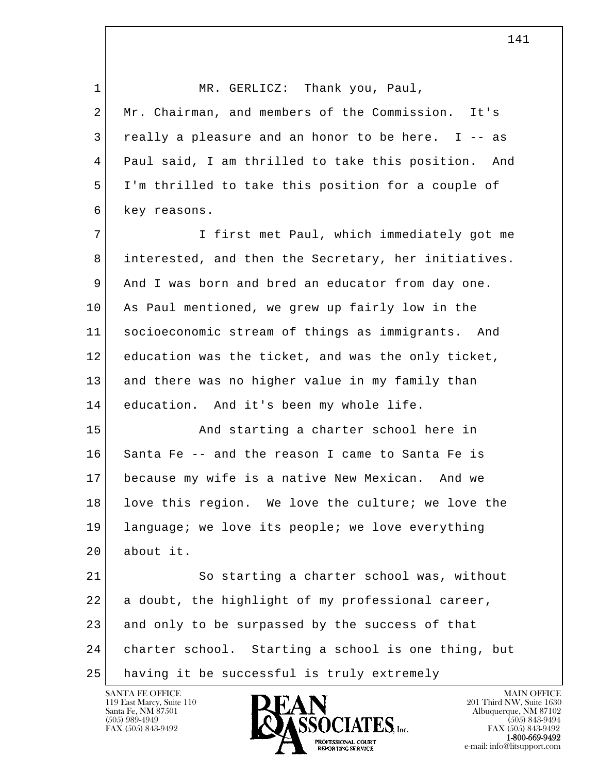| $\mathbf 1$ | MR. GERLICZ: Thank you, Paul,                          |
|-------------|--------------------------------------------------------|
| 2           | Mr. Chairman, and members of the Commission. It's      |
| 3           | really a pleasure and an honor to be here. I -- as     |
| 4           | Paul said, I am thrilled to take this position.<br>And |
| 5           | I'm thrilled to take this position for a couple of     |
| 6           | key reasons.                                           |
| 7           | I first met Paul, which immediately got me             |
| 8           | interested, and then the Secretary, her initiatives.   |
| 9           | And I was born and bred an educator from day one.      |
| 10          | As Paul mentioned, we grew up fairly low in the        |
| 11          | socioeconomic stream of things as immigrants. And      |
| 12          | education was the ticket, and was the only ticket,     |
| 13          | and there was no higher value in my family than        |
| 14          | education. And it's been my whole life.                |
| 15          | And starting a charter school here in                  |
| 16          | Santa Fe -- and the reason I came to Santa Fe is       |
| 17          | because my wife is a native New Mexican. And we        |
| 18          | love this region. We love the culture; we love the     |
| 19          | language; we love its people; we love everything       |
| 20          | about it.                                              |
| 21          | So starting a charter school was, without              |
| 22          | a doubt, the highlight of my professional career,      |
| 23          | and only to be surpassed by the success of that        |
| 24          | charter school. Starting a school is one thing, but    |
| 25          | having it be successful is truly extremely             |

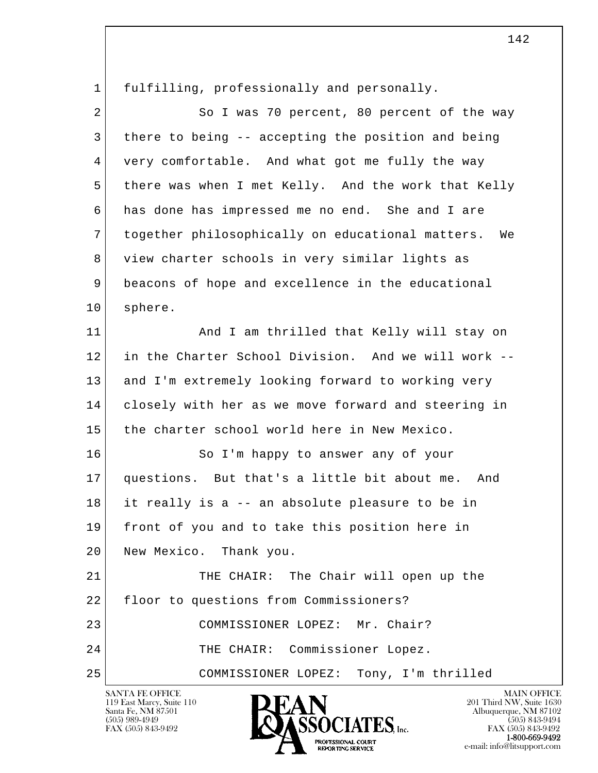l  $\overline{\phantom{a}}$  1 fulfilling, professionally and personally. 2 So I was 70 percent, 80 percent of the way 3 there to being -- accepting the position and being 4 very comfortable. And what got me fully the way 5 there was when I met Kelly. And the work that Kelly 6 has done has impressed me no end. She and I are 7 together philosophically on educational matters. We 8 view charter schools in very similar lights as 9 beacons of hope and excellence in the educational 10 sphere. 11 | And I am thrilled that Kelly will stay on 12 in the Charter School Division. And we will work -- 13 and I'm extremely looking forward to working very 14 closely with her as we move forward and steering in 15 the charter school world here in New Mexico. 16 So I'm happy to answer any of your 17 questions. But that's a little bit about me. And 18 it really is a -- an absolute pleasure to be in 19 front of you and to take this position here in 20 New Mexico. Thank you. 21 THE CHAIR: The Chair will open up the 22 | floor to questions from Commissioners? 23 COMMISSIONER LOPEZ: Mr. Chair? 24 THE CHAIR: Commissioner Lopez. 25 COMMISSIONER LOPEZ: Tony, I'm thrilled

119 East Marcy, Suite 110<br>Santa Fe, NM 87501



FAX (505) 843-9492<br>**1-800-669-9492**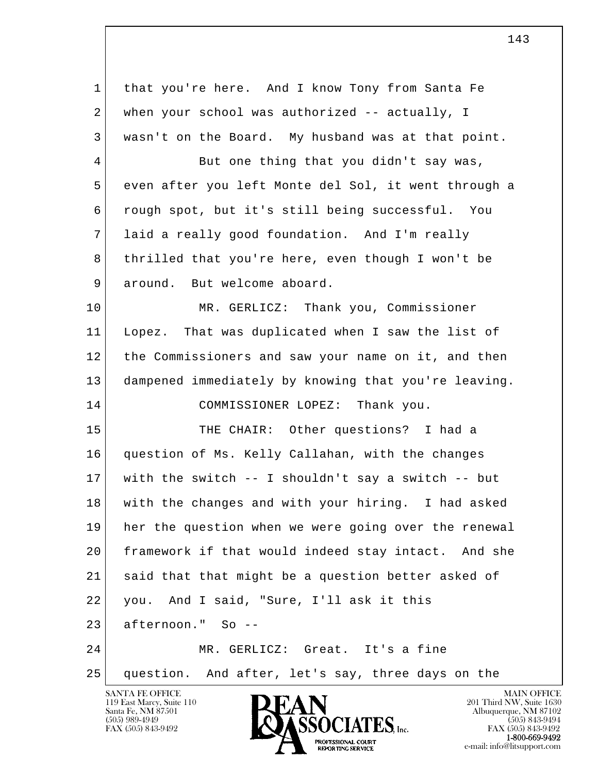| 1              | that you're here. And I know Tony from Santa Fe      |
|----------------|------------------------------------------------------|
| 2              | when your school was authorized -- actually, I       |
| 3              | wasn't on the Board. My husband was at that point.   |
| $\overline{4}$ | But one thing that you didn't say was,               |
| 5              | even after you left Monte del Sol, it went through a |
| 6              | rough spot, but it's still being successful. You     |
| 7              | laid a really good foundation. And I'm really        |
| 8              | thrilled that you're here, even though I won't be    |
| 9              | around. But welcome aboard.                          |
| 10             | MR. GERLICZ: Thank you, Commissioner                 |
| 11             | Lopez. That was duplicated when I saw the list of    |
| 12             | the Commissioners and saw your name on it, and then  |
| 13             | dampened immediately by knowing that you're leaving. |
| 14             | COMMISSIONER LOPEZ: Thank you.                       |
| 15             | THE CHAIR: Other questions? I had a                  |
| 16             | question of Ms. Kelly Callahan, with the changes     |
| 17             | with the switch -- I shouldn't say a switch -- but   |
| 18             | with the changes and with your hiring. I had asked   |
| 19             | her the question when we were going over the renewal |
| 20             | framework if that would indeed stay intact. And she  |
| 21             | said that that might be a question better asked of   |
| 22             | you. And I said, "Sure, I'll ask it this             |
| 23             | afternoon." So --                                    |
| 24             | MR. GERLICZ: Great. It's a fine                      |
| 25             | question. And after, let's say, three days on the    |
|                | <b>SANTA FE OFFICE</b><br><b>MAIN OFFICE</b>         |

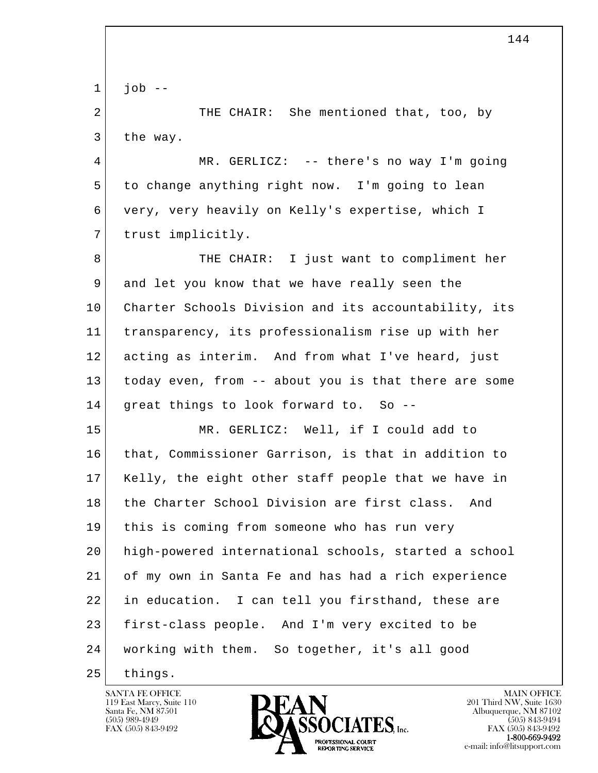l  $\overline{\phantom{a}}$  $1$  job  $-$ 2 THE CHAIR: She mentioned that, too, by 3 the way. 4 MR. GERLICZ: -- there's no way I'm going 5 to change anything right now. I'm going to lean 6 very, very heavily on Kelly's expertise, which I 7 trust implicitly. 8 THE CHAIR: I just want to compliment her 9 and let you know that we have really seen the 10 Charter Schools Division and its accountability, its 11 transparency, its professionalism rise up with her 12 acting as interim. And from what I've heard, just 13 today even, from -- about you is that there are some 14 great things to look forward to. So -- 15 MR. GERLICZ: Well, if I could add to 16 that, Commissioner Garrison, is that in addition to 17 Kelly, the eight other staff people that we have in 18 the Charter School Division are first class. And 19 this is coming from someone who has run very 20 high-powered international schools, started a school 21 of my own in Santa Fe and has had a rich experience 22 in education. I can tell you firsthand, these are 23 first-class people. And I'm very excited to be 24 working with them. So together, it's all good 25 things.



144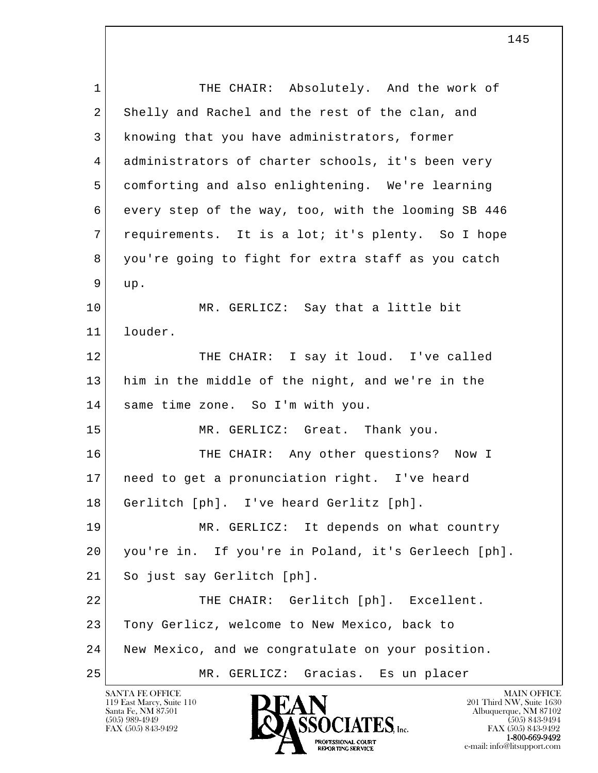l  $\overline{\phantom{a}}$ 1 THE CHAIR: Absolutely. And the work of 2 Shelly and Rachel and the rest of the clan, and 3 knowing that you have administrators, former 4 administrators of charter schools, it's been very 5 comforting and also enlightening. We're learning 6 every step of the way, too, with the looming SB 446 7 requirements. It is a lot; it's plenty. So I hope 8 you're going to fight for extra staff as you catch 9 up. 10 MR. GERLICZ: Say that a little bit 11 louder. 12 THE CHAIR: I say it loud. I've called 13 him in the middle of the night, and we're in the 14 same time zone. So I'm with you. 15 MR. GERLICZ: Great. Thank you. 16 THE CHAIR: Any other questions? Now I 17 need to get a pronunciation right. I've heard 18 Gerlitch [ph]. I've heard Gerlitz [ph]. 19 MR. GERLICZ: It depends on what country 20 you're in. If you're in Poland, it's Gerleech [ph]. 21 So just say Gerlitch [ph]. 22 THE CHAIR: Gerlitch [ph]. Excellent. 23 Tony Gerlicz, welcome to New Mexico, back to 24 New Mexico, and we congratulate on your position. 25 MR. GERLICZ: Gracias. Es un placer

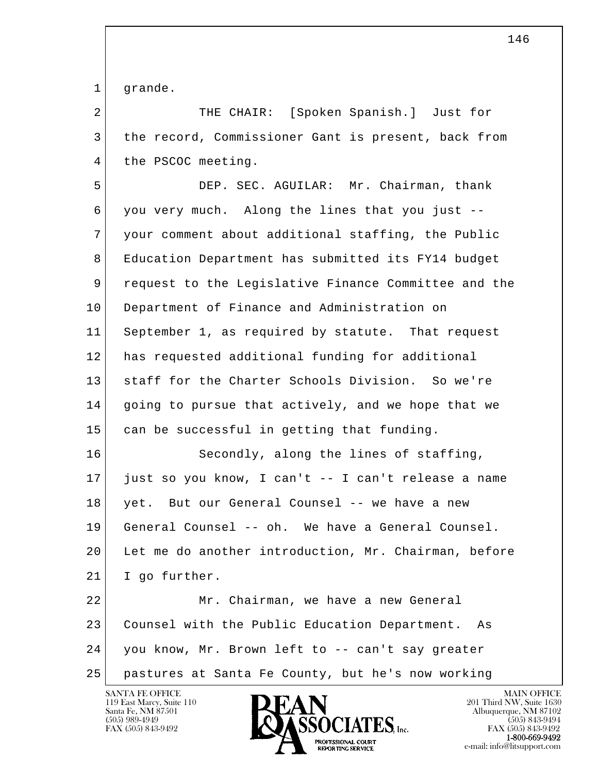1 grande.

| $\overline{a}$ | THE CHAIR: [Spoken Spanish.] Just for                |
|----------------|------------------------------------------------------|
| 3              | the record, Commissioner Gant is present, back from  |
| 4              | the PSCOC meeting.                                   |
| 5              | DEP. SEC. AGUILAR: Mr. Chairman, thank               |
| 6              | you very much. Along the lines that you just --      |
| 7              | your comment about additional staffing, the Public   |
| 8              | Education Department has submitted its FY14 budget   |
| 9              | request to the Legislative Finance Committee and the |
| 10             | Department of Finance and Administration on          |
| 11             | September 1, as required by statute. That request    |
| 12             | has requested additional funding for additional      |
| 13             | staff for the Charter Schools Division. So we're     |
| 14             | going to pursue that actively, and we hope that we   |
| 15             | can be successful in getting that funding.           |
| 16             | Secondly, along the lines of staffing,               |
| 17             | just so you know, I can't -- I can't release a name  |
| 18             | yet. But our General Counsel -- we have a new        |
| 19             | General Counsel -- oh. We have a General Counsel.    |
| 20             | Let me do another introduction, Mr. Chairman, before |
| 21             | I go further.                                        |
| 22             | Mr. Chairman, we have a new General                  |
| 23             | Counsel with the Public Education Department.<br>As  |
| 24             | you know, Mr. Brown left to -- can't say greater     |
| 25             | pastures at Santa Fe County, but he's now working    |

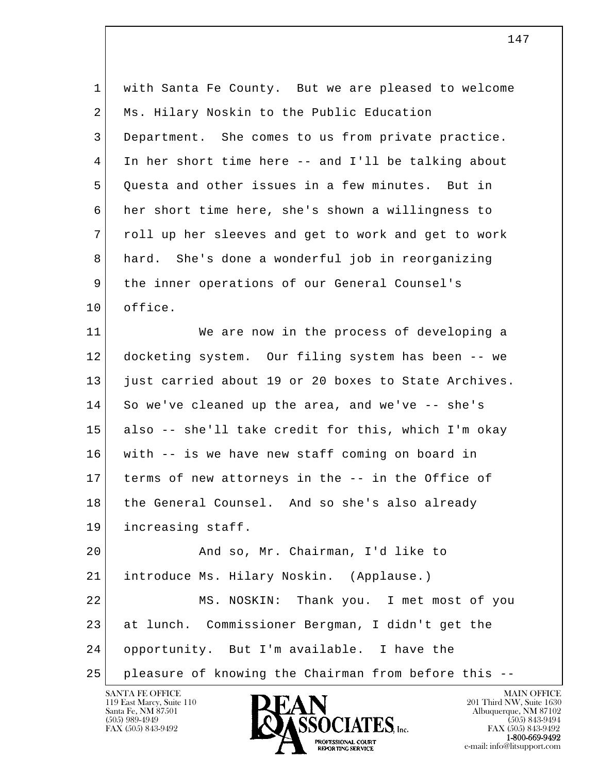l  $\overline{\phantom{a}}$  1 with Santa Fe County. But we are pleased to welcome 2 Ms. Hilary Noskin to the Public Education 3 Department. She comes to us from private practice. 4 In her short time here -- and I'll be talking about 5 Ouesta and other issues in a few minutes. But in 6 her short time here, she's shown a willingness to 7 roll up her sleeves and get to work and get to work 8 hard. She's done a wonderful job in reorganizing 9 the inner operations of our General Counsel's 10 office. 11 We are now in the process of developing a 12 docketing system. Our filing system has been -- we 13 just carried about 19 or 20 boxes to State Archives. 14 So we've cleaned up the area, and we've -- she's 15 also -- she'll take credit for this, which I'm okay 16 with -- is we have new staff coming on board in 17 terms of new attorneys in the -- in the Office of 18 the General Counsel. And so she's also already 19 increasing staff. 20 | Rand so, Mr. Chairman, I'd like to 21 | introduce Ms. Hilary Noskin. (Applause.) 22 MS. NOSKIN: Thank you. I met most of you 23 at lunch. Commissioner Bergman, I didn't get the 24 opportunity. But I'm available. I have the 25 pleasure of knowing the Chairman from before this --



147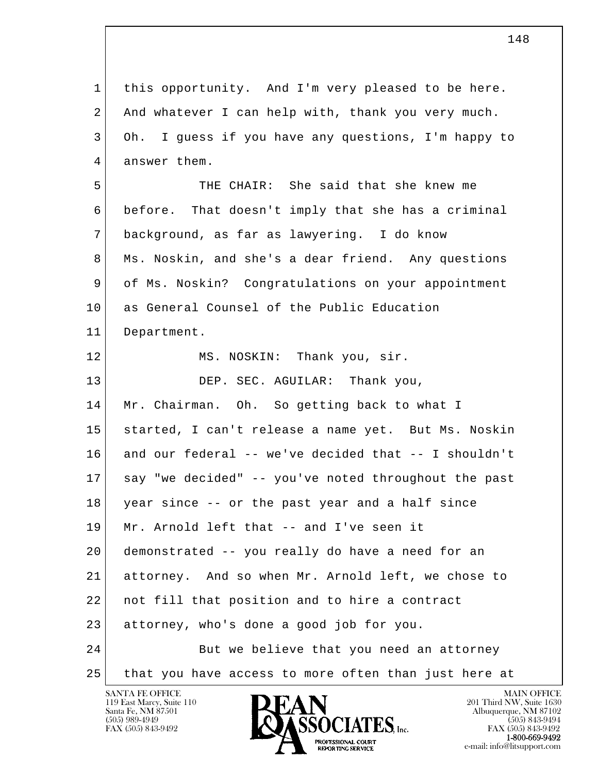l  $\overline{\phantom{a}}$  1 this opportunity. And I'm very pleased to be here. 2 And whatever I can help with, thank you very much. 3 Oh. I guess if you have any questions, I'm happy to 4 answer them. 5 THE CHAIR: She said that she knew me 6 before. That doesn't imply that she has a criminal 7 background, as far as lawyering. I do know 8 Ms. Noskin, and she's a dear friend. Any questions 9 of Ms. Noskin? Congratulations on your appointment 10 as General Counsel of the Public Education 11 Department. 12 MS. NOSKIN: Thank you, sir. 13 DEP. SEC. AGUILAR: Thank you, 14 Mr. Chairman. Oh. So getting back to what I 15 started, I can't release a name yet. But Ms. Noskin 16 and our federal -- we've decided that -- I shouldn't 17 say "we decided" -- you've noted throughout the past 18 year since -- or the past year and a half since 19 Mr. Arnold left that -- and I've seen it 20 demonstrated -- you really do have a need for an 21 attorney. And so when Mr. Arnold left, we chose to 22 not fill that position and to hire a contract 23 attorney, who's done a good job for you. 24 But we believe that you need an attorney 25 that you have access to more often than just here at

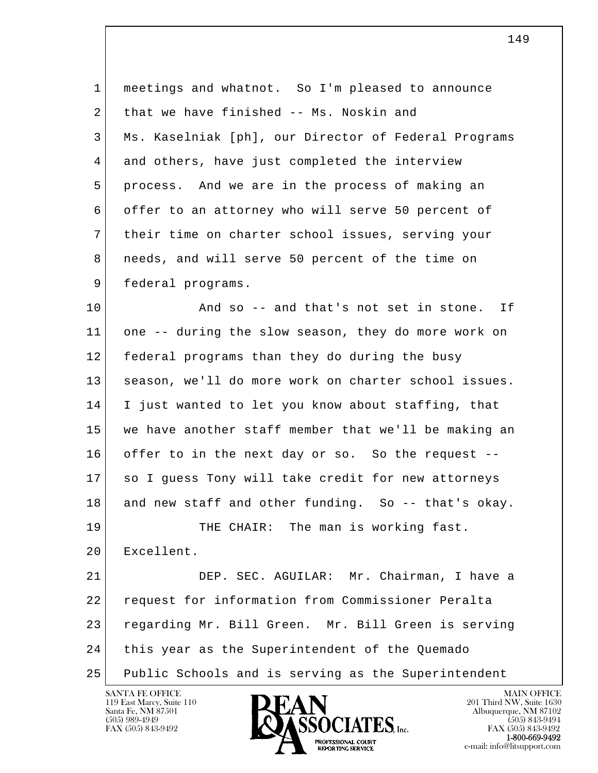1 meetings and whatnot. So I'm pleased to announce 2 that we have finished -- Ms. Noskin and 3 Ms. Kaselniak [ph], our Director of Federal Programs 4 and others, have just completed the interview 5 process. And we are in the process of making an 6 offer to an attorney who will serve 50 percent of 7 their time on charter school issues, serving your 8 needs, and will serve 50 percent of the time on 9 federal programs. 10 **And so -- and that's not set in stone.** If 11 one -- during the slow season, they do more work on 12 federal programs than they do during the busy 13 season, we'll do more work on charter school issues. 14 I just wanted to let you know about staffing, that 15 we have another staff member that we'll be making an 16 offer to in the next day or so. So the request -- 17 so I guess Tony will take credit for new attorneys 18 and new staff and other funding. So -- that's okay.

19 THE CHAIR: The man is working fast. 20 Excellent.

l  $\overline{\phantom{a}}$  21 DEP. SEC. AGUILAR: Mr. Chairman, I have a 22 request for information from Commissioner Peralta 23 regarding Mr. Bill Green. Mr. Bill Green is serving 24 this year as the Superintendent of the Quemado 25 Public Schools and is serving as the Superintendent

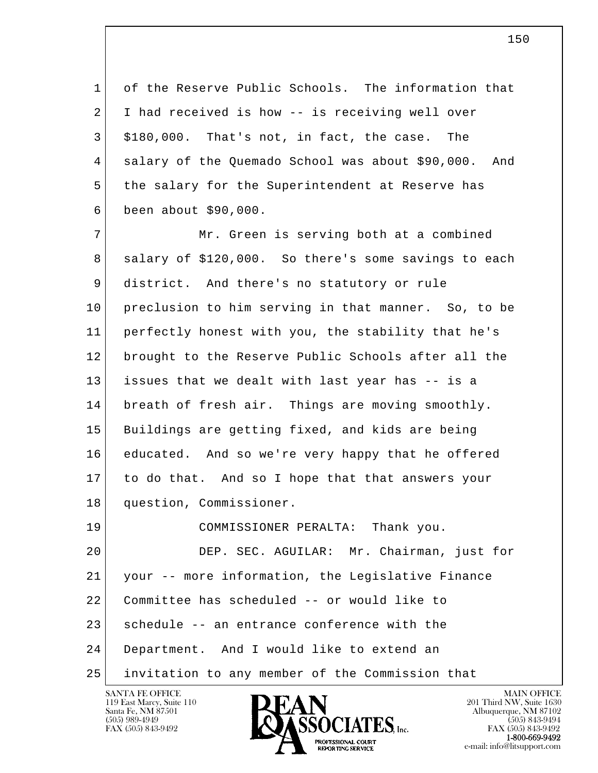1 of the Reserve Public Schools. The information that 2 I had received is how -- is receiving well over  $3$  \$180,000. That's not, in fact, the case. The 4 salary of the Quemado School was about \$90,000. And 5 the salary for the Superintendent at Reserve has 6 been about \$90,000.

7 Mr. Green is serving both at a combined 8 salary of \$120,000. So there's some savings to each 9 district. And there's no statutory or rule 10 preclusion to him serving in that manner. So, to be 11 perfectly honest with you, the stability that he's 12 brought to the Reserve Public Schools after all the 13 issues that we dealt with last year has -- is a 14 breath of fresh air. Things are moving smoothly. 15 Buildings are getting fixed, and kids are being 16 educated. And so we're very happy that he offered 17 to do that. And so I hope that that answers your 18 question, Commissioner.

l  $\overline{\phantom{a}}$  19 COMMISSIONER PERALTA: Thank you. 20 DEP. SEC. AGUILAR: Mr. Chairman, just for 21 your -- more information, the Legislative Finance 22 Committee has scheduled -- or would like to 23 schedule -- an entrance conference with the 24 Department. And I would like to extend an 25 invitation to any member of the Commission that



FAX (505) 843-9492<br>1-800-669-9492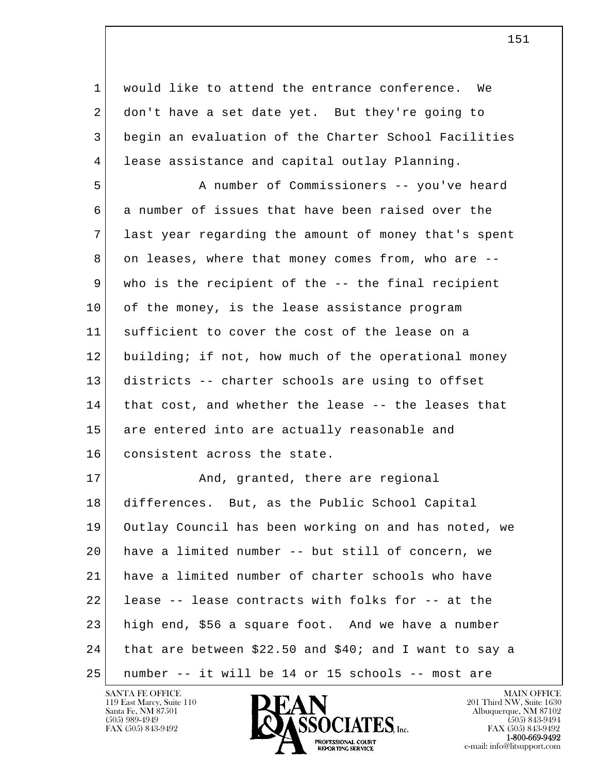1 would like to attend the entrance conference. We 2 don't have a set date yet. But they're going to 3 begin an evaluation of the Charter School Facilities 4 lease assistance and capital outlay Planning.

 5 A number of Commissioners -- you've heard 6 a number of issues that have been raised over the 7 last year regarding the amount of money that's spent 8 on leases, where that money comes from, who are -- 9 who is the recipient of the -- the final recipient 10 of the money, is the lease assistance program 11 sufficient to cover the cost of the lease on a 12 building; if not, how much of the operational money 13 districts -- charter schools are using to offset 14 that cost, and whether the lease -- the leases that 15 are entered into are actually reasonable and 16 consistent across the state.

l  $\overline{\phantom{a}}$ 17 And, granted, there are regional 18 differences. But, as the Public School Capital 19 Outlay Council has been working on and has noted, we 20 have a limited number -- but still of concern, we 21 have a limited number of charter schools who have 22 lease -- lease contracts with folks for -- at the 23 high end, \$56 a square foot. And we have a number 24 that are between \$22.50 and \$40; and I want to say a 25 number -- it will be 14 or 15 schools -- most are

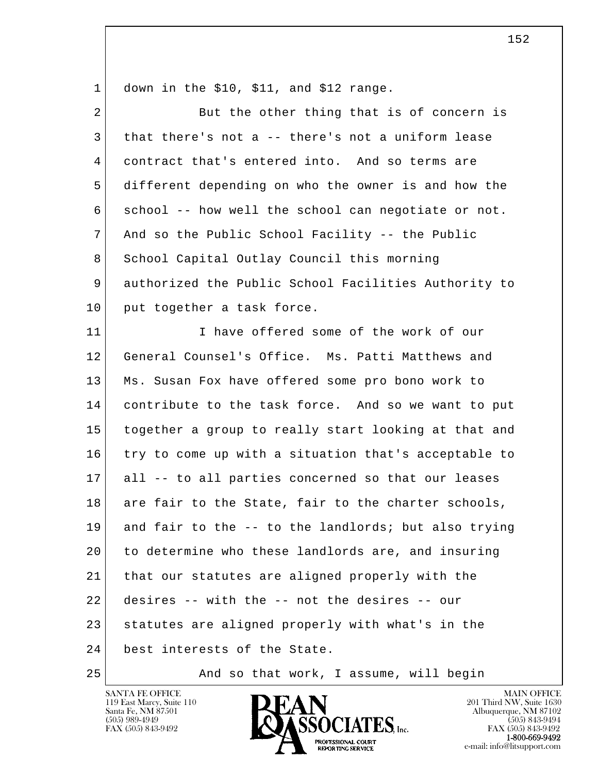$1$  down in the \$10, \$11, and \$12 range.

| $\overline{2}$ | But the other thing that is of concern is            |
|----------------|------------------------------------------------------|
| 3              | that there's not a -- there's not a uniform lease    |
| 4              | contract that's entered into. And so terms are       |
| 5              | different depending on who the owner is and how the  |
| 6              | school -- how well the school can negotiate or not.  |
| 7              | And so the Public School Facility -- the Public      |
| 8              | School Capital Outlay Council this morning           |
| 9              | authorized the Public School Facilities Authority to |
| 10             | put together a task force.                           |
| 11             | I have offered some of the work of our               |
| 12             | General Counsel's Office. Ms. Patti Matthews and     |
| 13             | Ms. Susan Fox have offered some pro bono work to     |
| 14             | contribute to the task force. And so we want to put  |
| 15             | together a group to really start looking at that and |
| 16             | try to come up with a situation that's acceptable to |
| 17             | all -- to all parties concerned so that our leases   |
| 18             | are fair to the State, fair to the charter schools,  |
| 19             | and fair to the -- to the landlords; but also trying |
| 20             | to determine who these landlords are, and insuring   |
| 21             | that our statutes are aligned properly with the      |
| 22             | desires -- with the -- not the desires -- our        |
| 23             | statutes are aligned properly with what's in the     |
| 24             | best interests of the State.                         |
|                |                                                      |

25 And so that work, I assume, will begin



**1-800-669-9492**<br> **EXX (505) 843-9492**<br> **EXX (505) 843-9492**<br> **EXX (505) 843-9492**<br> **EXPORTING SERVICE**<br> **EXPORTING SERVICE**<br> **EXPORTING SERVICE** e-mail: info@litsupport.com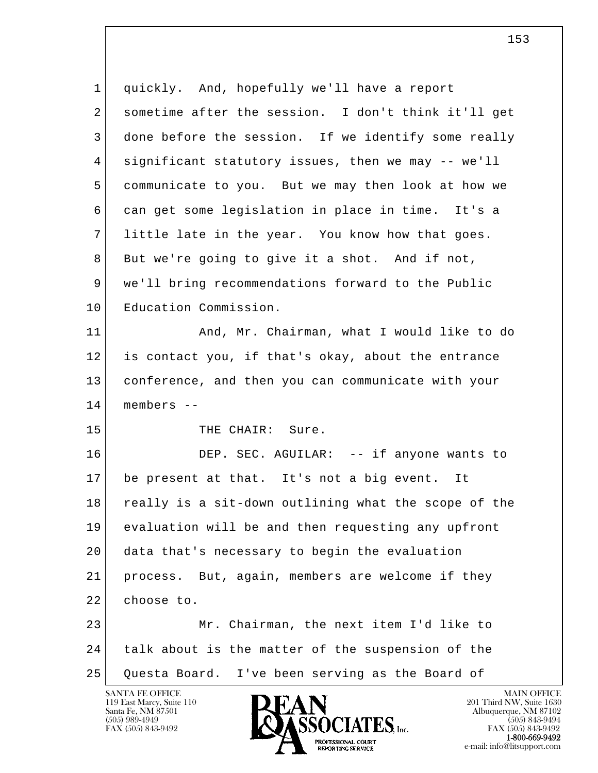l  $\overline{\phantom{a}}$  1 quickly. And, hopefully we'll have a report 2 sometime after the session. I don't think it'll get 3 done before the session. If we identify some really 4 significant statutory issues, then we may -- we'll 5 communicate to you. But we may then look at how we 6 can get some legislation in place in time. It's a 7 little late in the year. You know how that goes. 8 But we're going to give it a shot. And if not, 9 we'll bring recommendations forward to the Public 10 Education Commission. 11 And, Mr. Chairman, what I would like to do 12 is contact you, if that's okay, about the entrance 13 conference, and then you can communicate with your 14 members -- 15 THE CHAIR: Sure. 16 DEP. SEC. AGUILAR: -- if anyone wants to 17 be present at that. It's not a big event. It 18 really is a sit-down outlining what the scope of the 19 evaluation will be and then requesting any upfront 20 data that's necessary to begin the evaluation 21 process. But, again, members are welcome if they 22 choose to. 23 Mr. Chairman, the next item I'd like to 24 talk about is the matter of the suspension of the 25 Questa Board. I've been serving as the Board of

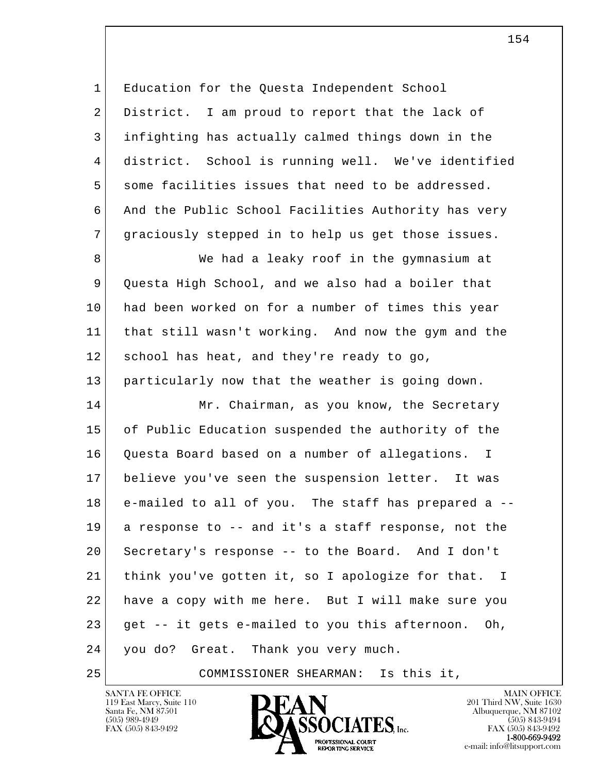l  $\overline{\phantom{a}}$  1 Education for the Questa Independent School 2 District. I am proud to report that the lack of 3 infighting has actually calmed things down in the 4 district. School is running well. We've identified 5 some facilities issues that need to be addressed. 6 And the Public School Facilities Authority has very 7 graciously stepped in to help us get those issues. 8 We had a leaky roof in the qymnasium at 9 Ouesta High School, and we also had a boiler that 10 had been worked on for a number of times this year 11 that still wasn't working. And now the gym and the 12 school has heat, and they're ready to go, 13 particularly now that the weather is going down. 14 Mr. Chairman, as you know, the Secretary 15 of Public Education suspended the authority of the 16 Questa Board based on a number of allegations. I 17 believe you've seen the suspension letter. It was 18 e-mailed to all of you. The staff has prepared a -- 19 a response to -- and it's a staff response, not the 20 Secretary's response -- to the Board. And I don't 21 think you've gotten it, so I apologize for that. I 22 have a copy with me here. But I will make sure you  $23$  get  $-$  it gets e-mailed to you this afternoon. Oh, 24 you do? Great. Thank you very much.

25 COMMISSIONER SHEARMAN: Is this it,

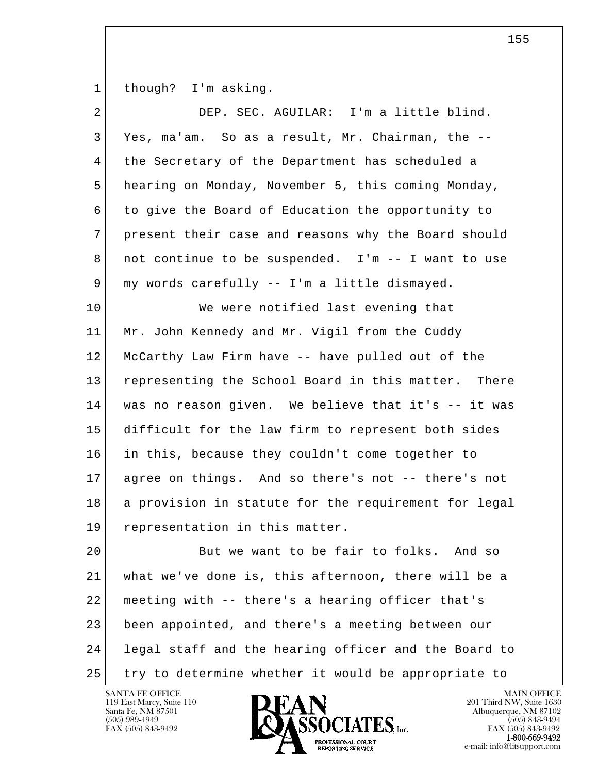1 though? I'm asking.

| 2  | DEP. SEC. AGUILAR: I'm a little blind.               |
|----|------------------------------------------------------|
| 3  | Yes, ma'am. So as a result, Mr. Chairman, the --     |
| 4  | the Secretary of the Department has scheduled a      |
| 5  | hearing on Monday, November 5, this coming Monday,   |
| 6  | to give the Board of Education the opportunity to    |
| 7  | present their case and reasons why the Board should  |
| 8  | not continue to be suspended. I'm -- I want to use   |
| 9  | my words carefully -- I'm a little dismayed.         |
| 10 | We were notified last evening that                   |
| 11 | Mr. John Kennedy and Mr. Vigil from the Cuddy        |
| 12 | McCarthy Law Firm have -- have pulled out of the     |
| 13 | representing the School Board in this matter. There  |
| 14 | was no reason given. We believe that it's -- it was  |
| 15 | difficult for the law firm to represent both sides   |
| 16 | in this, because they couldn't come together to      |
| 17 | agree on things. And so there's not -- there's not   |
| 18 | a provision in statute for the requirement for legal |
| 19 | representation in this matter.                       |
| 20 | But we want to be fair to folks. And so              |
| 21 | what we've done is, this afternoon, there will be a  |
| 22 | meeting with -- there's a hearing officer that's     |
| 23 | been appointed, and there's a meeting between our    |
| 24 | legal staff and the hearing officer and the Board to |
| 25 | try to determine whether it would be appropriate to  |

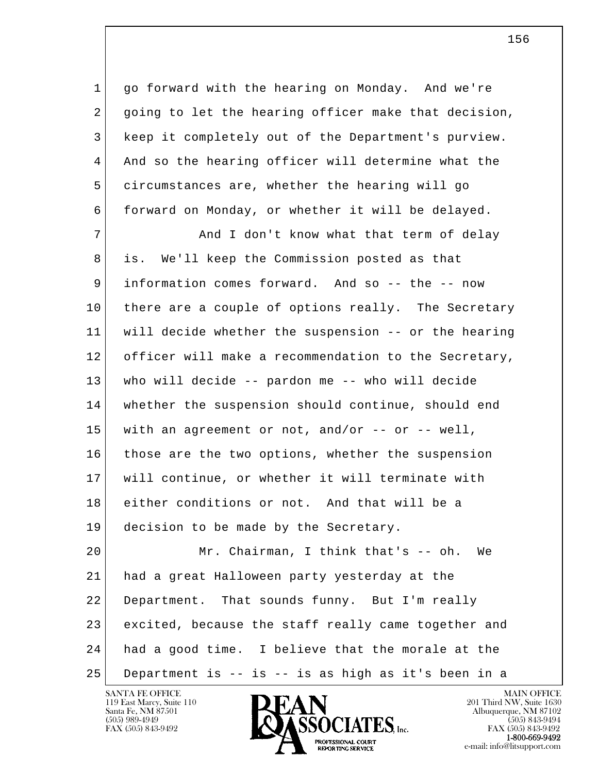1 go forward with the hearing on Monday. And we're 2 going to let the hearing officer make that decision, 3 keep it completely out of the Department's purview. 4 And so the hearing officer will determine what the 5 circumstances are, whether the hearing will go 6 forward on Monday, or whether it will be delayed.

7 and I don't know what that term of delay 8 is. We'll keep the Commission posted as that 9 information comes forward. And so -- the -- now 10 there are a couple of options really. The Secretary 11 will decide whether the suspension -- or the hearing 12 officer will make a recommendation to the Secretary, 13 who will decide -- pardon me -- who will decide 14 whether the suspension should continue, should end 15 with an agreement or not, and/or -- or -- well, 16 those are the two options, whether the suspension 17 will continue, or whether it will terminate with 18 either conditions or not. And that will be a 19 decision to be made by the Secretary. 20 Mr. Chairman, I think that's -- oh. We 21 had a great Halloween party yesterday at the 22 Department. That sounds funny. But I'm really

l  $\overline{\phantom{a}}$  23 excited, because the staff really came together and 24 had a good time. I believe that the morale at the

25 Department is -- is -- is as high as it's been in a

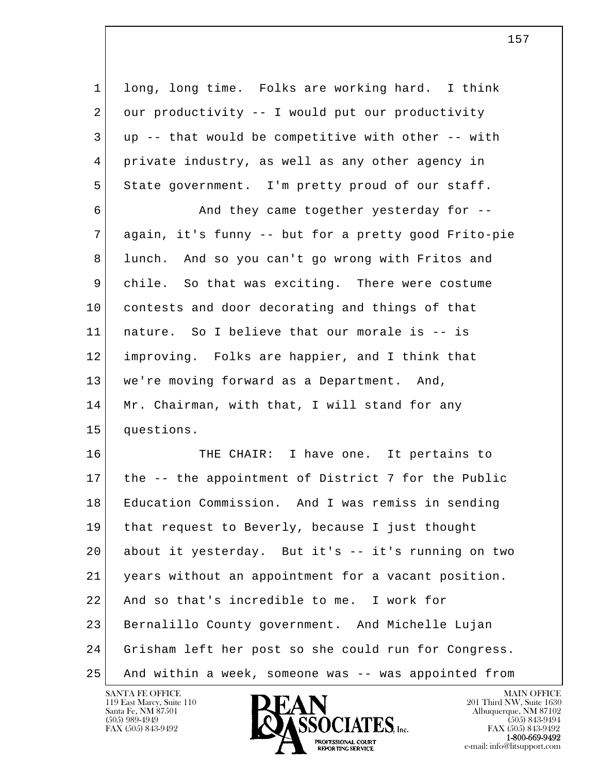1 long, long time. Folks are working hard. I think 2 our productivity -- I would put our productivity  $3$  up  $-$ - that would be competitive with other  $-$ - with 4 private industry, as well as any other agency in 5 | State government. I'm pretty proud of our staff.

6 And they came together yesterday for  $-$  7 again, it's funny -- but for a pretty good Frito-pie 8 lunch. And so you can't go wrong with Fritos and 9 chile. So that was exciting. There were costume 10 contests and door decorating and things of that 11 nature. So I believe that our morale is -- is 12 improving. Folks are happier, and I think that 13 we're moving forward as a Department. And, 14 Mr. Chairman, with that, I will stand for any 15 questions.

l  $\overline{\phantom{a}}$ 16 THE CHAIR: I have one. It pertains to 17 the -- the appointment of District 7 for the Public 18 Education Commission. And I was remiss in sending 19 that request to Beverly, because I just thought 20 about it yesterday. But it's -- it's running on two 21 years without an appointment for a vacant position. 22 And so that's incredible to me. I work for 23 Bernalillo County government. And Michelle Lujan 24 Grisham left her post so she could run for Congress. 25 And within a week, someone was -- was appointed from

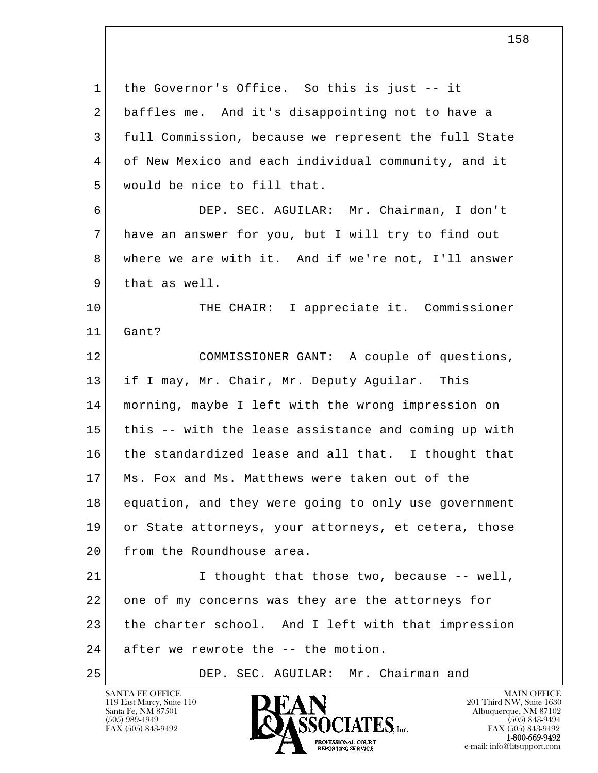l  $\overline{\phantom{a}}$  1 the Governor's Office. So this is just -- it 2 baffles me. And it's disappointing not to have a 3 full Commission, because we represent the full State 4 of New Mexico and each individual community, and it 5 | would be nice to fill that. 6 DEP. SEC. AGUILAR: Mr. Chairman, I don't 7 have an answer for you, but I will try to find out 8 where we are with it. And if we're not, I'll answer 9 that as well. 10 THE CHAIR: I appreciate it. Commissioner 11 Gant? 12 COMMISSIONER GANT: A couple of questions, 13 if I may, Mr. Chair, Mr. Deputy Aguilar. This 14 morning, maybe I left with the wrong impression on 15 this -- with the lease assistance and coming up with 16 the standardized lease and all that. I thought that 17 Ms. Fox and Ms. Matthews were taken out of the 18 equation, and they were going to only use government 19 or State attorneys, your attorneys, et cetera, those 20 from the Roundhouse area. 21 | I thought that those two, because -- well, 22 one of my concerns was they are the attorneys for 23 the charter school. And I left with that impression 24 after we rewrote the -- the motion. 25 DEP. SEC. AGUILAR: Mr. Chairman and

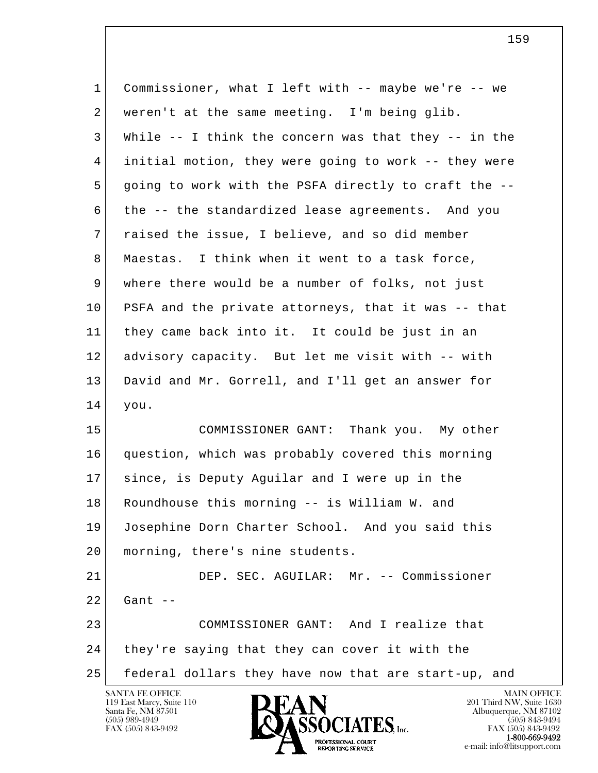| $\mathbf 1$     | Commissioner, what I left with -- maybe we're -- we      |
|-----------------|----------------------------------------------------------|
| 2               | weren't at the same meeting. I'm being glib.             |
| 3               | While $--$ I think the concern was that they $--$ in the |
| $\overline{4}$  | initial motion, they were going to work -- they were     |
| 5               | going to work with the PSFA directly to craft the --     |
| 6               | the -- the standardized lease agreements. And you        |
| $7\phantom{.}$  | raised the issue, I believe, and so did member           |
| 8               | Maestas. I think when it went to a task force,           |
| 9               | where there would be a number of folks, not just         |
| 10 <sub>o</sub> | PSFA and the private attorneys, that it was -- that      |
| 11              | they came back into it. It could be just in an           |
| 12              | advisory capacity. But let me visit with -- with         |
| 13              | David and Mr. Gorrell, and I'll get an answer for        |
| 14              | you.                                                     |
| 15              | COMMISSIONER GANT: Thank you. My other                   |
| 16              | question, which was probably covered this morning        |
| 17              | since, is Deputy Aguilar and I were up in the            |
| 18              | Roundhouse this morning -- is William W. and             |
| 19              | Josephine Dorn Charter School. And you said this         |
| 20              | morning, there's nine students.                          |
| 21              | DEP. SEC. AGUILAR: Mr. -- Commissioner                   |
| 22              | Gant $--$                                                |
| 23              | COMMISSIONER GANT: And I realize that                    |
| 24              | they're saying that they can cover it with the           |
| 25              | federal dollars they have now that are start-up, and     |
|                 | SANTA FE OFFICE<br><b>MAIN OFFICE</b>                    |

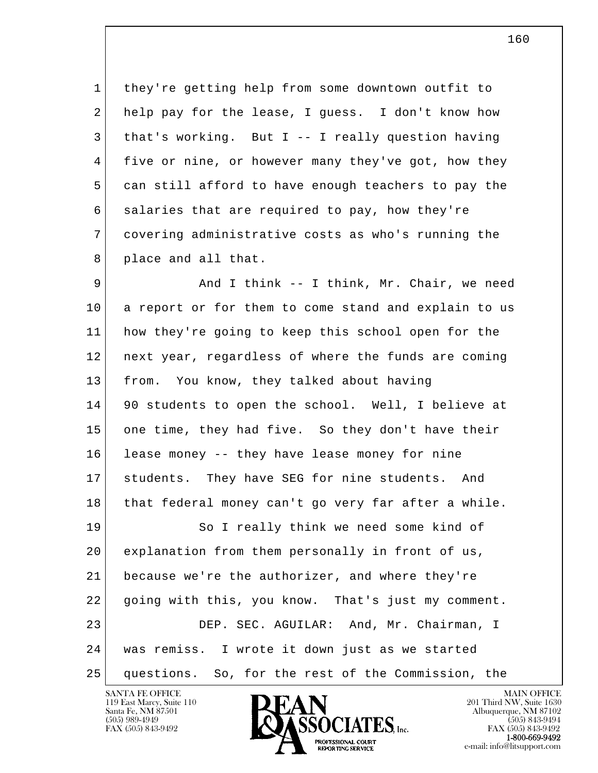1 they're getting help from some downtown outfit to 2 help pay for the lease, I guess. I don't know how  $3$  that's working. But I -- I really question having 4 five or nine, or however many they've got, how they 5 can still afford to have enough teachers to pay the 6 salaries that are required to pay, how they're 7 covering administrative costs as who's running the 8 place and all that.

9 And I think -- I think, Mr. Chair, we need 10 a report or for them to come stand and explain to us 11 how they're going to keep this school open for the 12 next year, regardless of where the funds are coming 13 from. You know, they talked about having 14 90 students to open the school. Well, I believe at 15 one time, they had five. So they don't have their 16 lease money -- they have lease money for nine 17 students. They have SEG for nine students. And 18 that federal money can't go very far after a while. 19 So I really think we need some kind of

l  $\overline{\phantom{a}}$  20 explanation from them personally in front of us, 21 because we're the authorizer, and where they're 22 going with this, you know. That's just my comment. 23 DEP. SEC. AGUILAR: And, Mr. Chairman, I 24 was remiss. I wrote it down just as we started 25 questions. So, for the rest of the Commission, the



160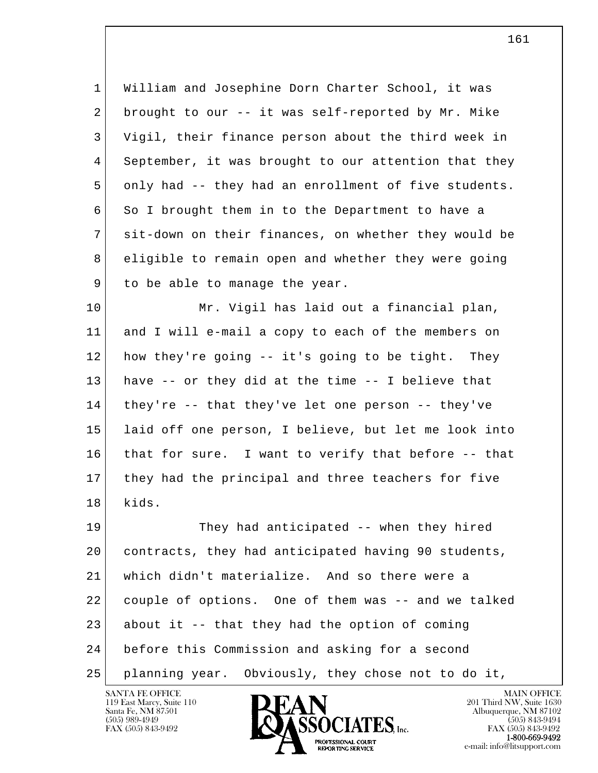1 William and Josephine Dorn Charter School, it was 2 brought to our  $-$ - it was self-reported by Mr. Mike 3 Vigil, their finance person about the third week in 4 September, it was brought to our attention that they 5 only had -- they had an enrollment of five students. 6 So I brought them in to the Department to have a 7 sit-down on their finances, on whether they would be 8 eligible to remain open and whether they were going 9 to be able to manage the year.

10 Mr. Vigil has laid out a financial plan, 11 and I will e-mail a copy to each of the members on 12 how they're going -- it's going to be tight. They 13 have -- or they did at the time -- I believe that 14 they're -- that they've let one person -- they've 15 laid off one person, I believe, but let me look into 16 that for sure. I want to verify that before -- that 17 they had the principal and three teachers for five 18 kids.

l  $\overline{\phantom{a}}$  19 They had anticipated -- when they hired 20 contracts, they had anticipated having 90 students, 21 which didn't materialize. And so there were a 22 couple of options. One of them was -- and we talked 23 about it  $-$ - that they had the option of coming 24 before this Commission and asking for a second 25 planning year. Obviously, they chose not to do it,

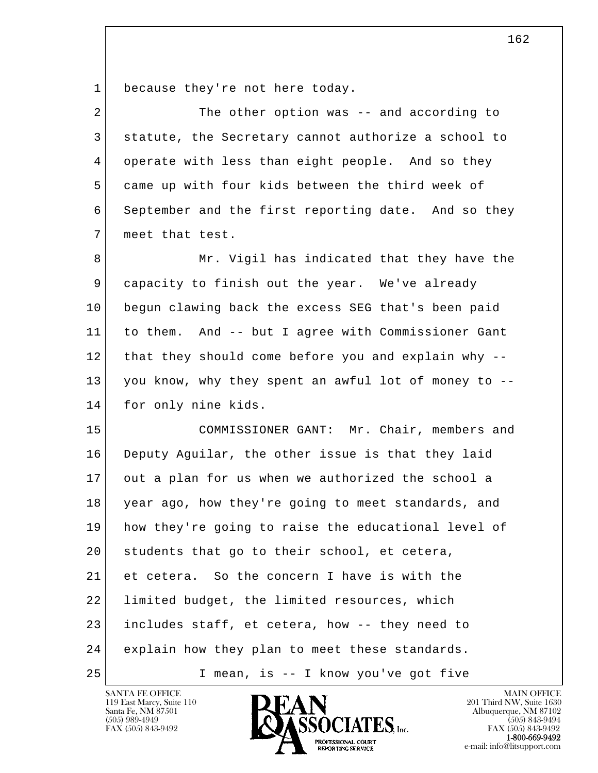1 because they're not here today.

| $\overline{2}$ | The other option was -- and according to             |
|----------------|------------------------------------------------------|
| 3              | statute, the Secretary cannot authorize a school to  |
| 4              | operate with less than eight people. And so they     |
| 5              | came up with four kids between the third week of     |
| 6              | September and the first reporting date. And so they  |
| 7              | meet that test.                                      |
| 8              | Mr. Vigil has indicated that they have the           |
| 9              | capacity to finish out the year. We've already       |
| 10             | begun clawing back the excess SEG that's been paid   |
| 11             | to them. And -- but I agree with Commissioner Gant   |
| 12             | that they should come before you and explain why --  |
| 13             | you know, why they spent an awful lot of money to -- |
| 14             | for only nine kids.                                  |
| 15             | COMMISSIONER GANT: Mr. Chair, members and            |
| 16             | Deputy Aguilar, the other issue is that they laid    |
| 17             | out a plan for us when we authorized the school a    |
| 18             | year ago, how they're going to meet standards, and   |
| 19             | how they're going to raise the educational level of  |
| 20             | students that go to their school, et cetera,         |
| 21             | et cetera. So the concern I have is with the         |
| 22             | limited budget, the limited resources, which         |
| 23             | includes staff, et cetera, how -- they need to       |
| 24             | explain how they plan to meet these standards.       |
| 25             | I mean, is -- I know you've got five                 |

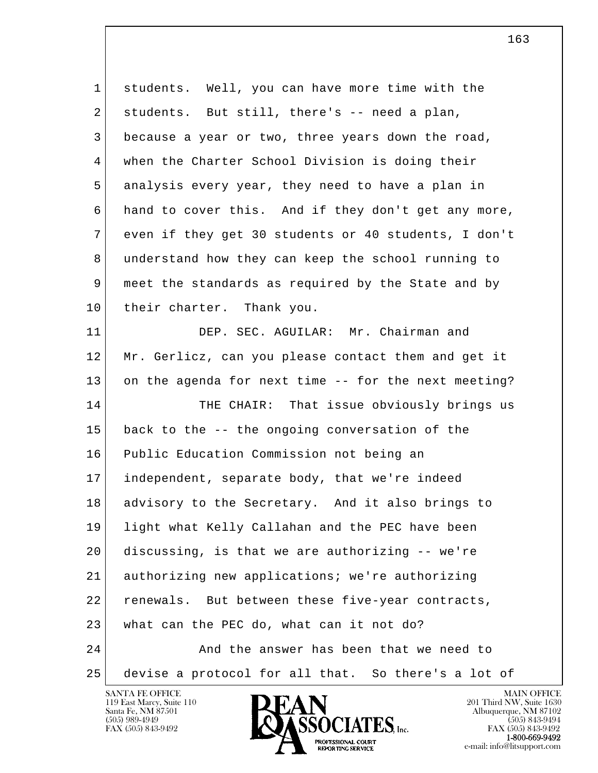l  $\overline{\phantom{a}}$  1 students. Well, you can have more time with the 2 | students. But still, there's -- need a plan, 3 because a year or two, three years down the road, 4 when the Charter School Division is doing their 5 analysis every year, they need to have a plan in 6 hand to cover this. And if they don't get any more, 7 even if they get 30 students or 40 students, I don't 8 understand how they can keep the school running to 9 meet the standards as required by the State and by 10 their charter. Thank you. 11 DEP. SEC. AGUILAR: Mr. Chairman and 12 Mr. Gerlicz, can you please contact them and get it 13 on the agenda for next time -- for the next meeting? 14 THE CHAIR: That issue obviously brings us 15 back to the -- the ongoing conversation of the 16 Public Education Commission not being an 17 independent, separate body, that we're indeed 18 advisory to the Secretary. And it also brings to 19 light what Kelly Callahan and the PEC have been 20 discussing, is that we are authorizing -- we're 21 authorizing new applications; we're authorizing 22 renewals. But between these five-year contracts, 23 what can the PEC do, what can it not do? 24 And the answer has been that we need to 25 devise a protocol for all that. So there's a lot of

119 East Marcy, Suite 110<br>Santa Fe, NM 87501



163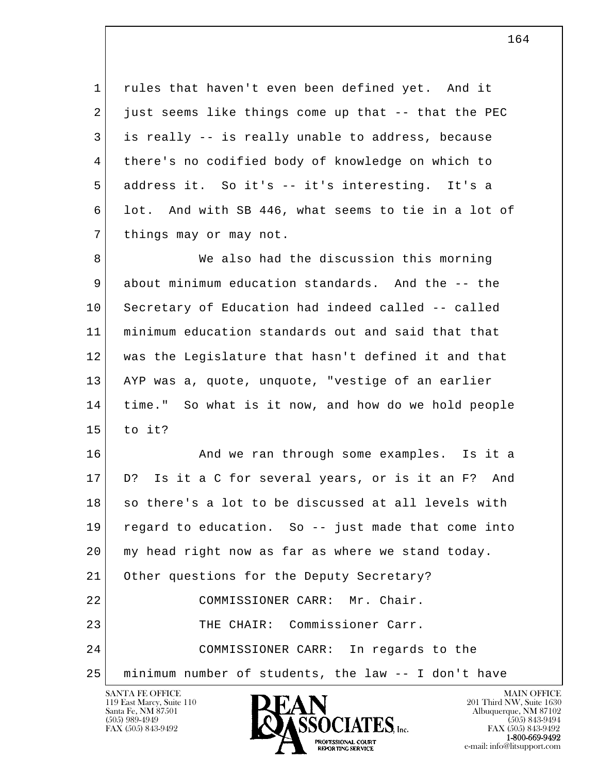1 rules that haven't even been defined yet. And it  $2$  just seems like things come up that  $-$ - that the PEC 3 is really -- is really unable to address, because 4 there's no codified body of knowledge on which to 5 address it. So it's -- it's interesting. It's a 6 lot. And with SB 446, what seems to tie in a lot of 7 things may or may not.

8 We also had the discussion this morning 9 about minimum education standards. And the -- the 10 Secretary of Education had indeed called -- called 11 minimum education standards out and said that that 12 was the Legislature that hasn't defined it and that 13 AYP was a, quote, unquote, "vestige of an earlier 14 time." So what is it now, and how do we hold people  $15$  to it?

l  $\overline{\phantom{a}}$ 16 And we ran through some examples. Is it a 17 D? Is it a C for several years, or is it an F? And 18 so there's a lot to be discussed at all levels with 19 regard to education. So -- just made that come into 20 my head right now as far as where we stand today. 21 Other questions for the Deputy Secretary? 22 COMMISSIONER CARR: Mr. Chair. 23 THE CHAIR: Commissioner Carr. 24 COMMISSIONER CARR: In regards to the 25 minimum number of students, the law -- I don't have

119 East Marcy, Suite 110<br>Santa Fe, NM 87501



FAX (505) 843-9492<br>1-800-669-9492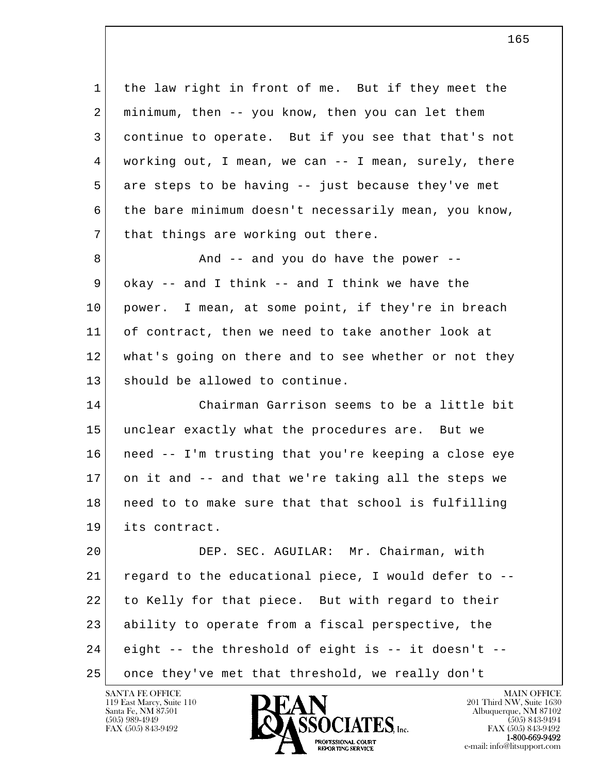l  $\overline{\phantom{a}}$  1 the law right in front of me. But if they meet the 2 minimum, then -- you know, then you can let them 3 continue to operate. But if you see that that's not 4 working out, I mean, we can -- I mean, surely, there 5 are steps to be having -- just because they've met 6 the bare minimum doesn't necessarily mean, you know, 7 | that things are working out there. 8 and -- and you do have the power -- $9$  okay -- and I think -- and I think we have the 10 power. I mean, at some point, if they're in breach 11 of contract, then we need to take another look at 12 what's going on there and to see whether or not they 13 should be allowed to continue. 14 Chairman Garrison seems to be a little bit 15 unclear exactly what the procedures are. But we 16 need -- I'm trusting that you're keeping a close eye 17 on it and -- and that we're taking all the steps we 18 need to to make sure that that school is fulfilling 19 its contract. 20 DEP. SEC. AGUILAR: Mr. Chairman, with 21 regard to the educational piece, I would defer to -- 22 to Kelly for that piece. But with regard to their 23 ability to operate from a fiscal perspective, the 24 eight -- the threshold of eight is -- it doesn't -- 25 once they've met that threshold, we really don't

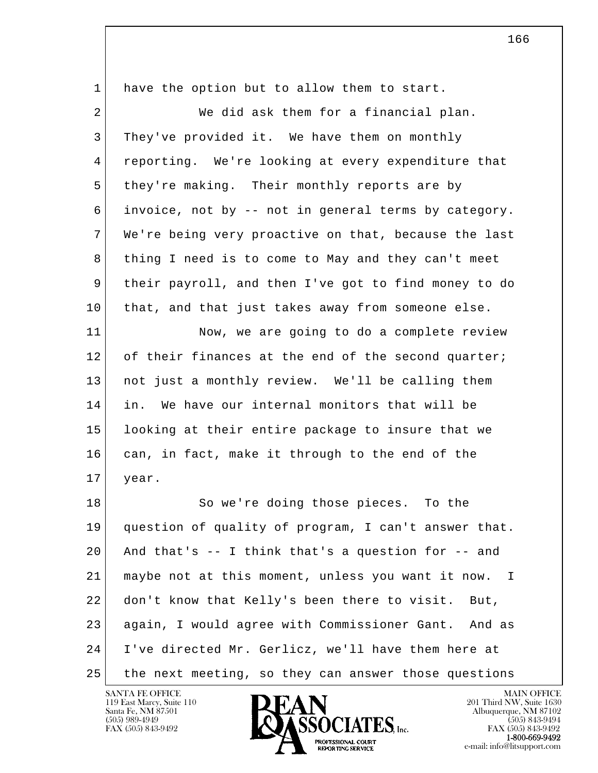| $\mathbf{1}$   | have the option but to allow them to start.          |
|----------------|------------------------------------------------------|
| $\overline{2}$ | We did ask them for a financial plan.                |
| 3              | They've provided it. We have them on monthly         |
| 4              | reporting. We're looking at every expenditure that   |
| 5              | they're making. Their monthly reports are by         |
| 6              | invoice, not by -- not in general terms by category. |
| 7              | We're being very proactive on that, because the last |
| 8              | thing I need is to come to May and they can't meet   |
| 9              | their payroll, and then I've got to find money to do |
| 10             | that, and that just takes away from someone else.    |
| 11             | Now, we are going to do a complete review            |
| 12             | of their finances at the end of the second quarter;  |
| 13             | not just a monthly review. We'll be calling them     |
| 14             | We have our internal monitors that will be<br>in.    |
| 15             | looking at their entire package to insure that we    |
| 16             | can, in fact, make it through to the end of the      |
| 17             | year.                                                |
| 18             | So we're doing those pieces. To the                  |
| 19             | question of quality of program, I can't answer that. |
| 20             | And that's $-$ I think that's a question for $-$ and |
| 21             | maybe not at this moment, unless you want it now. I  |
| 22             | don't know that Kelly's been there to visit.<br>But, |
| 23             | again, I would agree with Commissioner Gant. And as  |
| 24             | I've directed Mr. Gerlicz, we'll have them here at   |
| 25             | the next meeting, so they can answer those questions |

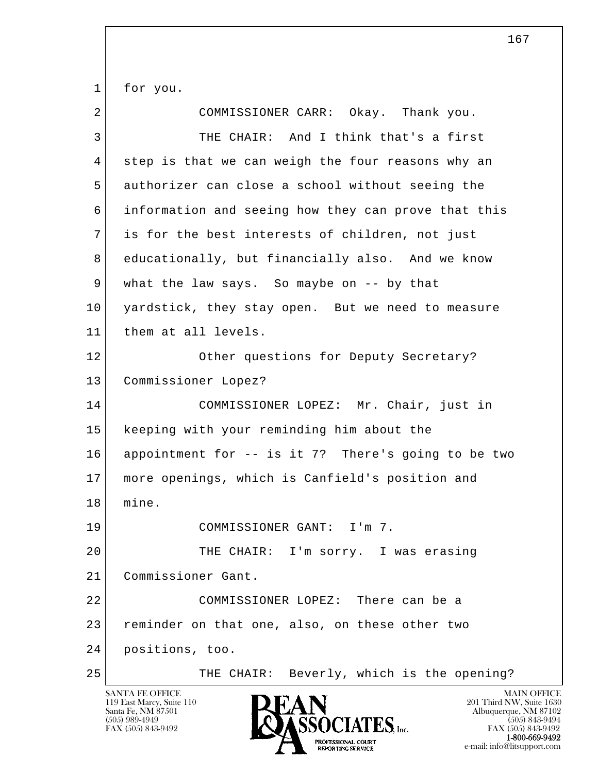1 for you.

| 2  | COMMISSIONER CARR: Okay. Thank you.                 |
|----|-----------------------------------------------------|
| 3  | THE CHAIR: And I think that's a first               |
| 4  | step is that we can weigh the four reasons why an   |
| 5  | authorizer can close a school without seeing the    |
| 6  | information and seeing how they can prove that this |
| 7  | is for the best interests of children, not just     |
| 8  | educationally, but financially also. And we know    |
| 9  | what the law says. So maybe on -- by that           |
| 10 | yardstick, they stay open. But we need to measure   |
| 11 | them at all levels.                                 |
| 12 | Other questions for Deputy Secretary?               |
| 13 | Commissioner Lopez?                                 |
| 14 | COMMISSIONER LOPEZ: Mr. Chair, just in              |
| 15 | keeping with your reminding him about the           |
| 16 | appointment for -- is it 7? There's going to be two |
| 17 | more openings, which is Canfield's position and     |
| 18 | mine.                                               |
| 19 | COMMISSIONER GANT: I'm 7.                           |
| 20 | THE CHAIR: I'm sorry. I was erasing                 |
| 21 | Commissioner Gant.                                  |
| 22 | COMMISSIONER LOPEZ: There can be a                  |
| 23 | reminder on that one, also, on these other two      |
| 24 | positions, too.                                     |
| 25 | THE CHAIR: Beverly, which is the opening?           |

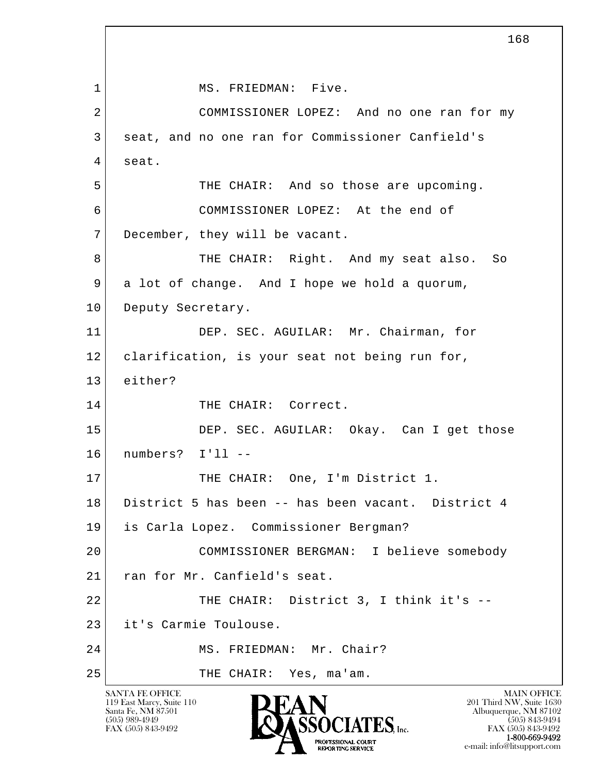l  $\overline{\phantom{a}}$ SANTA FE OFFICE MAIN OFFICE MAIN OFFICE MAIN OFFICE MAIN OFFICE 1 MS. FRIEDMAN: Five. 2 COMMISSIONER LOPEZ: And no one ran for my 3 seat, and no one ran for Commissioner Canfield's 4 seat. 5 THE CHAIR: And so those are upcoming. 6 COMMISSIONER LOPEZ: At the end of 7 December, they will be vacant. 8 THE CHAIR: Right. And my seat also. So 9 a lot of change. And I hope we hold a quorum, 10 Deputy Secretary. 11 DEP. SEC. AGUILAR: Mr. Chairman, for 12 clarification, is your seat not being run for, 13 either? 14 THE CHAIR: Correct. 15 DEP. SEC. AGUILAR: Okay. Can I get those 16 numbers? I'll -- 17 THE CHAIR: One, I'm District 1. 18 District 5 has been -- has been vacant. District 4 19 is Carla Lopez. Commissioner Bergman? 20 COMMISSIONER BERGMAN: I believe somebody 21 ran for Mr. Canfield's seat. 22 THE CHAIR: District 3, I think it's --23 it's Carmie Toulouse. 24 MS. FRIEDMAN: Mr. Chair? 25 THE CHAIR: Yes, ma'am.

119 East Marcy, Suite 110<br>Santa Fe, NM 87501



FAX (505) 843-9492 FAX (505) 843-9492 1-800-669-9492 e-mail: info@litsupport.com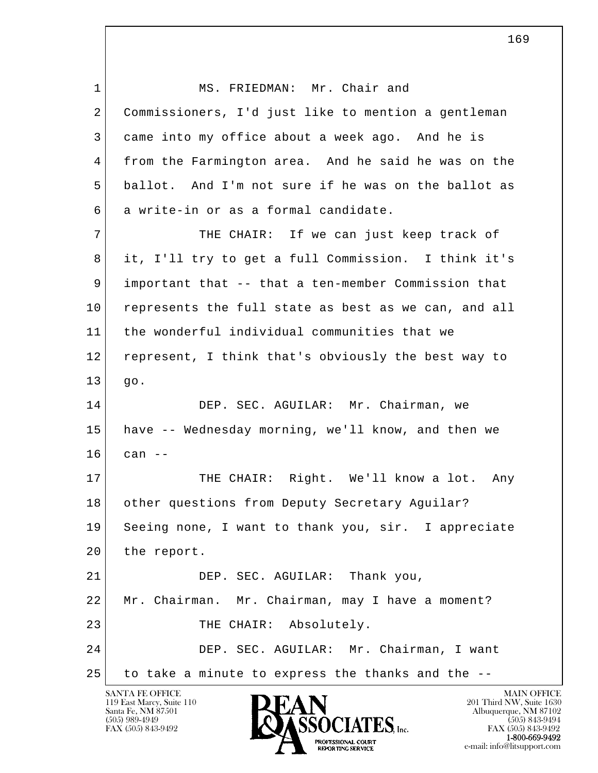| $\mathbf{1}$ | MS. FRIEDMAN: Mr. Chair and                          |
|--------------|------------------------------------------------------|
| 2            | Commissioners, I'd just like to mention a gentleman  |
| 3            | came into my office about a week ago. And he is      |
| 4            | from the Farmington area. And he said he was on the  |
| 5            | ballot. And I'm not sure if he was on the ballot as  |
| 6            | a write-in or as a formal candidate.                 |
| 7            | THE CHAIR: If we can just keep track of              |
| 8            | it, I'll try to get a full Commission. I think it's  |
| 9            | important that -- that a ten-member Commission that  |
| 10           | represents the full state as best as we can, and all |
| 11           | the wonderful individual communities that we         |
| 12           | represent, I think that's obviously the best way to  |
| 13           | go.                                                  |
| 14           | DEP. SEC. AGUILAR: Mr. Chairman, we                  |
| 15           | have -- Wednesday morning, we'll know, and then we   |
| 16           | can $--$                                             |
| 17           | THE CHAIR: Right. We'll know a lot. Any              |
| 18           | other questions from Deputy Secretary Aguilar?       |
| 19           | Seeing none, I want to thank you, sir. I appreciate  |
| 20           | the report.                                          |
| 21           | DEP. SEC. AGUILAR: Thank you,                        |
| 22           | Mr. Chairman. Mr. Chairman, may I have a moment?     |
| 23           | THE CHAIR: Absolutely.                               |
| 24           | DEP. SEC. AGUILAR: Mr. Chairman, I want              |
| 25           | to take a minute to express the thanks and the --    |



169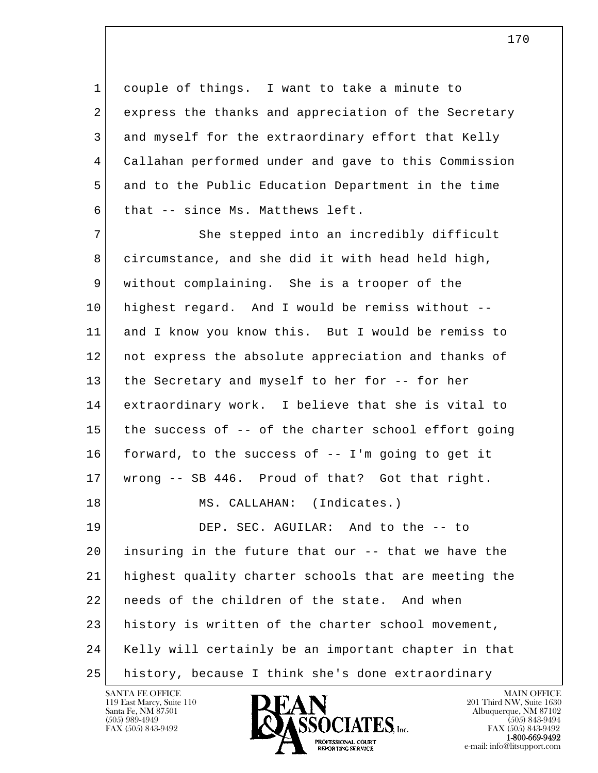1 couple of things. I want to take a minute to 2 express the thanks and appreciation of the Secretary 3 and myself for the extraordinary effort that Kelly 4 Callahan performed under and gave to this Commission 5 and to the Public Education Department in the time  $6$  that -- since Ms. Matthews left.

l  $\overline{\phantom{a}}$ 7 She stepped into an incredibly difficult 8 circumstance, and she did it with head held high, 9 without complaining. She is a trooper of the 10 highest regard. And I would be remiss without -- 11 and I know you know this. But I would be remiss to 12 not express the absolute appreciation and thanks of 13 the Secretary and myself to her for -- for her 14 extraordinary work. I believe that she is vital to 15 the success of -- of the charter school effort going 16 forward, to the success of -- I'm going to get it 17 wrong -- SB 446. Proud of that? Got that right. 18 MS. CALLAHAN: (Indicates.) 19 DEP. SEC. AGUILAR: And to the -- to 20 insuring in the future that our -- that we have the 21 highest quality charter schools that are meeting the 22 needs of the children of the state. And when 23 history is written of the charter school movement, 24 Kelly will certainly be an important chapter in that 25 history, because I think she's done extraordinary

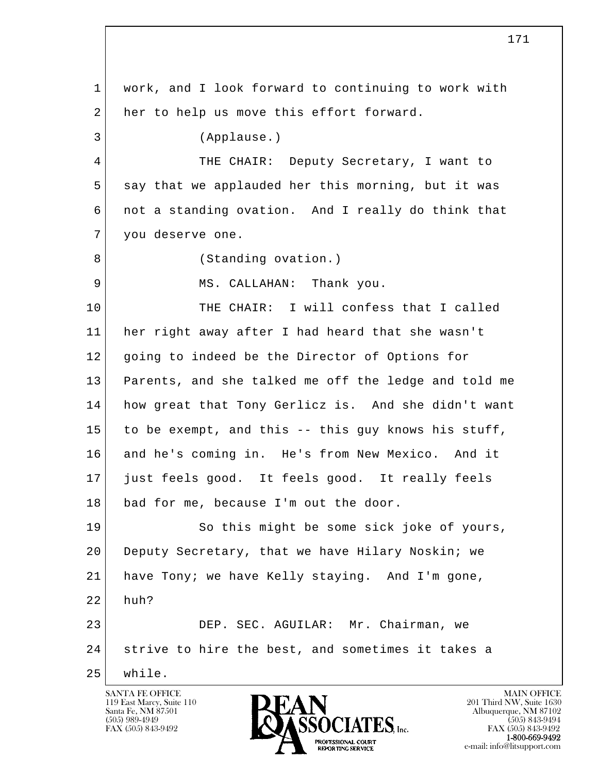l  $\overline{\phantom{a}}$  1 work, and I look forward to continuing to work with 2 her to help us move this effort forward. 3 (Applause.) 4 THE CHAIR: Deputy Secretary, I want to 5 say that we applauded her this morning, but it was 6 not a standing ovation. And I really do think that 7 you deserve one. 8 (Standing ovation.) 9 MS. CALLAHAN: Thank you. 10 THE CHAIR: I will confess that I called 11 her right away after I had heard that she wasn't 12 going to indeed be the Director of Options for 13 Parents, and she talked me off the ledge and told me 14 how great that Tony Gerlicz is. And she didn't want 15 to be exempt, and this -- this guy knows his stuff, 16 and he's coming in. He's from New Mexico. And it 17 just feels good. It feels good. It really feels 18 bad for me, because I'm out the door. 19 So this might be some sick joke of yours, 20 Deputy Secretary, that we have Hilary Noskin; we 21 have Tony; we have Kelly staying. And I'm gone,  $22$  huh? 23 DEP. SEC. AGUILAR: Mr. Chairman, we 24 strive to hire the best, and sometimes it takes a 25 while.

119 East Marcy, Suite 110<br>Santa Fe, NM 87501



171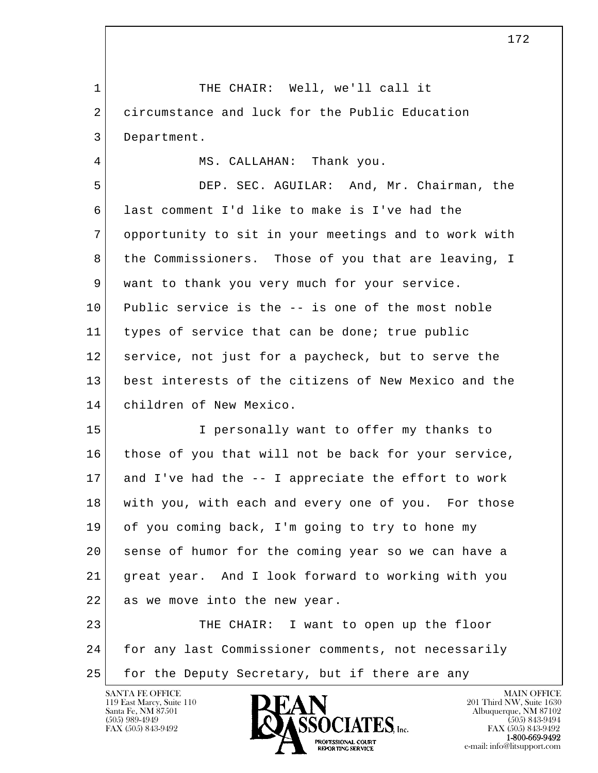l  $\overline{\phantom{a}}$ 1 THE CHAIR: Well, we'll call it 2 circumstance and luck for the Public Education 3 Department. 4 | MS. CALLAHAN: Thank you. 5 DEP. SEC. AGUILAR: And, Mr. Chairman, the 6 last comment I'd like to make is I've had the 7 opportunity to sit in your meetings and to work with 8 the Commissioners. Those of you that are leaving, I 9 want to thank you very much for your service. 10 Public service is the -- is one of the most noble 11 types of service that can be done; true public 12 service, not just for a paycheck, but to serve the 13 best interests of the citizens of New Mexico and the 14 children of New Mexico. 15 I personally want to offer my thanks to 16 those of you that will not be back for your service, 17 and I've had the -- I appreciate the effort to work 18 with you, with each and every one of you. For those 19 of you coming back, I'm going to try to hone my 20 sense of humor for the coming year so we can have a 21 great year. And I look forward to working with you 22 as we move into the new year. 23 THE CHAIR: I want to open up the floor 24 for any last Commissioner comments, not necessarily 25 for the Deputy Secretary, but if there are any

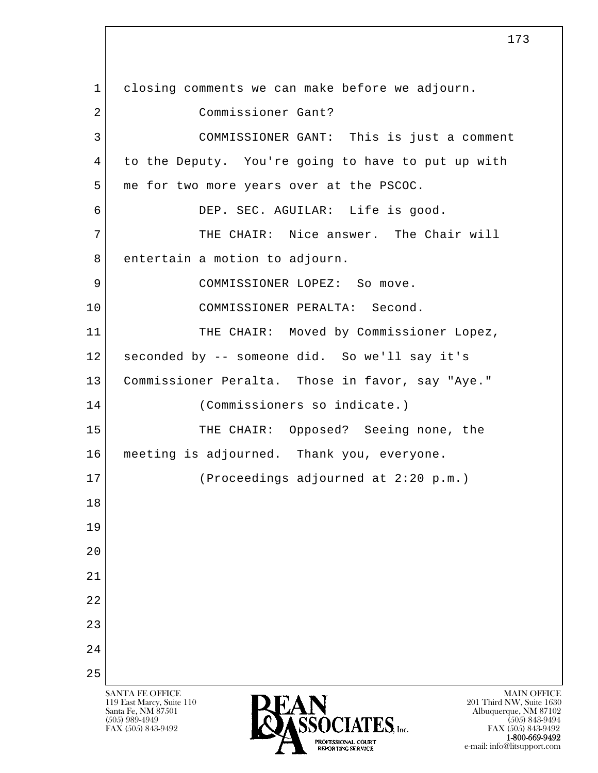l  $\overline{\phantom{a}}$ SANTA FE OFFICE MAIN OFFICE MAIN OFFICE MAIN OFFICE MAIN OFFICE 119 East Marcy, Suite 110<br>Santa Fe, NM 87501 Santa Fe, NM 87501 Albuquerque, NM 87102  $\overline{\text{SSOCIATES}}_{\text{Lnc}}$  (505) 989-4949 (505) 843-9492 (505) 843-9492 (505) 843-9492 1 closing comments we can make before we adjourn. 2 Commissioner Gant? 3 COMMISSIONER GANT: This is just a comment 4 to the Deputy. You're going to have to put up with 5 me for two more years over at the PSCOC. 6 DEP. SEC. AGUILAR: Life is good. 7 THE CHAIR: Nice answer. The Chair will 8 entertain a motion to adjourn. 9 COMMISSIONER LOPEZ: So move. 10 COMMISSIONER PERALTA: Second. 11 | THE CHAIR: Moved by Commissioner Lopez, 12 seconded by -- someone did. So we'll say it's 13 Commissioner Peralta. Those in favor, say "Aye." 14 (Commissioners so indicate.) 15 THE CHAIR: Opposed? Seeing none, the 16 meeting is adjourned. Thank you, everyone. 17 (Proceedings adjourned at 2:20 p.m.) 18 19 20 21 22 23 24 25

173

FAX (505) 843-9492 FAX (505) 843-9492 PROFESSIONAL COURT<br>REPORTING SERVICE THE SERVICE of the C-mail: info@litsupport.com e-mail: info@litsupport.com